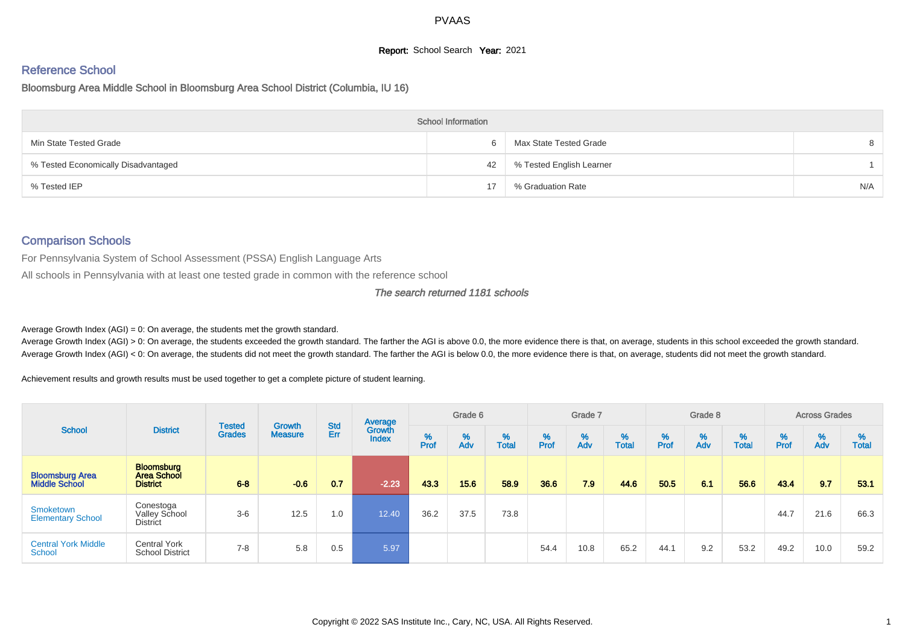# **Report:** School Search **Year:** 2021

# Reference School

#### Bloomsburg Area Middle School in Bloomsburg Area School District (Columbia, IU 16)

|                                     | <b>School Information</b> |                          |     |
|-------------------------------------|---------------------------|--------------------------|-----|
| Min State Tested Grade              | 6                         | Max State Tested Grade   | 8   |
| % Tested Economically Disadvantaged | 42                        | % Tested English Learner |     |
| % Tested IEP                        |                           | % Graduation Rate        | N/A |

### Comparison Schools

For Pennsylvania System of School Assessment (PSSA) English Language Arts

All schools in Pennsylvania with at least one tested grade in common with the reference school

#### The search returned 1181 schools

Average Growth Index  $(AGI) = 0$ : On average, the students met the growth standard.

Average Growth Index (AGI) > 0: On average, the students exceeded the growth standard. The farther the AGI is above 0.0, the more evidence there is that, on average, students in this school exceeded the growth standard. Average Growth Index (AGI) < 0: On average, the students did not meet the growth standard. The farther the AGI is below 0.0, the more evidence there is that, on average, students did not meet the growth standard.

Achievement results and growth results must be used together to get a complete picture of student learning.

|                                                |                                                     | <b>Tested</b> | <b>Growth</b>  | <b>Std</b> | Average                |           | Grade 6  |                   |           | Grade 7  |                   |           | Grade 8  |                   |           | <b>Across Grades</b> |                   |
|------------------------------------------------|-----------------------------------------------------|---------------|----------------|------------|------------------------|-----------|----------|-------------------|-----------|----------|-------------------|-----------|----------|-------------------|-----------|----------------------|-------------------|
| <b>School</b>                                  | <b>District</b>                                     | <b>Grades</b> | <b>Measure</b> | Err        | Growth<br><b>Index</b> | %<br>Prof | %<br>Adv | %<br><b>Total</b> | %<br>Prof | %<br>Adv | %<br><b>Total</b> | %<br>Prof | %<br>Adv | %<br><b>Total</b> | %<br>Prof | %<br>Adv             | %<br><b>Total</b> |
| <b>Bloomsburg Area</b><br><b>Middle School</b> | <b>Bloomsburg</b><br>Area School<br><b>District</b> | $6 - 8$       | $-0.6$         | 0.7        | $-2.23$                | 43.3      | 15.6     | 58.9              | 36.6      | 7.9      | 44.6              | 50.5      | 6.1      | 56.6              | 43.4      | 9.7                  | 53.1              |
| Smoketown<br><b>Elementary School</b>          | Conestoga<br>Valley School<br><b>District</b>       | $3-6$         | 12.5           | 1.0        | 12.40                  | 36.2      | 37.5     | 73.8              |           |          |                   |           |          |                   | 44.7      | 21.6                 | 66.3              |
| <b>Central York Middle</b><br>School           | <b>Central York</b><br><b>School District</b>       | $7 - 8$       | 5.8            | 0.5        | 5.97                   |           |          |                   | 54.4      | 10.8     | 65.2              | 44.1      | 9.2      | 53.2              | 49.2      | 10.0                 | 59.2              |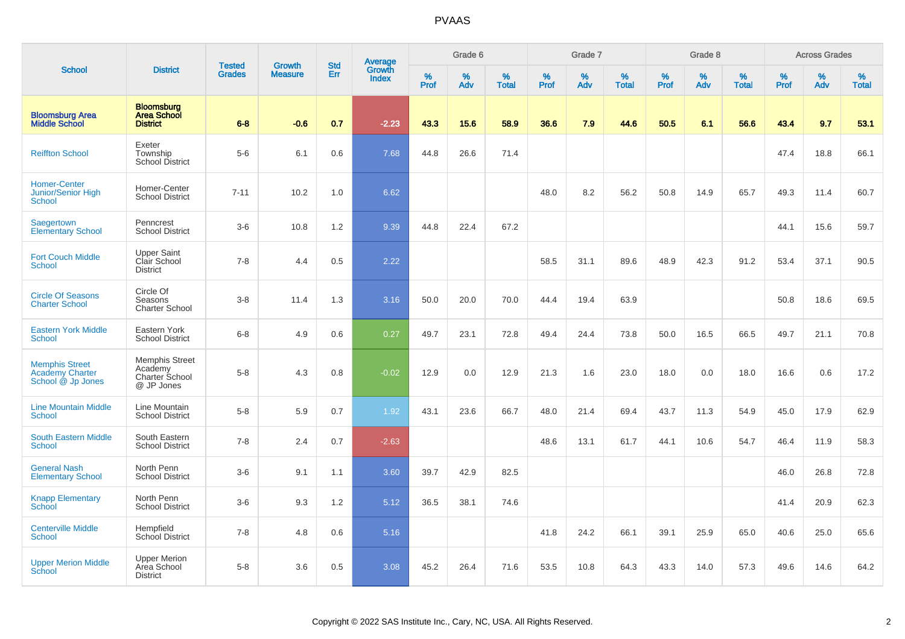|                                                                      |                                                                  |                                |                          | <b>Std</b> |                                   |                  | Grade 6     |                      |           | Grade 7     |                      |                     | Grade 8     |                   |                     | <b>Across Grades</b> |                   |
|----------------------------------------------------------------------|------------------------------------------------------------------|--------------------------------|--------------------------|------------|-----------------------------------|------------------|-------------|----------------------|-----------|-------------|----------------------|---------------------|-------------|-------------------|---------------------|----------------------|-------------------|
| <b>School</b>                                                        | <b>District</b>                                                  | <b>Tested</b><br><b>Grades</b> | Growth<br><b>Measure</b> | Err        | Average<br>Growth<br><b>Index</b> | %<br><b>Prof</b> | $\%$<br>Adv | $\%$<br><b>Total</b> | %<br>Prof | $\%$<br>Adv | $\%$<br><b>Total</b> | $\%$<br><b>Prof</b> | $\%$<br>Adv | %<br><b>Total</b> | $\%$<br><b>Prof</b> | $\%$<br>Adv          | %<br><b>Total</b> |
| <b>Bloomsburg Area</b><br><b>Middle School</b>                       | <b>Bloomsburg</b><br><b>Area School</b><br><b>District</b>       | $6 - 8$                        | $-0.6$                   | 0.7        | $-2.23$                           | 43.3             | 15.6        | 58.9                 | 36.6      | 7.9         | 44.6                 | 50.5                | 6.1         | 56.6              | 43.4                | 9.7                  | 53.1              |
| <b>Reiffton School</b>                                               | Exeter<br>Township<br><b>School District</b>                     | $5-6$                          | 6.1                      | 0.6        | 7.68                              | 44.8             | 26.6        | 71.4                 |           |             |                      |                     |             |                   | 47.4                | 18.8                 | 66.1              |
| <b>Homer-Center</b><br>Junior/Senior High<br>School                  | Homer-Center<br><b>School District</b>                           | $7 - 11$                       | 10.2                     | 1.0        | 6.62                              |                  |             |                      | 48.0      | 8.2         | 56.2                 | 50.8                | 14.9        | 65.7              | 49.3                | 11.4                 | 60.7              |
| Saegertown<br><b>Elementary School</b>                               | Penncrest<br><b>School District</b>                              | $3-6$                          | 10.8                     | 1.2        | 9.39                              | 44.8             | 22.4        | 67.2                 |           |             |                      |                     |             |                   | 44.1                | 15.6                 | 59.7              |
| <b>Fort Couch Middle</b><br><b>School</b>                            | <b>Upper Saint</b><br>Clair School<br><b>District</b>            | $7 - 8$                        | 4.4                      | 0.5        | 2.22                              |                  |             |                      | 58.5      | 31.1        | 89.6                 | 48.9                | 42.3        | 91.2              | 53.4                | 37.1                 | 90.5              |
| <b>Circle Of Seasons</b><br><b>Charter School</b>                    | Circle Of<br>Seasons<br>Charter School                           | $3 - 8$                        | 11.4                     | 1.3        | 3.16                              | 50.0             | 20.0        | 70.0                 | 44.4      | 19.4        | 63.9                 |                     |             |                   | 50.8                | 18.6                 | 69.5              |
| <b>Eastern York Middle</b><br><b>School</b>                          | Eastern York<br><b>School District</b>                           | $6 - 8$                        | 4.9                      | 0.6        | 0.27                              | 49.7             | 23.1        | 72.8                 | 49.4      | 24.4        | 73.8                 | 50.0                | 16.5        | 66.5              | 49.7                | 21.1                 | 70.8              |
| <b>Memphis Street</b><br><b>Academy Charter</b><br>School @ Jp Jones | <b>Memphis Street</b><br>Academy<br>Charter School<br>@ JP Jones | $5-8$                          | 4.3                      | 0.8        | $-0.02$                           | 12.9             | 0.0         | 12.9                 | 21.3      | 1.6         | 23.0                 | 18.0                | 0.0         | 18.0              | 16.6                | 0.6                  | 17.2              |
| <b>Line Mountain Middle</b><br>School                                | Line Mountain<br><b>School District</b>                          | $5-8$                          | 5.9                      | 0.7        | 1.92                              | 43.1             | 23.6        | 66.7                 | 48.0      | 21.4        | 69.4                 | 43.7                | 11.3        | 54.9              | 45.0                | 17.9                 | 62.9              |
| <b>South Eastern Middle</b><br><b>School</b>                         | South Eastern<br><b>School District</b>                          | $7 - 8$                        | 2.4                      | 0.7        | $-2.63$                           |                  |             |                      | 48.6      | 13.1        | 61.7                 | 44.1                | 10.6        | 54.7              | 46.4                | 11.9                 | 58.3              |
| <b>General Nash</b><br><b>Elementary School</b>                      | North Penn<br><b>School District</b>                             | $3-6$                          | 9.1                      | 1.1        | 3.60                              | 39.7             | 42.9        | 82.5                 |           |             |                      |                     |             |                   | 46.0                | 26.8                 | 72.8              |
| <b>Knapp Elementary</b><br><b>School</b>                             | North Penn<br><b>School District</b>                             | $3-6$                          | 9.3                      | 1.2        | 5.12                              | 36.5             | 38.1        | 74.6                 |           |             |                      |                     |             |                   | 41.4                | 20.9                 | 62.3              |
| <b>Centerville Middle</b><br><b>School</b>                           | Hempfield<br><b>School District</b>                              | $7 - 8$                        | 4.8                      | 0.6        | 5.16                              |                  |             |                      | 41.8      | 24.2        | 66.1                 | 39.1                | 25.9        | 65.0              | 40.6                | 25.0                 | 65.6              |
| <b>Upper Merion Middle</b><br>School                                 | <b>Upper Merion</b><br>Area School<br><b>District</b>            | $5-8$                          | 3.6                      | 0.5        | 3.08                              | 45.2             | 26.4        | 71.6                 | 53.5      | 10.8        | 64.3                 | 43.3                | 14.0        | 57.3              | 49.6                | 14.6                 | 64.2              |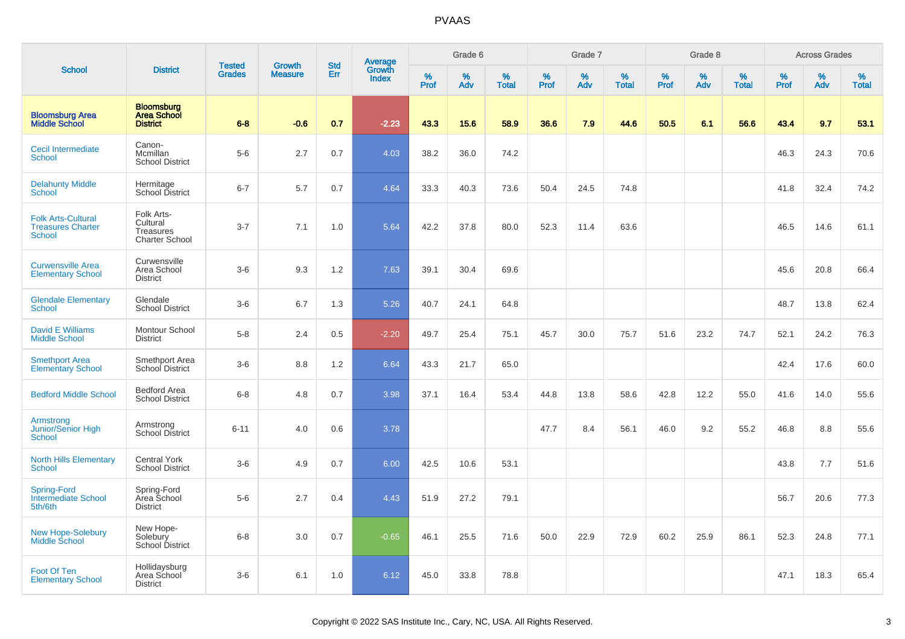|                                                                 |                                                              |                                |                                 | <b>Std</b> |                                   |                  | Grade 6     |                   |           | Grade 7  |                   |              | Grade 8  |                   |              | <b>Across Grades</b> |                   |
|-----------------------------------------------------------------|--------------------------------------------------------------|--------------------------------|---------------------------------|------------|-----------------------------------|------------------|-------------|-------------------|-----------|----------|-------------------|--------------|----------|-------------------|--------------|----------------------|-------------------|
| <b>School</b>                                                   | <b>District</b>                                              | <b>Tested</b><br><b>Grades</b> | <b>Growth</b><br><b>Measure</b> | Err        | Average<br>Growth<br><b>Index</b> | %<br><b>Prof</b> | $\%$<br>Adv | %<br><b>Total</b> | %<br>Prof | %<br>Adv | %<br><b>Total</b> | $\%$<br>Prof | %<br>Adv | %<br><b>Total</b> | $\%$<br>Prof | $\%$<br>Adv          | %<br><b>Total</b> |
| <b>Bloomsburg Area</b><br><b>Middle School</b>                  | <b>Bloomsburg</b><br><b>Area School</b><br><b>District</b>   | $6 - 8$                        | $-0.6$                          | 0.7        | $-2.23$                           | 43.3             | 15.6        | 58.9              | 36.6      | 7.9      | 44.6              | 50.5         | 6.1      | 56.6              | 43.4         | 9.7                  | 53.1              |
| <b>Cecil Intermediate</b><br><b>School</b>                      | Canon-<br>Mcmillan<br><b>School District</b>                 | $5-6$                          | 2.7                             | 0.7        | 4.03                              | 38.2             | 36.0        | 74.2              |           |          |                   |              |          |                   | 46.3         | 24.3                 | 70.6              |
| <b>Delahunty Middle</b><br>School                               | Hermitage<br>School District                                 | $6 - 7$                        | 5.7                             | 0.7        | 4.64                              | 33.3             | 40.3        | 73.6              | 50.4      | 24.5     | 74.8              |              |          |                   | 41.8         | 32.4                 | 74.2              |
| <b>Folk Arts-Cultural</b><br><b>Treasures Charter</b><br>School | Folk Arts-<br>Cultural<br><b>Treasures</b><br>Charter School | $3 - 7$                        | 7.1                             | 1.0        | 5.64                              | 42.2             | 37.8        | 80.0              | 52.3      | 11.4     | 63.6              |              |          |                   | 46.5         | 14.6                 | 61.1              |
| <b>Curwensville Area</b><br><b>Elementary School</b>            | Curwensville<br>Area School<br><b>District</b>               | $3-6$                          | 9.3                             | 1.2        | 7.63                              | 39.1             | 30.4        | 69.6              |           |          |                   |              |          |                   | 45.6         | 20.8                 | 66.4              |
| <b>Glendale Elementary</b><br>School                            | Glendale<br><b>School District</b>                           | $3-6$                          | 6.7                             | 1.3        | 5.26                              | 40.7             | 24.1        | 64.8              |           |          |                   |              |          |                   | 48.7         | 13.8                 | 62.4              |
| <b>David E Williams</b><br><b>Middle School</b>                 | Montour School<br><b>District</b>                            | $5-8$                          | 2.4                             | 0.5        | $-2.20$                           | 49.7             | 25.4        | 75.1              | 45.7      | 30.0     | 75.7              | 51.6         | 23.2     | 74.7              | 52.1         | 24.2                 | 76.3              |
| <b>Smethport Area</b><br><b>Elementary School</b>               | Smethport Area<br>School District                            | $3-6$                          | 8.8                             | 1.2        | 6.64                              | 43.3             | 21.7        | 65.0              |           |          |                   |              |          |                   | 42.4         | 17.6                 | 60.0              |
| <b>Bedford Middle School</b>                                    | Bedford Area<br><b>School District</b>                       | $6 - 8$                        | 4.8                             | 0.7        | 3.98                              | 37.1             | 16.4        | 53.4              | 44.8      | 13.8     | 58.6              | 42.8         | 12.2     | 55.0              | 41.6         | 14.0                 | 55.6              |
| Armstrong<br>Junior/Senior High<br>School                       | Armstrong<br>School District                                 | $6 - 11$                       | 4.0                             | 0.6        | 3.78                              |                  |             |                   | 47.7      | 8.4      | 56.1              | 46.0         | 9.2      | 55.2              | 46.8         | 8.8                  | 55.6              |
| <b>North Hills Elementary</b><br><b>School</b>                  | <b>Central York</b><br><b>School District</b>                | $3-6$                          | 4.9                             | 0.7        | 6.00                              | 42.5             | 10.6        | 53.1              |           |          |                   |              |          |                   | 43.8         | 7.7                  | 51.6              |
| <b>Spring-Ford</b><br><b>Intermediate School</b><br>5th/6th     | Spring-Ford<br>Area School<br><b>District</b>                | $5-6$                          | 2.7                             | 0.4        | 4.43                              | 51.9             | 27.2        | 79.1              |           |          |                   |              |          |                   | 56.7         | 20.6                 | 77.3              |
| <b>New Hope-Solebury</b><br><b>Middle School</b>                | New Hope-<br>Solebury<br>School District                     | $6 - 8$                        | 3.0                             | 0.7        | $-0.65$                           | 46.1             | 25.5        | 71.6              | 50.0      | 22.9     | 72.9              | 60.2         | 25.9     | 86.1              | 52.3         | 24.8                 | 77.1              |
| Foot Of Ten<br><b>Elementary School</b>                         | Hollidaysburg<br>Area School<br><b>District</b>              | $3-6$                          | 6.1                             | 1.0        | 6.12                              | 45.0             | 33.8        | 78.8              |           |          |                   |              |          |                   | 47.1         | 18.3                 | 65.4              |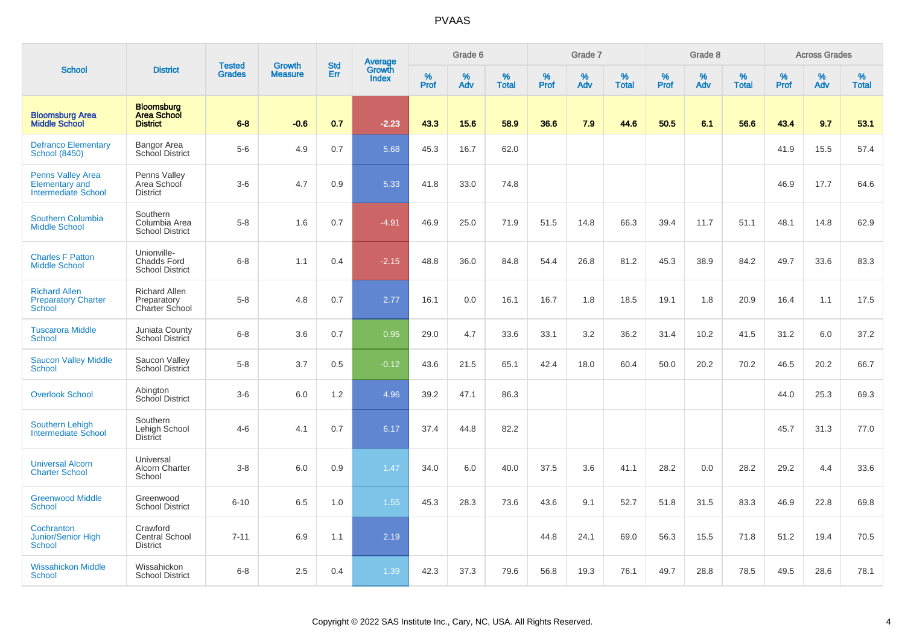|                                                                                 |                                                             | <b>Tested</b> | <b>Growth</b>  | <b>Std</b> |                                          |                  | Grade 6  |                   |           | Grade 7  |                   |           | Grade 8  |                   |           | <b>Across Grades</b> |                   |
|---------------------------------------------------------------------------------|-------------------------------------------------------------|---------------|----------------|------------|------------------------------------------|------------------|----------|-------------------|-----------|----------|-------------------|-----------|----------|-------------------|-----------|----------------------|-------------------|
| <b>School</b>                                                                   | <b>District</b>                                             | <b>Grades</b> | <b>Measure</b> | Err        | <b>Average</b><br>Growth<br><b>Index</b> | %<br><b>Prof</b> | %<br>Adv | %<br><b>Total</b> | %<br>Prof | %<br>Adv | %<br><b>Total</b> | %<br>Prof | %<br>Adv | %<br><b>Total</b> | %<br>Prof | %<br>Adv             | %<br><b>Total</b> |
| <b>Bloomsburg Area</b><br><b>Middle School</b>                                  | <b>Bloomsburg</b><br><b>Area School</b><br><b>District</b>  | $6 - 8$       | $-0.6$         | 0.7        | $-2.23$                                  | 43.3             | 15.6     | 58.9              | 36.6      | 7.9      | 44.6              | 50.5      | 6.1      | 56.6              | 43.4      | 9.7                  | 53.1              |
| <b>Defranco Elementary</b><br><b>School (8450)</b>                              | Bangor Area<br><b>School District</b>                       | $5-6$         | 4.9            | 0.7        | 5.68                                     | 45.3             | 16.7     | 62.0              |           |          |                   |           |          |                   | 41.9      | 15.5                 | 57.4              |
| <b>Penns Valley Area</b><br><b>Elementary and</b><br><b>Intermediate School</b> | Penns Valley<br>Area School<br><b>District</b>              | $3-6$         | 4.7            | 0.9        | 5.33                                     | 41.8             | 33.0     | 74.8              |           |          |                   |           |          |                   | 46.9      | 17.7                 | 64.6              |
| Southern Columbia<br><b>Middle School</b>                                       | Southern<br>Columbia Area<br><b>School District</b>         | $5-8$         | 1.6            | 0.7        | $-4.91$                                  | 46.9             | 25.0     | 71.9              | 51.5      | 14.8     | 66.3              | 39.4      | 11.7     | 51.1              | 48.1      | 14.8                 | 62.9              |
| <b>Charles F Patton</b><br><b>Middle School</b>                                 | Unionville-<br><b>Chadds Ford</b><br><b>School District</b> | $6 - 8$       | 1.1            | 0.4        | $-2.15$                                  | 48.8             | 36.0     | 84.8              | 54.4      | 26.8     | 81.2              | 45.3      | 38.9     | 84.2              | 49.7      | 33.6                 | 83.3              |
| <b>Richard Allen</b><br><b>Preparatory Charter</b><br>School                    | <b>Richard Allen</b><br>Preparatory<br>Charter School       | $5-8$         | 4.8            | 0.7        | 2.77                                     | 16.1             | 0.0      | 16.1              | 16.7      | 1.8      | 18.5              | 19.1      | 1.8      | 20.9              | 16.4      | 1.1                  | 17.5              |
| <b>Tuscarora Middle</b><br><b>School</b>                                        | Juniata County<br><b>School District</b>                    | $6 - 8$       | 3.6            | 0.7        | 0.95                                     | 29.0             | 4.7      | 33.6              | 33.1      | 3.2      | 36.2              | 31.4      | 10.2     | 41.5              | 31.2      | 6.0                  | 37.2              |
| <b>Saucon Valley Middle</b><br><b>School</b>                                    | Saucon Valley<br><b>School District</b>                     | $5-8$         | 3.7            | 0.5        | $-0.12$                                  | 43.6             | 21.5     | 65.1              | 42.4      | 18.0     | 60.4              | 50.0      | 20.2     | 70.2              | 46.5      | 20.2                 | 66.7              |
| <b>Overlook School</b>                                                          | Abington<br>School District                                 | $3-6$         | 6.0            | 1.2        | 4.96                                     | 39.2             | 47.1     | 86.3              |           |          |                   |           |          |                   | 44.0      | 25.3                 | 69.3              |
| <b>Southern Lehigh</b><br><b>Intermediate School</b>                            | Southern<br>Lehigh School<br>District                       | $4 - 6$       | 4.1            | 0.7        | 6.17                                     | 37.4             | 44.8     | 82.2              |           |          |                   |           |          |                   | 45.7      | 31.3                 | 77.0              |
| <b>Universal Alcorn</b><br><b>Charter School</b>                                | Universal<br><b>Alcorn Charter</b><br>School                | $3-8$         | 6.0            | 0.9        | 1.47                                     | 34.0             | 6.0      | 40.0              | 37.5      | 3.6      | 41.1              | 28.2      | 0.0      | 28.2              | 29.2      | 4.4                  | 33.6              |
| <b>Greenwood Middle</b><br><b>School</b>                                        | Greenwood<br><b>School District</b>                         | $6 - 10$      | 6.5            | 1.0        | 1.55                                     | 45.3             | 28.3     | 73.6              | 43.6      | 9.1      | 52.7              | 51.8      | 31.5     | 83.3              | 46.9      | 22.8                 | 69.8              |
| Cochranton<br><b>Junior/Senior High</b><br><b>School</b>                        | Crawford<br><b>Central School</b><br><b>District</b>        | $7 - 11$      | 6.9            | 1.1        | 2.19                                     |                  |          |                   | 44.8      | 24.1     | 69.0              | 56.3      | 15.5     | 71.8              | 51.2      | 19.4                 | 70.5              |
| <b>Wissahickon Middle</b><br>School                                             | Wissahickon<br><b>School District</b>                       | $6 - 8$       | 2.5            | 0.4        | 1.39                                     | 42.3             | 37.3     | 79.6              | 56.8      | 19.3     | 76.1              | 49.7      | 28.8     | 78.5              | 49.5      | 28.6                 | 78.1              |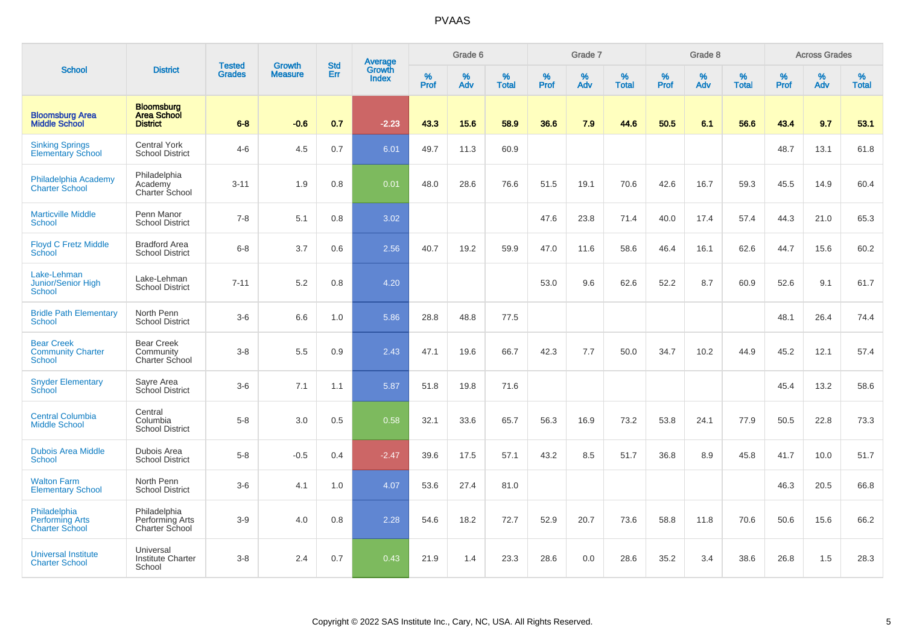|                                                                 |                                                            |                                | <b>Growth</b>  | <b>Std</b> |                                          |                  | Grade 6     |                   |              | Grade 7     |                      |              | Grade 8  |                   |              | <b>Across Grades</b> |                   |
|-----------------------------------------------------------------|------------------------------------------------------------|--------------------------------|----------------|------------|------------------------------------------|------------------|-------------|-------------------|--------------|-------------|----------------------|--------------|----------|-------------------|--------------|----------------------|-------------------|
| <b>School</b>                                                   | <b>District</b>                                            | <b>Tested</b><br><b>Grades</b> | <b>Measure</b> | Err        | <b>Average</b><br>Growth<br><b>Index</b> | %<br><b>Prof</b> | $\%$<br>Adv | %<br><b>Total</b> | $\%$<br>Prof | $\%$<br>Adv | $\%$<br><b>Total</b> | $\%$<br>Prof | %<br>Adv | %<br><b>Total</b> | $\%$<br>Prof | $\%$<br>Adv          | %<br><b>Total</b> |
| <b>Bloomsburg Area</b><br><b>Middle School</b>                  | <b>Bloomsburg</b><br><b>Area School</b><br><b>District</b> | $6 - 8$                        | $-0.6$         | 0.7        | $-2.23$                                  | 43.3             | 15.6        | 58.9              | 36.6         | 7.9         | 44.6                 | 50.5         | 6.1      | 56.6              | 43.4         | 9.7                  | 53.1              |
| <b>Sinking Springs</b><br><b>Elementary School</b>              | <b>Central York</b><br><b>School District</b>              | $4 - 6$                        | 4.5            | 0.7        | 6.01                                     | 49.7             | 11.3        | 60.9              |              |             |                      |              |          |                   | 48.7         | 13.1                 | 61.8              |
| Philadelphia Academy<br><b>Charter School</b>                   | Philadelphia<br>Academy<br><b>Charter School</b>           | $3 - 11$                       | 1.9            | 0.8        | 0.01                                     | 48.0             | 28.6        | 76.6              | 51.5         | 19.1        | 70.6                 | 42.6         | 16.7     | 59.3              | 45.5         | 14.9                 | 60.4              |
| <b>Marticville Middle</b><br><b>School</b>                      | Penn Manor<br><b>School District</b>                       | $7 - 8$                        | 5.1            | 0.8        | 3.02                                     |                  |             |                   | 47.6         | 23.8        | 71.4                 | 40.0         | 17.4     | 57.4              | 44.3         | 21.0                 | 65.3              |
| <b>Floyd C Fretz Middle</b><br>School                           | <b>Bradford Area</b><br><b>School District</b>             | $6-8$                          | 3.7            | 0.6        | 2.56                                     | 40.7             | 19.2        | 59.9              | 47.0         | 11.6        | 58.6                 | 46.4         | 16.1     | 62.6              | 44.7         | 15.6                 | 60.2              |
| Lake-Lehman<br>Junior/Senior High<br><b>School</b>              | Lake-Lehman<br><b>School District</b>                      | $7 - 11$                       | 5.2            | 0.8        | 4.20                                     |                  |             |                   | 53.0         | 9.6         | 62.6                 | 52.2         | 8.7      | 60.9              | 52.6         | 9.1                  | 61.7              |
| <b>Bridle Path Elementary</b><br>School                         | North Penn<br><b>School District</b>                       | $3-6$                          | 6.6            | 1.0        | 5.86                                     | 28.8             | 48.8        | 77.5              |              |             |                      |              |          |                   | 48.1         | 26.4                 | 74.4              |
| <b>Bear Creek</b><br><b>Community Charter</b><br><b>School</b>  | <b>Bear Creek</b><br>Community<br>Charter School           | $3-8$                          | 5.5            | 0.9        | 2.43                                     | 47.1             | 19.6        | 66.7              | 42.3         | 7.7         | 50.0                 | 34.7         | 10.2     | 44.9              | 45.2         | 12.1                 | 57.4              |
| <b>Snyder Elementary</b><br>School                              | Sayre Area<br>School District                              | $3-6$                          | 7.1            | 1.1        | 5.87                                     | 51.8             | 19.8        | 71.6              |              |             |                      |              |          |                   | 45.4         | 13.2                 | 58.6              |
| <b>Central Columbia</b><br><b>Middle School</b>                 | Central<br>Columbia<br><b>School District</b>              | $5-8$                          | 3.0            | 0.5        | 0.58                                     | 32.1             | 33.6        | 65.7              | 56.3         | 16.9        | 73.2                 | 53.8         | 24.1     | 77.9              | 50.5         | 22.8                 | 73.3              |
| <b>Dubois Area Middle</b><br><b>School</b>                      | Dubois Area<br><b>School District</b>                      | $5-8$                          | $-0.5$         | 0.4        | $-2.47$                                  | 39.6             | 17.5        | 57.1              | 43.2         | 8.5         | 51.7                 | 36.8         | 8.9      | 45.8              | 41.7         | 10.0                 | 51.7              |
| <b>Walton Farm</b><br><b>Elementary School</b>                  | North Penn<br><b>School District</b>                       | $3-6$                          | 4.1            | 1.0        | 4.07                                     | 53.6             | 27.4        | 81.0              |              |             |                      |              |          |                   | 46.3         | 20.5                 | 66.8              |
| Philadelphia<br><b>Performing Arts</b><br><b>Charter School</b> | Philadelphia<br>Performing Arts<br>Charter School          | $3-9$                          | 4.0            | 0.8        | 2.28                                     | 54.6             | 18.2        | 72.7              | 52.9         | 20.7        | 73.6                 | 58.8         | 11.8     | 70.6              | 50.6         | 15.6                 | 66.2              |
| <b>Universal Institute</b><br><b>Charter School</b>             | Universal<br><b>Institute Charter</b><br>School            | $3-8$                          | 2.4            | 0.7        | 0.43                                     | 21.9             | 1.4         | 23.3              | 28.6         | 0.0         | 28.6                 | 35.2         | 3.4      | 38.6              | 26.8         | 1.5                  | 28.3              |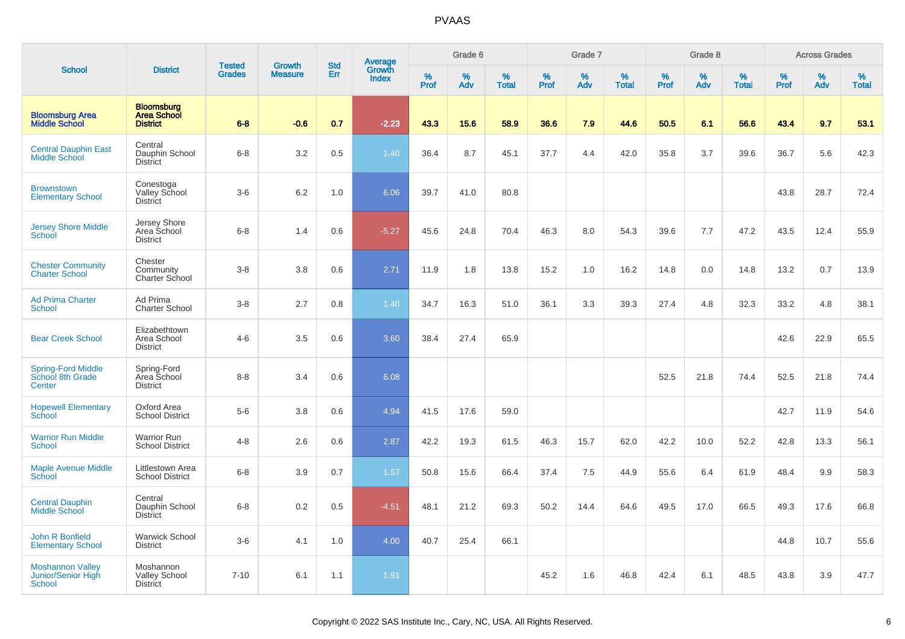|                                                                |                                                            |                                |                                 | <b>Std</b> |                                          |                     | Grade 6     |                   |                     | Grade 7     |                      |                     | Grade 8  |                      |                     | <b>Across Grades</b> |                      |
|----------------------------------------------------------------|------------------------------------------------------------|--------------------------------|---------------------------------|------------|------------------------------------------|---------------------|-------------|-------------------|---------------------|-------------|----------------------|---------------------|----------|----------------------|---------------------|----------------------|----------------------|
| <b>School</b>                                                  | <b>District</b>                                            | <b>Tested</b><br><b>Grades</b> | <b>Growth</b><br><b>Measure</b> | Err        | <b>Average</b><br>Growth<br><b>Index</b> | $\%$<br><b>Prof</b> | $\%$<br>Adv | %<br><b>Total</b> | $\%$<br><b>Prof</b> | $\%$<br>Adv | $\%$<br><b>Total</b> | $\%$<br><b>Prof</b> | %<br>Adv | $\%$<br><b>Total</b> | $\%$<br><b>Prof</b> | $\%$<br>Adv          | $\%$<br><b>Total</b> |
| <b>Bloomsburg Area</b><br><b>Middle School</b>                 | <b>Bloomsburg</b><br><b>Area School</b><br><b>District</b> | $6 - 8$                        | $-0.6$                          | 0.7        | $-2.23$                                  | 43.3                | 15.6        | 58.9              | 36.6                | 7.9         | 44.6                 | 50.5                | 6.1      | 56.6                 | 43.4                | 9.7                  | 53.1                 |
| <b>Central Dauphin East</b><br><b>Middle School</b>            | Central<br>Dauphin School<br><b>District</b>               | $6 - 8$                        | 3.2                             | 0.5        | 1.40                                     | 36.4                | 8.7         | 45.1              | 37.7                | 4.4         | 42.0                 | 35.8                | 3.7      | 39.6                 | 36.7                | 5.6                  | 42.3                 |
| <b>Brownstown</b><br><b>Elementary School</b>                  | Conestoga<br>Valley School<br><b>District</b>              | $3-6$                          | 6.2                             | 1.0        | 6.06                                     | 39.7                | 41.0        | 80.8              |                     |             |                      |                     |          |                      | 43.8                | 28.7                 | 72.4                 |
| <b>Jersey Shore Middle</b><br>School                           | Jersey Shore<br>Area School<br><b>District</b>             | $6 - 8$                        | 1.4                             | 0.6        | $-5.27$                                  | 45.6                | 24.8        | 70.4              | 46.3                | 8.0         | 54.3                 | 39.6                | 7.7      | 47.2                 | 43.5                | 12.4                 | 55.9                 |
| <b>Chester Community</b><br><b>Charter School</b>              | Chester<br>Community<br>Charter School                     | $3 - 8$                        | 3.8                             | 0.6        | 2.71                                     | 11.9                | 1.8         | 13.8              | 15.2                | 1.0         | 16.2                 | 14.8                | 0.0      | 14.8                 | 13.2                | 0.7                  | 13.9                 |
| <b>Ad Prima Charter</b><br>School                              | Ad Prima<br><b>Charter School</b>                          | $3 - 8$                        | 2.7                             | 0.8        | 1.40                                     | 34.7                | 16.3        | 51.0              | 36.1                | 3.3         | 39.3                 | 27.4                | 4.8      | 32.3                 | 33.2                | 4.8                  | 38.1                 |
| <b>Bear Creek School</b>                                       | Elizabethtown<br>Area School<br><b>District</b>            | $4-6$                          | 3.5                             | 0.6        | 3.60                                     | 38.4                | 27.4        | 65.9              |                     |             |                      |                     |          |                      | 42.6                | 22.9                 | 65.5                 |
| <b>Spring-Ford Middle</b><br>School 8th Grade<br>Center        | Spring-Ford<br>Area School<br><b>District</b>              | $8 - 8$                        | 3.4                             | 0.6        | 6.08                                     |                     |             |                   |                     |             |                      | 52.5                | 21.8     | 74.4                 | 52.5                | 21.8                 | 74.4                 |
| <b>Hopewell Elementary</b><br>School                           | Oxford Area<br><b>School District</b>                      | $5-6$                          | 3.8                             | 0.6        | 4.94                                     | 41.5                | 17.6        | 59.0              |                     |             |                      |                     |          |                      | 42.7                | 11.9                 | 54.6                 |
| <b>Warrior Run Middle</b><br><b>School</b>                     | <b>Warrior Run</b><br><b>School District</b>               | $4 - 8$                        | 2.6                             | 0.6        | 2.87                                     | 42.2                | 19.3        | 61.5              | 46.3                | 15.7        | 62.0                 | 42.2                | 10.0     | 52.2                 | 42.8                | 13.3                 | 56.1                 |
| <b>Maple Avenue Middle</b><br><b>School</b>                    | Littlestown Area<br><b>School District</b>                 | $6 - 8$                        | 3.9                             | 0.7        | 1.57                                     | 50.8                | 15.6        | 66.4              | 37.4                | 7.5         | 44.9                 | 55.6                | 6.4      | 61.9                 | 48.4                | 9.9                  | 58.3                 |
| <b>Central Dauphin</b><br><b>Middle School</b>                 | Central<br>Dauphin School<br><b>District</b>               | $6 - 8$                        | 0.2                             | 0.5        | $-4.51$                                  | 48.1                | 21.2        | 69.3              | 50.2                | 14.4        | 64.6                 | 49.5                | 17.0     | 66.5                 | 49.3                | 17.6                 | 66.8                 |
| John R Bonfield<br><b>Elementary School</b>                    | <b>Warwick School</b><br><b>District</b>                   | $3-6$                          | 4.1                             | 1.0        | 4.00                                     | 40.7                | 25.4        | 66.1              |                     |             |                      |                     |          |                      | 44.8                | 10.7                 | 55.6                 |
| <b>Moshannon Valley</b><br>Junior/Senior High<br><b>School</b> | Moshannon<br><b>Valley School</b><br><b>District</b>       | $7 - 10$                       | 6.1                             | 1.1        | 1.91                                     |                     |             |                   | 45.2                | 1.6         | 46.8                 | 42.4                | 6.1      | 48.5                 | 43.8                | 3.9                  | 47.7                 |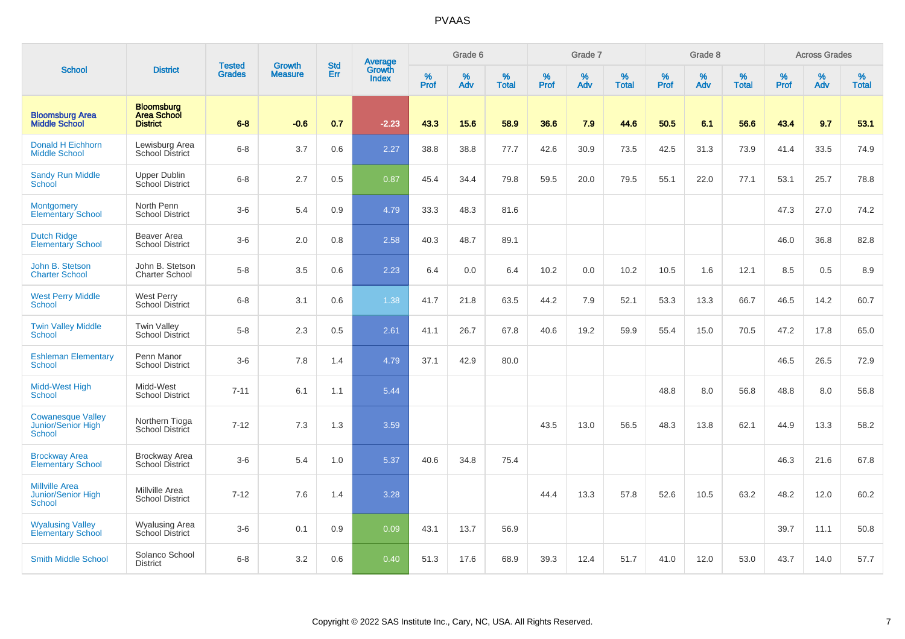|                                                                     |                                                            | <b>Tested</b> | <b>Growth</b>  | <b>Std</b> | Average                |                  | Grade 6     |                   |                  | Grade 7  |                   |           | Grade 8  |                   |              | <b>Across Grades</b> |                   |
|---------------------------------------------------------------------|------------------------------------------------------------|---------------|----------------|------------|------------------------|------------------|-------------|-------------------|------------------|----------|-------------------|-----------|----------|-------------------|--------------|----------------------|-------------------|
| <b>School</b>                                                       | <b>District</b>                                            | <b>Grades</b> | <b>Measure</b> | Err        | Growth<br><b>Index</b> | %<br><b>Prof</b> | $\%$<br>Adv | %<br><b>Total</b> | %<br><b>Prof</b> | %<br>Adv | %<br><b>Total</b> | %<br>Prof | %<br>Adv | %<br><b>Total</b> | $\%$<br>Prof | $\%$<br>Adv          | %<br><b>Total</b> |
| <b>Bloomsburg Area</b><br><b>Middle School</b>                      | <b>Bloomsburg</b><br><b>Area School</b><br><b>District</b> | $6 - 8$       | $-0.6$         | 0.7        | $-2.23$                | 43.3             | 15.6        | 58.9              | 36.6             | 7.9      | 44.6              | 50.5      | 6.1      | 56.6              | 43.4         | 9.7                  | 53.1              |
| Donald H Eichhorn<br><b>Middle School</b>                           | Lewisburg Area<br>School District                          | $6 - 8$       | 3.7            | 0.6        | 2.27                   | 38.8             | 38.8        | 77.7              | 42.6             | 30.9     | 73.5              | 42.5      | 31.3     | 73.9              | 41.4         | 33.5                 | 74.9              |
| <b>Sandy Run Middle</b><br>School                                   | <b>Upper Dublin</b><br>School District                     | $6 - 8$       | 2.7            | 0.5        | 0.87                   | 45.4             | 34.4        | 79.8              | 59.5             | 20.0     | 79.5              | 55.1      | 22.0     | 77.1              | 53.1         | 25.7                 | 78.8              |
| <b>Montgomery</b><br><b>Elementary School</b>                       | North Penn<br><b>School District</b>                       | $3-6$         | 5.4            | 0.9        | 4.79                   | 33.3             | 48.3        | 81.6              |                  |          |                   |           |          |                   | 47.3         | 27.0                 | 74.2              |
| <b>Dutch Ridge</b><br><b>Elementary School</b>                      | <b>Beaver Area</b><br><b>School District</b>               | $3-6$         | 2.0            | 0.8        | 2.58                   | 40.3             | 48.7        | 89.1              |                  |          |                   |           |          |                   | 46.0         | 36.8                 | 82.8              |
| John B. Stetson<br><b>Charter School</b>                            | John B. Stetson<br>Charter School                          | $5-8$         | 3.5            | 0.6        | 2.23                   | 6.4              | 0.0         | 6.4               | 10.2             | 0.0      | 10.2              | 10.5      | 1.6      | 12.1              | 8.5          | 0.5                  | 8.9               |
| <b>West Perry Middle</b><br>School                                  | <b>West Perry</b><br>School District                       | $6 - 8$       | 3.1            | 0.6        | 1.38                   | 41.7             | 21.8        | 63.5              | 44.2             | 7.9      | 52.1              | 53.3      | 13.3     | 66.7              | 46.5         | 14.2                 | 60.7              |
| <b>Twin Valley Middle</b><br>School                                 | <b>Twin Valley</b><br><b>School District</b>               | $5-8$         | 2.3            | 0.5        | 2.61                   | 41.1             | 26.7        | 67.8              | 40.6             | 19.2     | 59.9              | 55.4      | 15.0     | 70.5              | 47.2         | 17.8                 | 65.0              |
| <b>Eshleman Elementary</b><br>School                                | Penn Manor<br><b>School District</b>                       | $3-6$         | 7.8            | 1.4        | 4.79                   | 37.1             | 42.9        | 80.0              |                  |          |                   |           |          |                   | 46.5         | 26.5                 | 72.9              |
| <b>Midd-West High</b><br><b>School</b>                              | Midd-West<br><b>School District</b>                        | $7 - 11$      | 6.1            | 1.1        | 5.44                   |                  |             |                   |                  |          |                   | 48.8      | 8.0      | 56.8              | 48.8         | 8.0                  | 56.8              |
| <b>Cowanesque Valley</b><br>Junior/Senior High<br><b>School</b>     | Northern Tioga<br>School District                          | $7 - 12$      | 7.3            | 1.3        | 3.59                   |                  |             |                   | 43.5             | 13.0     | 56.5              | 48.3      | 13.8     | 62.1              | 44.9         | 13.3                 | 58.2              |
| <b>Brockway Area</b><br><b>Elementary School</b>                    | Brockway Area<br>School District                           | $3-6$         | 5.4            | 1.0        | 5.37                   | 40.6             | 34.8        | 75.4              |                  |          |                   |           |          |                   | 46.3         | 21.6                 | 67.8              |
| <b>Millville Area</b><br><b>Junior/Senior High</b><br><b>School</b> | Millville Area<br><b>School District</b>                   | $7 - 12$      | 7.6            | 1.4        | 3.28                   |                  |             |                   | 44.4             | 13.3     | 57.8              | 52.6      | 10.5     | 63.2              | 48.2         | 12.0                 | 60.2              |
| <b>Wyalusing Valley</b><br><b>Elementary School</b>                 | <b>Wyalusing Area</b><br>School District                   | $3-6$         | 0.1            | 0.9        | 0.09                   | 43.1             | 13.7        | 56.9              |                  |          |                   |           |          |                   | 39.7         | 11.1                 | 50.8              |
| <b>Smith Middle School</b>                                          | Solanco School<br><b>District</b>                          | $6 - 8$       | 3.2            | 0.6        | 0.40                   | 51.3             | 17.6        | 68.9              | 39.3             | 12.4     | 51.7              | 41.0      | 12.0     | 53.0              | 43.7         | 14.0                 | 57.7              |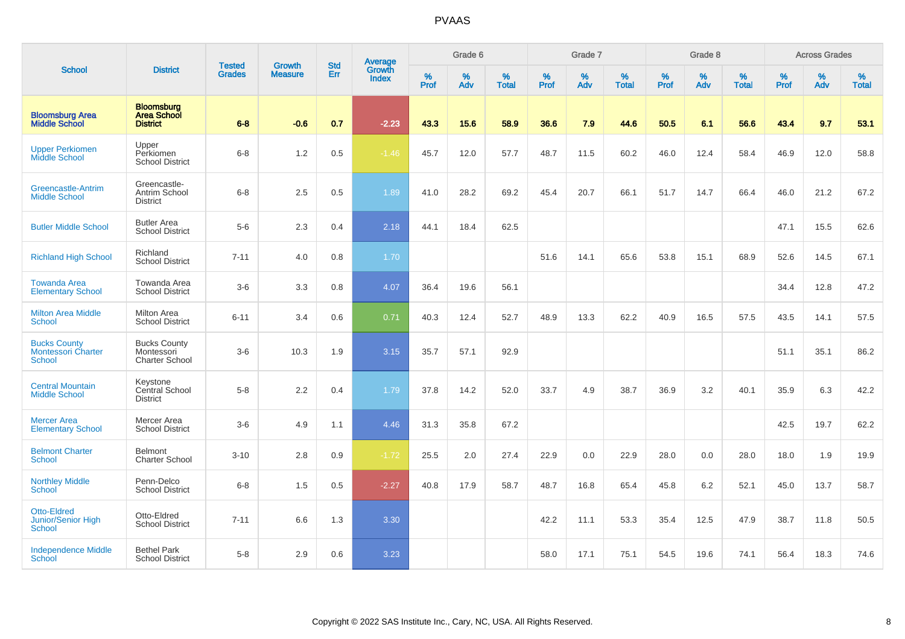|                                                                   |                                                            |                                |                                 | <b>Std</b>    |                                          |           | Grade 6  |                   |           | Grade 7  |                   |           | Grade 8  |                   |           | <b>Across Grades</b> |                   |
|-------------------------------------------------------------------|------------------------------------------------------------|--------------------------------|---------------------------------|---------------|------------------------------------------|-----------|----------|-------------------|-----------|----------|-------------------|-----------|----------|-------------------|-----------|----------------------|-------------------|
| <b>School</b>                                                     | <b>District</b>                                            | <b>Tested</b><br><b>Grades</b> | <b>Growth</b><br><b>Measure</b> | Err           | <b>Average</b><br>Growth<br><b>Index</b> | %<br>Prof | %<br>Adv | %<br><b>Total</b> | %<br>Prof | %<br>Adv | %<br><b>Total</b> | %<br>Prof | %<br>Adv | %<br><b>Total</b> | %<br>Prof | %<br>Adv             | %<br><b>Total</b> |
| <b>Bloomsburg Area</b><br><b>Middle School</b>                    | <b>Bloomsburg</b><br><b>Area School</b><br><b>District</b> | $6 - 8$                        | $-0.6$                          | 0.7           | $-2.23$                                  | 43.3      | 15.6     | 58.9              | 36.6      | 7.9      | 44.6              | 50.5      | 6.1      | 56.6              | 43.4      | 9.7                  | 53.1              |
| <b>Upper Perkiomen</b><br>Middle School                           | Upper<br>Perkiomen<br><b>School District</b>               | $6 - 8$                        | 1.2                             | 0.5           | $-1.46$                                  | 45.7      | 12.0     | 57.7              | 48.7      | 11.5     | 60.2              | 46.0      | 12.4     | 58.4              | 46.9      | 12.0                 | 58.8              |
| Greencastle-Antrim<br><b>Middle School</b>                        | Greencastle-<br>Antrim School<br><b>District</b>           | $6 - 8$                        | 2.5                             | 0.5           | 1.89                                     | 41.0      | 28.2     | 69.2              | 45.4      | 20.7     | 66.1              | 51.7      | 14.7     | 66.4              | 46.0      | 21.2                 | 67.2              |
| <b>Butler Middle School</b>                                       | <b>Butler Area</b><br><b>School District</b>               | $5-6$                          | 2.3                             | $0.4^{\circ}$ | 2.18                                     | 44.1      | 18.4     | 62.5              |           |          |                   |           |          |                   | 47.1      | 15.5                 | 62.6              |
| <b>Richland High School</b>                                       | Richland<br><b>School District</b>                         | $7 - 11$                       | 4.0                             | 0.8           | 1.70                                     |           |          |                   | 51.6      | 14.1     | 65.6              | 53.8      | 15.1     | 68.9              | 52.6      | 14.5                 | 67.1              |
| <b>Towanda Area</b><br><b>Elementary School</b>                   | Towanda Area<br><b>School District</b>                     | $3-6$                          | 3.3                             | 0.8           | 4.07                                     | 36.4      | 19.6     | 56.1              |           |          |                   |           |          |                   | 34.4      | 12.8                 | 47.2              |
| <b>Milton Area Middle</b><br><b>School</b>                        | Milton Area<br><b>School District</b>                      | $6 - 11$                       | 3.4                             | 0.6           | 0.71                                     | 40.3      | 12.4     | 52.7              | 48.9      | 13.3     | 62.2              | 40.9      | 16.5     | 57.5              | 43.5      | 14.1                 | 57.5              |
| <b>Bucks County</b><br><b>Montessori Charter</b><br><b>School</b> | <b>Bucks County</b><br>Montessori<br><b>Charter School</b> | $3-6$                          | 10.3                            | 1.9           | 3.15                                     | 35.7      | 57.1     | 92.9              |           |          |                   |           |          |                   | 51.1      | 35.1                 | 86.2              |
| <b>Central Mountain</b><br><b>Middle School</b>                   | Keystone<br>Central School<br><b>District</b>              | $5-8$                          | 2.2                             | 0.4           | 1.79                                     | 37.8      | 14.2     | 52.0              | 33.7      | 4.9      | 38.7              | 36.9      | 3.2      | 40.1              | 35.9      | 6.3                  | 42.2              |
| <b>Mercer Area</b><br><b>Elementary School</b>                    | Mercer Area<br><b>School District</b>                      | $3-6$                          | 4.9                             | 1.1           | 4.46                                     | 31.3      | 35.8     | 67.2              |           |          |                   |           |          |                   | 42.5      | 19.7                 | 62.2              |
| <b>Belmont Charter</b><br>School                                  | <b>Belmont</b><br><b>Charter School</b>                    | $3 - 10$                       | 2.8                             | 0.9           | $-1.72$                                  | 25.5      | 2.0      | 27.4              | 22.9      | 0.0      | 22.9              | 28.0      | 0.0      | 28.0              | 18.0      | 1.9                  | 19.9              |
| <b>Northley Middle</b><br><b>School</b>                           | Penn-Delco<br><b>School District</b>                       | $6 - 8$                        | 1.5                             | 0.5           | $-2.27$                                  | 40.8      | 17.9     | 58.7              | 48.7      | 16.8     | 65.4              | 45.8      | 6.2      | 52.1              | 45.0      | 13.7                 | 58.7              |
| Otto-Eldred<br>Junior/Senior High<br><b>School</b>                | Otto-Eldred<br><b>School District</b>                      | $7 - 11$                       | 6.6                             | 1.3           | 3.30                                     |           |          |                   | 42.2      | 11.1     | 53.3              | 35.4      | 12.5     | 47.9              | 38.7      | 11.8                 | 50.5              |
| <b>Independence Middle</b><br>School                              | <b>Bethel Park</b><br><b>School District</b>               | $5-8$                          | 2.9                             | 0.6           | 3.23                                     |           |          |                   | 58.0      | 17.1     | 75.1              | 54.5      | 19.6     | 74.1              | 56.4      | 18.3                 | 74.6              |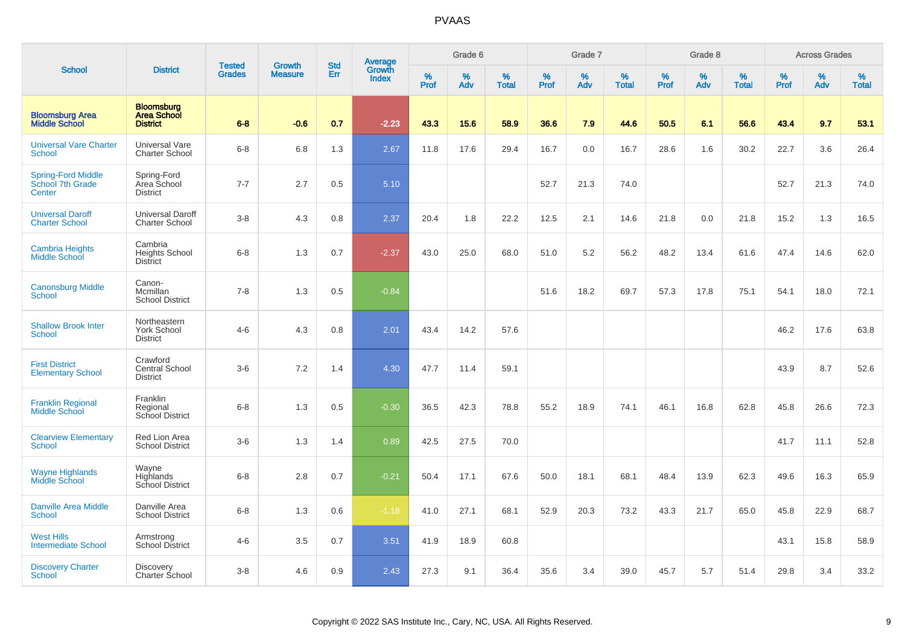|                                                   |                                                            | <b>Tested</b> | <b>Growth</b>  | <b>Std</b> |                                          |                  | Grade 6  |                   |           | Grade 7  |                   |           | Grade 8  |                   |           | <b>Across Grades</b> |                   |
|---------------------------------------------------|------------------------------------------------------------|---------------|----------------|------------|------------------------------------------|------------------|----------|-------------------|-----------|----------|-------------------|-----------|----------|-------------------|-----------|----------------------|-------------------|
| <b>School</b>                                     | <b>District</b>                                            | <b>Grades</b> | <b>Measure</b> | <b>Err</b> | <b>Average</b><br>Growth<br><b>Index</b> | %<br><b>Prof</b> | %<br>Adv | %<br><b>Total</b> | %<br>Prof | %<br>Adv | %<br><b>Total</b> | %<br>Prof | %<br>Adv | %<br><b>Total</b> | %<br>Prof | %<br>Adv             | %<br><b>Total</b> |
| <b>Bloomsburg Area</b><br><b>Middle School</b>    | <b>Bloomsburg</b><br><b>Area School</b><br><b>District</b> | $6 - 8$       | $-0.6$         | 0.7        | $-2.23$                                  | 43.3             | 15.6     | 58.9              | 36.6      | 7.9      | 44.6              | 50.5      | 6.1      | 56.6              | 43.4      | 9.7                  | 53.1              |
| <b>Universal Vare Charter</b><br><b>School</b>    | <b>Universal Vare</b><br><b>Charter School</b>             | $6-8$         | 6.8            | 1.3        | 2.67                                     | 11.8             | 17.6     | 29.4              | 16.7      | 0.0      | 16.7              | 28.6      | 1.6      | 30.2              | 22.7      | 3.6                  | 26.4              |
| Spring-Ford Middle<br>School 7th Grade<br>Center  | Spring-Ford<br>Area School<br><b>District</b>              | $7 - 7$       | 2.7            | 0.5        | 5.10                                     |                  |          |                   | 52.7      | 21.3     | 74.0              |           |          |                   | 52.7      | 21.3                 | 74.0              |
| <b>Universal Daroff</b><br><b>Charter School</b>  | <b>Universal Daroff</b><br><b>Charter School</b>           | $3-8$         | 4.3            | 0.8        | 2.37                                     | 20.4             | 1.8      | 22.2              | 12.5      | 2.1      | 14.6              | 21.8      | 0.0      | 21.8              | 15.2      | 1.3                  | 16.5              |
| Cambria Heights<br>Middle School                  | Cambria<br><b>Heights School</b><br><b>District</b>        | $6 - 8$       | 1.3            | 0.7        | $-2.37$                                  | 43.0             | 25.0     | 68.0              | 51.0      | 5.2      | 56.2              | 48.2      | 13.4     | 61.6              | 47.4      | 14.6                 | 62.0              |
| <b>Canonsburg Middle</b><br>School                | Canon-<br>Mcmillan<br><b>School District</b>               | $7 - 8$       | 1.3            | 0.5        | $-0.84$                                  |                  |          |                   | 51.6      | 18.2     | 69.7              | 57.3      | 17.8     | 75.1              | 54.1      | 18.0                 | 72.1              |
| <b>Shallow Brook Inter</b><br>School              | Northeastern<br><b>York School</b><br><b>District</b>      | $4 - 6$       | 4.3            | 0.8        | 2.01                                     | 43.4             | 14.2     | 57.6              |           |          |                   |           |          |                   | 46.2      | 17.6                 | 63.8              |
| <b>First District</b><br><b>Elementary School</b> | Crawford<br>Central School<br><b>District</b>              | $3-6$         | 7.2            | 1.4        | 4.30                                     | 47.7             | 11.4     | 59.1              |           |          |                   |           |          |                   | 43.9      | 8.7                  | 52.6              |
| <b>Franklin Regional</b><br><b>Middle School</b>  | Franklin<br>Regional<br>School District                    | $6-8$         | 1.3            | 0.5        | $-0.30$                                  | 36.5             | 42.3     | 78.8              | 55.2      | 18.9     | 74.1              | 46.1      | 16.8     | 62.8              | 45.8      | 26.6                 | 72.3              |
| <b>Clearview Elementary</b><br><b>School</b>      | <b>Red Lion Area</b><br><b>School District</b>             | $3-6$         | 1.3            | 1.4        | 0.89                                     | 42.5             | 27.5     | 70.0              |           |          |                   |           |          |                   | 41.7      | 11.1                 | 52.8              |
| <b>Wayne Highlands</b><br>Middle School           | Wayne<br>Highlands<br>School District                      | $6-8$         | 2.8            | 0.7        | $-0.21$                                  | 50.4             | 17.1     | 67.6              | 50.0      | 18.1     | 68.1              | 48.4      | 13.9     | 62.3              | 49.6      | 16.3                 | 65.9              |
| <b>Danville Area Middle</b><br><b>School</b>      | Danville Area<br><b>School District</b>                    | $6 - 8$       | 1.3            | 0.6        | $-1.18$                                  | 41.0             | 27.1     | 68.1              | 52.9      | 20.3     | 73.2              | 43.3      | 21.7     | 65.0              | 45.8      | 22.9                 | 68.7              |
| <b>West Hills</b><br><b>Intermediate School</b>   | Armstrong<br>School District                               | $4 - 6$       | 3.5            | 0.7        | 3.51                                     | 41.9             | 18.9     | 60.8              |           |          |                   |           |          |                   | 43.1      | 15.8                 | 58.9              |
| <b>Discovery Charter</b><br>School                | Discovery<br>Charter School                                | $3-8$         | 4.6            | 0.9        | 2.43                                     | 27.3             | 9.1      | 36.4              | 35.6      | 3.4      | 39.0              | 45.7      | 5.7      | 51.4              | 29.8      | 3.4                  | 33.2              |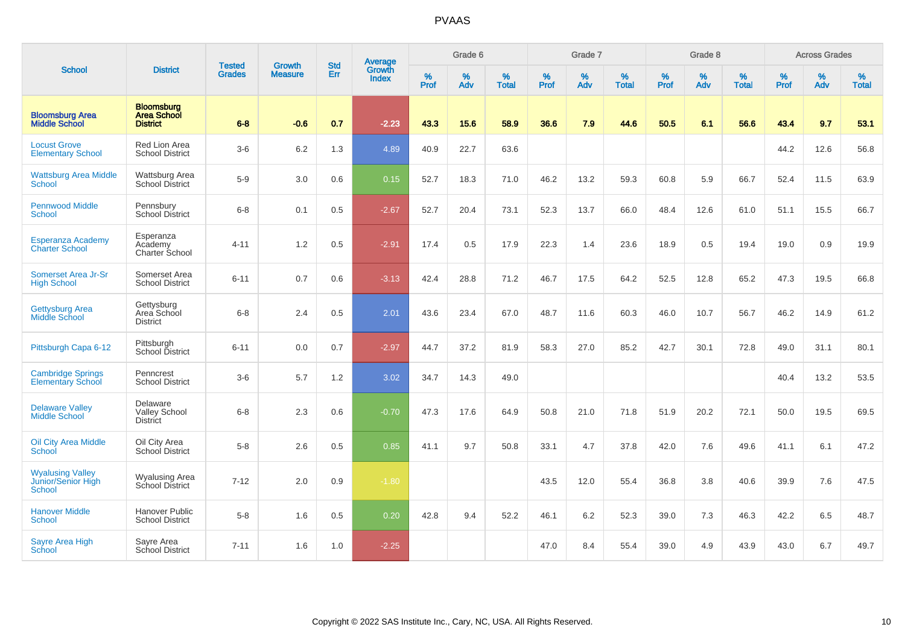|                                                                |                                                            |                                |                                 | <b>Std</b> | Average                |                  | Grade 6  |                   |                  | Grade 7  |                   |           | Grade 8  |                   |                     | <b>Across Grades</b> |                   |
|----------------------------------------------------------------|------------------------------------------------------------|--------------------------------|---------------------------------|------------|------------------------|------------------|----------|-------------------|------------------|----------|-------------------|-----------|----------|-------------------|---------------------|----------------------|-------------------|
| <b>School</b>                                                  | <b>District</b>                                            | <b>Tested</b><br><b>Grades</b> | <b>Growth</b><br><b>Measure</b> | Err        | Growth<br><b>Index</b> | %<br><b>Prof</b> | %<br>Adv | %<br><b>Total</b> | %<br><b>Prof</b> | %<br>Adv | %<br><b>Total</b> | %<br>Prof | %<br>Adv | %<br><b>Total</b> | $\%$<br><b>Prof</b> | %<br>Adv             | %<br><b>Total</b> |
| <b>Bloomsburg Area</b><br><b>Middle School</b>                 | <b>Bloomsburg</b><br><b>Area School</b><br><b>District</b> | $6 - 8$                        | $-0.6$                          | 0.7        | $-2.23$                | 43.3             | 15.6     | 58.9              | 36.6             | 7.9      | 44.6              | 50.5      | 6.1      | 56.6              | 43.4                | 9.7                  | 53.1              |
| <b>Locust Grove</b><br><b>Elementary School</b>                | Red Lion Area<br><b>School District</b>                    | $3-6$                          | $6.2\,$                         | 1.3        | 4.89                   | 40.9             | 22.7     | 63.6              |                  |          |                   |           |          |                   | 44.2                | 12.6                 | 56.8              |
| <b>Wattsburg Area Middle</b><br><b>School</b>                  | Wattsburg Area<br>School District                          | $5-9$                          | 3.0                             | 0.6        | 0.15                   | 52.7             | 18.3     | 71.0              | 46.2             | 13.2     | 59.3              | 60.8      | 5.9      | 66.7              | 52.4                | 11.5                 | 63.9              |
| <b>Pennwood Middle</b><br><b>School</b>                        | Pennsbury<br><b>School District</b>                        | $6 - 8$                        | 0.1                             | 0.5        | $-2.67$                | 52.7             | 20.4     | 73.1              | 52.3             | 13.7     | 66.0              | 48.4      | 12.6     | 61.0              | 51.1                | 15.5                 | 66.7              |
| Esperanza Academy<br><b>Charter School</b>                     | Esperanza<br>Academy<br>Charter School                     | $4 - 11$                       | 1.2                             | 0.5        | $-2.91$                | 17.4             | 0.5      | 17.9              | 22.3             | 1.4      | 23.6              | 18.9      | 0.5      | 19.4              | 19.0                | 0.9                  | 19.9              |
| Somerset Area Jr-Sr<br><b>High School</b>                      | Somerset Area<br><b>School District</b>                    | $6 - 11$                       | 0.7                             | 0.6        | $-3.13$                | 42.4             | 28.8     | 71.2              | 46.7             | 17.5     | 64.2              | 52.5      | 12.8     | 65.2              | 47.3                | 19.5                 | 66.8              |
| <b>Gettysburg Area</b><br>Middle School                        | Gettysburg<br>Area School<br><b>District</b>               | $6 - 8$                        | 2.4                             | 0.5        | 2.01                   | 43.6             | 23.4     | 67.0              | 48.7             | 11.6     | 60.3              | 46.0      | 10.7     | 56.7              | 46.2                | 14.9                 | 61.2              |
| Pittsburgh Capa 6-12                                           | Pittsburgh<br>School District                              | $6 - 11$                       | 0.0                             | 0.7        | $-2.97$                | 44.7             | 37.2     | 81.9              | 58.3             | 27.0     | 85.2              | 42.7      | 30.1     | 72.8              | 49.0                | 31.1                 | 80.1              |
| <b>Cambridge Springs</b><br><b>Elementary School</b>           | Penncrest<br><b>School District</b>                        | $3-6$                          | 5.7                             | 1.2        | 3.02                   | 34.7             | 14.3     | 49.0              |                  |          |                   |           |          |                   | 40.4                | 13.2                 | 53.5              |
| <b>Delaware Valley</b><br><b>Middle School</b>                 | Delaware<br>Valley School<br><b>District</b>               | $6 - 8$                        | 2.3                             | 0.6        | $-0.70$                | 47.3             | 17.6     | 64.9              | 50.8             | 21.0     | 71.8              | 51.9      | 20.2     | 72.1              | 50.0                | 19.5                 | 69.5              |
| <b>Oil City Area Middle</b><br>School                          | Oil City Area<br>School District                           | $5 - 8$                        | 2.6                             | 0.5        | 0.85                   | 41.1             | 9.7      | 50.8              | 33.1             | 4.7      | 37.8              | 42.0      | 7.6      | 49.6              | 41.1                | 6.1                  | 47.2              |
| <b>Wyalusing Valley</b><br>Junior/Senior High<br><b>School</b> | <b>Wyalusing Area</b><br>School District                   | $7 - 12$                       | 2.0                             | $0.9\,$    | $-1.80$                |                  |          |                   | 43.5             | 12.0     | 55.4              | 36.8      | 3.8      | 40.6              | 39.9                | 7.6                  | 47.5              |
| <b>Hanover Middle</b><br><b>School</b>                         | Hanover Public<br><b>School District</b>                   | $5-8$                          | 1.6                             | 0.5        | 0.20                   | 42.8             | 9.4      | 52.2              | 46.1             | 6.2      | 52.3              | 39.0      | 7.3      | 46.3              | 42.2                | 6.5                  | 48.7              |
| <b>Sayre Area High</b><br>School                               | Sayre Area<br>School District                              | $7 - 11$                       | 1.6                             | 1.0        | $-2.25$                |                  |          |                   | 47.0             | 8.4      | 55.4              | 39.0      | 4.9      | 43.9              | 43.0                | 6.7                  | 49.7              |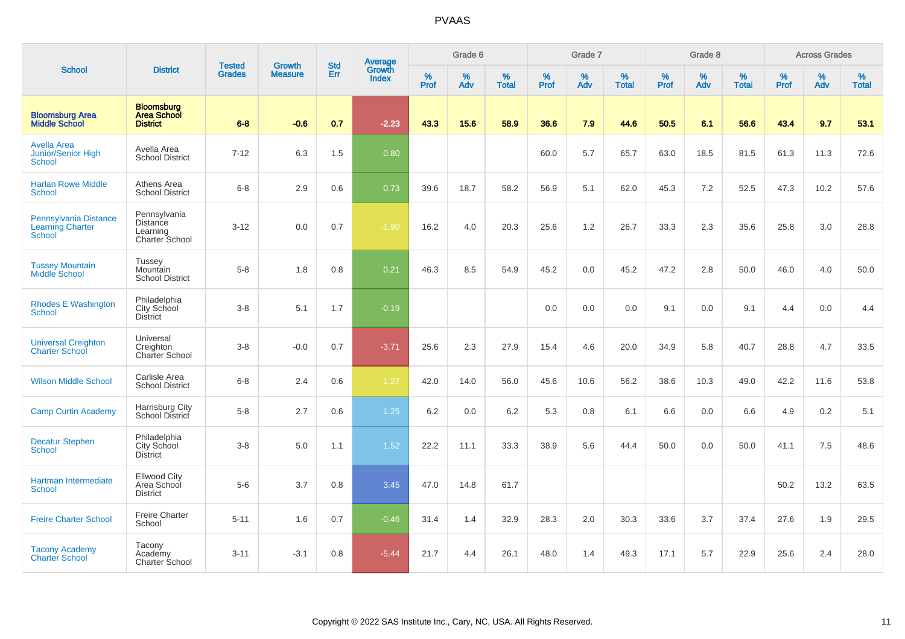|                                                                   |                                                               |                                |                                 |                   |                                          |           | Grade 6  |                   |           | Grade 7  |                   |           | Grade 8  |                   |           | <b>Across Grades</b> |                   |
|-------------------------------------------------------------------|---------------------------------------------------------------|--------------------------------|---------------------------------|-------------------|------------------------------------------|-----------|----------|-------------------|-----------|----------|-------------------|-----------|----------|-------------------|-----------|----------------------|-------------------|
| <b>School</b>                                                     | <b>District</b>                                               | <b>Tested</b><br><b>Grades</b> | <b>Growth</b><br><b>Measure</b> | <b>Std</b><br>Err | <b>Average</b><br>Growth<br><b>Index</b> | %<br>Prof | %<br>Adv | %<br><b>Total</b> | %<br>Prof | %<br>Adv | %<br><b>Total</b> | %<br>Prof | %<br>Adv | %<br><b>Total</b> | %<br>Prof | %<br>Adv             | %<br><b>Total</b> |
| <b>Bloomsburg Area</b><br><b>Middle School</b>                    | <b>Bloomsburg</b><br><b>Area School</b><br><b>District</b>    | $6 - 8$                        | $-0.6$                          | 0.7               | $-2.23$                                  | 43.3      | 15.6     | 58.9              | 36.6      | 7.9      | 44.6              | 50.5      | 6.1      | 56.6              | 43.4      | 9.7                  | 53.1              |
| <b>Avella Area</b><br>Junior/Senior High<br><b>School</b>         | Avella Area<br><b>School District</b>                         | $7 - 12$                       | 6.3                             | 1.5               | 0.80                                     |           |          |                   | 60.0      | 5.7      | 65.7              | 63.0      | 18.5     | 81.5              | 61.3      | 11.3                 | 72.6              |
| <b>Harlan Rowe Middle</b><br>School                               | Athens Area<br><b>School District</b>                         | $6 - 8$                        | 2.9                             | 0.6               | 0.73                                     | 39.6      | 18.7     | 58.2              | 56.9      | 5.1      | 62.0              | 45.3      | 7.2      | 52.5              | 47.3      | 10.2                 | 57.6              |
| Pennsylvania Distance<br><b>Learning Charter</b><br><b>School</b> | Pennsylvania<br><b>Distance</b><br>Learning<br>Charter School | $3 - 12$                       | 0.0                             | 0.7               | $-1.90$                                  | 16.2      | 4.0      | 20.3              | 25.6      | 1.2      | 26.7              | 33.3      | 2.3      | 35.6              | 25.8      | 3.0                  | 28.8              |
| <b>Tussey Mountain</b><br>Middle School                           | <b>Tussey</b><br>Mountain<br><b>School District</b>           | $5-8$                          | 1.8                             | 0.8               | 0.21                                     | 46.3      | 8.5      | 54.9              | 45.2      | 0.0      | 45.2              | 47.2      | 2.8      | 50.0              | 46.0      | 4.0                  | 50.0              |
| <b>Rhodes E Washington</b><br><b>School</b>                       | Philadelphia<br>City School<br><b>District</b>                | $3-8$                          | 5.1                             | 1.7               | $-0.19$                                  |           |          |                   | 0.0       | 0.0      | 0.0               | 9.1       | 0.0      | 9.1               | 4.4       | 0.0                  | 4.4               |
| <b>Universal Creighton</b><br><b>Charter School</b>               | Universal<br>Creighton<br><b>Charter School</b>               | $3-8$                          | $-0.0$                          | 0.7               | $-3.71$                                  | 25.6      | 2.3      | 27.9              | 15.4      | 4.6      | 20.0              | 34.9      | 5.8      | 40.7              | 28.8      | 4.7                  | 33.5              |
| <b>Wilson Middle School</b>                                       | Carlisle Area<br><b>School District</b>                       | $6-8$                          | 2.4                             | 0.6               | $-1.27$                                  | 42.0      | 14.0     | 56.0              | 45.6      | 10.6     | 56.2              | 38.6      | 10.3     | 49.0              | 42.2      | 11.6                 | 53.8              |
| <b>Camp Curtin Academy</b>                                        | Harrisburg City<br>School District                            | $5-8$                          | 2.7                             | 0.6               | 1.25                                     | 6.2       | 0.0      | 6.2               | 5.3       | 0.8      | 6.1               | 6.6       | 0.0      | 6.6               | 4.9       | 0.2                  | 5.1               |
| <b>Decatur Stephen</b><br><b>School</b>                           | Philadelphia<br>City School<br><b>District</b>                | $3-8$                          | 5.0                             | 1.1               | 1.52                                     | 22.2      | 11.1     | 33.3              | 38.9      | 5.6      | 44.4              | 50.0      | 0.0      | 50.0              | 41.1      | 7.5                  | 48.6              |
| Hartman Intermediate<br>School                                    | <b>Ellwood City</b><br>Area School<br><b>District</b>         | $5-6$                          | 3.7                             | 0.8               | 3.45                                     | 47.0      | 14.8     | 61.7              |           |          |                   |           |          |                   | 50.2      | 13.2                 | 63.5              |
| <b>Freire Charter School</b>                                      | <b>Freire Charter</b><br>School                               | $5 - 11$                       | 1.6                             | 0.7               | $-0.46$                                  | 31.4      | 1.4      | 32.9              | 28.3      | 2.0      | 30.3              | 33.6      | 3.7      | 37.4              | 27.6      | 1.9                  | 29.5              |
| <b>Tacony Academy</b><br><b>Charter School</b>                    | Tacony<br>Academy<br>Charter School                           | $3 - 11$                       | $-3.1$                          | 0.8               | $-5.44$                                  | 21.7      | 4.4      | 26.1              | 48.0      | 1.4      | 49.3              | 17.1      | 5.7      | 22.9              | 25.6      | 2.4                  | 28.0              |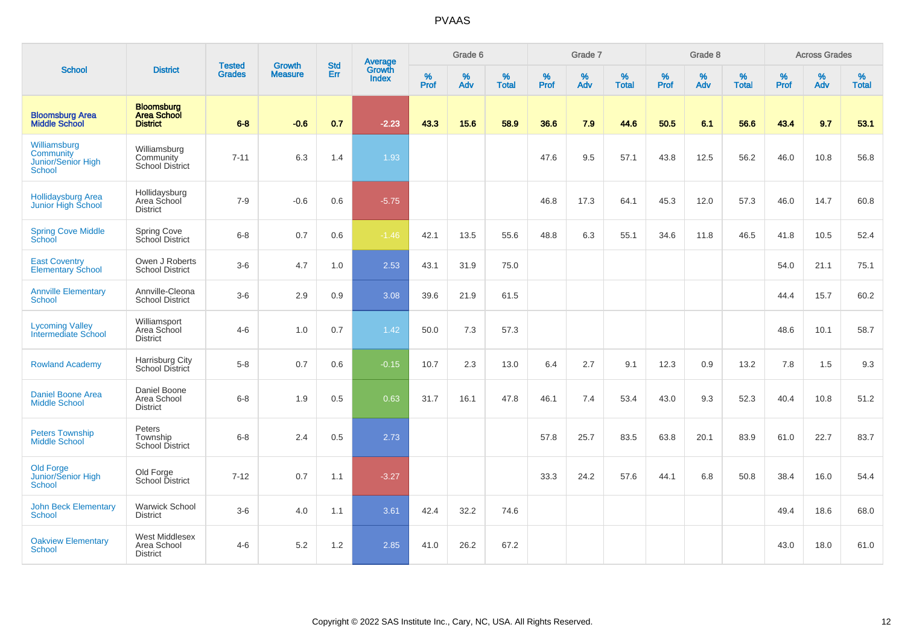|                                                                  |                                                            |                                |                                 |                   |                                          |                  | Grade 6  |                   |           | Grade 7  |                   |           | Grade 8  |                   |           | <b>Across Grades</b> |                   |
|------------------------------------------------------------------|------------------------------------------------------------|--------------------------------|---------------------------------|-------------------|------------------------------------------|------------------|----------|-------------------|-----------|----------|-------------------|-----------|----------|-------------------|-----------|----------------------|-------------------|
| <b>School</b>                                                    | <b>District</b>                                            | <b>Tested</b><br><b>Grades</b> | <b>Growth</b><br><b>Measure</b> | <b>Std</b><br>Err | <b>Average</b><br>Growth<br><b>Index</b> | %<br><b>Prof</b> | %<br>Adv | %<br><b>Total</b> | %<br>Prof | %<br>Adv | %<br><b>Total</b> | %<br>Prof | %<br>Adv | %<br><b>Total</b> | %<br>Prof | %<br>Adv             | %<br><b>Total</b> |
| <b>Bloomsburg Area</b><br><b>Middle School</b>                   | <b>Bloomsburg</b><br><b>Area School</b><br><b>District</b> | $6 - 8$                        | $-0.6$                          | 0.7               | $-2.23$                                  | 43.3             | 15.6     | 58.9              | 36.6      | 7.9      | 44.6              | 50.5      | 6.1      | 56.6              | 43.4      | 9.7                  | 53.1              |
| Williamsburg<br><b>Community</b><br>Junior/Senior High<br>School | Williamsburg<br>Community<br><b>School District</b>        | $7 - 11$                       | 6.3                             | 1.4               | 1.93                                     |                  |          |                   | 47.6      | 9.5      | 57.1              | 43.8      | 12.5     | 56.2              | 46.0      | 10.8                 | 56.8              |
| <b>Hollidaysburg Area</b><br>Junior High School                  | Hollidaysburg<br>Area School<br><b>District</b>            | $7 - 9$                        | $-0.6$                          | 0.6               | $-5.75$                                  |                  |          |                   | 46.8      | 17.3     | 64.1              | 45.3      | 12.0     | 57.3              | 46.0      | 14.7                 | 60.8              |
| <b>Spring Cove Middle</b><br>School                              | Spring Cove<br>School District                             | $6 - 8$                        | 0.7                             | 0.6               | $-1.46$                                  | 42.1             | 13.5     | 55.6              | 48.8      | 6.3      | 55.1              | 34.6      | 11.8     | 46.5              | 41.8      | 10.5                 | 52.4              |
| <b>East Coventry</b><br><b>Elementary School</b>                 | Owen J Roberts<br><b>School District</b>                   | $3-6$                          | 4.7                             | 1.0               | 2.53                                     | 43.1             | 31.9     | 75.0              |           |          |                   |           |          |                   | 54.0      | 21.1                 | 75.1              |
| <b>Annville Elementary</b><br><b>School</b>                      | Annville-Cleona<br><b>School District</b>                  | $3-6$                          | 2.9                             | 0.9               | 3.08                                     | 39.6             | 21.9     | 61.5              |           |          |                   |           |          |                   | 44.4      | 15.7                 | 60.2              |
| <b>Lycoming Valley</b><br>Intermediate School                    | Williamsport<br>Area School<br><b>District</b>             | $4 - 6$                        | 1.0                             | 0.7               | 1.42                                     | 50.0             | 7.3      | 57.3              |           |          |                   |           |          |                   | 48.6      | 10.1                 | 58.7              |
| <b>Rowland Academy</b>                                           | Harrisburg City<br>School District                         | $5-8$                          | 0.7                             | 0.6               | $-0.15$                                  | 10.7             | 2.3      | 13.0              | 6.4       | 2.7      | 9.1               | 12.3      | 0.9      | 13.2              | 7.8       | 1.5                  | 9.3               |
| <b>Daniel Boone Area</b><br><b>Middle School</b>                 | Daniel Boone<br>Area School<br><b>District</b>             | $6 - 8$                        | 1.9                             | 0.5               | 0.63                                     | 31.7             | 16.1     | 47.8              | 46.1      | 7.4      | 53.4              | 43.0      | 9.3      | 52.3              | 40.4      | 10.8                 | 51.2              |
| <b>Peters Township</b><br><b>Middle School</b>                   | Peters<br>Township<br><b>School District</b>               | $6 - 8$                        | 2.4                             | $0.5\,$           | 2.73                                     |                  |          |                   | 57.8      | 25.7     | 83.5              | 63.8      | 20.1     | 83.9              | 61.0      | 22.7                 | 83.7              |
| <b>Old Forge</b><br>Junior/Senior High<br><b>School</b>          | Old Forge<br>School District                               | $7 - 12$                       | 0.7                             | 1.1               | $-3.27$                                  |                  |          |                   | 33.3      | 24.2     | 57.6              | 44.1      | 6.8      | 50.8              | 38.4      | 16.0                 | 54.4              |
| <b>John Beck Elementary</b><br>School                            | <b>Warwick School</b><br><b>District</b>                   | $3-6$                          | 4.0                             | 1.1               | 3.61                                     | 42.4             | 32.2     | 74.6              |           |          |                   |           |          |                   | 49.4      | 18.6                 | 68.0              |
| <b>Oakview Elementary</b><br>School                              | West Middlesex<br>Area School<br><b>District</b>           | $4 - 6$                        | 5.2                             | 1.2               | 2.85                                     | 41.0             | 26.2     | 67.2              |           |          |                   |           |          |                   | 43.0      | 18.0                 | 61.0              |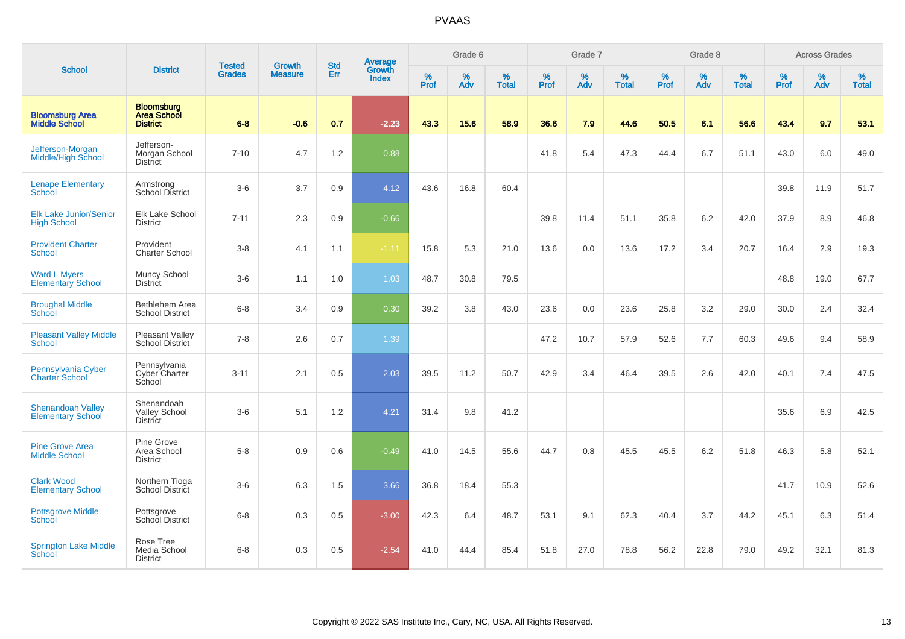| <b>School</b>                                        |                                                            |                                |                                 | <b>Std</b> |                                          |           | Grade 6  |                   |           | Grade 7  |                   |           | Grade 8  |                   |           | <b>Across Grades</b> |                   |
|------------------------------------------------------|------------------------------------------------------------|--------------------------------|---------------------------------|------------|------------------------------------------|-----------|----------|-------------------|-----------|----------|-------------------|-----------|----------|-------------------|-----------|----------------------|-------------------|
|                                                      | <b>District</b>                                            | <b>Tested</b><br><b>Grades</b> | <b>Growth</b><br><b>Measure</b> | Err        | <b>Average</b><br>Growth<br><b>Index</b> | %<br>Prof | %<br>Adv | %<br><b>Total</b> | %<br>Prof | %<br>Adv | %<br><b>Total</b> | %<br>Prof | %<br>Adv | %<br><b>Total</b> | %<br>Prof | %<br>Adv             | %<br><b>Total</b> |
| <b>Bloomsburg Area</b><br><b>Middle School</b>       | <b>Bloomsburg</b><br><b>Area School</b><br><b>District</b> | $6 - 8$                        | $-0.6$                          | 0.7        | $-2.23$                                  | 43.3      | 15.6     | 58.9              | 36.6      | 7.9      | 44.6              | 50.5      | 6.1      | 56.6              | 43.4      | 9.7                  | 53.1              |
| Jefferson-Morgan<br><b>Middle/High School</b>        | Jefferson-<br>Morgan School<br><b>District</b>             | $7 - 10$                       | 4.7                             | 1.2        | 0.88                                     |           |          |                   | 41.8      | 5.4      | 47.3              | 44.4      | 6.7      | 51.1              | 43.0      | 6.0                  | 49.0              |
| <b>Lenape Elementary</b><br>School                   | Armstrong<br><b>School District</b>                        | $3-6$                          | 3.7                             | 0.9        | 4.12                                     | 43.6      | 16.8     | 60.4              |           |          |                   |           |          |                   | 39.8      | 11.9                 | 51.7              |
| <b>Elk Lake Junior/Senior</b><br><b>High School</b>  | Elk Lake School<br><b>District</b>                         | $7 - 11$                       | 2.3                             | 0.9        | $-0.66$                                  |           |          |                   | 39.8      | 11.4     | 51.1              | 35.8      | 6.2      | 42.0              | 37.9      | 8.9                  | 46.8              |
| <b>Provident Charter</b><br><b>School</b>            | Provident<br><b>Charter School</b>                         | $3-8$                          | 4.1                             | 1.1        | $-1.11$                                  | 15.8      | 5.3      | 21.0              | 13.6      | 0.0      | 13.6              | 17.2      | 3.4      | 20.7              | 16.4      | 2.9                  | 19.3              |
| <b>Ward L Myers</b><br><b>Elementary School</b>      | Muncy School<br><b>District</b>                            | $3-6$                          | 1.1                             | 1.0        | 1.03                                     | 48.7      | 30.8     | 79.5              |           |          |                   |           |          |                   | 48.8      | 19.0                 | 67.7              |
| <b>Broughal Middle</b><br>School                     | Bethlehem Area<br><b>School District</b>                   | $6 - 8$                        | 3.4                             | 0.9        | 0.30                                     | 39.2      | 3.8      | 43.0              | 23.6      | 0.0      | 23.6              | 25.8      | 3.2      | 29.0              | 30.0      | 2.4                  | 32.4              |
| <b>Pleasant Valley Middle</b><br><b>School</b>       | Pleasant Valley<br>School District                         | $7 - 8$                        | 2.6                             | 0.7        | 1.39                                     |           |          |                   | 47.2      | 10.7     | 57.9              | 52.6      | 7.7      | 60.3              | 49.6      | 9.4                  | 58.9              |
| Pennsylvania Cyber<br><b>Charter School</b>          | Pennsylvania<br>Cyber Charter<br>School                    | $3 - 11$                       | 2.1                             | 0.5        | 2.03                                     | 39.5      | 11.2     | 50.7              | 42.9      | 3.4      | 46.4              | 39.5      | 2.6      | 42.0              | 40.1      | 7.4                  | 47.5              |
| <b>Shenandoah Valley</b><br><b>Elementary School</b> | Shenandoah<br><b>Valley School</b><br><b>District</b>      | $3-6$                          | 5.1                             | 1.2        | 4.21                                     | 31.4      | 9.8      | 41.2              |           |          |                   |           |          |                   | 35.6      | 6.9                  | 42.5              |
| <b>Pine Grove Area</b><br><b>Middle School</b>       | Pine Grove<br>Area School<br><b>District</b>               | $5-8$                          | 0.9                             | 0.6        | $-0.49$                                  | 41.0      | 14.5     | 55.6              | 44.7      | 0.8      | 45.5              | 45.5      | 6.2      | 51.8              | 46.3      | 5.8                  | 52.1              |
| <b>Clark Wood</b><br><b>Elementary School</b>        | Northern Tioga<br>School District                          | $3-6$                          | 6.3                             | 1.5        | 3.66                                     | 36.8      | 18.4     | 55.3              |           |          |                   |           |          |                   | 41.7      | 10.9                 | 52.6              |
| <b>Pottsgrove Middle</b><br>School                   | Pottsgrove<br>School District                              | $6 - 8$                        | 0.3                             | 0.5        | $-3.00$                                  | 42.3      | 6.4      | 48.7              | 53.1      | 9.1      | 62.3              | 40.4      | 3.7      | 44.2              | 45.1      | 6.3                  | 51.4              |
| <b>Springton Lake Middle</b><br>School               | Rose Tree<br>Media School<br><b>District</b>               | $6-8$                          | 0.3                             | 0.5        | $-2.54$                                  | 41.0      | 44.4     | 85.4              | 51.8      | 27.0     | 78.8              | 56.2      | 22.8     | 79.0              | 49.2      | 32.1                 | 81.3              |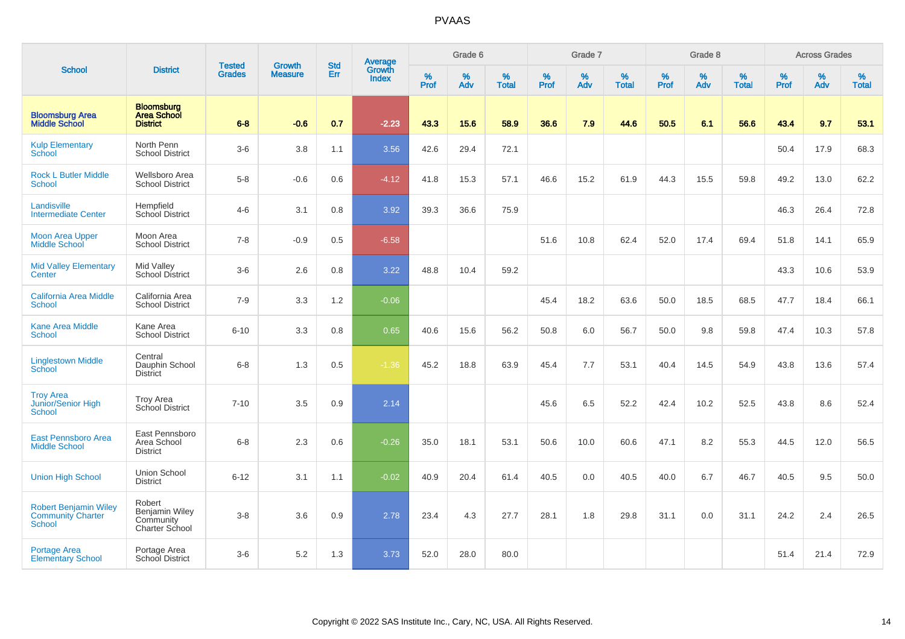|                                                                    |                                                                       |                                |                                 |                   |                                          |           | Grade 6  |                   |           | Grade 7  |                   |           | Grade 8  |                   |           | <b>Across Grades</b> |                   |
|--------------------------------------------------------------------|-----------------------------------------------------------------------|--------------------------------|---------------------------------|-------------------|------------------------------------------|-----------|----------|-------------------|-----------|----------|-------------------|-----------|----------|-------------------|-----------|----------------------|-------------------|
| <b>School</b>                                                      | <b>District</b>                                                       | <b>Tested</b><br><b>Grades</b> | <b>Growth</b><br><b>Measure</b> | <b>Std</b><br>Err | <b>Average</b><br>Growth<br><b>Index</b> | %<br>Prof | %<br>Adv | %<br><b>Total</b> | %<br>Prof | %<br>Adv | %<br><b>Total</b> | %<br>Prof | %<br>Adv | %<br><b>Total</b> | %<br>Prof | %<br>Adv             | %<br><b>Total</b> |
| <b>Bloomsburg Area</b><br><b>Middle School</b>                     | <b>Bloomsburg</b><br><b>Area School</b><br><b>District</b>            | $6 - 8$                        | $-0.6$                          | 0.7               | $-2.23$                                  | 43.3      | 15.6     | 58.9              | 36.6      | 7.9      | 44.6              | 50.5      | 6.1      | 56.6              | 43.4      | 9.7                  | 53.1              |
| <b>Kulp Elementary</b><br>School                                   | North Penn<br><b>School District</b>                                  | $3-6$                          | 3.8                             | 1.1               | 3.56                                     | 42.6      | 29.4     | 72.1              |           |          |                   |           |          |                   | 50.4      | 17.9                 | 68.3              |
| <b>Rock L Butler Middle</b><br><b>School</b>                       | <b>Wellsboro Area</b><br><b>School District</b>                       | $5-8$                          | $-0.6$                          | 0.6               | $-4.12$                                  | 41.8      | 15.3     | 57.1              | 46.6      | 15.2     | 61.9              | 44.3      | 15.5     | 59.8              | 49.2      | 13.0                 | 62.2              |
| Landisville<br><b>Intermediate Center</b>                          | Hempfield<br>School District                                          | $4 - 6$                        | 3.1                             | 0.8               | 3.92                                     | 39.3      | 36.6     | 75.9              |           |          |                   |           |          |                   | 46.3      | 26.4                 | 72.8              |
| <b>Moon Area Upper</b><br><b>Middle School</b>                     | Moon Area<br><b>School District</b>                                   | $7 - 8$                        | $-0.9$                          | 0.5               | $-6.58$                                  |           |          |                   | 51.6      | 10.8     | 62.4              | 52.0      | 17.4     | 69.4              | 51.8      | 14.1                 | 65.9              |
| <b>Mid Valley Elementary</b><br>Center                             | Mid Valley<br><b>School District</b>                                  | $3-6$                          | 2.6                             | 0.8               | 3.22                                     | 48.8      | 10.4     | 59.2              |           |          |                   |           |          |                   | 43.3      | 10.6                 | 53.9              |
| <b>California Area Middle</b><br><b>School</b>                     | California Area<br><b>School District</b>                             | $7 - 9$                        | 3.3                             | 1.2               | $-0.06$                                  |           |          |                   | 45.4      | 18.2     | 63.6              | 50.0      | 18.5     | 68.5              | 47.7      | 18.4                 | 66.1              |
| <b>Kane Area Middle</b><br><b>School</b>                           | Kane Area<br><b>School District</b>                                   | $6 - 10$                       | 3.3                             | 0.8               | 0.65                                     | 40.6      | 15.6     | 56.2              | 50.8      | 6.0      | 56.7              | 50.0      | 9.8      | 59.8              | 47.4      | 10.3                 | 57.8              |
| <b>Linglestown Middle</b><br>School                                | Central<br>Dauphin School<br><b>District</b>                          | $6 - 8$                        | 1.3                             | 0.5               | $-1.36$                                  | 45.2      | 18.8     | 63.9              | 45.4      | 7.7      | 53.1              | 40.4      | 14.5     | 54.9              | 43.8      | 13.6                 | 57.4              |
| <b>Troy Area</b><br>Junior/Senior High<br><b>School</b>            | <b>Troy Area</b><br>School District                                   | $7 - 10$                       | 3.5                             | 0.9               | 2.14                                     |           |          |                   | 45.6      | 6.5      | 52.2              | 42.4      | 10.2     | 52.5              | 43.8      | 8.6                  | 52.4              |
| East Pennsboro Area<br><b>Middle School</b>                        | East Pennsboro<br>Area School<br><b>District</b>                      | $6 - 8$                        | 2.3                             | 0.6               | $-0.26$                                  | 35.0      | 18.1     | 53.1              | 50.6      | 10.0     | 60.6              | 47.1      | 8.2      | 55.3              | 44.5      | 12.0                 | 56.5              |
| <b>Union High School</b>                                           | Union School<br><b>District</b>                                       | $6 - 12$                       | 3.1                             | 1.1               | $-0.02$                                  | 40.9      | 20.4     | 61.4              | 40.5      | 0.0      | 40.5              | 40.0      | 6.7      | 46.7              | 40.5      | 9.5                  | 50.0              |
| <b>Robert Benjamin Wiley</b><br><b>Community Charter</b><br>School | Robert<br><b>Benjamin Wiley</b><br>Community<br><b>Charter School</b> | $3 - 8$                        | 3.6                             | 0.9               | 2.78                                     | 23.4      | 4.3      | 27.7              | 28.1      | 1.8      | 29.8              | 31.1      | 0.0      | 31.1              | 24.2      | 2.4                  | 26.5              |
| <b>Portage Area</b><br><b>Elementary School</b>                    | Portage Area<br><b>School District</b>                                | $3 - 6$                        | 5.2                             | 1.3               | 3.73                                     | 52.0      | 28.0     | 80.0              |           |          |                   |           |          |                   | 51.4      | 21.4                 | 72.9              |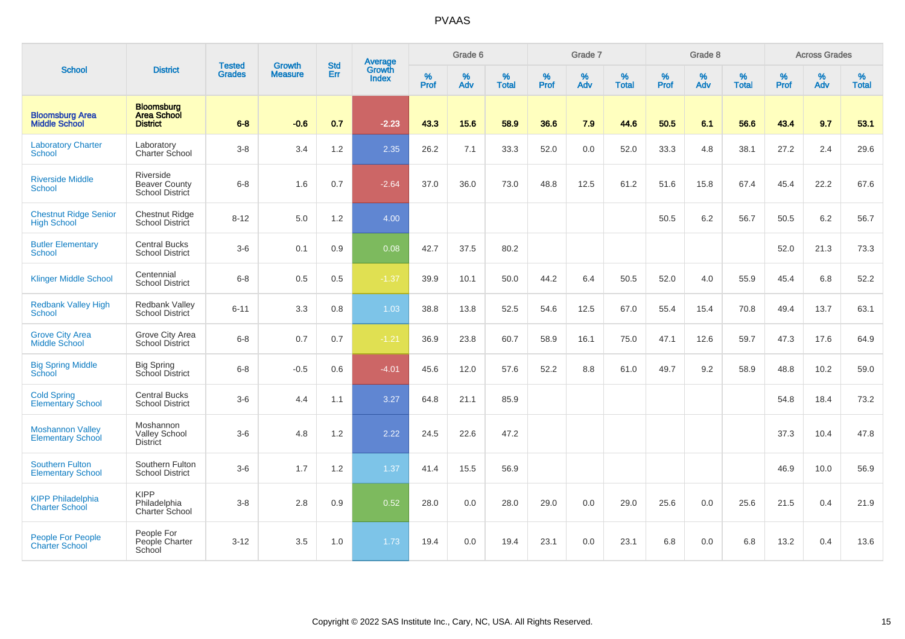|                                                     |                                                            |                                | <b>Growth</b>  | <b>Std</b> |                                          |                  | Grade 6  |                   |           | Grade 7  |                   |                  | Grade 8  |                   |           | <b>Across Grades</b> |                   |
|-----------------------------------------------------|------------------------------------------------------------|--------------------------------|----------------|------------|------------------------------------------|------------------|----------|-------------------|-----------|----------|-------------------|------------------|----------|-------------------|-----------|----------------------|-------------------|
| <b>School</b>                                       | <b>District</b>                                            | <b>Tested</b><br><b>Grades</b> | <b>Measure</b> | Err        | <b>Average</b><br>Growth<br><b>Index</b> | %<br><b>Prof</b> | %<br>Adv | %<br><b>Total</b> | %<br>Prof | %<br>Adv | %<br><b>Total</b> | %<br><b>Prof</b> | %<br>Adv | %<br><b>Total</b> | %<br>Prof | %<br>Adv             | %<br><b>Total</b> |
| <b>Bloomsburg Area</b><br><b>Middle School</b>      | <b>Bloomsburg</b><br><b>Area School</b><br><b>District</b> | $6 - 8$                        | $-0.6$         | 0.7        | $-2.23$                                  | 43.3             | 15.6     | 58.9              | 36.6      | 7.9      | 44.6              | 50.5             | 6.1      | 56.6              | 43.4      | 9.7                  | 53.1              |
| <b>Laboratory Charter</b><br>School                 | Laboratory<br>Charter School                               | $3 - 8$                        | 3.4            | 1.2        | 2.35                                     | 26.2             | 7.1      | 33.3              | 52.0      | 0.0      | 52.0              | 33.3             | 4.8      | 38.1              | 27.2      | 2.4                  | 29.6              |
| <b>Riverside Middle</b><br>School                   | Riverside<br><b>Beaver County</b><br>School District       | $6 - 8$                        | 1.6            | 0.7        | $-2.64$                                  | 37.0             | 36.0     | 73.0              | 48.8      | 12.5     | 61.2              | 51.6             | 15.8     | 67.4              | 45.4      | 22.2                 | 67.6              |
| <b>Chestnut Ridge Senior</b><br><b>High School</b>  | <b>Chestnut Ridge</b><br><b>School District</b>            | $8 - 12$                       | 5.0            | 1.2        | 4.00                                     |                  |          |                   |           |          |                   | 50.5             | 6.2      | 56.7              | 50.5      | 6.2                  | 56.7              |
| <b>Butler Elementary</b><br>School                  | <b>Central Bucks</b><br><b>School District</b>             | $3-6$                          | 0.1            | 0.9        | 0.08                                     | 42.7             | 37.5     | 80.2              |           |          |                   |                  |          |                   | 52.0      | 21.3                 | 73.3              |
| <b>Klinger Middle School</b>                        | Centennial<br><b>School District</b>                       | $6 - 8$                        | 0.5            | 0.5        | $-1.37$                                  | 39.9             | 10.1     | 50.0              | 44.2      | 6.4      | 50.5              | 52.0             | 4.0      | 55.9              | 45.4      | 6.8                  | 52.2              |
| <b>Redbank Valley High</b><br>School                | Redbank Valley<br><b>School District</b>                   | $6 - 11$                       | 3.3            | 0.8        | 1.03                                     | 38.8             | 13.8     | 52.5              | 54.6      | 12.5     | 67.0              | 55.4             | 15.4     | 70.8              | 49.4      | 13.7                 | 63.1              |
| <b>Grove City Area</b><br>Middle School             | Grove City Area<br><b>School District</b>                  | $6 - 8$                        | 0.7            | 0.7        | $-1.21$                                  | 36.9             | 23.8     | 60.7              | 58.9      | 16.1     | 75.0              | 47.1             | 12.6     | 59.7              | 47.3      | 17.6                 | 64.9              |
| <b>Big Spring Middle</b><br>School                  | <b>Big Spring</b><br>School District                       | $6 - 8$                        | $-0.5$         | 0.6        | $-4.01$                                  | 45.6             | 12.0     | 57.6              | 52.2      | 8.8      | 61.0              | 49.7             | 9.2      | 58.9              | 48.8      | 10.2                 | 59.0              |
| <b>Cold Spring</b><br><b>Elementary School</b>      | <b>Central Bucks</b><br><b>School District</b>             | $3-6$                          | 4.4            | 1.1        | 3.27                                     | 64.8             | 21.1     | 85.9              |           |          |                   |                  |          |                   | 54.8      | 18.4                 | 73.2              |
| <b>Moshannon Valley</b><br><b>Elementary School</b> | Moshannon<br><b>Valley School</b><br><b>District</b>       | $3-6$                          | 4.8            | 1.2        | 2.22                                     | 24.5             | 22.6     | 47.2              |           |          |                   |                  |          |                   | 37.3      | 10.4                 | 47.8              |
| <b>Southern Fulton</b><br><b>Elementary School</b>  | Southern Fulton<br><b>School District</b>                  | $3-6$                          | 1.7            | 1.2        | 1.37                                     | 41.4             | 15.5     | 56.9              |           |          |                   |                  |          |                   | 46.9      | 10.0                 | 56.9              |
| <b>KIPP Philadelphia</b><br><b>Charter School</b>   | <b>KIPP</b><br>Philadelphia<br>Charter School              | $3 - 8$                        | 2.8            | 0.9        | 0.52                                     | 28.0             | 0.0      | 28.0              | 29.0      | 0.0      | 29.0              | 25.6             | 0.0      | 25.6              | 21.5      | 0.4                  | 21.9              |
| People For People<br><b>Charter School</b>          | People For<br>People Charter<br>School                     | $3 - 12$                       | 3.5            | 1.0        | 1.73                                     | 19.4             | 0.0      | 19.4              | 23.1      | 0.0      | 23.1              | 6.8              | 0.0      | 6.8               | 13.2      | 0.4                  | 13.6              |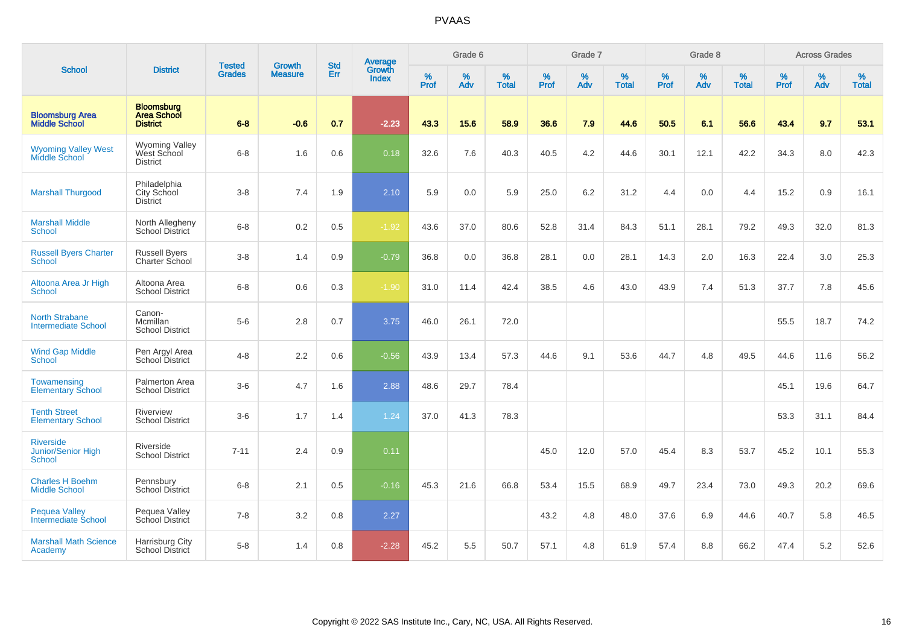|                                                         |                                                            |                                | <b>Growth</b>  | <b>Std</b> | <b>Average</b><br>Growth |                  | Grade 6  |                   |                  | Grade 7  |                   |                  | Grade 8  |                   |                     | <b>Across Grades</b> |                   |
|---------------------------------------------------------|------------------------------------------------------------|--------------------------------|----------------|------------|--------------------------|------------------|----------|-------------------|------------------|----------|-------------------|------------------|----------|-------------------|---------------------|----------------------|-------------------|
| <b>School</b>                                           | <b>District</b>                                            | <b>Tested</b><br><b>Grades</b> | <b>Measure</b> | Err        | <b>Index</b>             | %<br><b>Prof</b> | %<br>Adv | %<br><b>Total</b> | %<br><b>Prof</b> | %<br>Adv | %<br><b>Total</b> | %<br><b>Prof</b> | %<br>Adv | %<br><b>Total</b> | $\%$<br><b>Prof</b> | %<br>Adv             | %<br><b>Total</b> |
| <b>Bloomsburg Area</b><br><b>Middle School</b>          | <b>Bloomsburg</b><br><b>Area School</b><br><b>District</b> | $6 - 8$                        | $-0.6$         | 0.7        | $-2.23$                  | 43.3             | 15.6     | 58.9              | 36.6             | 7.9      | 44.6              | 50.5             | 6.1      | 56.6              | 43.4                | 9.7                  | 53.1              |
| <b>Wyoming Valley West</b><br>Middle School             | <b>Wyoming Valley</b><br>West School<br><b>District</b>    | $6 - 8$                        | 1.6            | 0.6        | 0.18                     | 32.6             | 7.6      | 40.3              | 40.5             | 4.2      | 44.6              | 30.1             | 12.1     | 42.2              | 34.3                | 8.0                  | 42.3              |
| <b>Marshall Thurgood</b>                                | Philadelphia<br>City School<br><b>District</b>             | $3-8$                          | 7.4            | 1.9        | 2.10                     | 5.9              | 0.0      | 5.9               | 25.0             | $6.2\,$  | 31.2              | 4.4              | 0.0      | 4.4               | 15.2                | 0.9                  | 16.1              |
| <b>Marshall Middle</b><br>School                        | North Allegheny<br><b>School District</b>                  | $6-8$                          | 0.2            | 0.5        | $-1.92$                  | 43.6             | 37.0     | 80.6              | 52.8             | 31.4     | 84.3              | 51.1             | 28.1     | 79.2              | 49.3                | 32.0                 | 81.3              |
| <b>Russell Byers Charter</b><br><b>School</b>           | <b>Russell Byers</b><br>Charter School                     | $3 - 8$                        | 1.4            | 0.9        | $-0.79$                  | 36.8             | 0.0      | 36.8              | 28.1             | 0.0      | 28.1              | 14.3             | 2.0      | 16.3              | 22.4                | 3.0                  | 25.3              |
| Altoona Area Jr High<br>School                          | Altoona Area<br><b>School District</b>                     | $6-8$                          | 0.6            | 0.3        | $-1.90$                  | 31.0             | 11.4     | 42.4              | 38.5             | 4.6      | 43.0              | 43.9             | 7.4      | 51.3              | 37.7                | 7.8                  | 45.6              |
| <b>North Strabane</b><br><b>Intermediate School</b>     | Canon-<br>Mcmillan<br><b>School District</b>               | $5-6$                          | 2.8            | 0.7        | 3.75                     | 46.0             | 26.1     | 72.0              |                  |          |                   |                  |          |                   | 55.5                | 18.7                 | 74.2              |
| <b>Wind Gap Middle</b><br><b>School</b>                 | Pen Argyl Area<br>School District                          | $4 - 8$                        | 2.2            | 0.6        | $-0.56$                  | 43.9             | 13.4     | 57.3              | 44.6             | 9.1      | 53.6              | 44.7             | 4.8      | 49.5              | 44.6                | 11.6                 | 56.2              |
| Towamensing<br><b>Elementary School</b>                 | Palmerton Area<br><b>School District</b>                   | $3-6$                          | 4.7            | 1.6        | 2.88                     | 48.6             | 29.7     | 78.4              |                  |          |                   |                  |          |                   | 45.1                | 19.6                 | 64.7              |
| <b>Tenth Street</b><br><b>Elementary School</b>         | Riverview<br><b>School District</b>                        | $3-6$                          | 1.7            | 1.4        | 1.24                     | 37.0             | 41.3     | 78.3              |                  |          |                   |                  |          |                   | 53.3                | 31.1                 | 84.4              |
| <b>Riverside</b><br>Junior/Senior High<br><b>School</b> | Riverside<br><b>School District</b>                        | $7 - 11$                       | 2.4            | 0.9        | 0.11                     |                  |          |                   | 45.0             | 12.0     | 57.0              | 45.4             | 8.3      | 53.7              | 45.2                | 10.1                 | 55.3              |
| <b>Charles H Boehm</b><br><b>Middle School</b>          | Pennsbury<br><b>School District</b>                        | $6 - 8$                        | 2.1            | 0.5        | $-0.16$                  | 45.3             | 21.6     | 66.8              | 53.4             | 15.5     | 68.9              | 49.7             | 23.4     | 73.0              | 49.3                | 20.2                 | 69.6              |
| <b>Pequea Valley</b><br><b>Intermediate School</b>      | Pequea Valley<br>School District                           | $7 - 8$                        | 3.2            | 0.8        | 2.27                     |                  |          |                   | 43.2             | 4.8      | 48.0              | 37.6             | 6.9      | 44.6              | 40.7                | 5.8                  | 46.5              |
| <b>Marshall Math Science</b><br>Academy                 | Harrisburg City<br>School District                         | $5-8$                          | 1.4            | 0.8        | $-2.28$                  | 45.2             | 5.5      | 50.7              | 57.1             | 4.8      | 61.9              | 57.4             | 8.8      | 66.2              | 47.4                | 5.2                  | 52.6              |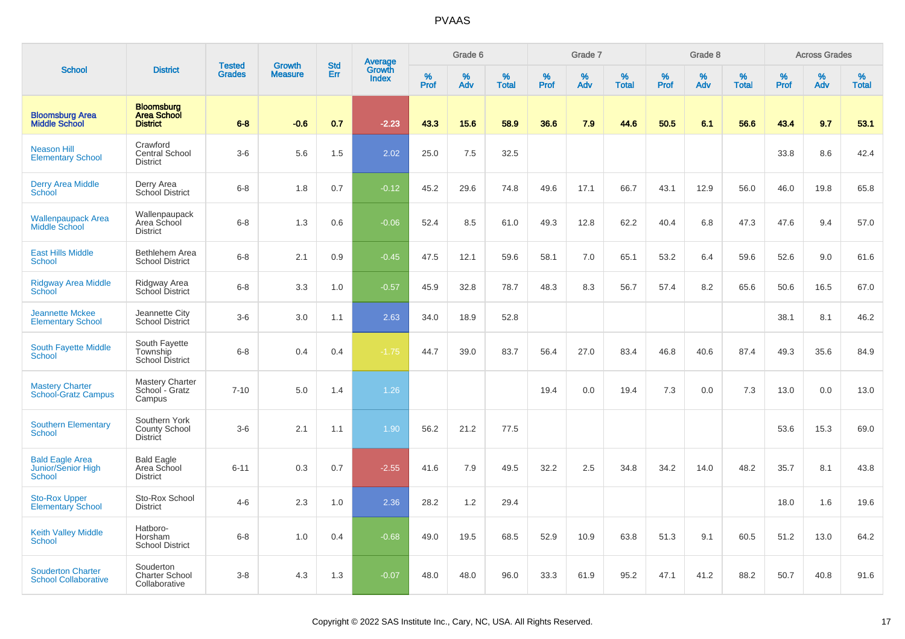|                                                               |                                                            |                                |                                 |                   |                                          |                  | Grade 6  |                   |           | Grade 7  |                   |                  | Grade 8  |                   |           | <b>Across Grades</b> |                   |
|---------------------------------------------------------------|------------------------------------------------------------|--------------------------------|---------------------------------|-------------------|------------------------------------------|------------------|----------|-------------------|-----------|----------|-------------------|------------------|----------|-------------------|-----------|----------------------|-------------------|
| <b>School</b>                                                 | <b>District</b>                                            | <b>Tested</b><br><b>Grades</b> | <b>Growth</b><br><b>Measure</b> | <b>Std</b><br>Err | <b>Average</b><br>Growth<br><b>Index</b> | %<br><b>Prof</b> | %<br>Adv | %<br><b>Total</b> | %<br>Prof | %<br>Adv | %<br><b>Total</b> | %<br><b>Prof</b> | %<br>Adv | %<br><b>Total</b> | %<br>Prof | %<br>Adv             | %<br><b>Total</b> |
| <b>Bloomsburg Area</b><br><b>Middle School</b>                | <b>Bloomsburg</b><br><b>Area School</b><br><b>District</b> | $6 - 8$                        | $-0.6$                          | 0.7               | $-2.23$                                  | 43.3             | 15.6     | 58.9              | 36.6      | 7.9      | 44.6              | 50.5             | 6.1      | 56.6              | 43.4      | 9.7                  | 53.1              |
| <b>Neason Hill</b><br><b>Elementary School</b>                | Crawford<br><b>Central School</b><br><b>District</b>       | $3-6$                          | 5.6                             | 1.5               | 2.02                                     | 25.0             | 7.5      | 32.5              |           |          |                   |                  |          |                   | 33.8      | 8.6                  | 42.4              |
| <b>Derry Area Middle</b><br>School                            | Derry Area<br>School District                              | $6-8$                          | 1.8                             | 0.7               | $-0.12$                                  | 45.2             | 29.6     | 74.8              | 49.6      | 17.1     | 66.7              | 43.1             | 12.9     | 56.0              | 46.0      | 19.8                 | 65.8              |
| <b>Wallenpaupack Area</b><br>Middle School                    | Wallenpaupack<br>Area School<br><b>District</b>            | $6-8$                          | 1.3                             | 0.6               | $-0.06$                                  | 52.4             | 8.5      | 61.0              | 49.3      | 12.8     | 62.2              | 40.4             | 6.8      | 47.3              | 47.6      | 9.4                  | 57.0              |
| <b>East Hills Middle</b><br><b>School</b>                     | <b>Bethlehem Area</b><br><b>School District</b>            | $6-8$                          | 2.1                             | 0.9               | $-0.45$                                  | 47.5             | 12.1     | 59.6              | 58.1      | 7.0      | 65.1              | 53.2             | 6.4      | 59.6              | 52.6      | 9.0                  | 61.6              |
| Ridgway Area Middle<br><b>School</b>                          | Ridgway Area<br>School District                            | $6 - 8$                        | 3.3                             | 1.0               | $-0.57$                                  | 45.9             | 32.8     | 78.7              | 48.3      | 8.3      | 56.7              | 57.4             | 8.2      | 65.6              | 50.6      | 16.5                 | 67.0              |
| <b>Jeannette Mckee</b><br><b>Elementary School</b>            | Jeannette City<br><b>School District</b>                   | $3-6$                          | 3.0                             | 1.1               | 2.63                                     | 34.0             | 18.9     | 52.8              |           |          |                   |                  |          |                   | 38.1      | 8.1                  | 46.2              |
| <b>South Fayette Middle</b><br><b>School</b>                  | South Fayette<br>Township<br><b>School District</b>        | $6-8$                          | 0.4                             | 0.4               | $-1.75$                                  | 44.7             | 39.0     | 83.7              | 56.4      | 27.0     | 83.4              | 46.8             | 40.6     | 87.4              | 49.3      | 35.6                 | 84.9              |
| <b>Mastery Charter</b><br><b>School-Gratz Campus</b>          | <b>Mastery Charter</b><br>School - Gratz<br>Campus         | $7 - 10$                       | 5.0                             | 1.4               | 1.26                                     |                  |          |                   | 19.4      | 0.0      | 19.4              | 7.3              | 0.0      | 7.3               | 13.0      | 0.0                  | 13.0              |
| <b>Southern Elementary</b><br><b>School</b>                   | Southern York<br><b>County School</b><br><b>District</b>   | $3-6$                          | 2.1                             | 1.1               | 1.90                                     | 56.2             | 21.2     | 77.5              |           |          |                   |                  |          |                   | 53.6      | 15.3                 | 69.0              |
| <b>Bald Eagle Area</b><br>Junior/Senior High<br><b>School</b> | <b>Bald Eagle</b><br>Area School<br>District               | $6 - 11$                       | 0.3                             | 0.7               | $-2.55$                                  | 41.6             | 7.9      | 49.5              | 32.2      | 2.5      | 34.8              | 34.2             | 14.0     | 48.2              | 35.7      | 8.1                  | 43.8              |
| <b>Sto-Rox Upper</b><br><b>Elementary School</b>              | Sto-Rox School<br><b>District</b>                          | $4 - 6$                        | 2.3                             | 1.0               | 2.36                                     | 28.2             | 1.2      | 29.4              |           |          |                   |                  |          |                   | 18.0      | 1.6                  | 19.6              |
| <b>Keith Valley Middle</b><br>School                          | Hatboro-<br>Horsham<br><b>School District</b>              | $6 - 8$                        | 1.0                             | 0.4               | $-0.68$                                  | 49.0             | 19.5     | 68.5              | 52.9      | 10.9     | 63.8              | 51.3             | 9.1      | 60.5              | 51.2      | 13.0                 | 64.2              |
| <b>Souderton Charter</b><br><b>School Collaborative</b>       | Souderton<br><b>Charter School</b><br>Collaborative        | $3-8$                          | 4.3                             | 1.3               | $-0.07$                                  | 48.0             | 48.0     | 96.0              | 33.3      | 61.9     | 95.2              | 47.1             | 41.2     | 88.2              | 50.7      | 40.8                 | 91.6              |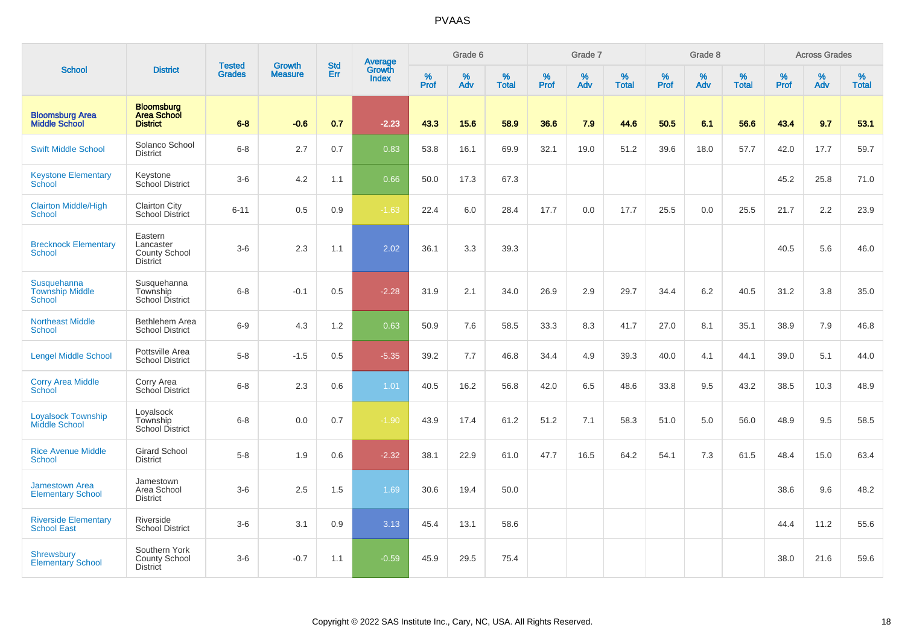|                                                   |                                                                 |                         |                                 | <b>Std</b> |                                          |           | Grade 6  |                   |           | Grade 7  |                   |           | Grade 8  |                   |           | <b>Across Grades</b> |                   |
|---------------------------------------------------|-----------------------------------------------------------------|-------------------------|---------------------------------|------------|------------------------------------------|-----------|----------|-------------------|-----------|----------|-------------------|-----------|----------|-------------------|-----------|----------------------|-------------------|
| <b>School</b>                                     | <b>District</b>                                                 | Tested<br><b>Grades</b> | <b>Growth</b><br><b>Measure</b> | Err        | <b>Average</b><br>Growth<br><b>Index</b> | %<br>Prof | %<br>Adv | %<br><b>Total</b> | %<br>Prof | %<br>Adv | %<br><b>Total</b> | %<br>Prof | %<br>Adv | %<br><b>Total</b> | %<br>Prof | %<br>Adv             | %<br><b>Total</b> |
| <b>Bloomsburg Area</b><br><b>Middle School</b>    | <b>Bloomsburg</b><br><b>Area School</b><br><b>District</b>      | $6 - 8$                 | $-0.6$                          | 0.7        | $-2.23$                                  | 43.3      | 15.6     | 58.9              | 36.6      | 7.9      | 44.6              | 50.5      | 6.1      | 56.6              | 43.4      | 9.7                  | 53.1              |
| <b>Swift Middle School</b>                        | Solanco School<br><b>District</b>                               | $6 - 8$                 | 2.7                             | 0.7        | 0.83                                     | 53.8      | 16.1     | 69.9              | 32.1      | 19.0     | 51.2              | 39.6      | 18.0     | 57.7              | 42.0      | 17.7                 | 59.7              |
| <b>Keystone Elementary</b><br>School              | Keystone<br>School District                                     | $3-6$                   | 4.2                             | 1.1        | 0.66                                     | 50.0      | 17.3     | 67.3              |           |          |                   |           |          |                   | 45.2      | 25.8                 | 71.0              |
| <b>Clairton Middle/High</b><br><b>School</b>      | <b>Clairton City</b><br><b>School District</b>                  | $6 - 11$                | 0.5                             | 0.9        | $-1.63$                                  | 22.4      | 6.0      | 28.4              | 17.7      | 0.0      | 17.7              | 25.5      | 0.0      | 25.5              | 21.7      | 2.2                  | 23.9              |
| <b>Brecknock Elementary</b><br>School             | Eastern<br>Lancaster<br><b>County School</b><br><b>District</b> | $3-6$                   | 2.3                             | 1.1        | 2.02                                     | 36.1      | 3.3      | 39.3              |           |          |                   |           |          |                   | 40.5      | 5.6                  | 46.0              |
| Susquehanna<br><b>Township Middle</b><br>School   | Susquehanna<br>Township<br>School District                      | $6 - 8$                 | $-0.1$                          | 0.5        | $-2.28$                                  | 31.9      | 2.1      | 34.0              | 26.9      | 2.9      | 29.7              | 34.4      | 6.2      | 40.5              | 31.2      | 3.8                  | 35.0              |
| <b>Northeast Middle</b><br>School                 | Bethlehem Area<br><b>School District</b>                        | $6-9$                   | 4.3                             | 1.2        | 0.63                                     | 50.9      | 7.6      | 58.5              | 33.3      | 8.3      | 41.7              | 27.0      | 8.1      | 35.1              | 38.9      | 7.9                  | 46.8              |
| <b>Lengel Middle School</b>                       | Pottsville Area<br><b>School District</b>                       | $5-8$                   | $-1.5$                          | 0.5        | $-5.35$                                  | 39.2      | 7.7      | 46.8              | 34.4      | 4.9      | 39.3              | 40.0      | 4.1      | 44.1              | 39.0      | 5.1                  | 44.0              |
| <b>Corry Area Middle</b><br>School                | Corry Area<br>School District                                   | $6-8$                   | 2.3                             | 0.6        | 1.01                                     | 40.5      | 16.2     | 56.8              | 42.0      | 6.5      | 48.6              | 33.8      | 9.5      | 43.2              | 38.5      | 10.3                 | 48.9              |
| <b>Loyalsock Township</b><br><b>Middle School</b> | Loyalsock<br>Township<br><b>School District</b>                 | $6-8$                   | 0.0                             | 0.7        | $-1.90$                                  | 43.9      | 17.4     | 61.2              | 51.2      | 7.1      | 58.3              | 51.0      | 5.0      | 56.0              | 48.9      | 9.5                  | 58.5              |
| <b>Rice Avenue Middle</b><br>School               | <b>Girard School</b><br><b>District</b>                         | $5-8$                   | 1.9                             | 0.6        | $-2.32$                                  | 38.1      | 22.9     | 61.0              | 47.7      | 16.5     | 64.2              | 54.1      | 7.3      | 61.5              | 48.4      | 15.0                 | 63.4              |
| <b>Jamestown Area</b><br><b>Elementary School</b> | Jamestown<br>Area School<br><b>District</b>                     | $3 - 6$                 | 2.5                             | 1.5        | 1.69                                     | 30.6      | 19.4     | 50.0              |           |          |                   |           |          |                   | 38.6      | 9.6                  | 48.2              |
| <b>Riverside Elementary</b><br><b>School East</b> | Riverside<br><b>School District</b>                             | $3-6$                   | 3.1                             | 0.9        | 3.13                                     | 45.4      | 13.1     | 58.6              |           |          |                   |           |          |                   | 44.4      | 11.2                 | 55.6              |
| <b>Shrewsbury</b><br><b>Elementary School</b>     | Southern York<br>County School<br><b>District</b>               | $3-6$                   | $-0.7$                          | 1.1        | $-0.59$                                  | 45.9      | 29.5     | 75.4              |           |          |                   |           |          |                   | 38.0      | 21.6                 | 59.6              |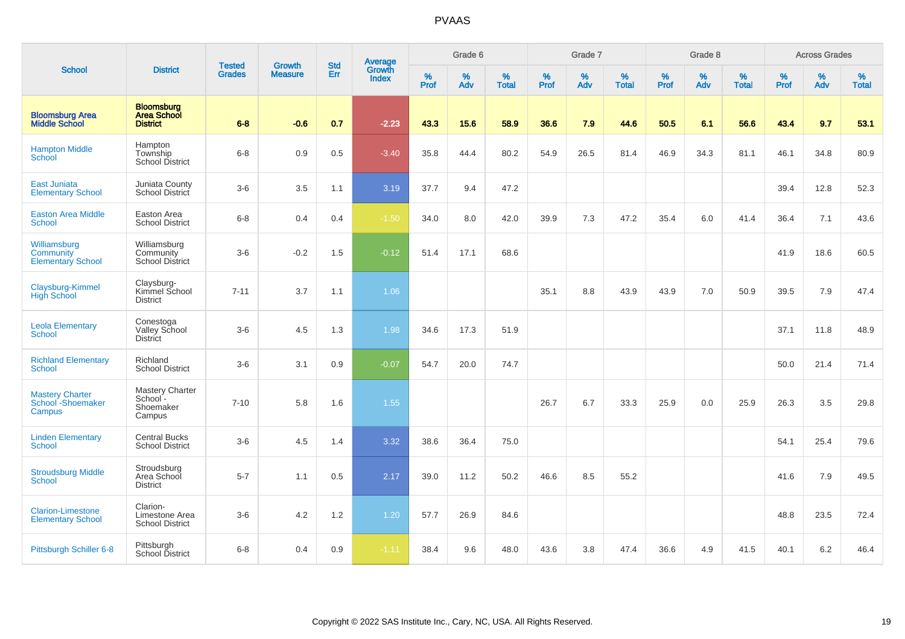|                                                                   |                                                            |                                |                                 | <b>Std</b> |                                          |                  | Grade 6  |                   |           | Grade 7  |                   |           | Grade 8  |                   |           | <b>Across Grades</b> |                   |
|-------------------------------------------------------------------|------------------------------------------------------------|--------------------------------|---------------------------------|------------|------------------------------------------|------------------|----------|-------------------|-----------|----------|-------------------|-----------|----------|-------------------|-----------|----------------------|-------------------|
| <b>School</b>                                                     | <b>District</b>                                            | <b>Tested</b><br><b>Grades</b> | <b>Growth</b><br><b>Measure</b> | Err        | <b>Average</b><br>Growth<br><b>Index</b> | %<br><b>Prof</b> | %<br>Adv | %<br><b>Total</b> | %<br>Prof | %<br>Adv | %<br><b>Total</b> | %<br>Prof | %<br>Adv | %<br><b>Total</b> | %<br>Prof | %<br>Adv             | %<br><b>Total</b> |
| <b>Bloomsburg Area</b><br><b>Middle School</b>                    | <b>Bloomsburg</b><br><b>Area School</b><br><b>District</b> | $6 - 8$                        | $-0.6$                          | 0.7        | $-2.23$                                  | 43.3             | 15.6     | 58.9              | 36.6      | 7.9      | 44.6              | 50.5      | 6.1      | 56.6              | 43.4      | 9.7                  | 53.1              |
| <b>Hampton Middle</b><br><b>School</b>                            | Hampton<br>Township<br>School District                     | $6 - 8$                        | 0.9                             | 0.5        | $-3.40$                                  | 35.8             | 44.4     | 80.2              | 54.9      | 26.5     | 81.4              | 46.9      | 34.3     | 81.1              | 46.1      | 34.8                 | 80.9              |
| East Juniata<br><b>Elementary School</b>                          | Juniata County<br>School District                          | $3-6$                          | 3.5                             | 1.1        | 3.19                                     | 37.7             | 9.4      | 47.2              |           |          |                   |           |          |                   | 39.4      | 12.8                 | 52.3              |
| <b>Easton Area Middle</b><br><b>School</b>                        | Easton Area<br><b>School District</b>                      | $6 - 8$                        | 0.4                             | 0.4        | $-1.50$                                  | 34.0             | 8.0      | 42.0              | 39.9      | 7.3      | 47.2              | 35.4      | 6.0      | 41.4              | 36.4      | 7.1                  | 43.6              |
| Williamsburg<br>Community<br><b>Elementary School</b>             | Williamsburg<br>Community<br><b>School District</b>        | $3-6$                          | $-0.2$                          | 1.5        | $-0.12$                                  | 51.4             | 17.1     | 68.6              |           |          |                   |           |          |                   | 41.9      | 18.6                 | 60.5              |
| Claysburg-Kimmel<br><b>High School</b>                            | Claysburg-<br>Kimmel School<br><b>District</b>             | $7 - 11$                       | 3.7                             | 1.1        | 1.06                                     |                  |          |                   | 35.1      | $8.8\,$  | 43.9              | 43.9      | 7.0      | 50.9              | 39.5      | 7.9                  | 47.4              |
| <b>Leola Elementary</b><br><b>School</b>                          | Conestoga<br>Valley School<br><b>District</b>              | $3-6$                          | 4.5                             | 1.3        | 1.98                                     | 34.6             | 17.3     | 51.9              |           |          |                   |           |          |                   | 37.1      | 11.8                 | 48.9              |
| <b>Richland Elementary</b><br><b>School</b>                       | Richland<br><b>School District</b>                         | $3-6$                          | 3.1                             | 0.9        | $-0.07$                                  | 54.7             | 20.0     | 74.7              |           |          |                   |           |          |                   | 50.0      | 21.4                 | 71.4              |
| <b>Mastery Charter</b><br>School <sup>-</sup> Shoemaker<br>Campus | Mastery Charter<br>School-<br>Shoemaker<br>Campus          | $7 - 10$                       | 5.8                             | 1.6        | 1.55                                     |                  |          |                   | 26.7      | 6.7      | 33.3              | 25.9      | 0.0      | 25.9              | 26.3      | 3.5                  | 29.8              |
| <b>Linden Elementary</b><br><b>School</b>                         | <b>Central Bucks</b><br><b>School District</b>             | $3-6$                          | 4.5                             | 1.4        | 3.32                                     | 38.6             | 36.4     | 75.0              |           |          |                   |           |          |                   | 54.1      | 25.4                 | 79.6              |
| <b>Stroudsburg Middle</b><br>School                               | Stroudsburg<br>Area School<br><b>District</b>              | $5 - 7$                        | 1.1                             | 0.5        | 2.17                                     | 39.0             | 11.2     | 50.2              | 46.6      | 8.5      | 55.2              |           |          |                   | 41.6      | 7.9                  | 49.5              |
| <b>Clarion-Limestone</b><br><b>Elementary School</b>              | Clarion-<br>Limestone Area<br><b>School District</b>       | $3-6$                          | 4.2                             | 1.2        | 1.20                                     | 57.7             | 26.9     | 84.6              |           |          |                   |           |          |                   | 48.8      | 23.5                 | 72.4              |
| Pittsburgh Schiller 6-8                                           | Pittsburgh<br>School District                              | $6 - 8$                        | 0.4                             | 0.9        | $-1.11$                                  | 38.4             | 9.6      | 48.0              | 43.6      | 3.8      | 47.4              | 36.6      | 4.9      | 41.5              | 40.1      | 6.2                  | 46.4              |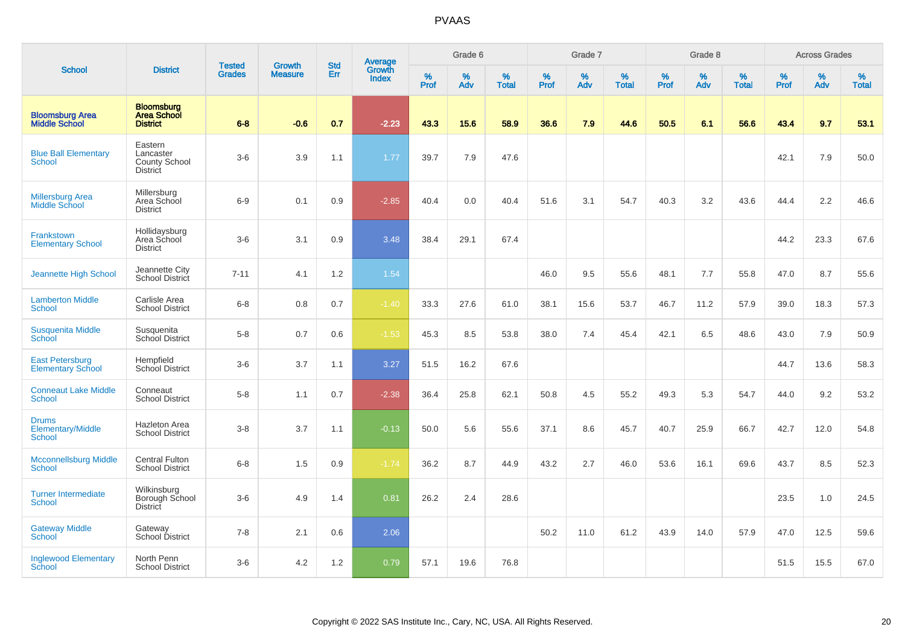|                                                    |                                                                 |                                |                                 | <b>Std</b> |                                          |                  | Grade 6  |                   |           | Grade 7  |                   |           | Grade 8     |                   |           | <b>Across Grades</b> |                   |
|----------------------------------------------------|-----------------------------------------------------------------|--------------------------------|---------------------------------|------------|------------------------------------------|------------------|----------|-------------------|-----------|----------|-------------------|-----------|-------------|-------------------|-----------|----------------------|-------------------|
| <b>School</b>                                      | <b>District</b>                                                 | <b>Tested</b><br><b>Grades</b> | <b>Growth</b><br><b>Measure</b> | Err        | <b>Average</b><br>Growth<br><b>Index</b> | %<br><b>Prof</b> | %<br>Adv | %<br><b>Total</b> | %<br>Prof | %<br>Adv | %<br><b>Total</b> | %<br>Prof | $\%$<br>Adv | %<br><b>Total</b> | %<br>Prof | %<br>Adv             | %<br><b>Total</b> |
| <b>Bloomsburg Area</b><br><b>Middle School</b>     | <b>Bloomsburg</b><br><b>Area School</b><br><b>District</b>      | $6 - 8$                        | $-0.6$                          | 0.7        | $-2.23$                                  | 43.3             | 15.6     | 58.9              | 36.6      | 7.9      | 44.6              | 50.5      | 6.1         | 56.6              | 43.4      | 9.7                  | 53.1              |
| <b>Blue Ball Elementary</b><br>School              | Eastern<br>Lancaster<br><b>County School</b><br><b>District</b> | $3-6$                          | 3.9                             | 1.1        | 1.77                                     | 39.7             | 7.9      | 47.6              |           |          |                   |           |             |                   | 42.1      | 7.9                  | 50.0              |
| <b>Millersburg Area</b><br><b>Middle School</b>    | Millersburg<br>Area School<br><b>District</b>                   | $6-9$                          | 0.1                             | 0.9        | $-2.85$                                  | 40.4             | 0.0      | 40.4              | 51.6      | 3.1      | 54.7              | 40.3      | 3.2         | 43.6              | 44.4      | 2.2                  | 46.6              |
| <b>Frankstown</b><br><b>Elementary School</b>      | Hollidaysburg<br>Area School<br><b>District</b>                 | $3-6$                          | 3.1                             | 0.9        | 3.48                                     | 38.4             | 29.1     | 67.4              |           |          |                   |           |             |                   | 44.2      | 23.3                 | 67.6              |
| Jeannette High School                              | Jeannette City<br>School District                               | $7 - 11$                       | 4.1                             | 1.2        | 1.54                                     |                  |          |                   | 46.0      | 9.5      | 55.6              | 48.1      | 7.7         | 55.8              | 47.0      | 8.7                  | 55.6              |
| <b>Lamberton Middle</b><br>School                  | Carlisle Area<br><b>School District</b>                         | $6 - 8$                        | 0.8                             | $0.7\,$    | $-1.40$                                  | 33.3             | 27.6     | 61.0              | 38.1      | 15.6     | 53.7              | 46.7      | 11.2        | 57.9              | 39.0      | 18.3                 | 57.3              |
| <b>Susquenita Middle</b><br>School                 | Susquenita<br>School District                                   | $5-8$                          | 0.7                             | 0.6        | $-1.53$                                  | 45.3             | 8.5      | 53.8              | 38.0      | 7.4      | 45.4              | 42.1      | 6.5         | 48.6              | 43.0      | 7.9                  | 50.9              |
| <b>East Petersburg</b><br><b>Elementary School</b> | Hempfield<br>School District                                    | $3-6$                          | 3.7                             | 1.1        | 3.27                                     | 51.5             | 16.2     | 67.6              |           |          |                   |           |             |                   | 44.7      | 13.6                 | 58.3              |
| <b>Conneaut Lake Middle</b><br><b>School</b>       | Conneaut<br><b>School District</b>                              | $5-8$                          | 1.1                             | 0.7        | $-2.38$                                  | 36.4             | 25.8     | 62.1              | 50.8      | 4.5      | 55.2              | 49.3      | 5.3         | 54.7              | 44.0      | 9.2                  | 53.2              |
| <b>Drums</b><br>Elementary/Middle<br>School        | Hazleton Area<br><b>School District</b>                         | $3 - 8$                        | 3.7                             | 1.1        | $-0.13$                                  | 50.0             | 5.6      | 55.6              | 37.1      | 8.6      | 45.7              | 40.7      | 25.9        | 66.7              | 42.7      | 12.0                 | 54.8              |
| <b>Mcconnellsburg Middle</b><br><b>School</b>      | <b>Central Fulton</b><br><b>School District</b>                 | $6-8$                          | 1.5                             | 0.9        | $-1.74$                                  | 36.2             | 8.7      | 44.9              | 43.2      | 2.7      | 46.0              | 53.6      | 16.1        | 69.6              | 43.7      | 8.5                  | 52.3              |
| <b>Turner Intermediate</b><br>School               | Wilkinsburg<br>Borough School<br>District                       | $3-6$                          | 4.9                             | 1.4        | 0.81                                     | 26.2             | 2.4      | 28.6              |           |          |                   |           |             |                   | 23.5      | 1.0                  | 24.5              |
| <b>Gateway Middle</b><br>School                    | Gateway<br>School District                                      | $7 - 8$                        | 2.1                             | 0.6        | 2.06                                     |                  |          |                   | 50.2      | 11.0     | 61.2              | 43.9      | 14.0        | 57.9              | 47.0      | 12.5                 | 59.6              |
| <b>Inglewood Elementary</b><br>School              | North Penn<br><b>School District</b>                            | $3-6$                          | 4.2                             | 1.2        | 0.79                                     | 57.1             | 19.6     | 76.8              |           |          |                   |           |             |                   | 51.5      | 15.5                 | 67.0              |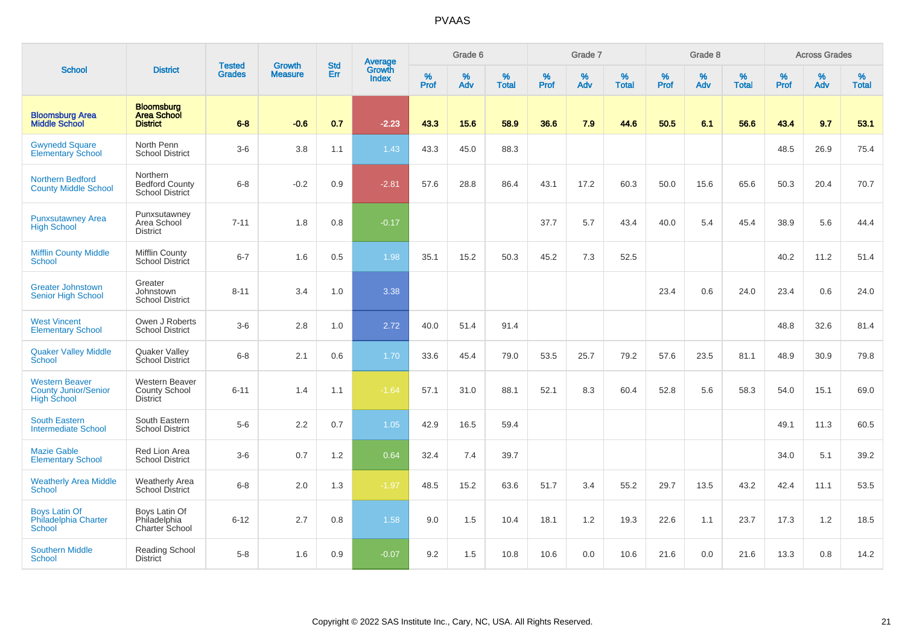|                                                                            |                                                                  |                                | <b>Growth</b>  | <b>Std</b> | <b>Average</b><br>Growth |                  | Grade 6  |                   |           | Grade 7  |                   |           | Grade 8  |                   |           | <b>Across Grades</b> |                   |
|----------------------------------------------------------------------------|------------------------------------------------------------------|--------------------------------|----------------|------------|--------------------------|------------------|----------|-------------------|-----------|----------|-------------------|-----------|----------|-------------------|-----------|----------------------|-------------------|
| <b>School</b>                                                              | <b>District</b>                                                  | <b>Tested</b><br><b>Grades</b> | <b>Measure</b> | <b>Err</b> | <b>Index</b>             | %<br><b>Prof</b> | %<br>Adv | %<br><b>Total</b> | %<br>Prof | %<br>Adv | %<br><b>Total</b> | %<br>Prof | %<br>Adv | %<br><b>Total</b> | %<br>Prof | %<br>Adv             | %<br><b>Total</b> |
| <b>Bloomsburg Area</b><br><b>Middle School</b>                             | <b>Bloomsburg</b><br><b>Area School</b><br><b>District</b>       | $6 - 8$                        | $-0.6$         | 0.7        | $-2.23$                  | 43.3             | 15.6     | 58.9              | 36.6      | 7.9      | 44.6              | 50.5      | 6.1      | 56.6              | 43.4      | 9.7                  | 53.1              |
| <b>Gwynedd Square</b><br><b>Elementary School</b>                          | North Penn<br><b>School District</b>                             | $3-6$                          | 3.8            | 1.1        | 1.43                     | 43.3             | 45.0     | 88.3              |           |          |                   |           |          |                   | 48.5      | 26.9                 | 75.4              |
| <b>Northern Bedford</b><br><b>County Middle School</b>                     | Northern<br><b>Bedford County</b><br>School District             | $6-8$                          | $-0.2$         | 0.9        | $-2.81$                  | 57.6             | 28.8     | 86.4              | 43.1      | 17.2     | 60.3              | 50.0      | 15.6     | 65.6              | 50.3      | 20.4                 | 70.7              |
| <b>Punxsutawney Area</b><br><b>High School</b>                             | Punxsutawney<br>Area School<br><b>District</b>                   | $7 - 11$                       | 1.8            | 0.8        | $-0.17$                  |                  |          |                   | 37.7      | 5.7      | 43.4              | 40.0      | 5.4      | 45.4              | 38.9      | 5.6                  | 44.4              |
| <b>Mifflin County Middle</b><br>School                                     | Mifflin County<br><b>School District</b>                         | $6 - 7$                        | 1.6            | 0.5        | 1.98                     | 35.1             | 15.2     | 50.3              | 45.2      | 7.3      | 52.5              |           |          |                   | 40.2      | 11.2                 | 51.4              |
| <b>Greater Johnstown</b><br><b>Senior High School</b>                      | Greater<br>Johnstown<br><b>School District</b>                   | $8 - 11$                       | 3.4            | 1.0        | 3.38                     |                  |          |                   |           |          |                   | 23.4      | 0.6      | 24.0              | 23.4      | 0.6                  | 24.0              |
| <b>West Vincent</b><br><b>Elementary School</b>                            | Owen J Roberts<br><b>School District</b>                         | $3-6$                          | 2.8            | 1.0        | 2.72                     | 40.0             | 51.4     | 91.4              |           |          |                   |           |          |                   | 48.8      | 32.6                 | 81.4              |
| <b>Quaker Valley Middle</b><br><b>School</b>                               | <b>Quaker Valley</b><br>School District                          | $6-8$                          | 2.1            | 0.6        | 1.70                     | 33.6             | 45.4     | 79.0              | 53.5      | 25.7     | 79.2              | 57.6      | 23.5     | 81.1              | 48.9      | 30.9                 | 79.8              |
| <b>Western Beaver</b><br><b>County Junior/Senior</b><br><b>High School</b> | <b>Western Beaver</b><br><b>County School</b><br><b>District</b> | $6 - 11$                       | 1.4            | 1.1        | $-1.64$                  | 57.1             | 31.0     | 88.1              | 52.1      | 8.3      | 60.4              | 52.8      | 5.6      | 58.3              | 54.0      | 15.1                 | 69.0              |
| <b>South Eastern</b><br><b>Intermediate School</b>                         | South Eastern<br><b>School District</b>                          | $5-6$                          | 2.2            | 0.7        | 1.05                     | 42.9             | 16.5     | 59.4              |           |          |                   |           |          |                   | 49.1      | 11.3                 | 60.5              |
| <b>Mazie Gable</b><br><b>Elementary School</b>                             | <b>Red Lion Area</b><br><b>School District</b>                   | $3-6$                          | 0.7            | 1.2        | 0.64                     | 32.4             | 7.4      | 39.7              |           |          |                   |           |          |                   | 34.0      | 5.1                  | 39.2              |
| <b>Weatherly Area Middle</b><br><b>School</b>                              | <b>Weatherly Area</b><br><b>School District</b>                  | $6-8$                          | 2.0            | 1.3        | $-1.97$                  | 48.5             | 15.2     | 63.6              | 51.7      | 3.4      | 55.2              | 29.7      | 13.5     | 43.2              | 42.4      | 11.1                 | 53.5              |
| <b>Boys Latin Of</b><br>Philadelphia Charter<br><b>School</b>              | Boys Latin Of<br>Philadelphia<br>Charter School                  | $6 - 12$                       | 2.7            | 0.8        | 1.58                     | 9.0              | 1.5      | 10.4              | 18.1      | 1.2      | 19.3              | 22.6      | 1.1      | 23.7              | 17.3      | 1.2                  | 18.5              |
| <b>Southern Middle</b><br><b>School</b>                                    | Reading School<br><b>District</b>                                | $5-8$                          | 1.6            | 0.9        | $-0.07$                  | 9.2              | 1.5      | 10.8              | 10.6      | 0.0      | 10.6              | 21.6      | 0.0      | 21.6              | 13.3      | 0.8                  | 14.2              |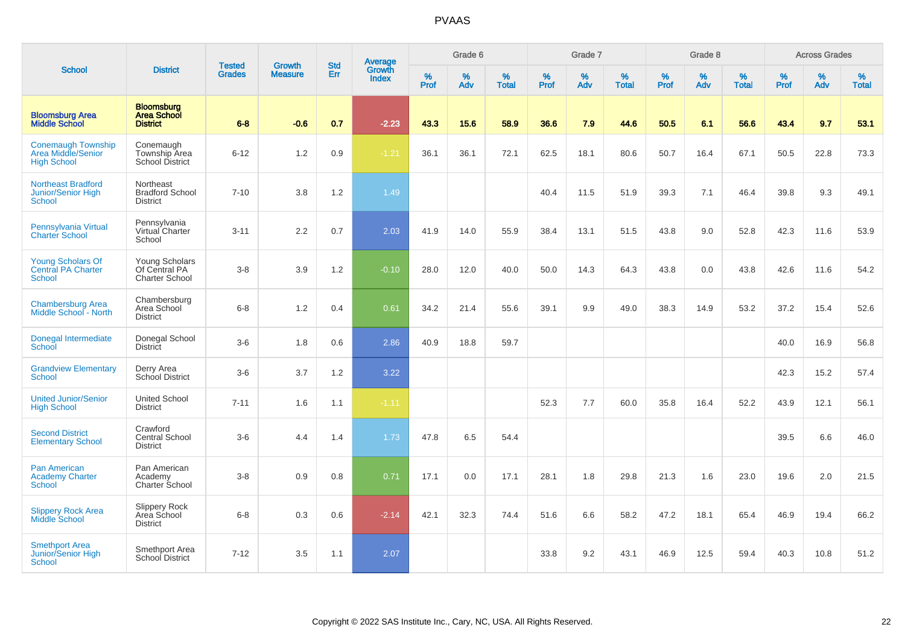|                                                                       |                                                            | <b>Tested</b> | <b>Growth</b>  | <b>Std</b> |                                          |                  | Grade 6  |                   |                  | Grade 7  |                   |           | Grade 8  |                   |                  | <b>Across Grades</b> |                   |
|-----------------------------------------------------------------------|------------------------------------------------------------|---------------|----------------|------------|------------------------------------------|------------------|----------|-------------------|------------------|----------|-------------------|-----------|----------|-------------------|------------------|----------------------|-------------------|
| <b>School</b>                                                         | <b>District</b>                                            | <b>Grades</b> | <b>Measure</b> | Err        | <b>Average</b><br>Growth<br><b>Index</b> | %<br><b>Prof</b> | %<br>Adv | %<br><b>Total</b> | %<br><b>Prof</b> | %<br>Adv | %<br><b>Total</b> | %<br>Prof | %<br>Adv | %<br><b>Total</b> | %<br><b>Prof</b> | %<br>Adv             | %<br><b>Total</b> |
| <b>Bloomsburg Area</b><br><b>Middle School</b>                        | <b>Bloomsburg</b><br><b>Area School</b><br><b>District</b> | $6 - 8$       | $-0.6$         | 0.7        | $-2.23$                                  | 43.3             | 15.6     | 58.9              | 36.6             | 7.9      | 44.6              | 50.5      | 6.1      | 56.6              | 43.4             | 9.7                  | 53.1              |
| <b>Conemaugh Township</b><br>Area Middle/Senior<br><b>High School</b> | Conemaugh<br>Township Area<br>School District              | $6 - 12$      | 1.2            | 0.9        | $-1.21$                                  | 36.1             | 36.1     | 72.1              | 62.5             | 18.1     | 80.6              | 50.7      | 16.4     | 67.1              | 50.5             | 22.8                 | 73.3              |
| <b>Northeast Bradford</b><br>Junior/Senior High<br>School             | Northeast<br><b>Bradford School</b><br><b>District</b>     | $7 - 10$      | 3.8            | 1.2        | 1.49                                     |                  |          |                   | 40.4             | 11.5     | 51.9              | 39.3      | 7.1      | 46.4              | 39.8             | 9.3                  | 49.1              |
| Pennsylvania Virtual<br><b>Charter School</b>                         | Pennsylvania<br>Virtual Charter<br>School                  | $3 - 11$      | 2.2            | 0.7        | 2.03                                     | 41.9             | 14.0     | 55.9              | 38.4             | 13.1     | 51.5              | 43.8      | 9.0      | 52.8              | 42.3             | 11.6                 | 53.9              |
| <b>Young Scholars Of</b><br><b>Central PA Charter</b><br>School       | Young Scholars<br>Of Central PA<br><b>Charter School</b>   | $3-8$         | 3.9            | 1.2        | $-0.10$                                  | 28.0             | 12.0     | 40.0              | 50.0             | 14.3     | 64.3              | 43.8      | 0.0      | 43.8              | 42.6             | 11.6                 | 54.2              |
| <b>Chambersburg Area</b><br>Middle School - North                     | Chambersburg<br>Area School<br>District                    | $6 - 8$       | 1.2            | 0.4        | 0.61                                     | 34.2             | 21.4     | 55.6              | 39.1             | 9.9      | 49.0              | 38.3      | 14.9     | 53.2              | 37.2             | 15.4                 | 52.6              |
| Donegal Intermediate<br>School                                        | Donegal School<br><b>District</b>                          | $3-6$         | 1.8            | 0.6        | 2.86                                     | 40.9             | 18.8     | 59.7              |                  |          |                   |           |          |                   | 40.0             | 16.9                 | 56.8              |
| <b>Grandview Elementary</b><br>School                                 | Derry Area<br><b>School District</b>                       | $3-6$         | 3.7            | 1.2        | 3.22                                     |                  |          |                   |                  |          |                   |           |          |                   | 42.3             | 15.2                 | 57.4              |
| <b>United Junior/Senior</b><br><b>High School</b>                     | <b>United School</b><br><b>District</b>                    | $7 - 11$      | 1.6            | 1.1        | $-1.11$                                  |                  |          |                   | 52.3             | 7.7      | 60.0              | 35.8      | 16.4     | 52.2              | 43.9             | 12.1                 | 56.1              |
| <b>Second District</b><br><b>Elementary School</b>                    | Crawford<br><b>Central School</b><br><b>District</b>       | $3-6$         | 4.4            | 1.4        | 1.73                                     | 47.8             | 6.5      | 54.4              |                  |          |                   |           |          |                   | 39.5             | 6.6                  | 46.0              |
| <b>Pan American</b><br><b>Academy Charter</b><br><b>School</b>        | Pan American<br>Academy<br>Charter School                  | $3-8$         | 0.9            | 0.8        | 0.71                                     | 17.1             | 0.0      | 17.1              | 28.1             | 1.8      | 29.8              | 21.3      | 1.6      | 23.0              | 19.6             | 2.0                  | 21.5              |
| <b>Slippery Rock Area</b><br><b>Middle School</b>                     | Slippery Rock<br>Area School<br><b>District</b>            | $6 - 8$       | 0.3            | 0.6        | $-2.14$                                  | 42.1             | 32.3     | 74.4              | 51.6             | 6.6      | 58.2              | 47.2      | 18.1     | 65.4              | 46.9             | 19.4                 | 66.2              |
| <b>Smethport Area</b><br>Junior/Senior High<br><b>School</b>          | Smethport Area<br>School District                          | $7 - 12$      | 3.5            | 1.1        | 2.07                                     |                  |          |                   | 33.8             | 9.2      | 43.1              | 46.9      | 12.5     | 59.4              | 40.3             | 10.8                 | 51.2              |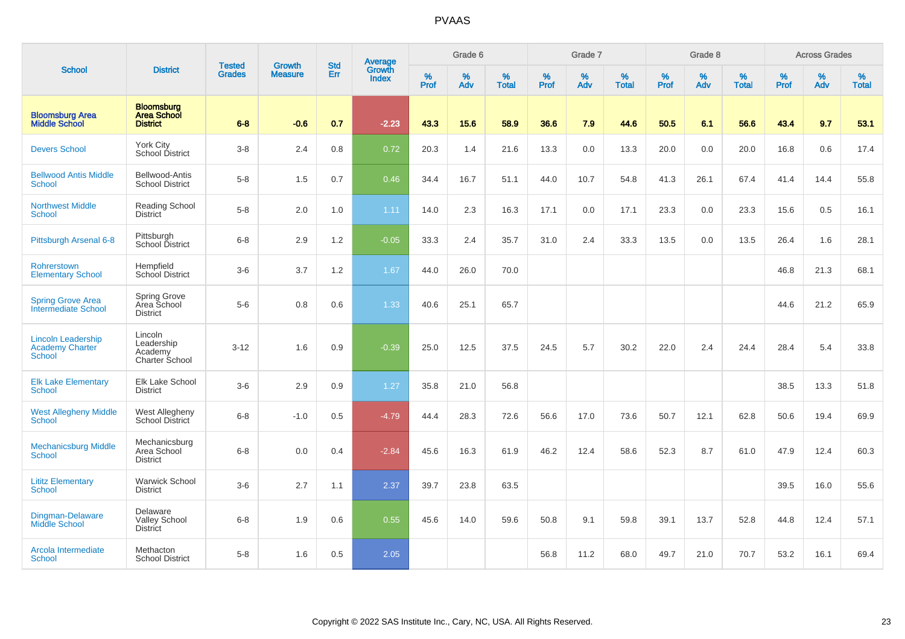|                                                                      |                                                            |                                |                                 | <b>Std</b> |                                          |                  | Grade 6  |                   |           | Grade 7  |                   |           | Grade 8  |                   |           | <b>Across Grades</b> |                   |
|----------------------------------------------------------------------|------------------------------------------------------------|--------------------------------|---------------------------------|------------|------------------------------------------|------------------|----------|-------------------|-----------|----------|-------------------|-----------|----------|-------------------|-----------|----------------------|-------------------|
| <b>School</b>                                                        | <b>District</b>                                            | <b>Tested</b><br><b>Grades</b> | <b>Growth</b><br><b>Measure</b> | Err        | <b>Average</b><br>Growth<br><b>Index</b> | %<br><b>Prof</b> | %<br>Adv | %<br><b>Total</b> | %<br>Prof | %<br>Adv | %<br><b>Total</b> | %<br>Prof | %<br>Adv | %<br><b>Total</b> | %<br>Prof | %<br>Adv             | %<br><b>Total</b> |
| <b>Bloomsburg Area</b><br><b>Middle School</b>                       | <b>Bloomsburg</b><br><b>Area School</b><br><b>District</b> | $6 - 8$                        | $-0.6$                          | 0.7        | $-2.23$                                  | 43.3             | 15.6     | 58.9              | 36.6      | 7.9      | 44.6              | 50.5      | 6.1      | 56.6              | 43.4      | 9.7                  | 53.1              |
| <b>Devers School</b>                                                 | York City<br>School District                               | $3-8$                          | 2.4                             | 0.8        | 0.72                                     | 20.3             | 1.4      | 21.6              | 13.3      | 0.0      | 13.3              | 20.0      | 0.0      | 20.0              | 16.8      | 0.6                  | 17.4              |
| <b>Bellwood Antis Middle</b><br><b>School</b>                        | Bellwood-Antis<br><b>School District</b>                   | $5-8$                          | 1.5                             | 0.7        | 0.46                                     | 34.4             | 16.7     | 51.1              | 44.0      | 10.7     | 54.8              | 41.3      | 26.1     | 67.4              | 41.4      | 14.4                 | 55.8              |
| <b>Northwest Middle</b><br>School                                    | <b>Reading School</b><br>District                          | $5-8$                          | 2.0                             | 1.0        | 1.11                                     | 14.0             | 2.3      | 16.3              | 17.1      | 0.0      | 17.1              | 23.3      | 0.0      | 23.3              | 15.6      | 0.5                  | 16.1              |
| Pittsburgh Arsenal 6-8                                               | Pittsburgh<br>School District                              | $6 - 8$                        | 2.9                             | 1.2        | $-0.05$                                  | 33.3             | 2.4      | 35.7              | 31.0      | 2.4      | 33.3              | 13.5      | 0.0      | 13.5              | 26.4      | 1.6                  | 28.1              |
| Rohrerstown<br><b>Elementary School</b>                              | Hempfield<br>School District                               | $3-6$                          | 3.7                             | 1.2        | 1.67                                     | 44.0             | 26.0     | 70.0              |           |          |                   |           |          |                   | 46.8      | 21.3                 | 68.1              |
| <b>Spring Grove Area</b><br>Intermediate School                      | <b>Spring Grove</b><br>Area School<br><b>District</b>      | $5-6$                          | 0.8                             | 0.6        | 1.33                                     | 40.6             | 25.1     | 65.7              |           |          |                   |           |          |                   | 44.6      | 21.2                 | 65.9              |
| <b>Lincoln Leadership</b><br><b>Academy Charter</b><br><b>School</b> | Lincoln<br>Leadership<br>Academy<br><b>Charter School</b>  | $3 - 12$                       | 1.6                             | 0.9        | $-0.39$                                  | 25.0             | 12.5     | 37.5              | 24.5      | 5.7      | 30.2              | 22.0      | 2.4      | 24.4              | 28.4      | 5.4                  | 33.8              |
| <b>Elk Lake Elementary</b><br>School                                 | <b>Elk Lake School</b><br><b>District</b>                  | $3-6$                          | 2.9                             | 0.9        | 1.27                                     | 35.8             | 21.0     | 56.8              |           |          |                   |           |          |                   | 38.5      | 13.3                 | 51.8              |
| <b>West Allegheny Middle</b><br><b>School</b>                        | West Allegheny<br>School District                          | $6 - 8$                        | $-1.0$                          | 0.5        | $-4.79$                                  | 44.4             | 28.3     | 72.6              | 56.6      | 17.0     | 73.6              | 50.7      | 12.1     | 62.8              | 50.6      | 19.4                 | 69.9              |
| <b>Mechanicsburg Middle</b><br>School                                | Mechanicsburg<br>Area School<br><b>District</b>            | $6 - 8$                        | 0.0                             | 0.4        | $-2.84$                                  | 45.6             | 16.3     | 61.9              | 46.2      | 12.4     | 58.6              | 52.3      | 8.7      | 61.0              | 47.9      | 12.4                 | 60.3              |
| <b>Lititz Elementary</b><br><b>School</b>                            | Warwick School<br><b>District</b>                          | $3-6$                          | 2.7                             | 1.1        | 2.37                                     | 39.7             | 23.8     | 63.5              |           |          |                   |           |          |                   | 39.5      | 16.0                 | 55.6              |
| Dingman-Delaware<br>Middle School                                    | Delaware<br><b>Valley School</b><br><b>District</b>        | $6-8$                          | 1.9                             | 0.6        | 0.55                                     | 45.6             | 14.0     | 59.6              | 50.8      | 9.1      | 59.8              | 39.1      | 13.7     | 52.8              | 44.8      | 12.4                 | 57.1              |
| Arcola Intermediate<br>School                                        | Methacton<br><b>School District</b>                        | $5-8$                          | 1.6                             | 0.5        | 2.05                                     |                  |          |                   | 56.8      | 11.2     | 68.0              | 49.7      | 21.0     | 70.7              | 53.2      | 16.1                 | 69.4              |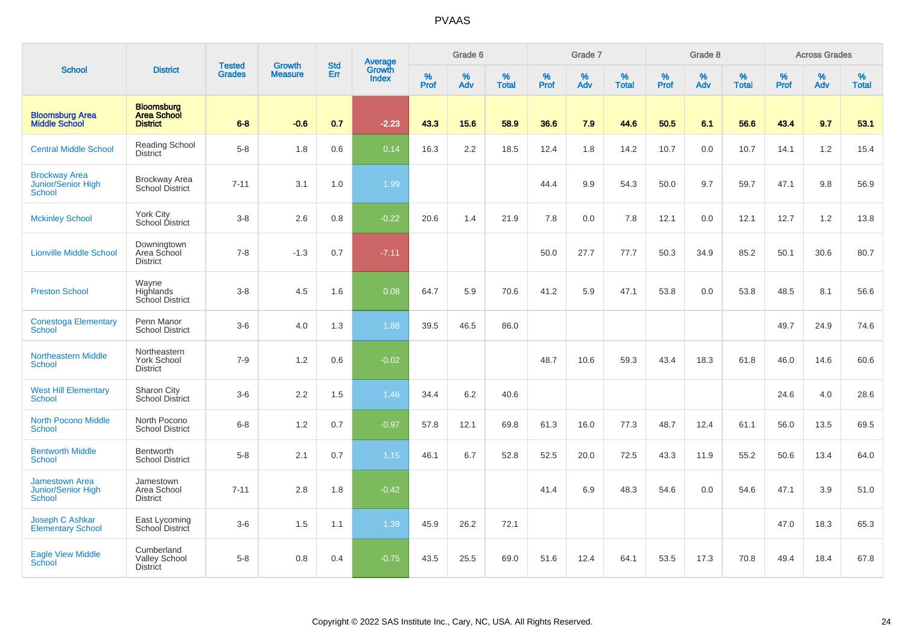|                                                       |                                                            |                                | <b>Growth</b>  | <b>Std</b> |                                   |                  | Grade 6     |                   |           | Grade 7     |                      |              | Grade 8  |                   |              | <b>Across Grades</b> |                   |
|-------------------------------------------------------|------------------------------------------------------------|--------------------------------|----------------|------------|-----------------------------------|------------------|-------------|-------------------|-----------|-------------|----------------------|--------------|----------|-------------------|--------------|----------------------|-------------------|
| <b>School</b>                                         | <b>District</b>                                            | <b>Tested</b><br><b>Grades</b> | <b>Measure</b> | <b>Err</b> | Average<br>Growth<br><b>Index</b> | %<br><b>Prof</b> | $\%$<br>Adv | %<br><b>Total</b> | %<br>Prof | $\%$<br>Adv | $\%$<br><b>Total</b> | $\%$<br>Prof | %<br>Adv | %<br><b>Total</b> | $\%$<br>Prof | $\%$<br>Adv          | %<br><b>Total</b> |
| <b>Bloomsburg Area</b><br><b>Middle School</b>        | <b>Bloomsburg</b><br><b>Area School</b><br><b>District</b> | $6 - 8$                        | $-0.6$         | 0.7        | $-2.23$                           | 43.3             | 15.6        | 58.9              | 36.6      | 7.9         | 44.6                 | 50.5         | 6.1      | 56.6              | 43.4         | 9.7                  | 53.1              |
| <b>Central Middle School</b>                          | Reading School<br>District                                 | $5-8$                          | 1.8            | 0.6        | 0.14                              | 16.3             | $2.2\,$     | 18.5              | 12.4      | 1.8         | 14.2                 | 10.7         | 0.0      | 10.7              | 14.1         | $1.2\,$              | 15.4              |
| <b>Brockway Area</b><br>Junior/Senior High<br>School  | <b>Brockway Area</b><br>School District                    | $7 - 11$                       | 3.1            | 1.0        | 1.99                              |                  |             |                   | 44.4      | 9.9         | 54.3                 | 50.0         | 9.7      | 59.7              | 47.1         | 9.8                  | 56.9              |
| <b>Mckinley School</b>                                | <b>York City</b><br>School District                        | $3 - 8$                        | 2.6            | 0.8        | $-0.22$                           | 20.6             | 1.4         | 21.9              | 7.8       | 0.0         | 7.8                  | 12.1         | 0.0      | 12.1              | 12.7         | 1.2                  | 13.8              |
| <b>Lionville Middle School</b>                        | Downingtown<br>Area School<br><b>District</b>              | $7 - 8$                        | $-1.3$         | 0.7        | $-7.11$                           |                  |             |                   | 50.0      | 27.7        | 77.7                 | 50.3         | 34.9     | 85.2              | 50.1         | 30.6                 | 80.7              |
| <b>Preston School</b>                                 | Wayne<br>Highlands<br>School District                      | $3 - 8$                        | 4.5            | 1.6        | 0.08                              | 64.7             | 5.9         | 70.6              | 41.2      | 5.9         | 47.1                 | 53.8         | 0.0      | 53.8              | 48.5         | 8.1                  | 56.6              |
| <b>Conestoga Elementary</b><br>School                 | Penn Manor<br><b>School District</b>                       | $3-6$                          | 4.0            | 1.3        | 1.88                              | 39.5             | 46.5        | 86.0              |           |             |                      |              |          |                   | 49.7         | 24.9                 | 74.6              |
| <b>Northeastern Middle</b><br>School                  | Northeastern<br><b>York School</b><br><b>District</b>      | $7 - 9$                        | 1.2            | 0.6        | $-0.02$                           |                  |             |                   | 48.7      | 10.6        | 59.3                 | 43.4         | 18.3     | 61.8              | 46.0         | 14.6                 | 60.6              |
| <b>West Hill Elementary</b><br>School                 | Sharon City<br><b>School District</b>                      | $3-6$                          | 2.2            | 1.5        | 1.46                              | 34.4             | 6.2         | 40.6              |           |             |                      |              |          |                   | 24.6         | 4.0                  | 28.6              |
| <b>North Pocono Middle</b><br><b>School</b>           | North Pocono<br><b>School District</b>                     | $6 - 8$                        | 1.2            | 0.7        | $-0.97$                           | 57.8             | 12.1        | 69.8              | 61.3      | 16.0        | 77.3                 | 48.7         | 12.4     | 61.1              | 56.0         | 13.5                 | 69.5              |
| <b>Bentworth Middle</b><br>School                     | <b>Bentworth</b><br><b>School District</b>                 | $5-8$                          | 2.1            | 0.7        | 1.15                              | 46.1             | 6.7         | 52.8              | 52.5      | 20.0        | 72.5                 | 43.3         | 11.9     | 55.2              | 50.6         | 13.4                 | 64.0              |
| <b>Jamestown Area</b><br>Junior/Senior High<br>School | Jamestown<br>Area School<br><b>District</b>                | $7 - 11$                       | 2.8            | 1.8        | $-0.42$                           |                  |             |                   | 41.4      | 6.9         | 48.3                 | 54.6         | 0.0      | 54.6              | 47.1         | 3.9                  | 51.0              |
| Joseph C Ashkar<br><b>Elementary School</b>           | East Lycoming<br>School District                           | $3 - 6$                        | 1.5            | 1.1        | 1.39                              | 45.9             | 26.2        | 72.1              |           |             |                      |              |          |                   | 47.0         | 18.3                 | 65.3              |
| <b>Eagle View Middle</b><br>School                    | Cumberland<br><b>Valley School</b><br><b>District</b>      | $5-8$                          | 0.8            | 0.4        | $-0.75$                           | 43.5             | 25.5        | 69.0              | 51.6      | 12.4        | 64.1                 | 53.5         | 17.3     | 70.8              | 49.4         | 18.4                 | 67.8              |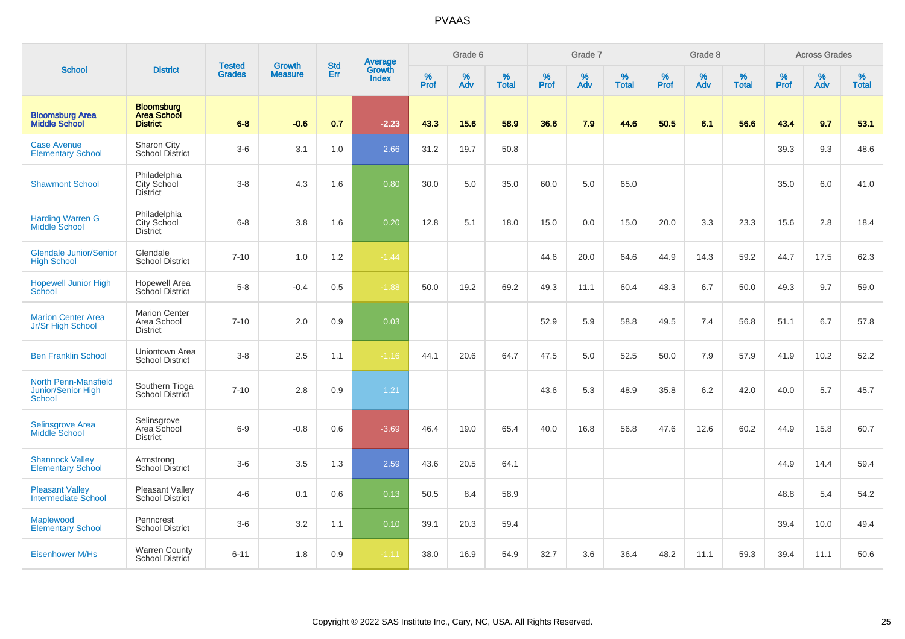|                                                             |                                                            |                                |                                 | <b>Std</b> |                                          |                  | Grade 6  |                   |           | Grade 7  |                   |           | Grade 8  |                   |           | <b>Across Grades</b> |                   |
|-------------------------------------------------------------|------------------------------------------------------------|--------------------------------|---------------------------------|------------|------------------------------------------|------------------|----------|-------------------|-----------|----------|-------------------|-----------|----------|-------------------|-----------|----------------------|-------------------|
| <b>School</b>                                               | <b>District</b>                                            | <b>Tested</b><br><b>Grades</b> | <b>Growth</b><br><b>Measure</b> | Err        | <b>Average</b><br>Growth<br><b>Index</b> | %<br><b>Prof</b> | %<br>Adv | %<br><b>Total</b> | %<br>Prof | %<br>Adv | %<br><b>Total</b> | %<br>Prof | %<br>Adv | %<br><b>Total</b> | %<br>Prof | $\%$<br>Adv          | %<br><b>Total</b> |
| <b>Bloomsburg Area</b><br><b>Middle School</b>              | <b>Bloomsburg</b><br><b>Area School</b><br><b>District</b> | $6 - 8$                        | $-0.6$                          | 0.7        | $-2.23$                                  | 43.3             | 15.6     | 58.9              | 36.6      | 7.9      | 44.6              | 50.5      | 6.1      | 56.6              | 43.4      | 9.7                  | 53.1              |
| <b>Case Avenue</b><br><b>Elementary School</b>              | Sharon City<br><b>School District</b>                      | $3-6$                          | 3.1                             | 1.0        | 2.66                                     | 31.2             | 19.7     | 50.8              |           |          |                   |           |          |                   | 39.3      | 9.3                  | 48.6              |
| <b>Shawmont School</b>                                      | Philadelphia<br>City School<br><b>District</b>             | $3-8$                          | 4.3                             | 1.6        | 0.80                                     | 30.0             | 5.0      | 35.0              | 60.0      | 5.0      | 65.0              |           |          |                   | 35.0      | 6.0                  | 41.0              |
| <b>Harding Warren G</b><br><b>Middle School</b>             | Philadelphia<br>City School<br><b>District</b>             | $6 - 8$                        | 3.8                             | 1.6        | 0.20                                     | 12.8             | 5.1      | 18.0              | 15.0      | 0.0      | 15.0              | 20.0      | 3.3      | 23.3              | 15.6      | 2.8                  | 18.4              |
| <b>Glendale Junior/Senior</b><br><b>High School</b>         | Glendale<br><b>School District</b>                         | $7 - 10$                       | 1.0                             | 1.2        | $-1.44$                                  |                  |          |                   | 44.6      | 20.0     | 64.6              | 44.9      | 14.3     | 59.2              | 44.7      | 17.5                 | 62.3              |
| <b>Hopewell Junior High</b><br>School                       | <b>Hopewell Area</b><br>School District                    | $5-8$                          | $-0.4$                          | 0.5        | $-1.88$                                  | 50.0             | 19.2     | 69.2              | 49.3      | 11.1     | 60.4              | 43.3      | 6.7      | 50.0              | 49.3      | 9.7                  | 59.0              |
| <b>Marion Center Area</b><br>Jr/Sr High School              | <b>Marion Center</b><br>Area School<br><b>District</b>     | $7 - 10$                       | 2.0                             | 0.9        | 0.03                                     |                  |          |                   | 52.9      | 5.9      | 58.8              | 49.5      | 7.4      | 56.8              | 51.1      | 6.7                  | 57.8              |
| <b>Ben Franklin School</b>                                  | Uniontown Area<br><b>School District</b>                   | $3 - 8$                        | 2.5                             | 1.1        | $-1.16$                                  | 44.1             | 20.6     | 64.7              | 47.5      | 5.0      | 52.5              | 50.0      | 7.9      | 57.9              | 41.9      | 10.2                 | 52.2              |
| <b>North Penn-Mansfield</b><br>Junior/Senior High<br>School | Southern Tioga<br>School District                          | $7 - 10$                       | 2.8                             | 0.9        | 1.21                                     |                  |          |                   | 43.6      | 5.3      | 48.9              | 35.8      | 6.2      | 42.0              | 40.0      | 5.7                  | 45.7              |
| <b>Selinsgrove Area</b><br>Middle School                    | Selinsgrove<br>Area School<br><b>District</b>              | $6-9$                          | $-0.8$                          | 0.6        | $-3.69$                                  | 46.4             | 19.0     | 65.4              | 40.0      | 16.8     | 56.8              | 47.6      | 12.6     | 60.2              | 44.9      | 15.8                 | 60.7              |
| <b>Shannock Valley</b><br><b>Elementary School</b>          | Armstrong<br><b>School District</b>                        | $3-6$                          | 3.5                             | 1.3        | 2.59                                     | 43.6             | 20.5     | 64.1              |           |          |                   |           |          |                   | 44.9      | 14.4                 | 59.4              |
| <b>Pleasant Valley</b><br><b>Intermediate School</b>        | Pleasant Valley<br>School District                         | $4 - 6$                        | 0.1                             | 0.6        | 0.13                                     | 50.5             | 8.4      | 58.9              |           |          |                   |           |          |                   | 48.8      | 5.4                  | 54.2              |
| Maplewood<br><b>Elementary School</b>                       | Penncrest<br><b>School District</b>                        | $3-6$                          | 3.2                             | 1.1        | 0.10                                     | 39.1             | 20.3     | 59.4              |           |          |                   |           |          |                   | 39.4      | 10.0                 | 49.4              |
| <b>Eisenhower M/Hs</b>                                      | <b>Warren County</b><br><b>School District</b>             | $6 - 11$                       | 1.8                             | 0.9        | $-1.11$                                  | 38.0             | 16.9     | 54.9              | 32.7      | 3.6      | 36.4              | 48.2      | 11.1     | 59.3              | 39.4      | 11.1                 | 50.6              |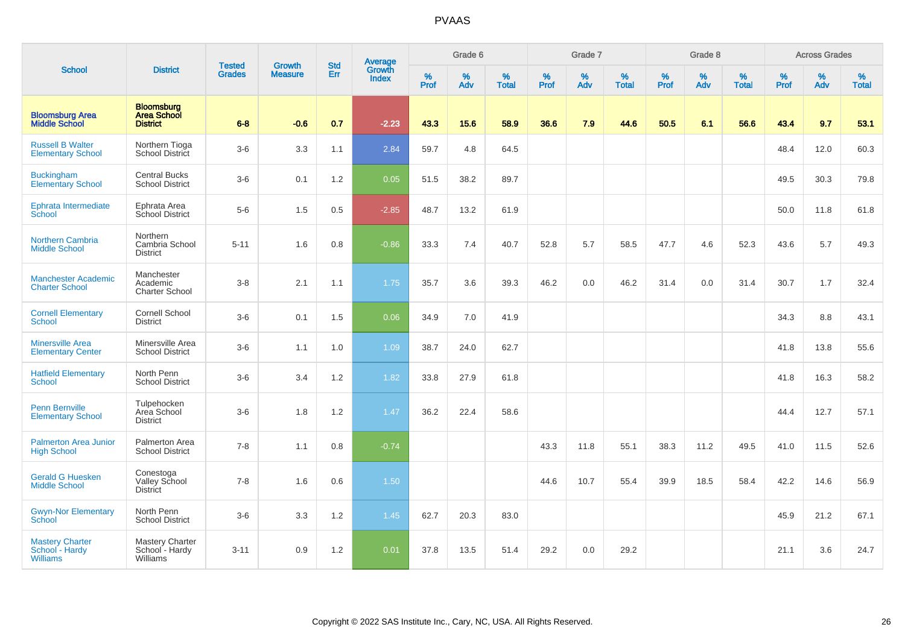|                                                             |                                                            |                                |                                 | <b>Std</b> |                                          |                  | Grade 6  |                   |           | Grade 7  |                   |           | Grade 8  |                   |           | <b>Across Grades</b> |                   |
|-------------------------------------------------------------|------------------------------------------------------------|--------------------------------|---------------------------------|------------|------------------------------------------|------------------|----------|-------------------|-----------|----------|-------------------|-----------|----------|-------------------|-----------|----------------------|-------------------|
| <b>School</b>                                               | <b>District</b>                                            | <b>Tested</b><br><b>Grades</b> | <b>Growth</b><br><b>Measure</b> | Err        | <b>Average</b><br>Growth<br><b>Index</b> | %<br><b>Prof</b> | %<br>Adv | %<br><b>Total</b> | %<br>Prof | %<br>Adv | %<br><b>Total</b> | %<br>Prof | %<br>Adv | %<br><b>Total</b> | %<br>Prof | $\%$<br>Adv          | %<br><b>Total</b> |
| <b>Bloomsburg Area</b><br><b>Middle School</b>              | <b>Bloomsburg</b><br><b>Area School</b><br><b>District</b> | $6 - 8$                        | $-0.6$                          | 0.7        | $-2.23$                                  | 43.3             | 15.6     | 58.9              | 36.6      | 7.9      | 44.6              | 50.5      | 6.1      | 56.6              | 43.4      | 9.7                  | 53.1              |
| <b>Russell B Walter</b><br><b>Elementary School</b>         | Northern Tioga<br>School District                          | $3-6$                          | 3.3                             | 1.1        | 2.84                                     | 59.7             | 4.8      | 64.5              |           |          |                   |           |          |                   | 48.4      | 12.0                 | 60.3              |
| <b>Buckingham</b><br><b>Elementary School</b>               | <b>Central Bucks</b><br><b>School District</b>             | $3-6$                          | 0.1                             | 1.2        | 0.05                                     | 51.5             | 38.2     | 89.7              |           |          |                   |           |          |                   | 49.5      | 30.3                 | 79.8              |
| Ephrata Intermediate<br>School                              | Ephrata Area<br>School District                            | $5-6$                          | 1.5                             | 0.5        | $-2.85$                                  | 48.7             | 13.2     | 61.9              |           |          |                   |           |          |                   | 50.0      | 11.8                 | 61.8              |
| <b>Northern Cambria</b><br><b>Middle School</b>             | Northern<br>Cambria School<br><b>District</b>              | $5 - 11$                       | 1.6                             | 0.8        | $-0.86$                                  | 33.3             | 7.4      | 40.7              | 52.8      | 5.7      | 58.5              | 47.7      | 4.6      | 52.3              | 43.6      | 5.7                  | 49.3              |
| <b>Manchester Academic</b><br><b>Charter School</b>         | Manchester<br>Academic<br><b>Charter School</b>            | $3-8$                          | 2.1                             | 1.1        | 1.75                                     | 35.7             | 3.6      | 39.3              | 46.2      | 0.0      | 46.2              | 31.4      | 0.0      | 31.4              | 30.7      | 1.7                  | 32.4              |
| <b>Cornell Elementary</b><br>School                         | Cornell School<br><b>District</b>                          | $3-6$                          | 0.1                             | 1.5        | 0.06                                     | 34.9             | 7.0      | 41.9              |           |          |                   |           |          |                   | 34.3      | 8.8                  | 43.1              |
| <b>Minersville Area</b><br><b>Elementary Center</b>         | Minersville Area<br><b>School District</b>                 | $3-6$                          | 1.1                             | 1.0        | 1.09                                     | 38.7             | 24.0     | 62.7              |           |          |                   |           |          |                   | 41.8      | 13.8                 | 55.6              |
| <b>Hatfield Elementary</b><br><b>School</b>                 | North Penn<br><b>School District</b>                       | $3-6$                          | 3.4                             | 1.2        | 1.82                                     | 33.8             | 27.9     | 61.8              |           |          |                   |           |          |                   | 41.8      | 16.3                 | 58.2              |
| <b>Penn Bernville</b><br><b>Elementary School</b>           | Tulpehocken<br>Area School<br><b>District</b>              | $3-6$                          | 1.8                             | 1.2        | 1.47                                     | 36.2             | 22.4     | 58.6              |           |          |                   |           |          |                   | 44.4      | 12.7                 | 57.1              |
| <b>Palmerton Area Junior</b><br><b>High School</b>          | Palmerton Area<br><b>School District</b>                   | $7 - 8$                        | 1.1                             | 0.8        | $-0.74$                                  |                  |          |                   | 43.3      | 11.8     | 55.1              | 38.3      | 11.2     | 49.5              | 41.0      | 11.5                 | 52.6              |
| <b>Gerald G Huesken</b><br><b>Middle School</b>             | Conestoga<br>Valley School<br>District                     | $7 - 8$                        | 1.6                             | $0.6\,$    | 1.50                                     |                  |          |                   | 44.6      | 10.7     | 55.4              | 39.9      | 18.5     | 58.4              | 42.2      | 14.6                 | 56.9              |
| <b>Gwyn-Nor Elementary</b><br>School                        | North Penn<br><b>School District</b>                       | $3-6$                          | 3.3                             | 1.2        | 1.45                                     | 62.7             | 20.3     | 83.0              |           |          |                   |           |          |                   | 45.9      | 21.2                 | 67.1              |
| <b>Mastery Charter</b><br>School - Hardy<br><b>Williams</b> | <b>Mastery Charter</b><br>School - Hardy<br>Williams       | $3 - 11$                       | 0.9                             | 1.2        | 0.01                                     | 37.8             | 13.5     | 51.4              | 29.2      | 0.0      | 29.2              |           |          |                   | 21.1      | 3.6                  | 24.7              |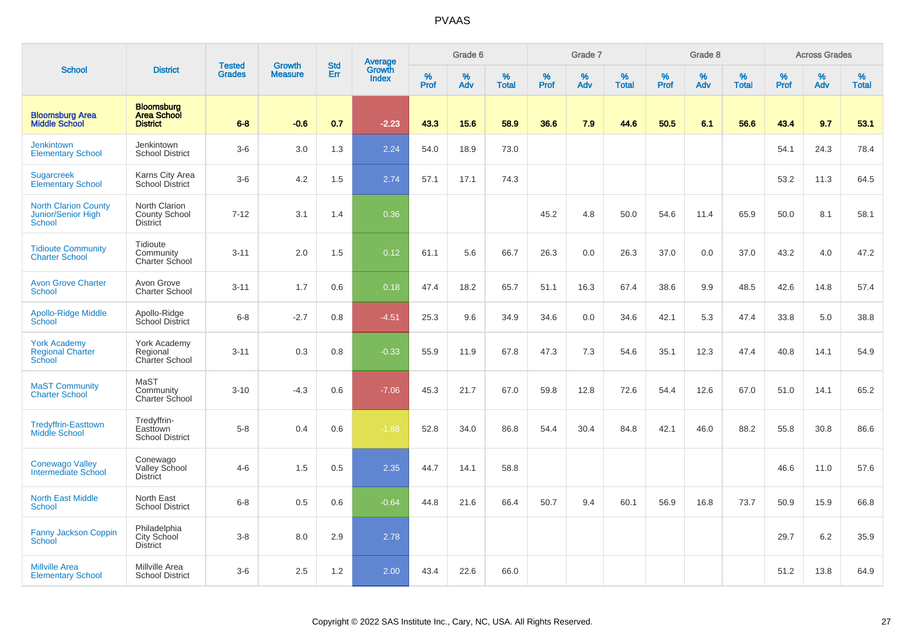|                                                             |                                                            |                                | <b>Growth</b>  | <b>Std</b> |                                          |                  | Grade 6     |                   |           | Grade 7     |                   |           | Grade 8  |                   |              | <b>Across Grades</b> |                   |
|-------------------------------------------------------------|------------------------------------------------------------|--------------------------------|----------------|------------|------------------------------------------|------------------|-------------|-------------------|-----------|-------------|-------------------|-----------|----------|-------------------|--------------|----------------------|-------------------|
| <b>School</b>                                               | <b>District</b>                                            | <b>Tested</b><br><b>Grades</b> | <b>Measure</b> | Err        | <b>Average</b><br>Growth<br><b>Index</b> | %<br><b>Prof</b> | $\%$<br>Adv | %<br><b>Total</b> | %<br>Prof | $\%$<br>Adv | %<br><b>Total</b> | %<br>Prof | %<br>Adv | %<br><b>Total</b> | $\%$<br>Prof | $\%$<br>Adv          | %<br><b>Total</b> |
| <b>Bloomsburg Area</b><br><b>Middle School</b>              | <b>Bloomsburg</b><br><b>Area School</b><br><b>District</b> | $6 - 8$                        | $-0.6$         | 0.7        | $-2.23$                                  | 43.3             | 15.6        | 58.9              | 36.6      | 7.9         | 44.6              | 50.5      | 6.1      | 56.6              | 43.4         | 9.7                  | 53.1              |
| <b>Jenkintown</b><br><b>Elementary School</b>               | Jenkintown<br><b>School District</b>                       | $3-6$                          | 3.0            | 1.3        | 2.24                                     | 54.0             | 18.9        | 73.0              |           |             |                   |           |          |                   | 54.1         | 24.3                 | 78.4              |
| <b>Sugarcreek</b><br><b>Elementary School</b>               | Karns City Area<br><b>School District</b>                  | $3-6$                          | 4.2            | 1.5        | 2.74                                     | 57.1             | 17.1        | 74.3              |           |             |                   |           |          |                   | 53.2         | 11.3                 | 64.5              |
| <b>North Clarion County</b><br>Junior/Senior High<br>School | North Clarion<br><b>County School</b><br><b>District</b>   | $7 - 12$                       | 3.1            | 1.4        | 0.36                                     |                  |             |                   | 45.2      | 4.8         | 50.0              | 54.6      | 11.4     | 65.9              | 50.0         | 8.1                  | 58.1              |
| <b>Tidioute Community</b><br><b>Charter School</b>          | Tidioute<br>Community<br>Charter School                    | $3 - 11$                       | 2.0            | 1.5        | 0.12                                     | 61.1             | 5.6         | 66.7              | 26.3      | 0.0         | 26.3              | 37.0      | 0.0      | 37.0              | 43.2         | 4.0                  | 47.2              |
| <b>Avon Grove Charter</b><br><b>School</b>                  | Avon Grove<br><b>Charter School</b>                        | $3 - 11$                       | 1.7            | 0.6        | 0.18                                     | 47.4             | 18.2        | 65.7              | 51.1      | 16.3        | 67.4              | 38.6      | 9.9      | 48.5              | 42.6         | 14.8                 | 57.4              |
| <b>Apollo-Ridge Middle</b><br>School                        | Apollo-Ridge<br>School District                            | $6-8$                          | $-2.7$         | 0.8        | $-4.51$                                  | 25.3             | 9.6         | 34.9              | 34.6      | 0.0         | 34.6              | 42.1      | 5.3      | 47.4              | 33.8         | 5.0                  | 38.8              |
| <b>York Academy</b><br><b>Regional Charter</b><br>School    | York Academy<br>Regional<br>Charter School                 | $3 - 11$                       | 0.3            | 0.8        | $-0.33$                                  | 55.9             | 11.9        | 67.8              | 47.3      | 7.3         | 54.6              | 35.1      | 12.3     | 47.4              | 40.8         | 14.1                 | 54.9              |
| <b>MaST Community</b><br><b>Charter School</b>              | MaST<br>Community<br>Charter School                        | $3 - 10$                       | $-4.3$         | 0.6        | $-7.06$                                  | 45.3             | 21.7        | 67.0              | 59.8      | 12.8        | 72.6              | 54.4      | 12.6     | 67.0              | 51.0         | 14.1                 | 65.2              |
| <b>Tredyffrin-Easttown</b><br>Middle School                 | Tredyffrin-<br>Easttown<br><b>School District</b>          | $5-8$                          | 0.4            | 0.6        | $-1.88$                                  | 52.8             | 34.0        | 86.8              | 54.4      | 30.4        | 84.8              | 42.1      | 46.0     | 88.2              | 55.8         | 30.8                 | 86.6              |
| <b>Conewago Valley</b><br><b>Intermediate School</b>        | Conewago<br><b>Valley School</b><br><b>District</b>        | $4 - 6$                        | 1.5            | 0.5        | 2.35                                     | 44.7             | 14.1        | 58.8              |           |             |                   |           |          |                   | 46.6         | 11.0                 | 57.6              |
| <b>North East Middle</b><br>School                          | North East<br><b>School District</b>                       | $6 - 8$                        | 0.5            | 0.6        | $-0.64$                                  | 44.8             | 21.6        | 66.4              | 50.7      | 9.4         | 60.1              | 56.9      | 16.8     | 73.7              | 50.9         | 15.9                 | 66.8              |
| Fanny Jackson Coppin<br>School                              | Philadelphia<br>City School<br><b>District</b>             | $3-8$                          | 8.0            | 2.9        | 2.78                                     |                  |             |                   |           |             |                   |           |          |                   | 29.7         | 6.2                  | 35.9              |
| <b>Millville Area</b><br><b>Elementary School</b>           | Millville Area<br><b>School District</b>                   | $3-6$                          | 2.5            | 1.2        | 2.00                                     | 43.4             | 22.6        | 66.0              |           |             |                   |           |          |                   | 51.2         | 13.8                 | 64.9              |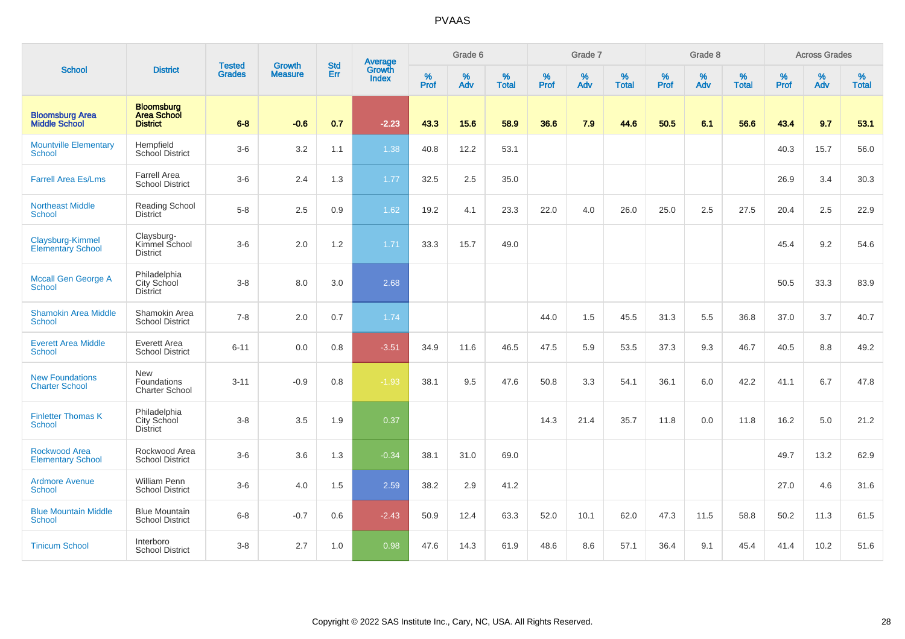|                                                 |                                                            |                                |                                 |                   |                                          |                  | Grade 6     |                   |           | Grade 7  |                   |                     | Grade 8     |                   |                     | <b>Across Grades</b> |                   |
|-------------------------------------------------|------------------------------------------------------------|--------------------------------|---------------------------------|-------------------|------------------------------------------|------------------|-------------|-------------------|-----------|----------|-------------------|---------------------|-------------|-------------------|---------------------|----------------------|-------------------|
| <b>School</b>                                   | <b>District</b>                                            | <b>Tested</b><br><b>Grades</b> | <b>Growth</b><br><b>Measure</b> | <b>Std</b><br>Err | <b>Average</b><br>Growth<br><b>Index</b> | %<br><b>Prof</b> | $\%$<br>Adv | %<br><b>Total</b> | %<br>Prof | %<br>Adv | %<br><b>Total</b> | $\%$<br><b>Prof</b> | $\%$<br>Adv | %<br><b>Total</b> | $\%$<br><b>Prof</b> | $\%$<br>Adv          | %<br><b>Total</b> |
| <b>Bloomsburg Area</b><br><b>Middle School</b>  | <b>Bloomsburg</b><br><b>Area School</b><br><b>District</b> | $6 - 8$                        | $-0.6$                          | 0.7               | $-2.23$                                  | 43.3             | 15.6        | 58.9              | 36.6      | 7.9      | 44.6              | 50.5                | 6.1         | 56.6              | 43.4                | 9.7                  | 53.1              |
| <b>Mountville Elementary</b><br><b>School</b>   | Hempfield<br>School District                               | $3-6$                          | 3.2                             | 1.1               | 1.38                                     | 40.8             | 12.2        | 53.1              |           |          |                   |                     |             |                   | 40.3                | 15.7                 | 56.0              |
| <b>Farrell Area Es/Lms</b>                      | <b>Farrell Area</b><br><b>School District</b>              | $3-6$                          | 2.4                             | 1.3               | 1.77                                     | 32.5             | 2.5         | 35.0              |           |          |                   |                     |             |                   | 26.9                | 3.4                  | 30.3              |
| <b>Northeast Middle</b><br><b>School</b>        | Reading School<br><b>District</b>                          | $5-8$                          | 2.5                             | 0.9               | 1.62                                     | 19.2             | 4.1         | 23.3              | 22.0      | 4.0      | 26.0              | 25.0                | 2.5         | 27.5              | 20.4                | 2.5                  | 22.9              |
| Claysburg-Kimmel<br><b>Elementary School</b>    | Claysburg-<br>Kimmel School<br><b>District</b>             | $3-6$                          | 2.0                             | $1.2$             | 1.71                                     | 33.3             | 15.7        | 49.0              |           |          |                   |                     |             |                   | 45.4                | 9.2                  | 54.6              |
| Mccall Gen George A<br><b>School</b>            | Philadelphia<br>City School<br><b>District</b>             | $3 - 8$                        | 8.0                             | 3.0               | 2.68                                     |                  |             |                   |           |          |                   |                     |             |                   | 50.5                | 33.3                 | 83.9              |
| <b>Shamokin Area Middle</b><br><b>School</b>    | Shamokin Area<br><b>School District</b>                    | $7 - 8$                        | 2.0                             | 0.7               | 1.74                                     |                  |             |                   | 44.0      | 1.5      | 45.5              | 31.3                | 5.5         | 36.8              | 37.0                | 3.7                  | 40.7              |
| <b>Everett Area Middle</b><br>School            | Everett Area<br>School District                            | $6 - 11$                       | 0.0                             | 0.8               | $-3.51$                                  | 34.9             | 11.6        | 46.5              | 47.5      | 5.9      | 53.5              | 37.3                | 9.3         | 46.7              | 40.5                | 8.8                  | 49.2              |
| <b>New Foundations</b><br><b>Charter School</b> | <b>New</b><br>Foundations<br><b>Charter School</b>         | $3 - 11$                       | $-0.9$                          | 0.8               | $-1.93$                                  | 38.1             | 9.5         | 47.6              | 50.8      | 3.3      | 54.1              | 36.1                | 6.0         | 42.2              | 41.1                | 6.7                  | 47.8              |
| <b>Finletter Thomas K</b><br><b>School</b>      | Philadelphia<br>City School<br><b>District</b>             | $3 - 8$                        | 3.5                             | 1.9               | 0.37                                     |                  |             |                   | 14.3      | 21.4     | 35.7              | 11.8                | 0.0         | 11.8              | 16.2                | 5.0                  | 21.2              |
| Rockwood Area<br><b>Elementary School</b>       | Rockwood Area<br><b>School District</b>                    | $3-6$                          | 3.6                             | 1.3               | $-0.34$                                  | 38.1             | 31.0        | 69.0              |           |          |                   |                     |             |                   | 49.7                | 13.2                 | 62.9              |
| <b>Ardmore Avenue</b><br><b>School</b>          | <b>William Penn</b><br><b>School District</b>              | $3-6$                          | 4.0                             | 1.5               | 2.59                                     | 38.2             | 2.9         | 41.2              |           |          |                   |                     |             |                   | 27.0                | 4.6                  | 31.6              |
| <b>Blue Mountain Middle</b><br>School           | <b>Blue Mountain</b><br><b>School District</b>             | $6 - 8$                        | $-0.7$                          | 0.6               | $-2.43$                                  | 50.9             | 12.4        | 63.3              | 52.0      | 10.1     | 62.0              | 47.3                | 11.5        | 58.8              | 50.2                | 11.3                 | 61.5              |
| <b>Tinicum School</b>                           | Interboro<br><b>School District</b>                        | $3 - 8$                        | 2.7                             | 1.0               | 0.98                                     | 47.6             | 14.3        | 61.9              | 48.6      | 8.6      | 57.1              | 36.4                | 9.1         | 45.4              | 41.4                | 10.2                 | 51.6              |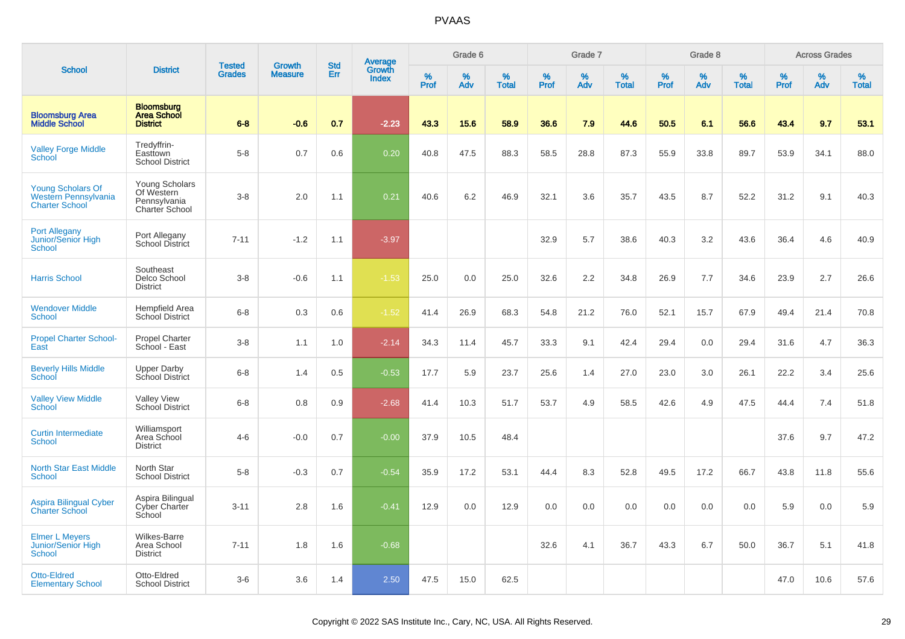|                                                                           |                                                                       |                                |                          | <b>Std</b> |                                          |                     | Grade 6     |                   |                     | Grade 7     |                      |              | Grade 8     |                      |                     | <b>Across Grades</b> |                   |
|---------------------------------------------------------------------------|-----------------------------------------------------------------------|--------------------------------|--------------------------|------------|------------------------------------------|---------------------|-------------|-------------------|---------------------|-------------|----------------------|--------------|-------------|----------------------|---------------------|----------------------|-------------------|
| <b>School</b>                                                             | <b>District</b>                                                       | <b>Tested</b><br><b>Grades</b> | Growth<br><b>Measure</b> | Err        | <b>Average</b><br>Growth<br><b>Index</b> | $\%$<br><b>Prof</b> | $\%$<br>Adv | %<br><b>Total</b> | $\%$<br><b>Prof</b> | $\%$<br>Adv | $\%$<br><b>Total</b> | $\%$<br>Prof | $\%$<br>Adv | $\%$<br><b>Total</b> | $\%$<br><b>Prof</b> | $\%$<br>Adv          | %<br><b>Total</b> |
| <b>Bloomsburg Area</b><br><b>Middle School</b>                            | <b>Bloomsburg</b><br><b>Area School</b><br><b>District</b>            | $6 - 8$                        | $-0.6$                   | 0.7        | $-2.23$                                  | 43.3                | 15.6        | 58.9              | 36.6                | 7.9         | 44.6                 | 50.5         | 6.1         | 56.6                 | 43.4                | 9.7                  | 53.1              |
| <b>Valley Forge Middle</b><br><b>School</b>                               | Tredyffrin-<br>Easttown<br><b>School District</b>                     | $5-8$                          | 0.7                      | 0.6        | 0.20                                     | 40.8                | 47.5        | 88.3              | 58.5                | 28.8        | 87.3                 | 55.9         | 33.8        | 89.7                 | 53.9                | 34.1                 | 88.0              |
| <b>Young Scholars Of</b><br>Western Pennsylvania<br><b>Charter School</b> | <b>Young Scholars</b><br>Of Western<br>Pennsylvania<br>Charter School | $3-8$                          | 2.0                      | 1.1        | 0.21                                     | 40.6                | 6.2         | 46.9              | 32.1                | 3.6         | 35.7                 | 43.5         | 8.7         | 52.2                 | 31.2                | 9.1                  | 40.3              |
| <b>Port Allegany</b><br><b>Junior/Senior High</b><br>School               | Port Allegany<br>School District                                      | $7 - 11$                       | $-1.2$                   | 1.1        | $-3.97$                                  |                     |             |                   | 32.9                | 5.7         | 38.6                 | 40.3         | 3.2         | 43.6                 | 36.4                | 4.6                  | 40.9              |
| <b>Harris School</b>                                                      | Southeast<br>Delco School<br><b>District</b>                          | $3-8$                          | $-0.6$                   | 1.1        | $-1.53$                                  | 25.0                | 0.0         | 25.0              | 32.6                | 2.2         | 34.8                 | 26.9         | 7.7         | 34.6                 | 23.9                | 2.7                  | 26.6              |
| <b>Wendover Middle</b><br><b>School</b>                                   | <b>Hempfield Area</b><br><b>School District</b>                       | $6-8$                          | 0.3                      | 0.6        | $-1.52$                                  | 41.4                | 26.9        | 68.3              | 54.8                | 21.2        | 76.0                 | 52.1         | 15.7        | 67.9                 | 49.4                | 21.4                 | 70.8              |
| <b>Propel Charter School-</b><br>East                                     | <b>Propel Charter</b><br>School - East                                | $3-8$                          | 1.1                      | 1.0        | $-2.14$                                  | 34.3                | 11.4        | 45.7              | 33.3                | 9.1         | 42.4                 | 29.4         | 0.0         | 29.4                 | 31.6                | 4.7                  | 36.3              |
| <b>Beverly Hills Middle</b><br>School                                     | <b>Upper Darby</b><br>School District                                 | $6-8$                          | 1.4                      | 0.5        | $-0.53$                                  | 17.7                | 5.9         | 23.7              | 25.6                | 1.4         | 27.0                 | 23.0         | 3.0         | 26.1                 | 22.2                | 3.4                  | 25.6              |
| <b>Valley View Middle</b><br>School                                       | <b>Valley View</b><br>School District                                 | $6 - 8$                        | 0.8                      | 0.9        | $-2.68$                                  | 41.4                | 10.3        | 51.7              | 53.7                | 4.9         | 58.5                 | 42.6         | 4.9         | 47.5                 | 44.4                | 7.4                  | 51.8              |
| <b>Curtin Intermediate</b><br><b>School</b>                               | Williamsport<br>Area School<br><b>District</b>                        | $4 - 6$                        | $-0.0$                   | 0.7        | $-0.00$                                  | 37.9                | 10.5        | 48.4              |                     |             |                      |              |             |                      | 37.6                | 9.7                  | 47.2              |
| <b>North Star East Middle</b><br>School                                   | North Star<br><b>School District</b>                                  | $5-8$                          | $-0.3$                   | 0.7        | $-0.54$                                  | 35.9                | 17.2        | 53.1              | 44.4                | 8.3         | 52.8                 | 49.5         | 17.2        | 66.7                 | 43.8                | 11.8                 | 55.6              |
| <b>Aspira Bilingual Cyber</b><br><b>Charter School</b>                    | Aspira Bilingual<br>Cyber Charter<br>School                           | $3 - 11$                       | 2.8                      | 1.6        | $-0.41$                                  | 12.9                | 0.0         | 12.9              | 0.0                 | 0.0         | 0.0                  | 0.0          | 0.0         | 0.0                  | 5.9                 | 0.0                  | 5.9               |
| <b>Elmer L Meyers</b><br>Junior/Senior High<br><b>School</b>              | Wilkes-Barre<br>Area School<br><b>District</b>                        | $7 - 11$                       | 1.8                      | 1.6        | $-0.68$                                  |                     |             |                   | 32.6                | 4.1         | 36.7                 | 43.3         | 6.7         | 50.0                 | 36.7                | 5.1                  | 41.8              |
| Otto-Eldred<br><b>Elementary School</b>                                   | Otto-Eldred<br><b>School District</b>                                 | $3-6$                          | 3.6                      | 1.4        | 2.50                                     | 47.5                | 15.0        | 62.5              |                     |             |                      |              |             |                      | 47.0                | 10.6                 | 57.6              |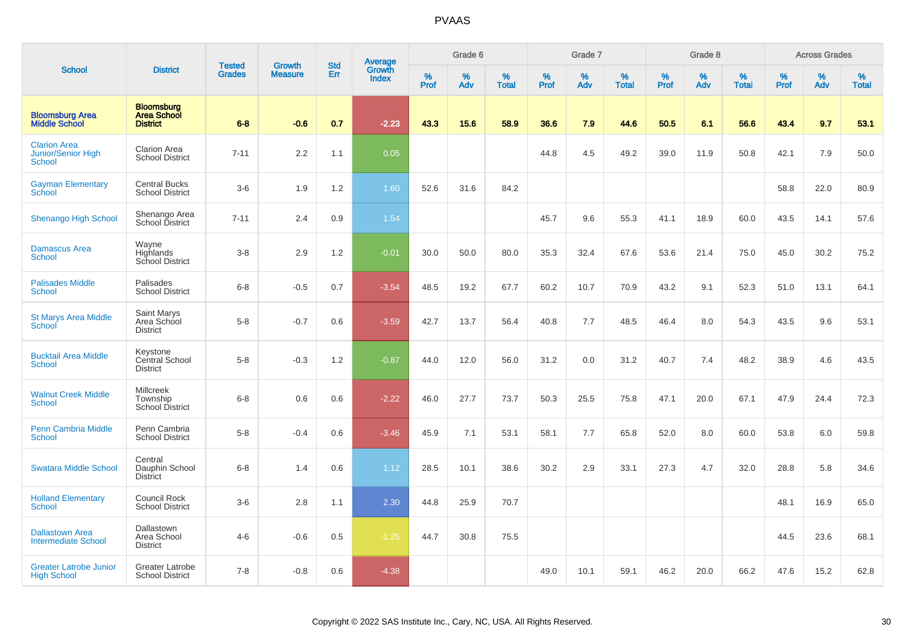|                                                            |                                                            |                                |                          | <b>Std</b> |                                   |                     | Grade 6     |                   |           | Grade 7     |                   |              | Grade 8  |                   |              | <b>Across Grades</b> |                   |
|------------------------------------------------------------|------------------------------------------------------------|--------------------------------|--------------------------|------------|-----------------------------------|---------------------|-------------|-------------------|-----------|-------------|-------------------|--------------|----------|-------------------|--------------|----------------------|-------------------|
| <b>School</b>                                              | <b>District</b>                                            | <b>Tested</b><br><b>Grades</b> | Growth<br><b>Measure</b> | Err        | <b>Average</b><br>Growth<br>Index | $\%$<br><b>Prof</b> | $\%$<br>Adv | %<br><b>Total</b> | %<br>Prof | $\%$<br>Adv | %<br><b>Total</b> | $\%$<br>Prof | %<br>Adv | %<br><b>Total</b> | $\%$<br>Prof | $\%$<br>Adv          | %<br><b>Total</b> |
| <b>Bloomsburg Area</b><br><b>Middle School</b>             | <b>Bloomsburg</b><br><b>Area School</b><br><b>District</b> | $6 - 8$                        | $-0.6$                   | 0.7        | $-2.23$                           | 43.3                | 15.6        | 58.9              | 36.6      | 7.9         | 44.6              | 50.5         | 6.1      | 56.6              | 43.4         | 9.7                  | 53.1              |
| <b>Clarion Area</b><br><b>Junior/Senior High</b><br>School | Clarion Area<br><b>School District</b>                     | $7 - 11$                       | 2.2                      | 1.1        | 0.05                              |                     |             |                   | 44.8      | 4.5         | 49.2              | 39.0         | 11.9     | 50.8              | 42.1         | 7.9                  | 50.0              |
| <b>Gayman Elementary</b><br>School                         | <b>Central Bucks</b><br><b>School District</b>             | $3-6$                          | 1.9                      | 1.2        | 1.60                              | 52.6                | 31.6        | 84.2              |           |             |                   |              |          |                   | 58.8         | 22.0                 | 80.9              |
| Shenango High School                                       | Shenango Area<br>School District                           | $7 - 11$                       | 2.4                      | 0.9        | 1.54                              |                     |             |                   | 45.7      | 9.6         | 55.3              | 41.1         | 18.9     | 60.0              | 43.5         | 14.1                 | 57.6              |
| <b>Damascus Area</b><br><b>School</b>                      | Wayne<br>Highlands<br>School District                      | $3-8$                          | 2.9                      | 1.2        | $-0.01$                           | 30.0                | 50.0        | 80.0              | 35.3      | 32.4        | 67.6              | 53.6         | 21.4     | 75.0              | 45.0         | 30.2                 | 75.2              |
| <b>Palisades Middle</b><br>School                          | Palisades<br><b>School District</b>                        | $6 - 8$                        | $-0.5$                   | 0.7        | $-3.54$                           | 48.5                | 19.2        | 67.7              | 60.2      | 10.7        | 70.9              | 43.2         | 9.1      | 52.3              | 51.0         | 13.1                 | 64.1              |
| <b>St Marys Area Middle</b><br>School                      | Saint Marys<br>Area School<br><b>District</b>              | $5-8$                          | $-0.7$                   | 0.6        | $-3.59$                           | 42.7                | 13.7        | 56.4              | 40.8      | 7.7         | 48.5              | 46.4         | 8.0      | 54.3              | 43.5         | 9.6                  | 53.1              |
| <b>Bucktail Area Middle</b><br>School                      | Keystone<br>Central School<br><b>District</b>              | $5-8$                          | $-0.3$                   | 1.2        | $-0.87$                           | 44.0                | 12.0        | 56.0              | 31.2      | 0.0         | 31.2              | 40.7         | 7.4      | 48.2              | 38.9         | 4.6                  | 43.5              |
| <b>Walnut Creek Middle</b><br><b>School</b>                | <b>Millcreek</b><br>Township<br>School District            | $6 - 8$                        | 0.6                      | 0.6        | $-2.22$                           | 46.0                | 27.7        | 73.7              | 50.3      | 25.5        | 75.8              | 47.1         | 20.0     | 67.1              | 47.9         | 24.4                 | 72.3              |
| <b>Penn Cambria Middle</b><br><b>School</b>                | Penn Cambria<br><b>School District</b>                     | $5 - 8$                        | $-0.4$                   | 0.6        | $-3.46$                           | 45.9                | 7.1         | 53.1              | 58.1      | 7.7         | 65.8              | 52.0         | 8.0      | 60.0              | 53.8         | 6.0                  | 59.8              |
| <b>Swatara Middle School</b>                               | Central<br>Dauphin School<br><b>District</b>               | $6-8$                          | 1.4                      | 0.6        | 1.12                              | 28.5                | 10.1        | 38.6              | 30.2      | 2.9         | 33.1              | 27.3         | 4.7      | 32.0              | 28.8         | 5.8                  | 34.6              |
| <b>Holland Elementary</b><br><b>School</b>                 | <b>Council Rock</b><br><b>School District</b>              | $3-6$                          | 2.8                      | 1.1        | 2.30                              | 44.8                | 25.9        | 70.7              |           |             |                   |              |          |                   | 48.1         | 16.9                 | 65.0              |
| <b>Dallastown Area</b><br><b>Intermediate School</b>       | Dallastown<br>Area School<br><b>District</b>               | $4 - 6$                        | $-0.6$                   | 0.5        | $-1.25$                           | 44.7                | 30.8        | 75.5              |           |             |                   |              |          |                   | 44.5         | 23.6                 | 68.1              |
| <b>Greater Latrobe Junior</b><br><b>High School</b>        | Greater Latrobe<br><b>School District</b>                  | $7 - 8$                        | $-0.8$                   | 0.6        | $-4.38$                           |                     |             |                   | 49.0      | 10.1        | 59.1              | 46.2         | 20.0     | 66.2              | 47.6         | 15.2                 | 62.8              |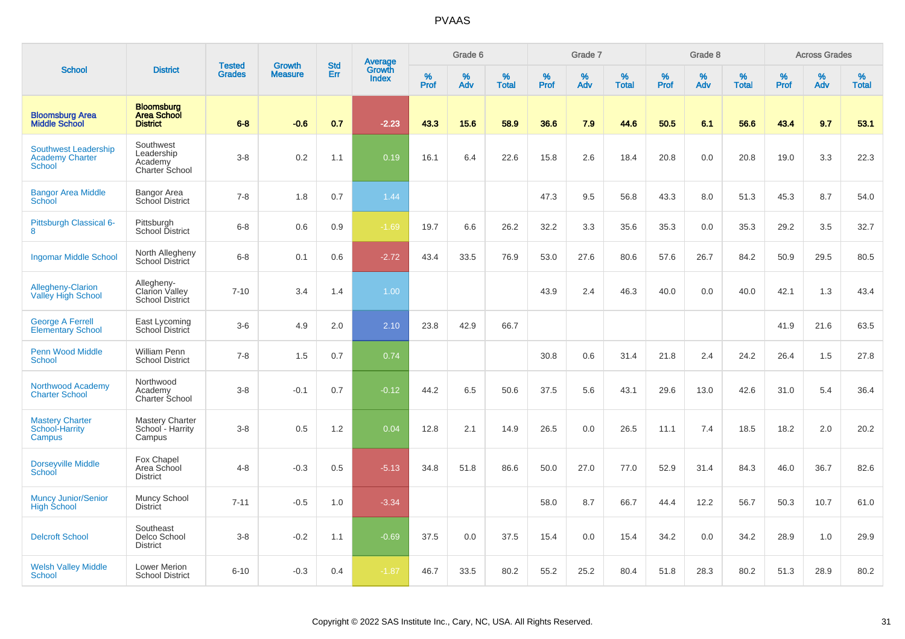|                                                                        |                                                               | <b>Tested</b> | <b>Growth</b>  | <b>Std</b> |                                   |                  | Grade 6     |                   |           | Grade 7  |                   |           | Grade 8  |                   |              | <b>Across Grades</b> |                   |
|------------------------------------------------------------------------|---------------------------------------------------------------|---------------|----------------|------------|-----------------------------------|------------------|-------------|-------------------|-----------|----------|-------------------|-----------|----------|-------------------|--------------|----------------------|-------------------|
| <b>School</b>                                                          | <b>District</b>                                               | <b>Grades</b> | <b>Measure</b> | <b>Err</b> | Average<br>Growth<br><b>Index</b> | %<br><b>Prof</b> | $\%$<br>Adv | %<br><b>Total</b> | %<br>Prof | %<br>Adv | %<br><b>Total</b> | %<br>Prof | %<br>Adv | %<br><b>Total</b> | $\%$<br>Prof | %<br>Adv             | %<br><b>Total</b> |
| <b>Bloomsburg Area</b><br><b>Middle School</b>                         | <b>Bloomsburg</b><br><b>Area School</b><br><b>District</b>    | $6 - 8$       | $-0.6$         | 0.7        | $-2.23$                           | 43.3             | 15.6        | 58.9              | 36.6      | 7.9      | 44.6              | 50.5      | 6.1      | 56.6              | 43.4         | 9.7                  | 53.1              |
| <b>Southwest Leadership</b><br><b>Academy Charter</b><br><b>School</b> | Southwest<br>Leadership<br>Academy<br>Charter School          | $3 - 8$       | 0.2            | 1.1        | 0.19                              | 16.1             | 6.4         | 22.6              | 15.8      | 2.6      | 18.4              | 20.8      | 0.0      | 20.8              | 19.0         | 3.3                  | 22.3              |
| <b>Bangor Area Middle</b><br>School                                    | Bangor Area<br>School District                                | $7 - 8$       | 1.8            | 0.7        | 1.44                              |                  |             |                   | 47.3      | 9.5      | 56.8              | 43.3      | 8.0      | 51.3              | 45.3         | 8.7                  | 54.0              |
| Pittsburgh Classical 6-<br>8                                           | Pittsburgh<br>School District                                 | $6 - 8$       | 0.6            | 0.9        | $-1.69$                           | 19.7             | 6.6         | 26.2              | 32.2      | 3.3      | 35.6              | 35.3      | 0.0      | 35.3              | 29.2         | 3.5                  | 32.7              |
| <b>Ingomar Middle School</b>                                           | North Allegheny<br>School District                            | $6 - 8$       | 0.1            | 0.6        | $-2.72$                           | 43.4             | 33.5        | 76.9              | 53.0      | 27.6     | 80.6              | 57.6      | 26.7     | 84.2              | 50.9         | 29.5                 | 80.5              |
| <b>Allegheny-Clarion</b><br><b>Valley High School</b>                  | Allegheny-<br><b>Clarion Valley</b><br><b>School District</b> | $7 - 10$      | 3.4            | 1.4        | 1.00                              |                  |             |                   | 43.9      | 2.4      | 46.3              | 40.0      | 0.0      | 40.0              | 42.1         | 1.3                  | 43.4              |
| <b>George A Ferrell</b><br><b>Elementary School</b>                    | East Lycoming<br>School District                              | $3-6$         | 4.9            | 2.0        | 2.10                              | 23.8             | 42.9        | 66.7              |           |          |                   |           |          |                   | 41.9         | 21.6                 | 63.5              |
| <b>Penn Wood Middle</b><br>School                                      | William Penn<br><b>School District</b>                        | $7 - 8$       | 1.5            | 0.7        | 0.74                              |                  |             |                   | 30.8      | 0.6      | 31.4              | 21.8      | 2.4      | 24.2              | 26.4         | 1.5                  | 27.8              |
| Northwood Academy<br><b>Charter School</b>                             | Northwood<br>Academy<br><b>Charter School</b>                 | $3 - 8$       | $-0.1$         | 0.7        | $-0.12$                           | 44.2             | 6.5         | 50.6              | 37.5      | 5.6      | 43.1              | 29.6      | 13.0     | 42.6              | 31.0         | 5.4                  | 36.4              |
| <b>Mastery Charter</b><br>School-Harrity<br>Campus                     | <b>Mastery Charter</b><br>School - Harrity<br>Campus          | $3-8$         | 0.5            | 1.2        | 0.04                              | 12.8             | 2.1         | 14.9              | 26.5      | 0.0      | 26.5              | 11.1      | 7.4      | 18.5              | 18.2         | 2.0                  | 20.2              |
| Dorseyville Middle<br>School                                           | Fox Chapel<br>Area School<br><b>District</b>                  | $4 - 8$       | $-0.3$         | 0.5        | $-5.13$                           | 34.8             | 51.8        | 86.6              | 50.0      | 27.0     | 77.0              | 52.9      | 31.4     | 84.3              | 46.0         | 36.7                 | 82.6              |
| Muncy Junior/Senior<br><b>High School</b>                              | Muncy School<br>District                                      | $7 - 11$      | $-0.5$         | 1.0        | $-3.34$                           |                  |             |                   | 58.0      | 8.7      | 66.7              | 44.4      | 12.2     | 56.7              | 50.3         | 10.7                 | 61.0              |
| <b>Delcroft School</b>                                                 | Southeast<br>Delco School<br><b>District</b>                  | $3 - 8$       | $-0.2$         | 1.1        | $-0.69$                           | 37.5             | 0.0         | 37.5              | 15.4      | 0.0      | 15.4              | 34.2      | 0.0      | 34.2              | 28.9         | 1.0                  | 29.9              |
| <b>Welsh Valley Middle</b><br>School                                   | Lower Merion<br><b>School District</b>                        | $6 - 10$      | $-0.3$         | 0.4        | $-1.87$                           | 46.7             | 33.5        | 80.2              | 55.2      | 25.2     | 80.4              | 51.8      | 28.3     | 80.2              | 51.3         | 28.9                 | 80.2              |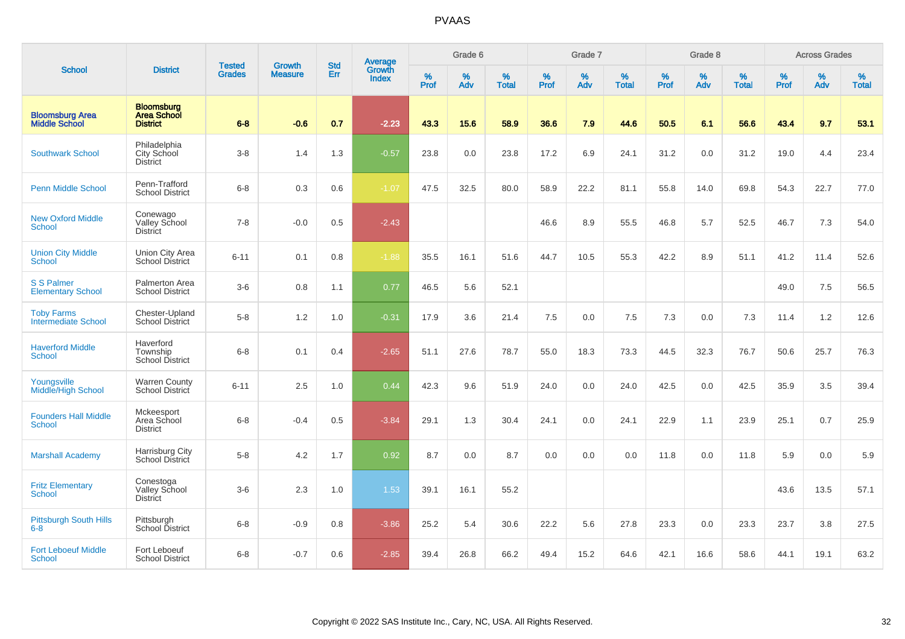|                                                 |                                                            |                                |                                 | <b>Std</b> |                                   |           | Grade 6  |                   |           | Grade 7  |                   |           | Grade 8  |                   |           | <b>Across Grades</b> |                   |
|-------------------------------------------------|------------------------------------------------------------|--------------------------------|---------------------------------|------------|-----------------------------------|-----------|----------|-------------------|-----------|----------|-------------------|-----------|----------|-------------------|-----------|----------------------|-------------------|
| <b>School</b>                                   | <b>District</b>                                            | <b>Tested</b><br><b>Grades</b> | <b>Growth</b><br><b>Measure</b> | Err        | Average<br>Growth<br><b>Index</b> | %<br>Prof | %<br>Adv | %<br><b>Total</b> | %<br>Prof | %<br>Adv | %<br><b>Total</b> | %<br>Prof | %<br>Adv | %<br><b>Total</b> | %<br>Prof | %<br>Adv             | %<br><b>Total</b> |
| <b>Bloomsburg Area</b><br><b>Middle School</b>  | <b>Bloomsburg</b><br><b>Area School</b><br><b>District</b> | $6 - 8$                        | $-0.6$                          | 0.7        | $-2.23$                           | 43.3      | 15.6     | 58.9              | 36.6      | 7.9      | 44.6              | 50.5      | 6.1      | 56.6              | 43.4      | 9.7                  | 53.1              |
| <b>Southwark School</b>                         | Philadelphia<br>City School<br><b>District</b>             | $3 - 8$                        | 1.4                             | 1.3        | $-0.57$                           | 23.8      | 0.0      | 23.8              | 17.2      | 6.9      | 24.1              | 31.2      | 0.0      | 31.2              | 19.0      | 4.4                  | 23.4              |
| <b>Penn Middle School</b>                       | Penn-Trafford<br><b>School District</b>                    | $6 - 8$                        | 0.3                             | 0.6        | $-1.07$                           | 47.5      | 32.5     | 80.0              | 58.9      | 22.2     | 81.1              | 55.8      | 14.0     | 69.8              | 54.3      | 22.7                 | 77.0              |
| <b>New Oxford Middle</b><br><b>School</b>       | Conewago<br>Valley School<br><b>District</b>               | $7 - 8$                        | $-0.0$                          | 0.5        | $-2.43$                           |           |          |                   | 46.6      | 8.9      | 55.5              | 46.8      | 5.7      | 52.5              | 46.7      | 7.3                  | 54.0              |
| <b>Union City Middle</b><br>School              | Union City Area<br><b>School District</b>                  | $6 - 11$                       | 0.1                             | 0.8        | $-1.88$                           | 35.5      | 16.1     | 51.6              | 44.7      | 10.5     | 55.3              | 42.2      | 8.9      | 51.1              | 41.2      | 11.4                 | 52.6              |
| <b>S S Palmer</b><br><b>Elementary School</b>   | Palmerton Area<br><b>School District</b>                   | $3-6$                          | 0.8                             | 1.1        | 0.77                              | 46.5      | 5.6      | 52.1              |           |          |                   |           |          |                   | 49.0      | 7.5                  | 56.5              |
| <b>Toby Farms</b><br><b>Intermediate School</b> | Chester-Upland<br><b>School District</b>                   | $5-8$                          | 1.2                             | 1.0        | $-0.31$                           | 17.9      | 3.6      | 21.4              | 7.5       | 0.0      | 7.5               | 7.3       | 0.0      | 7.3               | 11.4      | 1.2                  | 12.6              |
| <b>Haverford Middle</b><br><b>School</b>        | Haverford<br>Township<br><b>School District</b>            | $6 - 8$                        | 0.1                             | 0.4        | $-2.65$                           | 51.1      | 27.6     | 78.7              | 55.0      | 18.3     | 73.3              | 44.5      | 32.3     | 76.7              | 50.6      | 25.7                 | 76.3              |
| Youngsville<br>Middle/High School               | <b>Warren County</b><br>School District                    | $6 - 11$                       | 2.5                             | 1.0        | 0.44                              | 42.3      | 9.6      | 51.9              | 24.0      | 0.0      | 24.0              | 42.5      | 0.0      | 42.5              | 35.9      | 3.5                  | 39.4              |
| <b>Founders Hall Middle</b><br><b>School</b>    | Mckeesport<br>Area School<br><b>District</b>               | $6 - 8$                        | $-0.4$                          | 0.5        | $-3.84$                           | 29.1      | 1.3      | 30.4              | 24.1      | 0.0      | 24.1              | 22.9      | 1.1      | 23.9              | 25.1      | 0.7                  | 25.9              |
| <b>Marshall Academy</b>                         | Harrisburg City<br>School District                         | $5-8$                          | 4.2                             | 1.7        | 0.92                              | 8.7       | 0.0      | 8.7               | 0.0       | 0.0      | 0.0               | 11.8      | 0.0      | 11.8              | 5.9       | 0.0                  | 5.9               |
| <b>Fritz Elementary</b><br><b>School</b>        | Conestoga<br>Valley School<br><b>District</b>              | $3-6$                          | 2.3                             | 1.0        | 1.53                              | 39.1      | 16.1     | 55.2              |           |          |                   |           |          |                   | 43.6      | 13.5                 | 57.1              |
| <b>Pittsburgh South Hills</b><br>$6 - 8$        | Pittsburgh<br>School District                              | $6 - 8$                        | $-0.9$                          | 0.8        | $-3.86$                           | 25.2      | 5.4      | 30.6              | 22.2      | 5.6      | 27.8              | 23.3      | 0.0      | 23.3              | 23.7      | 3.8                  | 27.5              |
| <b>Fort Leboeuf Middle</b><br>School            | Fort Leboeuf<br><b>School District</b>                     | $6 - 8$                        | $-0.7$                          | 0.6        | $-2.85$                           | 39.4      | 26.8     | 66.2              | 49.4      | 15.2     | 64.6              | 42.1      | 16.6     | 58.6              | 44.1      | 19.1                 | 63.2              |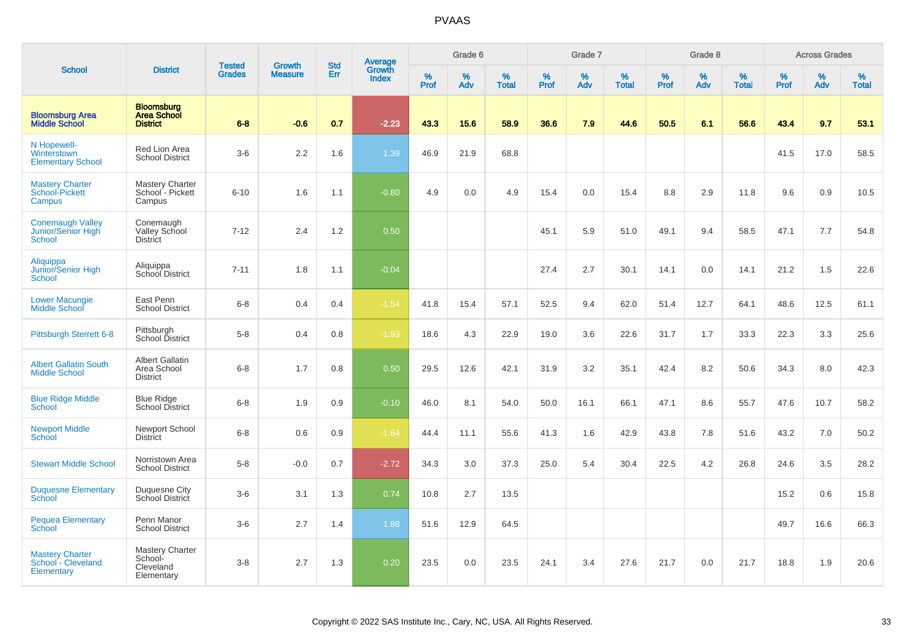|                                                                |                                                            | <b>Tested</b> | <b>Growth</b>  | <b>Std</b> |                                          |                  | Grade 6     |                   |              | Grade 7     |                   |           | Grade 8  |                   |              | <b>Across Grades</b> |                   |
|----------------------------------------------------------------|------------------------------------------------------------|---------------|----------------|------------|------------------------------------------|------------------|-------------|-------------------|--------------|-------------|-------------------|-----------|----------|-------------------|--------------|----------------------|-------------------|
| <b>School</b>                                                  | <b>District</b>                                            | <b>Grades</b> | <b>Measure</b> | Err        | <b>Average</b><br>Growth<br><b>Index</b> | %<br><b>Prof</b> | $\%$<br>Adv | %<br><b>Total</b> | $\%$<br>Prof | $\%$<br>Adv | %<br><b>Total</b> | %<br>Prof | %<br>Adv | %<br><b>Total</b> | $\%$<br>Prof | $\%$<br>Adv          | %<br><b>Total</b> |
| <b>Bloomsburg Area</b><br><b>Middle School</b>                 | <b>Bloomsburg</b><br><b>Area School</b><br><b>District</b> | $6 - 8$       | $-0.6$         | 0.7        | $-2.23$                                  | 43.3             | 15.6        | 58.9              | 36.6         | 7.9         | 44.6              | 50.5      | 6.1      | 56.6              | 43.4         | 9.7                  | 53.1              |
| N Hopewell-<br>Winterstown<br><b>Elementary School</b>         | Red Lion Area<br><b>School District</b>                    | $3-6$         | 2.2            | 1.6        | 1.39                                     | 46.9             | 21.9        | 68.8              |              |             |                   |           |          |                   | 41.5         | 17.0                 | 58.5              |
| <b>Mastery Charter</b><br>School-Pickett<br>Campus             | <b>Mastery Charter</b><br>School - Pickett<br>Campus       | $6 - 10$      | 1.6            | 1.1        | $-0.80$                                  | 4.9              | 0.0         | 4.9               | 15.4         | 0.0         | 15.4              | 8.8       | 2.9      | 11.8              | 9.6          | 0.9                  | 10.5              |
| <b>Conemaugh Valley</b><br>Junior/Senior High<br><b>School</b> | Conemaugh<br>Valley School<br><b>District</b>              | $7 - 12$      | 2.4            | 1.2        | 0.50                                     |                  |             |                   | 45.1         | 5.9         | 51.0              | 49.1      | 9.4      | 58.5              | 47.1         | 7.7                  | 54.8              |
| Aliquippa<br>Junior/Senior High<br><b>School</b>               | Aliquippa<br><b>School District</b>                        | $7 - 11$      | 1.8            | 1.1        | $-0.04$                                  |                  |             |                   | 27.4         | 2.7         | 30.1              | 14.1      | 0.0      | 14.1              | 21.2         | 1.5                  | 22.6              |
| <b>Lower Macungie</b><br>Middle School                         | East Penn<br><b>School District</b>                        | $6 - 8$       | 0.4            | 0.4        | $-1.54$                                  | 41.8             | 15.4        | 57.1              | 52.5         | 9.4         | 62.0              | 51.4      | 12.7     | 64.1              | 48.6         | 12.5                 | 61.1              |
| <b>Pittsburgh Sterrett 6-8</b>                                 | Pittsburgh<br>School District                              | $5-8$         | 0.4            | 0.8        | $-1.93$                                  | 18.6             | 4.3         | 22.9              | 19.0         | 3.6         | 22.6              | 31.7      | 1.7      | 33.3              | 22.3         | 3.3                  | 25.6              |
| <b>Albert Gallatin South</b><br><b>Middle School</b>           | <b>Albert Gallatin</b><br>Area School<br><b>District</b>   | $6 - 8$       | 1.7            | 0.8        | 0.50                                     | 29.5             | 12.6        | 42.1              | 31.9         | 3.2         | 35.1              | 42.4      | 8.2      | 50.6              | 34.3         | 8.0                  | 42.3              |
| <b>Blue Ridge Middle</b><br><b>School</b>                      | <b>Blue Ridge</b><br>School District                       | $6-8$         | 1.9            | 0.9        | $-0.10$                                  | 46.0             | 8.1         | 54.0              | 50.0         | 16.1        | 66.1              | 47.1      | 8.6      | 55.7              | 47.6         | 10.7                 | 58.2              |
| <b>Newport Middle</b><br>School                                | Newport School<br>District                                 | $6-8$         | 0.6            | 0.9        | $-1.64$                                  | 44.4             | 11.1        | 55.6              | 41.3         | 1.6         | 42.9              | 43.8      | 7.8      | 51.6              | 43.2         | 7.0                  | 50.2              |
| <b>Stewart Middle School</b>                                   | Norristown Area<br><b>School District</b>                  | $5-8$         | $-0.0$         | 0.7        | $-2.72$                                  | 34.3             | 3.0         | 37.3              | 25.0         | 5.4         | 30.4              | 22.5      | 4.2      | 26.8              | 24.6         | 3.5                  | 28.2              |
| <b>Duquesne Elementary</b><br><b>School</b>                    | Duquesne City<br><b>School District</b>                    | $3-6$         | 3.1            | 1.3        | 0.74                                     | 10.8             | 2.7         | 13.5              |              |             |                   |           |          |                   | 15.2         | 0.6                  | 15.8              |
| <b>Pequea Elementary</b><br><b>School</b>                      | Penn Manor<br><b>School District</b>                       | $3-6$         | 2.7            | 1.4        | 1.88                                     | 51.6             | 12.9        | 64.5              |              |             |                   |           |          |                   | 49.7         | 16.6                 | 66.3              |
| <b>Mastery Charter</b><br>School - Cleveland<br>Elementary     | Mastery Charter<br>School-<br>Cleveland<br>Elementary      | $3-8$         | 2.7            | 1.3        | 0.20                                     | 23.5             | 0.0         | 23.5              | 24.1         | 3.4         | 27.6              | 21.7      | 0.0      | 21.7              | 18.8         | 1.9                  | 20.6              |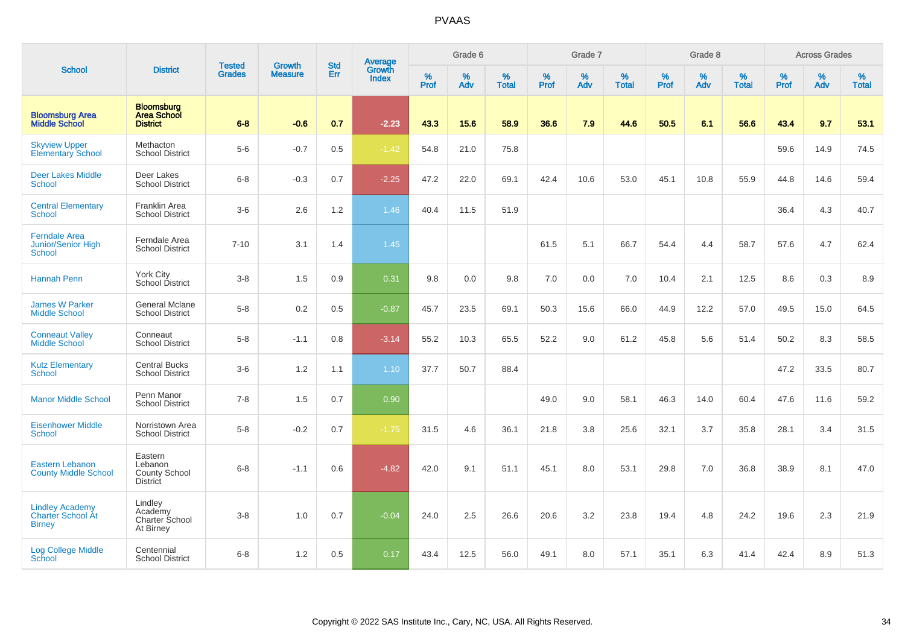|                                                                    |                                                               |                                |                                 | <b>Std</b> |                                          |                  | Grade 6     |                   |           | Grade 7  |                   |           | Grade 8  |                   |           | <b>Across Grades</b> |                   |
|--------------------------------------------------------------------|---------------------------------------------------------------|--------------------------------|---------------------------------|------------|------------------------------------------|------------------|-------------|-------------------|-----------|----------|-------------------|-----------|----------|-------------------|-----------|----------------------|-------------------|
| <b>School</b>                                                      | <b>District</b>                                               | <b>Tested</b><br><b>Grades</b> | <b>Growth</b><br><b>Measure</b> | Err        | <b>Average</b><br>Growth<br><b>Index</b> | %<br><b>Prof</b> | $\%$<br>Adv | %<br><b>Total</b> | %<br>Prof | %<br>Adv | %<br><b>Total</b> | %<br>Prof | %<br>Adv | %<br><b>Total</b> | %<br>Prof | %<br>Adv             | %<br><b>Total</b> |
| <b>Bloomsburg Area</b><br><b>Middle School</b>                     | <b>Bloomsburg</b><br><b>Area School</b><br><b>District</b>    | $6 - 8$                        | $-0.6$                          | 0.7        | $-2.23$                                  | 43.3             | 15.6        | 58.9              | 36.6      | 7.9      | 44.6              | 50.5      | 6.1      | 56.6              | 43.4      | 9.7                  | 53.1              |
| <b>Skyview Upper</b><br><b>Elementary School</b>                   | Methacton<br><b>School District</b>                           | $5-6$                          | $-0.7$                          | 0.5        | $-1.42$                                  | 54.8             | 21.0        | 75.8              |           |          |                   |           |          |                   | 59.6      | 14.9                 | 74.5              |
| <b>Deer Lakes Middle</b><br><b>School</b>                          | Deer Lakes<br><b>School District</b>                          | $6 - 8$                        | $-0.3$                          | 0.7        | $-2.25$                                  | 47.2             | 22.0        | 69.1              | 42.4      | 10.6     | 53.0              | 45.1      | 10.8     | 55.9              | 44.8      | 14.6                 | 59.4              |
| <b>Central Elementary</b><br><b>School</b>                         | <b>Franklin Area</b><br><b>School District</b>                | $3-6$                          | 2.6                             | 1.2        | 1.46                                     | 40.4             | 11.5        | 51.9              |           |          |                   |           |          |                   | 36.4      | 4.3                  | 40.7              |
| <b>Ferndale Area</b><br><b>Junior/Senior High</b><br><b>School</b> | Ferndale Area<br><b>School District</b>                       | $7 - 10$                       | 3.1                             | 1.4        | 1.45                                     |                  |             |                   | 61.5      | 5.1      | 66.7              | 54.4      | 4.4      | 58.7              | 57.6      | 4.7                  | 62.4              |
| <b>Hannah Penn</b>                                                 | York City<br>School District                                  | $3-8$                          | 1.5                             | 0.9        | 0.31                                     | 9.8              | 0.0         | 9.8               | 7.0       | 0.0      | 7.0               | 10.4      | 2.1      | 12.5              | 8.6       | 0.3                  | 8.9               |
| <b>James W Parker</b><br><b>Middle School</b>                      | <b>General Mclane</b><br><b>School District</b>               | $5-8$                          | 0.2                             | 0.5        | $-0.87$                                  | 45.7             | 23.5        | 69.1              | 50.3      | 15.6     | 66.0              | 44.9      | 12.2     | 57.0              | 49.5      | 15.0                 | 64.5              |
| <b>Conneaut Valley</b><br><b>Middle School</b>                     | Conneaut<br><b>School District</b>                            | $5-8$                          | $-1.1$                          | 0.8        | $-3.14$                                  | 55.2             | 10.3        | 65.5              | 52.2      | 9.0      | 61.2              | 45.8      | 5.6      | 51.4              | 50.2      | 8.3                  | 58.5              |
| <b>Kutz Elementary</b><br><b>School</b>                            | <b>Central Bucks</b><br><b>School District</b>                | $3-6$                          | 1.2                             | 1.1        | 1.10                                     | 37.7             | 50.7        | 88.4              |           |          |                   |           |          |                   | 47.2      | 33.5                 | 80.7              |
| <b>Manor Middle School</b>                                         | Penn Manor<br><b>School District</b>                          | $7 - 8$                        | 1.5                             | 0.7        | 0.90                                     |                  |             |                   | 49.0      | 9.0      | 58.1              | 46.3      | 14.0     | 60.4              | 47.6      | 11.6                 | 59.2              |
| <b>Eisenhower Middle</b><br><b>School</b>                          | Norristown Area<br><b>School District</b>                     | $5-8$                          | $-0.2$                          | 0.7        | $-1.75$                                  | 31.5             | 4.6         | 36.1              | 21.8      | 3.8      | 25.6              | 32.1      | 3.7      | 35.8              | 28.1      | 3.4                  | 31.5              |
| <b>Eastern Lebanon</b><br><b>County Middle School</b>              | Eastern<br>Lebanon<br><b>County School</b><br><b>District</b> | $6 - 8$                        | $-1.1$                          | 0.6        | $-4.82$                                  | 42.0             | 9.1         | 51.1              | 45.1      | 8.0      | 53.1              | 29.8      | 7.0      | 36.8              | 38.9      | 8.1                  | 47.0              |
| <b>Lindley Academy</b><br>Charter School At<br><b>Birney</b>       | Lindley<br>Academy<br>Charter School<br>At Birney             | $3 - 8$                        | 1.0                             | 0.7        | $-0.04$                                  | 24.0             | 2.5         | 26.6              | 20.6      | 3.2      | 23.8              | 19.4      | 4.8      | 24.2              | 19.6      | 2.3                  | 21.9              |
| <b>Log College Middle</b><br>School                                | Centennial<br><b>School District</b>                          | $6 - 8$                        | 1.2                             | 0.5        | 0.17                                     | 43.4             | 12.5        | 56.0              | 49.1      | 8.0      | 57.1              | 35.1      | 6.3      | 41.4              | 42.4      | 8.9                  | 51.3              |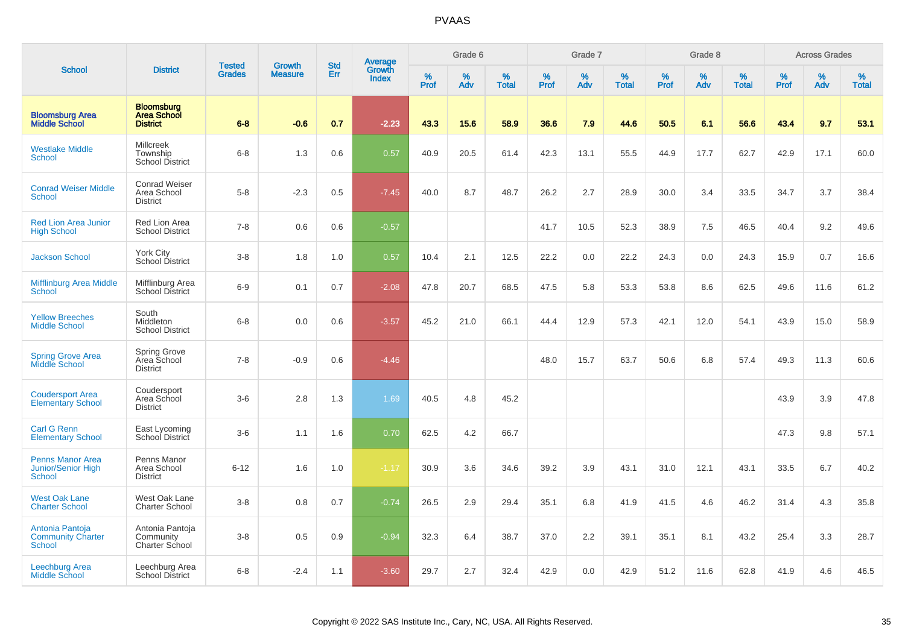|                                                         |                                                            | <b>Tested</b> | <b>Growth</b>  | <b>Std</b> |                                          |           | Grade 6  |                   |           | Grade 7  |                   |           | Grade 8  |                   |           | <b>Across Grades</b> |                   |
|---------------------------------------------------------|------------------------------------------------------------|---------------|----------------|------------|------------------------------------------|-----------|----------|-------------------|-----------|----------|-------------------|-----------|----------|-------------------|-----------|----------------------|-------------------|
| <b>School</b>                                           | <b>District</b>                                            | <b>Grades</b> | <b>Measure</b> | Err        | <b>Average</b><br>Growth<br><b>Index</b> | %<br>Prof | %<br>Adv | %<br><b>Total</b> | %<br>Prof | %<br>Adv | %<br><b>Total</b> | %<br>Prof | %<br>Adv | %<br><b>Total</b> | %<br>Prof | %<br>Adv             | %<br><b>Total</b> |
| <b>Bloomsburg Area</b><br><b>Middle School</b>          | <b>Bloomsburg</b><br><b>Area School</b><br><b>District</b> | $6 - 8$       | $-0.6$         | 0.7        | $-2.23$                                  | 43.3      | 15.6     | 58.9              | 36.6      | 7.9      | 44.6              | 50.5      | 6.1      | 56.6              | 43.4      | 9.7                  | 53.1              |
| <b>Westlake Middle</b><br><b>School</b>                 | Millcreek<br>Township<br>School District                   | $6 - 8$       | 1.3            | 0.6        | 0.57                                     | 40.9      | 20.5     | 61.4              | 42.3      | 13.1     | 55.5              | 44.9      | 17.7     | 62.7              | 42.9      | 17.1                 | 60.0              |
| <b>Conrad Weiser Middle</b><br><b>School</b>            | <b>Conrad Weiser</b><br>Area School<br><b>District</b>     | $5-8$         | $-2.3$         | 0.5        | $-7.45$                                  | 40.0      | 8.7      | 48.7              | 26.2      | 2.7      | 28.9              | 30.0      | 3.4      | 33.5              | 34.7      | 3.7                  | 38.4              |
| <b>Red Lion Area Junior</b><br><b>High School</b>       | Red Lion Area<br><b>School District</b>                    | $7 - 8$       | 0.6            | 0.6        | $-0.57$                                  |           |          |                   | 41.7      | 10.5     | 52.3              | 38.9      | 7.5      | 46.5              | 40.4      | 9.2                  | 49.6              |
| <b>Jackson School</b>                                   | York City<br>School District                               | $3 - 8$       | 1.8            | 1.0        | 0.57                                     | 10.4      | 2.1      | 12.5              | 22.2      | 0.0      | 22.2              | 24.3      | 0.0      | 24.3              | 15.9      | 0.7                  | 16.6              |
| <b>Mifflinburg Area Middle</b><br>School                | Mifflinburg Area<br><b>School District</b>                 | $6-9$         | 0.1            | 0.7        | $-2.08$                                  | 47.8      | 20.7     | 68.5              | 47.5      | 5.8      | 53.3              | 53.8      | 8.6      | 62.5              | 49.6      | 11.6                 | 61.2              |
| <b>Yellow Breeches</b><br><b>Middle School</b>          | South<br>Middleton<br><b>School District</b>               | $6 - 8$       | 0.0            | 0.6        | $-3.57$                                  | 45.2      | 21.0     | 66.1              | 44.4      | 12.9     | 57.3              | 42.1      | 12.0     | 54.1              | 43.9      | 15.0                 | 58.9              |
| <b>Spring Grove Area</b><br>Middle School               | Spring Grove<br>Area School<br><b>District</b>             | $7 - 8$       | $-0.9$         | 0.6        | $-4.46$                                  |           |          |                   | 48.0      | 15.7     | 63.7              | 50.6      | 6.8      | 57.4              | 49.3      | 11.3                 | 60.6              |
| <b>Coudersport Area</b><br><b>Elementary School</b>     | Coudersport<br>Area School<br><b>District</b>              | $3-6$         | 2.8            | 1.3        | 1.69                                     | 40.5      | 4.8      | 45.2              |           |          |                   |           |          |                   | 43.9      | 3.9                  | 47.8              |
| <b>Carl G Renn</b><br><b>Elementary School</b>          | East Lycoming<br>School District                           | $3-6$         | 1.1            | 1.6        | 0.70                                     | 62.5      | 4.2      | 66.7              |           |          |                   |           |          |                   | 47.3      | 9.8                  | 57.1              |
| <b>Penns Manor Area</b><br>Junior/Senior High<br>School | Penns Manor<br>Area School<br><b>District</b>              | $6 - 12$      | 1.6            | 1.0        | $-1.17$                                  | 30.9      | 3.6      | 34.6              | 39.2      | 3.9      | 43.1              | 31.0      | 12.1     | 43.1              | 33.5      | 6.7                  | 40.2              |
| <b>West Oak Lane</b><br><b>Charter School</b>           | West Oak Lane<br><b>Charter School</b>                     | $3 - 8$       | 0.8            | 0.7        | $-0.74$                                  | 26.5      | 2.9      | 29.4              | 35.1      | 6.8      | 41.9              | 41.5      | 4.6      | 46.2              | 31.4      | 4.3                  | 35.8              |
| Antonia Pantoja<br><b>Community Charter</b><br>School   | Antonia Pantoja<br>Community<br>Charter School             | $3 - 8$       | 0.5            | 0.9        | $-0.94$                                  | 32.3      | 6.4      | 38.7              | 37.0      | 2.2      | 39.1              | 35.1      | 8.1      | 43.2              | 25.4      | 3.3                  | 28.7              |
| Leechburg Area<br><b>Middle School</b>                  | Leechburg Area<br><b>School District</b>                   | $6 - 8$       | $-2.4$         | 1.1        | $-3.60$                                  | 29.7      | 2.7      | 32.4              | 42.9      | 0.0      | 42.9              | 51.2      | 11.6     | 62.8              | 41.9      | 4.6                  | 46.5              |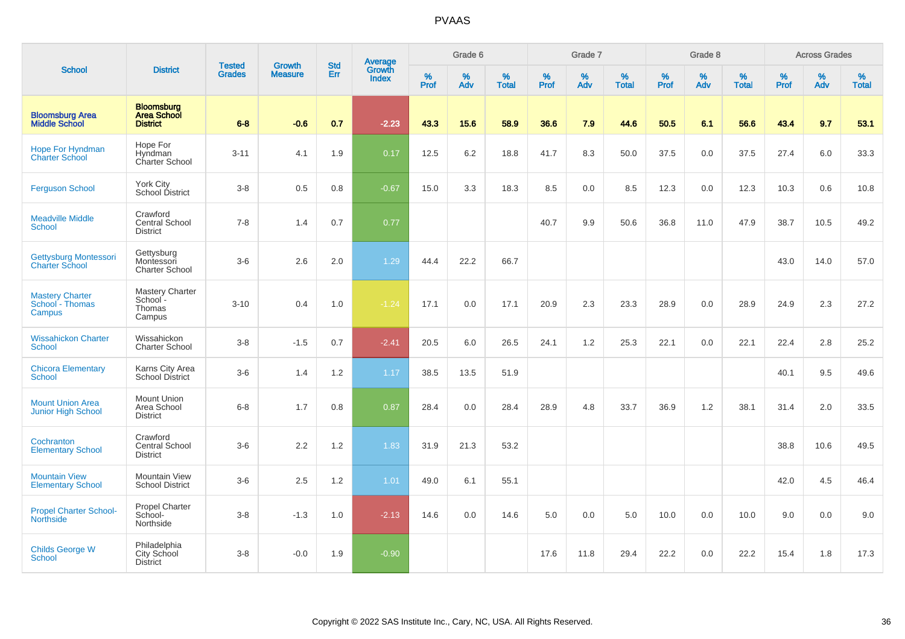| <b>School</b>                                        | <b>District</b>                                            | <b>Tested</b><br><b>Grades</b> | <b>Growth</b><br><b>Measure</b> | <b>Std</b><br>Err | <b>Average</b><br>Growth<br><b>Index</b> | Grade 6          |          |                   | Grade 7   |          |                   | Grade 8   |          |                   | <b>Across Grades</b> |          |            |
|------------------------------------------------------|------------------------------------------------------------|--------------------------------|---------------------------------|-------------------|------------------------------------------|------------------|----------|-------------------|-----------|----------|-------------------|-----------|----------|-------------------|----------------------|----------|------------|
|                                                      |                                                            |                                |                                 |                   |                                          | %<br><b>Prof</b> | %<br>Adv | %<br><b>Total</b> | %<br>Prof | %<br>Adv | %<br><b>Total</b> | %<br>Prof | %<br>Adv | %<br><b>Total</b> | %<br>Prof            | %<br>Adv | %<br>Total |
| <b>Bloomsburg Area</b><br><b>Middle School</b>       | <b>Bloomsburg</b><br><b>Area School</b><br><b>District</b> | $6 - 8$                        | $-0.6$                          | 0.7               | $-2.23$                                  | 43.3             | 15.6     | 58.9              | 36.6      | 7.9      | 44.6              | 50.5      | 6.1      | 56.6              | 43.4                 | 9.7      | 53.1       |
| <b>Hope For Hyndman</b><br><b>Charter School</b>     | Hope For<br>Hyndman<br>Charter School                      | $3 - 11$                       | 4.1                             | 1.9               | 0.17                                     | 12.5             | 6.2      | 18.8              | 41.7      | 8.3      | 50.0              | 37.5      | 0.0      | 37.5              | 27.4                 | 6.0      | 33.3       |
| <b>Ferguson School</b>                               | York City<br>School District                               | $3 - 8$                        | 0.5                             | 0.8               | $-0.67$                                  | 15.0             | 3.3      | 18.3              | 8.5       | 0.0      | 8.5               | 12.3      | 0.0      | 12.3              | 10.3                 | 0.6      | 10.8       |
| <b>Meadville Middle</b><br><b>School</b>             | Crawford<br><b>Central School</b><br><b>District</b>       | $7 - 8$                        | 1.4                             | 0.7               | 0.77                                     |                  |          |                   | 40.7      | 9.9      | 50.6              | 36.8      | 11.0     | 47.9              | 38.7                 | 10.5     | 49.2       |
| Gettysburg Montessori<br><b>Charter School</b>       | Gettysburg<br>Montessori<br><b>Charter School</b>          | $3-6$                          | 2.6                             | 2.0               | 1.29                                     | 44.4             | 22.2     | 66.7              |           |          |                   |           |          |                   | 43.0                 | 14.0     | 57.0       |
| <b>Mastery Charter</b><br>School - Thomas<br>Campus  | Mastery Charter<br>School -<br>Thomas<br>Campus            | $3 - 10$                       | 0.4                             | 1.0               | $-1.24$                                  | 17.1             | 0.0      | 17.1              | 20.9      | 2.3      | 23.3              | 28.9      | 0.0      | 28.9              | 24.9                 | 2.3      | 27.2       |
| <b>Wissahickon Charter</b><br>School                 | Wissahickon<br><b>Charter School</b>                       | $3 - 8$                        | $-1.5$                          | 0.7               | $-2.41$                                  | 20.5             | 6.0      | 26.5              | 24.1      | 1.2      | 25.3              | 22.1      | 0.0      | 22.1              | 22.4                 | 2.8      | 25.2       |
| <b>Chicora Elementary</b><br><b>School</b>           | Karns City Area<br><b>School District</b>                  | $3-6$                          | 1.4                             | 1.2               | 1.17                                     | 38.5             | 13.5     | 51.9              |           |          |                   |           |          |                   | 40.1                 | 9.5      | 49.6       |
| <b>Mount Union Area</b><br><b>Junior High School</b> | <b>Mount Union</b><br>Area School<br><b>District</b>       | $6 - 8$                        | 1.7                             | 0.8               | 0.87                                     | 28.4             | 0.0      | 28.4              | 28.9      | 4.8      | 33.7              | 36.9      | 1.2      | 38.1              | 31.4                 | 2.0      | 33.5       |
| Cochranton<br><b>Elementary School</b>               | Crawford<br>Central School<br><b>District</b>              | $3 - 6$                        | 2.2                             | 1.2               | 1.83                                     | 31.9             | 21.3     | 53.2              |           |          |                   |           |          |                   | 38.8                 | 10.6     | 49.5       |
| <b>Mountain View</b><br><b>Elementary School</b>     | Mountain View<br><b>School District</b>                    | $3-6$                          | 2.5                             | 1.2               | 1.01                                     | 49.0             | 6.1      | 55.1              |           |          |                   |           |          |                   | 42.0                 | 4.5      | 46.4       |
| <b>Propel Charter School-</b><br><b>Northside</b>    | Propel Charter<br>School-<br>Northside                     | $3 - 8$                        | $-1.3$                          | 1.0               | $-2.13$                                  | 14.6             | 0.0      | 14.6              | 5.0       | 0.0      | 5.0               | 10.0      | 0.0      | 10.0              | 9.0                  | 0.0      | 9.0        |
| <b>Childs George W</b><br>School                     | Philadelphia<br>City School<br><b>District</b>             | $3 - 8$                        | $-0.0$                          | 1.9               | $-0.90$                                  |                  |          |                   | 17.6      | 11.8     | 29.4              | 22.2      | 0.0      | 22.2              | 15.4                 | 1.8      | 17.3       |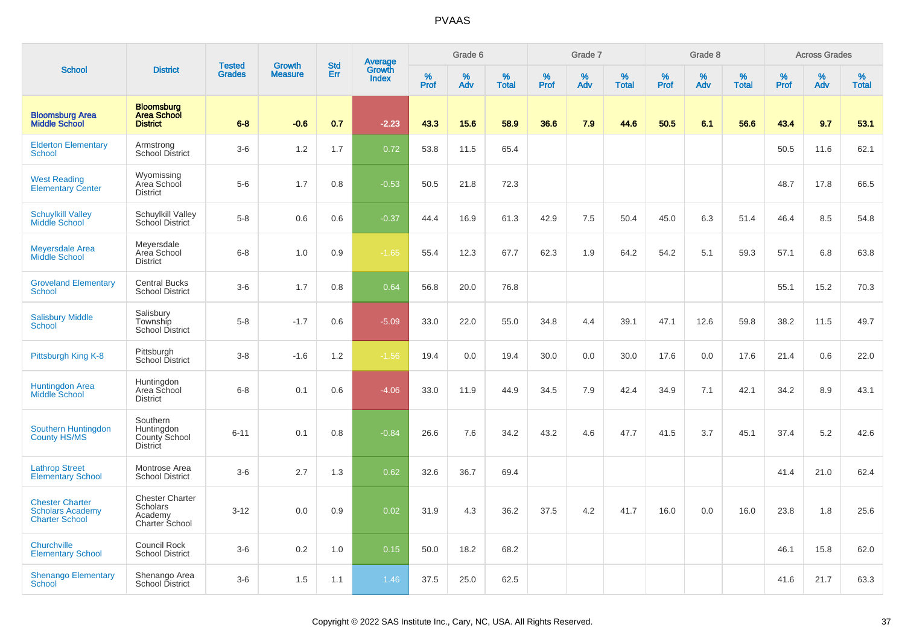|                                                                            |                                                                        |                                |                                 | <b>Std</b> |                                          |                  | Grade 6  |                   |           | Grade 7  |                   |           | Grade 8  |                   |           | <b>Across Grades</b> |                   |
|----------------------------------------------------------------------------|------------------------------------------------------------------------|--------------------------------|---------------------------------|------------|------------------------------------------|------------------|----------|-------------------|-----------|----------|-------------------|-----------|----------|-------------------|-----------|----------------------|-------------------|
| <b>School</b>                                                              | <b>District</b>                                                        | <b>Tested</b><br><b>Grades</b> | <b>Growth</b><br><b>Measure</b> | Err        | <b>Average</b><br>Growth<br><b>Index</b> | %<br><b>Prof</b> | %<br>Adv | %<br><b>Total</b> | %<br>Prof | %<br>Adv | %<br><b>Total</b> | %<br>Prof | %<br>Adv | %<br><b>Total</b> | %<br>Prof | %<br>Adv             | %<br><b>Total</b> |
| <b>Bloomsburg Area</b><br><b>Middle School</b>                             | <b>Bloomsburg</b><br><b>Area School</b><br><b>District</b>             | $6 - 8$                        | $-0.6$                          | 0.7        | $-2.23$                                  | 43.3             | 15.6     | 58.9              | 36.6      | 7.9      | 44.6              | 50.5      | 6.1      | 56.6              | 43.4      | 9.7                  | 53.1              |
| <b>Elderton Elementary</b><br><b>School</b>                                | Armstrong<br>School District                                           | $3-6$                          | 1.2                             | 1.7        | 0.72                                     | 53.8             | 11.5     | 65.4              |           |          |                   |           |          |                   | 50.5      | 11.6                 | 62.1              |
| <b>West Reading</b><br><b>Elementary Center</b>                            | Wyomissing<br>Area School<br><b>District</b>                           | $5-6$                          | 1.7                             | 0.8        | $-0.53$                                  | 50.5             | 21.8     | 72.3              |           |          |                   |           |          |                   | 48.7      | 17.8                 | 66.5              |
| <b>Schuylkill Valley</b><br>Middle School                                  | Schuylkill Valley<br>School District                                   | $5-8$                          | 0.6                             | 0.6        | $-0.37$                                  | 44.4             | 16.9     | 61.3              | 42.9      | 7.5      | 50.4              | 45.0      | 6.3      | 51.4              | 46.4      | 8.5                  | 54.8              |
| <b>Meyersdale Area</b><br>Middle School                                    | Meyersdale<br>Area School<br><b>District</b>                           | $6-8$                          | 1.0                             | 0.9        | $-1.65$                                  | 55.4             | 12.3     | 67.7              | 62.3      | 1.9      | 64.2              | 54.2      | 5.1      | 59.3              | 57.1      | 6.8                  | 63.8              |
| <b>Groveland Elementary</b><br><b>School</b>                               | <b>Central Bucks</b><br><b>School District</b>                         | $3-6$                          | 1.7                             | 0.8        | 0.64                                     | 56.8             | 20.0     | 76.8              |           |          |                   |           |          |                   | 55.1      | 15.2                 | 70.3              |
| <b>Salisbury Middle</b><br><b>School</b>                                   | Salisbury<br>Township<br><b>School District</b>                        | $5-8$                          | $-1.7$                          | 0.6        | $-5.09$                                  | 33.0             | 22.0     | 55.0              | 34.8      | 4.4      | 39.1              | 47.1      | 12.6     | 59.8              | 38.2      | 11.5                 | 49.7              |
| Pittsburgh King K-8                                                        | Pittsburgh<br>School District                                          | $3-8$                          | $-1.6$                          | 1.2        | $-1.56$                                  | 19.4             | 0.0      | 19.4              | 30.0      | 0.0      | 30.0              | 17.6      | 0.0      | 17.6              | 21.4      | 0.6                  | 22.0              |
| <b>Huntingdon Area</b><br>Middle School                                    | Huntingdon<br>Area School<br><b>District</b>                           | $6 - 8$                        | 0.1                             | 0.6        | $-4.06$                                  | 33.0             | 11.9     | 44.9              | 34.5      | 7.9      | 42.4              | 34.9      | 7.1      | 42.1              | 34.2      | 8.9                  | 43.1              |
| Southern Huntingdon<br><b>County HS/MS</b>                                 | Southern<br>Huntingdon<br>County School<br><b>District</b>             | $6 - 11$                       | 0.1                             | 0.8        | $-0.84$                                  | 26.6             | 7.6      | 34.2              | 43.2      | 4.6      | 47.7              | 41.5      | 3.7      | 45.1              | 37.4      | 5.2                  | 42.6              |
| <b>Lathrop Street</b><br><b>Elementary School</b>                          | Montrose Area<br><b>School District</b>                                | $3-6$                          | 2.7                             | 1.3        | 0.62                                     | 32.6             | 36.7     | 69.4              |           |          |                   |           |          |                   | 41.4      | 21.0                 | 62.4              |
| <b>Chester Charter</b><br><b>Scholars Academy</b><br><b>Charter School</b> | <b>Chester Charter</b><br><b>Scholars</b><br>Academy<br>Charter School | $3 - 12$                       | 0.0                             | 0.9        | 0.02                                     | 31.9             | 4.3      | 36.2              | 37.5      | 4.2      | 41.7              | 16.0      | 0.0      | 16.0              | 23.8      | 1.8                  | 25.6              |
| Churchville<br><b>Elementary School</b>                                    | <b>Council Rock</b><br><b>School District</b>                          | $3-6$                          | 0.2                             | 1.0        | 0.15                                     | 50.0             | 18.2     | 68.2              |           |          |                   |           |          |                   | 46.1      | 15.8                 | 62.0              |
| <b>Shenango Elementary</b><br><b>School</b>                                | Shenango Area<br>School District                                       | $3-6$                          | 1.5                             | 1.1        | 1.46                                     | 37.5             | 25.0     | 62.5              |           |          |                   |           |          |                   | 41.6      | 21.7                 | 63.3              |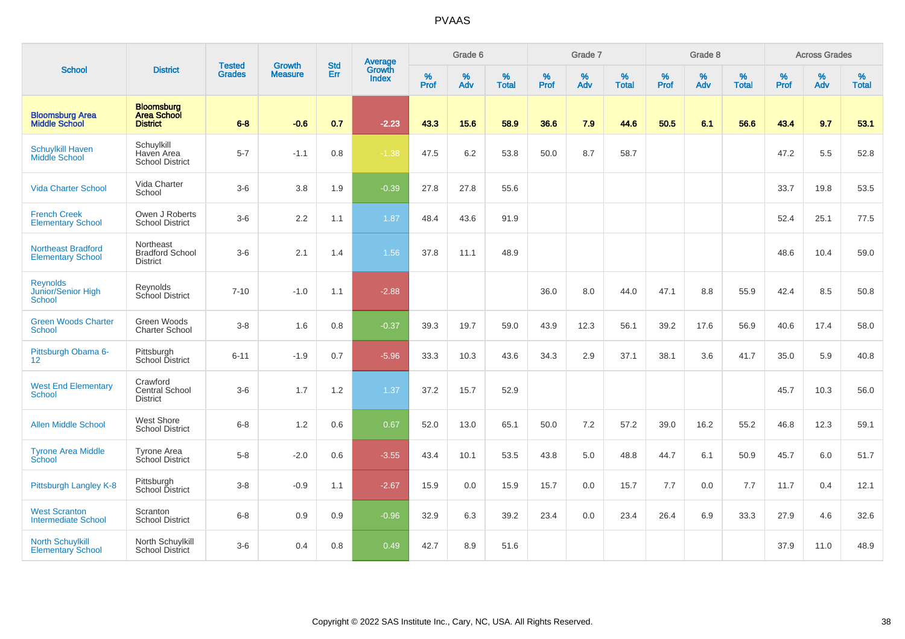|                                                       |                                                            |                                |                                 | <b>Std</b> |                                          |                  | Grade 6     |                   |                  | Grade 7     |                   |                     | Grade 8  |                   |                     | <b>Across Grades</b> |                   |
|-------------------------------------------------------|------------------------------------------------------------|--------------------------------|---------------------------------|------------|------------------------------------------|------------------|-------------|-------------------|------------------|-------------|-------------------|---------------------|----------|-------------------|---------------------|----------------------|-------------------|
| <b>School</b>                                         | <b>District</b>                                            | <b>Tested</b><br><b>Grades</b> | <b>Growth</b><br><b>Measure</b> | Err        | <b>Average</b><br>Growth<br><b>Index</b> | %<br><b>Prof</b> | $\%$<br>Adv | %<br><b>Total</b> | %<br><b>Prof</b> | $\%$<br>Adv | %<br><b>Total</b> | $\%$<br><b>Prof</b> | %<br>Adv | %<br><b>Total</b> | $\%$<br><b>Prof</b> | $\%$<br>Adv          | %<br><b>Total</b> |
| <b>Bloomsburg Area</b><br><b>Middle School</b>        | <b>Bloomsburg</b><br><b>Area School</b><br><b>District</b> | $6 - 8$                        | $-0.6$                          | 0.7        | $-2.23$                                  | 43.3             | 15.6        | 58.9              | 36.6             | 7.9         | 44.6              | 50.5                | 6.1      | 56.6              | 43.4                | 9.7                  | 53.1              |
| <b>Schuylkill Haven</b><br><b>Middle School</b>       | Schuylkill<br>Haven Area<br><b>School District</b>         | $5 - 7$                        | $-1.1$                          | 0.8        | $-1.38$                                  | 47.5             | 6.2         | 53.8              | 50.0             | 8.7         | 58.7              |                     |          |                   | 47.2                | 5.5                  | 52.8              |
| <b>Vida Charter School</b>                            | Vida Charter<br>School                                     | $3-6$                          | 3.8                             | 1.9        | $-0.39$                                  | 27.8             | 27.8        | 55.6              |                  |             |                   |                     |          |                   | 33.7                | 19.8                 | 53.5              |
| <b>French Creek</b><br><b>Elementary School</b>       | Owen J Roberts<br><b>School District</b>                   | $3-6$                          | 2.2                             | 1.1        | 1.87                                     | 48.4             | 43.6        | 91.9              |                  |             |                   |                     |          |                   | 52.4                | 25.1                 | 77.5              |
| <b>Northeast Bradford</b><br><b>Elementary School</b> | Northeast<br><b>Bradford School</b><br><b>District</b>     | $3-6$                          | 2.1                             | 1.4        | 1.56                                     | 37.8             | 11.1        | 48.9              |                  |             |                   |                     |          |                   | 48.6                | 10.4                 | 59.0              |
| <b>Reynolds</b><br>Junior/Senior High<br>School       | Reynolds<br>School District                                | $7 - 10$                       | $-1.0$                          | 1.1        | $-2.88$                                  |                  |             |                   | 36.0             | 8.0         | 44.0              | 47.1                | 8.8      | 55.9              | 42.4                | 8.5                  | 50.8              |
| <b>Green Woods Charter</b><br><b>School</b>           | Green Woods<br><b>Charter School</b>                       | $3 - 8$                        | 1.6                             | 0.8        | $-0.37$                                  | 39.3             | 19.7        | 59.0              | 43.9             | 12.3        | 56.1              | 39.2                | 17.6     | 56.9              | 40.6                | 17.4                 | 58.0              |
| Pittsburgh Obama 6-<br>12                             | Pittsburgh<br>School District                              | $6 - 11$                       | $-1.9$                          | 0.7        | $-5.96$                                  | 33.3             | 10.3        | 43.6              | 34.3             | 2.9         | 37.1              | 38.1                | 3.6      | 41.7              | 35.0                | 5.9                  | 40.8              |
| <b>West End Elementary</b><br><b>School</b>           | Crawford<br><b>Central School</b><br><b>District</b>       | $3-6$                          | 1.7                             | 1.2        | 1.37                                     | 37.2             | 15.7        | 52.9              |                  |             |                   |                     |          |                   | 45.7                | 10.3                 | 56.0              |
| <b>Allen Middle School</b>                            | West Shore<br><b>School District</b>                       | $6 - 8$                        | 1.2                             | 0.6        | 0.67                                     | 52.0             | 13.0        | 65.1              | 50.0             | 7.2         | 57.2              | 39.0                | 16.2     | 55.2              | 46.8                | 12.3                 | 59.1              |
| <b>Tyrone Area Middle</b><br>School                   | <b>Tyrone Area</b><br>School District                      | $5-8$                          | $-2.0$                          | 0.6        | $-3.55$                                  | 43.4             | 10.1        | 53.5              | 43.8             | 5.0         | 48.8              | 44.7                | 6.1      | 50.9              | 45.7                | 6.0                  | 51.7              |
| Pittsburgh Langley K-8                                | Pittsburgh<br>School District                              | $3 - 8$                        | $-0.9$                          | 1.1        | $-2.67$                                  | 15.9             | 0.0         | 15.9              | 15.7             | 0.0         | 15.7              | 7.7                 | 0.0      | 7.7               | 11.7                | 0.4                  | 12.1              |
| <b>West Scranton</b><br><b>Intermediate School</b>    | Scranton<br><b>School District</b>                         | $6 - 8$                        | 0.9                             | 0.9        | $-0.96$                                  | 32.9             | 6.3         | 39.2              | 23.4             | 0.0         | 23.4              | 26.4                | 6.9      | 33.3              | 27.9                | 4.6                  | 32.6              |
| <b>North Schuylkill</b><br><b>Elementary School</b>   | North Schuylkill<br><b>School District</b>                 | $3-6$                          | 0.4                             | 0.8        | 0.49                                     | 42.7             | 8.9         | 51.6              |                  |             |                   |                     |          |                   | 37.9                | 11.0                 | 48.9              |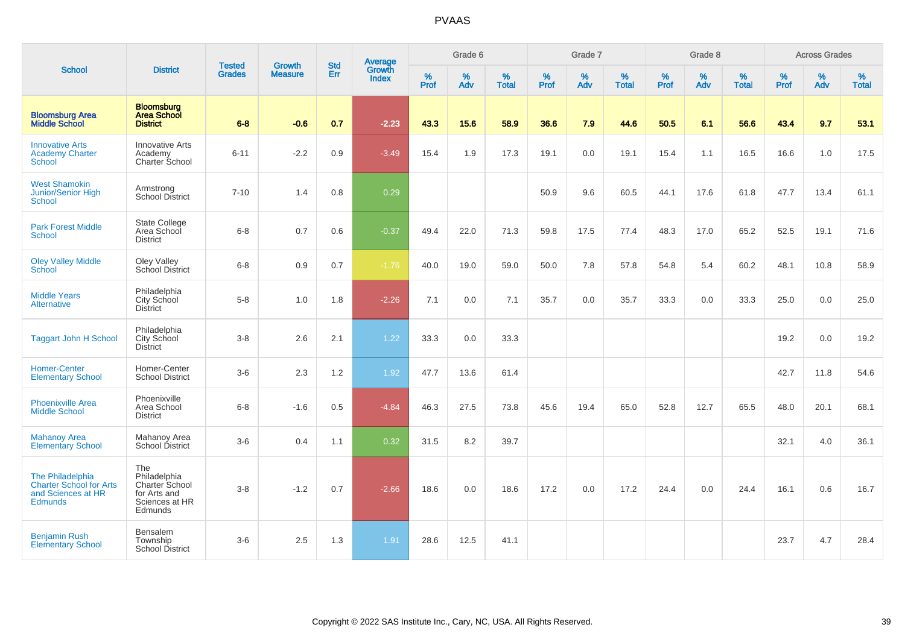| <b>School</b>                                                                              |                                                                                    |                                |                                 | <b>Std</b> |                                          |                  | Grade 6  |                   |           | Grade 7  |                   |           | Grade 8  |                   |           | <b>Across Grades</b> |                   |
|--------------------------------------------------------------------------------------------|------------------------------------------------------------------------------------|--------------------------------|---------------------------------|------------|------------------------------------------|------------------|----------|-------------------|-----------|----------|-------------------|-----------|----------|-------------------|-----------|----------------------|-------------------|
|                                                                                            | <b>District</b>                                                                    | <b>Tested</b><br><b>Grades</b> | <b>Growth</b><br><b>Measure</b> | Err        | <b>Average</b><br>Growth<br><b>Index</b> | %<br><b>Prof</b> | %<br>Adv | %<br><b>Total</b> | %<br>Prof | %<br>Adv | %<br><b>Total</b> | %<br>Prof | %<br>Adv | %<br><b>Total</b> | %<br>Prof | %<br>Adv             | %<br><b>Total</b> |
| <b>Bloomsburg Area</b><br><b>Middle School</b>                                             | <b>Bloomsburg</b><br><b>Area School</b><br><b>District</b>                         | $6 - 8$                        | $-0.6$                          | 0.7        | $-2.23$                                  | 43.3             | 15.6     | 58.9              | 36.6      | 7.9      | 44.6              | 50.5      | 6.1      | 56.6              | 43.4      | 9.7                  | 53.1              |
| <b>Innovative Arts</b><br><b>Academy Charter</b><br><b>School</b>                          | <b>Innovative Arts</b><br>Academy<br>Charter School                                | $6 - 11$                       | $-2.2$                          | 0.9        | $-3.49$                                  | 15.4             | 1.9      | 17.3              | 19.1      | 0.0      | 19.1              | 15.4      | 1.1      | 16.5              | 16.6      | 1.0                  | 17.5              |
| <b>West Shamokin</b><br><b>Junior/Senior High</b><br><b>School</b>                         | Armstrong<br><b>School District</b>                                                | $7 - 10$                       | 1.4                             | 0.8        | 0.29                                     |                  |          |                   | 50.9      | 9.6      | 60.5              | 44.1      | 17.6     | 61.8              | 47.7      | 13.4                 | 61.1              |
| <b>Park Forest Middle</b><br>School                                                        | <b>State College</b><br>Area School<br><b>District</b>                             | $6 - 8$                        | 0.7                             | 0.6        | $-0.37$                                  | 49.4             | 22.0     | 71.3              | 59.8      | 17.5     | 77.4              | 48.3      | 17.0     | 65.2              | 52.5      | 19.1                 | 71.6              |
| <b>Oley Valley Middle</b><br>School                                                        | Oley Valley<br>School District                                                     | $6 - 8$                        | 0.9                             | 0.7        | $-1.76$                                  | 40.0             | 19.0     | 59.0              | 50.0      | 7.8      | 57.8              | 54.8      | 5.4      | 60.2              | 48.1      | 10.8                 | 58.9              |
| <b>Middle Years</b><br><b>Alternative</b>                                                  | Philadelphia<br>City School<br><b>District</b>                                     | $5-8$                          | 1.0                             | 1.8        | $-2.26$                                  | 7.1              | 0.0      | 7.1               | 35.7      | 0.0      | 35.7              | 33.3      | 0.0      | 33.3              | 25.0      | 0.0                  | 25.0              |
| <b>Taggart John H School</b>                                                               | Philadelphia<br>City School<br><b>District</b>                                     | $3 - 8$                        | 2.6                             | 2.1        | 1.22                                     | 33.3             | 0.0      | 33.3              |           |          |                   |           |          |                   | 19.2      | 0.0                  | 19.2              |
| <b>Homer-Center</b><br><b>Elementary School</b>                                            | Homer-Center<br><b>School District</b>                                             | $3-6$                          | 2.3                             | 1.2        | 1.92                                     | 47.7             | 13.6     | 61.4              |           |          |                   |           |          |                   | 42.7      | 11.8                 | 54.6              |
| <b>Phoenixville Area</b><br><b>Middle School</b>                                           | Phoenixville<br>Area School<br><b>District</b>                                     | $6 - 8$                        | $-1.6$                          | 0.5        | $-4.84$                                  | 46.3             | 27.5     | 73.8              | 45.6      | 19.4     | 65.0              | 52.8      | 12.7     | 65.5              | 48.0      | 20.1                 | 68.1              |
| <b>Mahanoy Area</b><br><b>Elementary School</b>                                            | Mahanoy Area<br>School District                                                    | $3-6$                          | 0.4                             | 1.1        | 0.32                                     | 31.5             | 8.2      | 39.7              |           |          |                   |           |          |                   | 32.1      | 4.0                  | 36.1              |
| The Philadelphia<br><b>Charter School for Arts</b><br>and Sciences at HR<br><b>Edmunds</b> | The<br>Philadelphia<br>Charter School<br>for Arts and<br>Sciences at HR<br>Edmunds | $3 - 8$                        | $-1.2$                          | 0.7        | $-2.66$                                  | 18.6             | 0.0      | 18.6              | 17.2      | 0.0      | 17.2              | 24.4      | 0.0      | 24.4              | 16.1      | 0.6                  | 16.7              |
| <b>Benjamin Rush</b><br><b>Elementary School</b>                                           | Bensalem<br>Township<br><b>School District</b>                                     | $3-6$                          | 2.5                             | 1.3        | 1.91                                     | 28.6             | 12.5     | 41.1              |           |          |                   |           |          |                   | 23.7      | 4.7                  | 28.4              |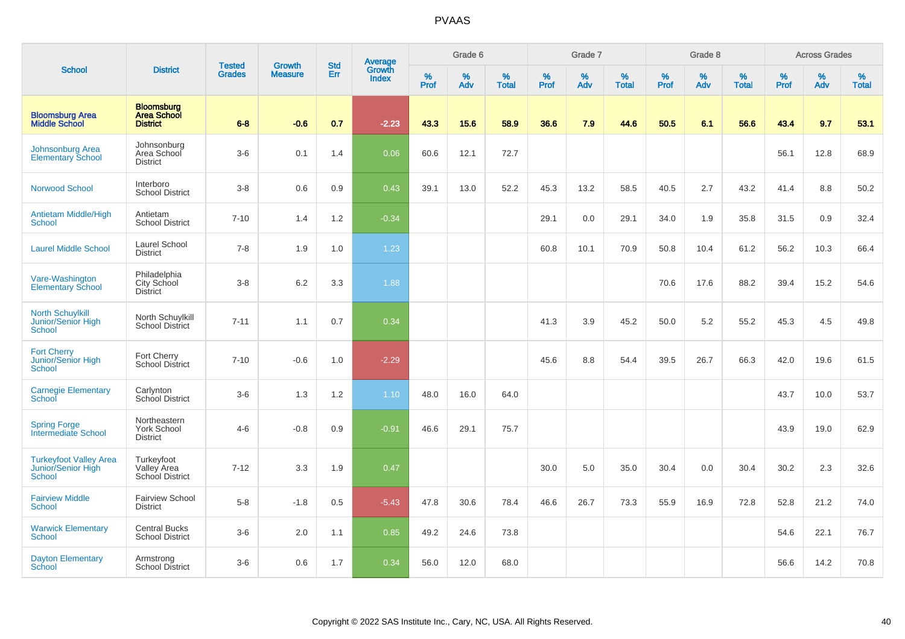|                                                                      |                                                            |                                |                                 | <b>Std</b> |                                          |                  | Grade 6  |                   |           | Grade 7  |                   |           | Grade 8     |                   |           | <b>Across Grades</b> |                   |
|----------------------------------------------------------------------|------------------------------------------------------------|--------------------------------|---------------------------------|------------|------------------------------------------|------------------|----------|-------------------|-----------|----------|-------------------|-----------|-------------|-------------------|-----------|----------------------|-------------------|
| <b>School</b>                                                        | <b>District</b>                                            | <b>Tested</b><br><b>Grades</b> | <b>Growth</b><br><b>Measure</b> | Err        | <b>Average</b><br>Growth<br><b>Index</b> | %<br><b>Prof</b> | %<br>Adv | %<br><b>Total</b> | %<br>Prof | %<br>Adv | %<br><b>Total</b> | %<br>Prof | $\%$<br>Adv | %<br><b>Total</b> | %<br>Prof | %<br>Adv             | %<br><b>Total</b> |
| <b>Bloomsburg Area</b><br><b>Middle School</b>                       | <b>Bloomsburg</b><br><b>Area School</b><br><b>District</b> | $6 - 8$                        | $-0.6$                          | 0.7        | $-2.23$                                  | 43.3             | 15.6     | 58.9              | 36.6      | 7.9      | 44.6              | 50.5      | 6.1         | 56.6              | 43.4      | 9.7                  | 53.1              |
| Johnsonburg Area<br><b>Elementary School</b>                         | Johnsonburg<br>Area School<br><b>District</b>              | $3-6$                          | 0.1                             | 1.4        | 0.06                                     | 60.6             | 12.1     | 72.7              |           |          |                   |           |             |                   | 56.1      | 12.8                 | 68.9              |
| <b>Norwood School</b>                                                | Interboro<br><b>School District</b>                        | $3 - 8$                        | 0.6                             | 0.9        | 0.43                                     | 39.1             | 13.0     | 52.2              | 45.3      | 13.2     | 58.5              | 40.5      | 2.7         | 43.2              | 41.4      | 8.8                  | 50.2              |
| <b>Antietam Middle/High</b><br><b>School</b>                         | Antietam<br><b>School District</b>                         | $7 - 10$                       | 1.4                             | 1.2        | $-0.34$                                  |                  |          |                   | 29.1      | 0.0      | 29.1              | 34.0      | 1.9         | 35.8              | 31.5      | 0.9                  | 32.4              |
| <b>Laurel Middle School</b>                                          | Laurel School<br><b>District</b>                           | $7 - 8$                        | 1.9                             | 1.0        | 1.23                                     |                  |          |                   | 60.8      | 10.1     | 70.9              | 50.8      | 10.4        | 61.2              | 56.2      | 10.3                 | 66.4              |
| Vare-Washington<br><b>Elementary School</b>                          | Philadelphia<br>City School<br><b>District</b>             | $3-8$                          | 6.2                             | 3.3        | 1.88                                     |                  |          |                   |           |          |                   | 70.6      | 17.6        | 88.2              | 39.4      | 15.2                 | 54.6              |
| <b>North Schuylkill</b><br><b>Junior/Senior High</b><br>School       | North Schuylkill<br><b>School District</b>                 | $7 - 11$                       | 1.1                             | 0.7        | 0.34                                     |                  |          |                   | 41.3      | 3.9      | 45.2              | 50.0      | 5.2         | 55.2              | 45.3      | 4.5                  | 49.8              |
| <b>Fort Cherry</b><br>Junior/Senior High<br>School                   | Fort Cherry<br><b>School District</b>                      | $7 - 10$                       | $-0.6$                          | 1.0        | $-2.29$                                  |                  |          |                   | 45.6      | 8.8      | 54.4              | 39.5      | 26.7        | 66.3              | 42.0      | 19.6                 | 61.5              |
| <b>Carnegie Elementary</b><br>School                                 | Carlynton<br>School District                               | $3-6$                          | 1.3                             | 1.2        | 1.10                                     | 48.0             | 16.0     | 64.0              |           |          |                   |           |             |                   | 43.7      | 10.0                 | 53.7              |
| <b>Spring Forge</b><br><b>Intermediate School</b>                    | Northeastern<br><b>York School</b><br><b>District</b>      | $4 - 6$                        | $-0.8$                          | 0.9        | $-0.91$                                  | 46.6             | 29.1     | 75.7              |           |          |                   |           |             |                   | 43.9      | 19.0                 | 62.9              |
| <b>Turkeyfoot Valley Area</b><br>Junior/Senior High<br><b>School</b> | Turkeyfoot<br>Valley Area<br>School District               | $7 - 12$                       | 3.3                             | 1.9        | 0.47                                     |                  |          |                   | 30.0      | 5.0      | 35.0              | 30.4      | 0.0         | 30.4              | 30.2      | 2.3                  | 32.6              |
| <b>Fairview Middle</b><br>School                                     | <b>Fairview School</b><br><b>District</b>                  | $5-8$                          | $-1.8$                          | 0.5        | $-5.43$                                  | 47.8             | 30.6     | 78.4              | 46.6      | 26.7     | 73.3              | 55.9      | 16.9        | 72.8              | 52.8      | 21.2                 | 74.0              |
| <b>Warwick Elementary</b><br><b>School</b>                           | <b>Central Bucks</b><br><b>School District</b>             | $3-6$                          | 2.0                             | 1.1        | 0.85                                     | 49.2             | 24.6     | 73.8              |           |          |                   |           |             |                   | 54.6      | 22.1                 | 76.7              |
| <b>Dayton Elementary</b><br>School                                   | Armstrong<br>School District                               | $3-6$                          | 0.6                             | 1.7        | 0.34                                     | 56.0             | 12.0     | 68.0              |           |          |                   |           |             |                   | 56.6      | 14.2                 | 70.8              |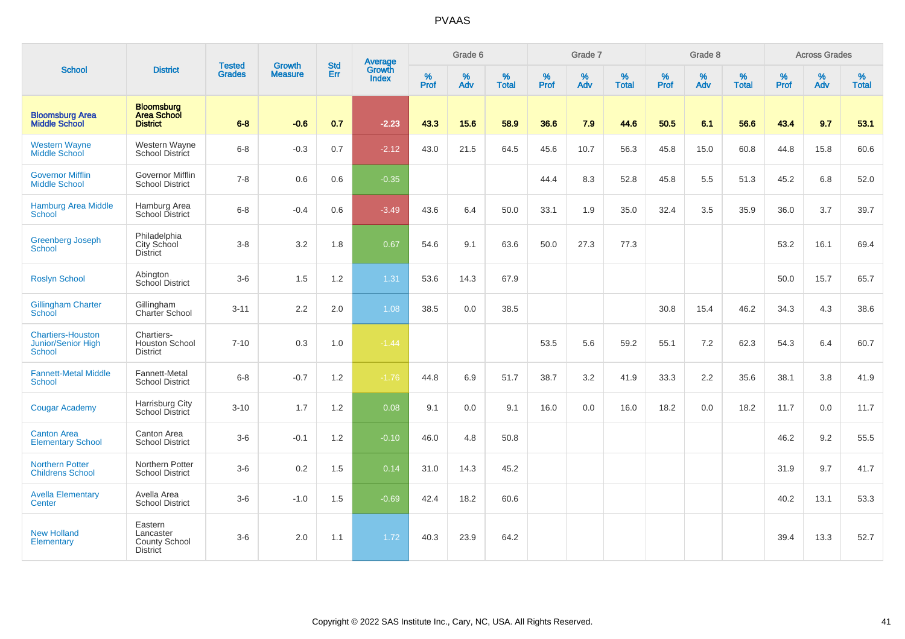|                                                                        |                                                                 |                                | <b>Growth</b>  | <b>Std</b> | Average                |                  | Grade 6     |                   |                  | Grade 7  |                   |                     | Grade 8  |                   |              | <b>Across Grades</b> |                   |
|------------------------------------------------------------------------|-----------------------------------------------------------------|--------------------------------|----------------|------------|------------------------|------------------|-------------|-------------------|------------------|----------|-------------------|---------------------|----------|-------------------|--------------|----------------------|-------------------|
| <b>School</b>                                                          | <b>District</b>                                                 | <b>Tested</b><br><b>Grades</b> | <b>Measure</b> | Err        | Growth<br><b>Index</b> | %<br><b>Prof</b> | $\%$<br>Adv | %<br><b>Total</b> | %<br><b>Prof</b> | %<br>Adv | %<br><b>Total</b> | $\%$<br><b>Prof</b> | %<br>Adv | %<br><b>Total</b> | $\%$<br>Prof | %<br>Adv             | %<br><b>Total</b> |
| <b>Bloomsburg Area</b><br><b>Middle School</b>                         | <b>Bloomsburg</b><br><b>Area School</b><br><b>District</b>      | $6 - 8$                        | $-0.6$         | 0.7        | $-2.23$                | 43.3             | 15.6        | 58.9              | 36.6             | 7.9      | 44.6              | 50.5                | 6.1      | 56.6              | 43.4         | 9.7                  | 53.1              |
| <b>Western Wayne</b><br><b>Middle School</b>                           | Western Wayne<br><b>School District</b>                         | $6 - 8$                        | $-0.3$         | 0.7        | $-2.12$                | 43.0             | 21.5        | 64.5              | 45.6             | 10.7     | 56.3              | 45.8                | 15.0     | 60.8              | 44.8         | 15.8                 | 60.6              |
| <b>Governor Mifflin</b><br><b>Middle School</b>                        | Governor Mifflin<br><b>School District</b>                      | $7 - 8$                        | 0.6            | 0.6        | $-0.35$                |                  |             |                   | 44.4             | 8.3      | 52.8              | 45.8                | 5.5      | 51.3              | 45.2         | 6.8                  | 52.0              |
| <b>Hamburg Area Middle</b><br>School                                   | Hamburg Area<br>School District                                 | $6 - 8$                        | $-0.4$         | 0.6        | $-3.49$                | 43.6             | 6.4         | 50.0              | 33.1             | 1.9      | 35.0              | 32.4                | 3.5      | 35.9              | 36.0         | 3.7                  | 39.7              |
| <b>Greenberg Joseph</b><br><b>School</b>                               | Philadelphia<br>City School<br><b>District</b>                  | $3-8$                          | 3.2            | 1.8        | 0.67                   | 54.6             | 9.1         | 63.6              | 50.0             | 27.3     | 77.3              |                     |          |                   | 53.2         | 16.1                 | 69.4              |
| <b>Roslyn School</b>                                                   | Abington<br>School District                                     | $3-6$                          | 1.5            | 1.2        | 1.31                   | 53.6             | 14.3        | 67.9              |                  |          |                   |                     |          |                   | 50.0         | 15.7                 | 65.7              |
| <b>Gillingham Charter</b><br>School                                    | Gillingham<br>Charter School                                    | $3 - 11$                       | 2.2            | 2.0        | 1.08                   | 38.5             | 0.0         | 38.5              |                  |          |                   | 30.8                | 15.4     | 46.2              | 34.3         | 4.3                  | 38.6              |
| <b>Chartiers-Houston</b><br><b>Junior/Senior High</b><br><b>School</b> | Chartiers-<br>Houston School<br><b>District</b>                 | $7 - 10$                       | 0.3            | 1.0        | $-1.44$                |                  |             |                   | 53.5             | 5.6      | 59.2              | 55.1                | 7.2      | 62.3              | 54.3         | 6.4                  | 60.7              |
| <b>Fannett-Metal Middle</b><br><b>School</b>                           | Fannett-Metal<br><b>School District</b>                         | $6 - 8$                        | $-0.7$         | 1.2        | $-1.76$                | 44.8             | 6.9         | 51.7              | 38.7             | 3.2      | 41.9              | 33.3                | 2.2      | 35.6              | 38.1         | 3.8                  | 41.9              |
| <b>Cougar Academy</b>                                                  | Harrisburg City<br>School District                              | $3 - 10$                       | 1.7            | 1.2        | 0.08                   | 9.1              | 0.0         | 9.1               | 16.0             | 0.0      | 16.0              | 18.2                | 0.0      | 18.2              | 11.7         | 0.0                  | 11.7              |
| <b>Canton Area</b><br><b>Elementary School</b>                         | Canton Area<br><b>School District</b>                           | $3-6$                          | $-0.1$         | 1.2        | $-0.10$                | 46.0             | 4.8         | 50.8              |                  |          |                   |                     |          |                   | 46.2         | 9.2                  | 55.5              |
| <b>Northern Potter</b><br><b>Childrens School</b>                      | Northern Potter<br><b>School District</b>                       | $3-6$                          | 0.2            | 1.5        | 0.14                   | 31.0             | 14.3        | 45.2              |                  |          |                   |                     |          |                   | 31.9         | 9.7                  | 41.7              |
| <b>Avella Elementary</b><br>Center                                     | Avella Area<br><b>School District</b>                           | $3-6$                          | $-1.0$         | 1.5        | $-0.69$                | 42.4             | 18.2        | 60.6              |                  |          |                   |                     |          |                   | 40.2         | 13.1                 | 53.3              |
| <b>New Holland</b><br>Elementary                                       | Eastern<br>Lancaster<br><b>County School</b><br><b>District</b> | $3-6$                          | 2.0            | 1.1        | 1.72                   | 40.3             | 23.9        | 64.2              |                  |          |                   |                     |          |                   | 39.4         | 13.3                 | 52.7              |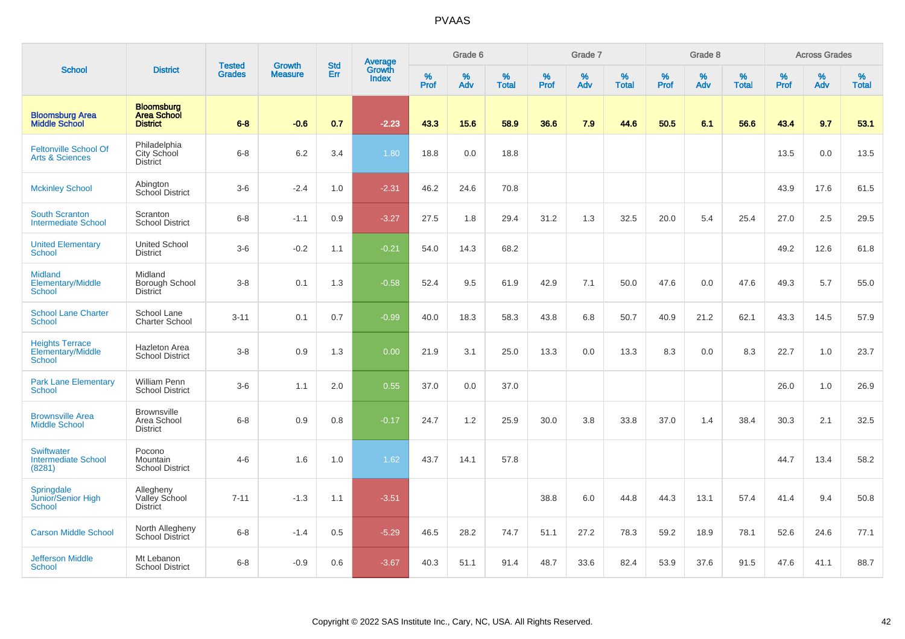|                                                              |                                                            |                                |                                 | <b>Std</b> |                                          |                  | Grade 6  |                   |           | Grade 7  |                   |           | Grade 8  |                   |           | <b>Across Grades</b> |                   |
|--------------------------------------------------------------|------------------------------------------------------------|--------------------------------|---------------------------------|------------|------------------------------------------|------------------|----------|-------------------|-----------|----------|-------------------|-----------|----------|-------------------|-----------|----------------------|-------------------|
| <b>School</b>                                                | <b>District</b>                                            | <b>Tested</b><br><b>Grades</b> | <b>Growth</b><br><b>Measure</b> | Err        | <b>Average</b><br>Growth<br><b>Index</b> | %<br><b>Prof</b> | %<br>Adv | %<br><b>Total</b> | %<br>Prof | %<br>Adv | %<br><b>Total</b> | %<br>Prof | %<br>Adv | %<br><b>Total</b> | %<br>Prof | $\%$<br>Adv          | %<br><b>Total</b> |
| <b>Bloomsburg Area</b><br><b>Middle School</b>               | <b>Bloomsburg</b><br><b>Area School</b><br><b>District</b> | $6 - 8$                        | $-0.6$                          | 0.7        | $-2.23$                                  | 43.3             | 15.6     | 58.9              | 36.6      | 7.9      | 44.6              | 50.5      | 6.1      | 56.6              | 43.4      | 9.7                  | 53.1              |
| <b>Feltonville School Of</b><br><b>Arts &amp; Sciences</b>   | Philadelphia<br>City School<br><b>District</b>             | $6 - 8$                        | 6.2                             | 3.4        | 1.80                                     | 18.8             | 0.0      | 18.8              |           |          |                   |           |          |                   | 13.5      | 0.0                  | 13.5              |
| <b>Mckinley School</b>                                       | Abington<br><b>School District</b>                         | $3-6$                          | $-2.4$                          | 1.0        | $-2.31$                                  | 46.2             | 24.6     | 70.8              |           |          |                   |           |          |                   | 43.9      | 17.6                 | 61.5              |
| <b>South Scranton</b><br><b>Intermediate School</b>          | Scranton<br><b>School District</b>                         | $6 - 8$                        | $-1.1$                          | 0.9        | $-3.27$                                  | 27.5             | 1.8      | 29.4              | 31.2      | 1.3      | 32.5              | 20.0      | 5.4      | 25.4              | 27.0      | 2.5                  | 29.5              |
| <b>United Elementary</b><br>School                           | <b>United School</b><br><b>District</b>                    | $3-6$                          | $-0.2$                          | 1.1        | $-0.21$                                  | 54.0             | 14.3     | 68.2              |           |          |                   |           |          |                   | 49.2      | 12.6                 | 61.8              |
| <b>Midland</b><br>Elementary/Middle<br><b>School</b>         | Midland<br>Borough School<br>District                      | $3 - 8$                        | 0.1                             | 1.3        | $-0.58$                                  | 52.4             | 9.5      | 61.9              | 42.9      | 7.1      | 50.0              | 47.6      | 0.0      | 47.6              | 49.3      | 5.7                  | 55.0              |
| <b>School Lane Charter</b><br>School                         | School Lane<br><b>Charter School</b>                       | $3 - 11$                       | 0.1                             | 0.7        | $-0.99$                                  | 40.0             | 18.3     | 58.3              | 43.8      | 6.8      | 50.7              | 40.9      | 21.2     | 62.1              | 43.3      | 14.5                 | 57.9              |
| <b>Heights Terrace</b><br>Elementary/Middle<br><b>School</b> | Hazleton Area<br><b>School District</b>                    | $3 - 8$                        | 0.9                             | 1.3        | 0.00                                     | 21.9             | 3.1      | 25.0              | 13.3      | 0.0      | 13.3              | 8.3       | 0.0      | 8.3               | 22.7      | 1.0                  | 23.7              |
| <b>Park Lane Elementary</b><br><b>School</b>                 | William Penn<br><b>School District</b>                     | $3-6$                          | 1.1                             | 2.0        | 0.55                                     | 37.0             | 0.0      | 37.0              |           |          |                   |           |          |                   | 26.0      | 1.0                  | 26.9              |
| <b>Brownsville Area</b><br><b>Middle School</b>              | <b>Brownsville</b><br>Area School<br><b>District</b>       | $6 - 8$                        | 0.9                             | 0.8        | $-0.17$                                  | 24.7             | 1.2      | 25.9              | 30.0      | 3.8      | 33.8              | 37.0      | 1.4      | 38.4              | 30.3      | 2.1                  | 32.5              |
| <b>Swiftwater</b><br><b>Intermediate School</b><br>(8281)    | Pocono<br>Mountain<br><b>School District</b>               | $4 - 6$                        | 1.6                             | 1.0        | 1.62                                     | 43.7             | 14.1     | 57.8              |           |          |                   |           |          |                   | 44.7      | 13.4                 | 58.2              |
| Springdale<br>Junior/Senior High<br>School                   | Allegheny<br>Valley School<br><b>District</b>              | $7 - 11$                       | $-1.3$                          | 1.1        | $-3.51$                                  |                  |          |                   | 38.8      | 6.0      | 44.8              | 44.3      | 13.1     | 57.4              | 41.4      | 9.4                  | 50.8              |
| <b>Carson Middle School</b>                                  | North Allegheny<br><b>School District</b>                  | $6 - 8$                        | $-1.4$                          | 0.5        | $-5.29$                                  | 46.5             | 28.2     | 74.7              | 51.1      | 27.2     | 78.3              | 59.2      | 18.9     | 78.1              | 52.6      | 24.6                 | 77.1              |
| <b>Jefferson Middle</b><br>School                            | Mt Lebanon<br><b>School District</b>                       | $6 - 8$                        | $-0.9$                          | 0.6        | $-3.67$                                  | 40.3             | 51.1     | 91.4              | 48.7      | 33.6     | 82.4              | 53.9      | 37.6     | 91.5              | 47.6      | 41.1                 | 88.7              |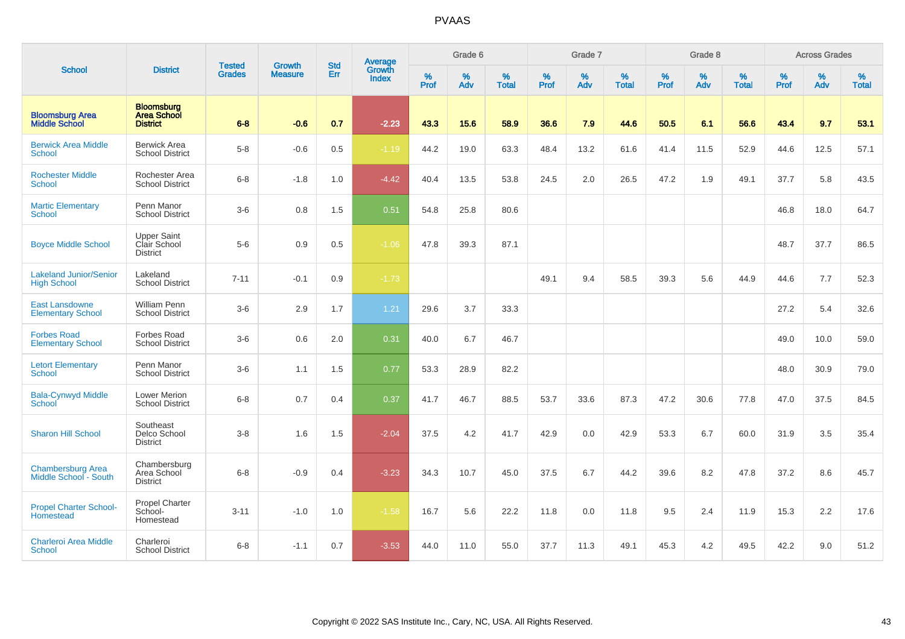|                                                     |                                                            |                                |                                 | <b>Std</b> |                                          |                  | Grade 6  |                   |                  | Grade 7  |                   |                  | Grade 8  |                   |                  | <b>Across Grades</b> |                   |
|-----------------------------------------------------|------------------------------------------------------------|--------------------------------|---------------------------------|------------|------------------------------------------|------------------|----------|-------------------|------------------|----------|-------------------|------------------|----------|-------------------|------------------|----------------------|-------------------|
| <b>School</b>                                       | <b>District</b>                                            | <b>Tested</b><br><b>Grades</b> | <b>Growth</b><br><b>Measure</b> | Err        | <b>Average</b><br>Growth<br><b>Index</b> | %<br><b>Prof</b> | %<br>Adv | %<br><b>Total</b> | %<br><b>Prof</b> | %<br>Adv | %<br><b>Total</b> | %<br><b>Prof</b> | %<br>Adv | %<br><b>Total</b> | %<br><b>Prof</b> | %<br>Adv             | %<br><b>Total</b> |
| <b>Bloomsburg Area</b><br><b>Middle School</b>      | <b>Bloomsburg</b><br><b>Area School</b><br><b>District</b> | $6 - 8$                        | $-0.6$                          | 0.7        | $-2.23$                                  | 43.3             | 15.6     | 58.9              | 36.6             | 7.9      | 44.6              | 50.5             | 6.1      | 56.6              | 43.4             | 9.7                  | 53.1              |
| <b>Berwick Area Middle</b><br>School                | <b>Berwick Area</b><br><b>School District</b>              | $5-8$                          | $-0.6$                          | 0.5        | $-1.19$                                  | 44.2             | 19.0     | 63.3              | 48.4             | 13.2     | 61.6              | 41.4             | 11.5     | 52.9              | 44.6             | 12.5                 | 57.1              |
| <b>Rochester Middle</b><br><b>School</b>            | Rochester Area<br><b>School District</b>                   | $6 - 8$                        | $-1.8$                          | 1.0        | $-4.42$                                  | 40.4             | 13.5     | 53.8              | 24.5             | 2.0      | 26.5              | 47.2             | 1.9      | 49.1              | 37.7             | 5.8                  | 43.5              |
| <b>Martic Elementary</b><br><b>School</b>           | Penn Manor<br><b>School District</b>                       | $3-6$                          | 0.8                             | 1.5        | 0.51                                     | 54.8             | 25.8     | 80.6              |                  |          |                   |                  |          |                   | 46.8             | 18.0                 | 64.7              |
| <b>Boyce Middle School</b>                          | <b>Upper Saint</b><br>Clair School<br><b>District</b>      | $5-6$                          | 0.9                             | 0.5        | $-1.06$                                  | 47.8             | 39.3     | 87.1              |                  |          |                   |                  |          |                   | 48.7             | 37.7                 | 86.5              |
| <b>Lakeland Junior/Senior</b><br><b>High School</b> | Lakeland<br><b>School District</b>                         | $7 - 11$                       | $-0.1$                          | 0.9        | $-1.73$                                  |                  |          |                   | 49.1             | 9.4      | 58.5              | 39.3             | 5.6      | 44.9              | 44.6             | 7.7                  | 52.3              |
| <b>East Lansdowne</b><br><b>Elementary School</b>   | <b>William Penn</b><br><b>School District</b>              | $3-6$                          | 2.9                             | 1.7        | 1.21                                     | 29.6             | 3.7      | 33.3              |                  |          |                   |                  |          |                   | 27.2             | 5.4                  | 32.6              |
| <b>Forbes Road</b><br><b>Elementary School</b>      | <b>Forbes Road</b><br><b>School District</b>               | $3-6$                          | 0.6                             | 2.0        | 0.31                                     | 40.0             | 6.7      | 46.7              |                  |          |                   |                  |          |                   | 49.0             | 10.0                 | 59.0              |
| <b>Letort Elementary</b><br>School                  | Penn Manor<br><b>School District</b>                       | $3-6$                          | 1.1                             | 1.5        | 0.77                                     | 53.3             | 28.9     | 82.2              |                  |          |                   |                  |          |                   | 48.0             | 30.9                 | 79.0              |
| <b>Bala-Cynwyd Middle</b><br>School                 | <b>Lower Merion</b><br><b>School District</b>              | $6 - 8$                        | 0.7                             | 0.4        | 0.37                                     | 41.7             | 46.7     | 88.5              | 53.7             | 33.6     | 87.3              | 47.2             | 30.6     | 77.8              | 47.0             | 37.5                 | 84.5              |
| <b>Sharon Hill School</b>                           | Southeast<br>Delco School<br><b>District</b>               | $3 - 8$                        | 1.6                             | 1.5        | $-2.04$                                  | 37.5             | 4.2      | 41.7              | 42.9             | 0.0      | 42.9              | 53.3             | 6.7      | 60.0              | 31.9             | 3.5                  | 35.4              |
| <b>Chambersburg Area</b><br>Middle School - South   | Chambersburg<br>Area School<br><b>District</b>             | $6 - 8$                        | $-0.9$                          | 0.4        | $-3.23$                                  | 34.3             | 10.7     | 45.0              | 37.5             | 6.7      | 44.2              | 39.6             | 8.2      | 47.8              | 37.2             | 8.6                  | 45.7              |
| <b>Propel Charter School-</b><br>Homestead          | <b>Propel Charter</b><br>School-<br>Homestead              | $3 - 11$                       | $-1.0$                          | 1.0        | $-1.58$                                  | 16.7             | 5.6      | 22.2              | 11.8             | 0.0      | 11.8              | 9.5              | 2.4      | 11.9              | 15.3             | 2.2                  | 17.6              |
| <b>Charleroi Area Middle</b><br>School              | Charleroi<br><b>School District</b>                        | $6 - 8$                        | $-1.1$                          | 0.7        | $-3.53$                                  | 44.0             | 11.0     | 55.0              | 37.7             | 11.3     | 49.1              | 45.3             | 4.2      | 49.5              | 42.2             | 9.0                  | 51.2              |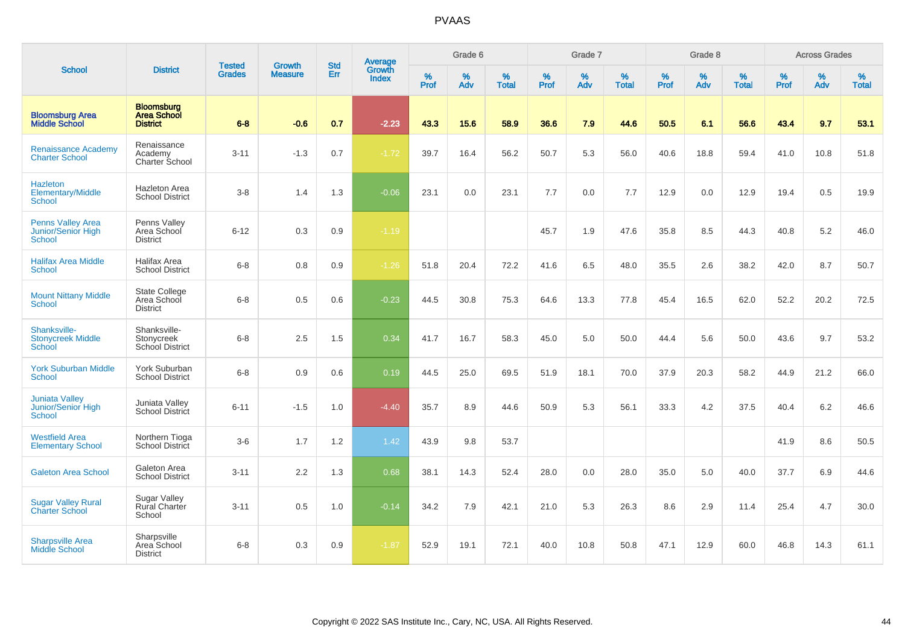|                                                              |                                                            |                                |                                 |                   |                                          |           | Grade 6  |                   |           | Grade 7  |                   |           | Grade 8  |                   |           | <b>Across Grades</b> |                   |
|--------------------------------------------------------------|------------------------------------------------------------|--------------------------------|---------------------------------|-------------------|------------------------------------------|-----------|----------|-------------------|-----------|----------|-------------------|-----------|----------|-------------------|-----------|----------------------|-------------------|
| <b>School</b>                                                | <b>District</b>                                            | <b>Tested</b><br><b>Grades</b> | <b>Growth</b><br><b>Measure</b> | <b>Std</b><br>Err | <b>Average</b><br>Growth<br><b>Index</b> | %<br>Prof | %<br>Adv | %<br><b>Total</b> | %<br>Prof | %<br>Adv | %<br><b>Total</b> | %<br>Prof | %<br>Adv | %<br><b>Total</b> | %<br>Prof | %<br>Adv             | %<br><b>Total</b> |
| <b>Bloomsburg Area</b><br><b>Middle School</b>               | <b>Bloomsburg</b><br><b>Area School</b><br><b>District</b> | $6 - 8$                        | $-0.6$                          | 0.7               | $-2.23$                                  | 43.3      | 15.6     | 58.9              | 36.6      | 7.9      | 44.6              | 50.5      | 6.1      | 56.6              | 43.4      | 9.7                  | 53.1              |
| <b>Renaissance Academy</b><br><b>Charter School</b>          | Renaissance<br>Academy<br>Charter School                   | $3 - 11$                       | $-1.3$                          | 0.7               | $-1.72$                                  | 39.7      | 16.4     | 56.2              | 50.7      | 5.3      | 56.0              | 40.6      | 18.8     | 59.4              | 41.0      | 10.8                 | 51.8              |
| <b>Hazleton</b><br>Elementary/Middle<br><b>School</b>        | <b>Hazleton Area</b><br><b>School District</b>             | $3-8$                          | 1.4                             | 1.3               | $-0.06$                                  | 23.1      | 0.0      | 23.1              | 7.7       | 0.0      | 7.7               | 12.9      | 0.0      | 12.9              | 19.4      | $0.5\,$              | 19.9              |
| <b>Penns Valley Area</b><br>Junior/Senior High<br>School     | Penns Valley<br>Area School<br><b>District</b>             | $6 - 12$                       | 0.3                             | 0.9               | $-1.19$                                  |           |          |                   | 45.7      | 1.9      | 47.6              | 35.8      | 8.5      | 44.3              | 40.8      | $5.2\,$              | 46.0              |
| <b>Halifax Area Middle</b><br><b>School</b>                  | Halifax Area<br><b>School District</b>                     | $6 - 8$                        | 0.8                             | 0.9               | $-1.26$                                  | 51.8      | 20.4     | 72.2              | 41.6      | 6.5      | 48.0              | 35.5      | 2.6      | 38.2              | 42.0      | 8.7                  | 50.7              |
| <b>Mount Nittany Middle</b><br>School                        | <b>State College</b><br>Area School<br><b>District</b>     | $6 - 8$                        | 0.5                             | 0.6               | $-0.23$                                  | 44.5      | 30.8     | 75.3              | 64.6      | 13.3     | 77.8              | 45.4      | 16.5     | 62.0              | 52.2      | 20.2                 | 72.5              |
| Shanksville-<br><b>Stonycreek Middle</b><br>School           | Shanksville-<br>Stonycreek<br>School District              | $6 - 8$                        | 2.5                             | 1.5               | 0.34                                     | 41.7      | 16.7     | 58.3              | 45.0      | 5.0      | 50.0              | 44.4      | 5.6      | 50.0              | 43.6      | 9.7                  | 53.2              |
| <b>York Suburban Middle</b><br>School                        | York Suburban<br><b>School District</b>                    | $6 - 8$                        | 0.9                             | 0.6               | 0.19                                     | 44.5      | 25.0     | 69.5              | 51.9      | 18.1     | 70.0              | 37.9      | 20.3     | 58.2              | 44.9      | 21.2                 | 66.0              |
| <b>Juniata Valley</b><br>Junior/Senior High<br><b>School</b> | Juniata Valley<br><b>School District</b>                   | $6 - 11$                       | $-1.5$                          | 1.0               | $-4.40$                                  | 35.7      | 8.9      | 44.6              | 50.9      | 5.3      | 56.1              | 33.3      | 4.2      | 37.5              | 40.4      | 6.2                  | 46.6              |
| <b>Westfield Area</b><br><b>Elementary School</b>            | Northern Tioga<br>School District                          | $3-6$                          | 1.7                             | 1.2               | 1.42                                     | 43.9      | 9.8      | 53.7              |           |          |                   |           |          |                   | 41.9      | 8.6                  | 50.5              |
| <b>Galeton Area School</b>                                   | Galeton Area<br><b>School District</b>                     | $3 - 11$                       | 2.2                             | 1.3               | 0.68                                     | 38.1      | 14.3     | 52.4              | 28.0      | 0.0      | 28.0              | 35.0      | 5.0      | 40.0              | 37.7      | 6.9                  | 44.6              |
| <b>Sugar Valley Rural</b><br><b>Charter School</b>           | <b>Sugar Valley</b><br><b>Rural Charter</b><br>School      | $3 - 11$                       | 0.5                             | 1.0               | $-0.14$                                  | 34.2      | 7.9      | 42.1              | 21.0      | 5.3      | 26.3              | 8.6       | 2.9      | 11.4              | 25.4      | 4.7                  | 30.0              |
| <b>Sharpsville Area</b><br><b>Middle School</b>              | Sharpsville<br>Area School<br><b>District</b>              | $6 - 8$                        | 0.3                             | 0.9               | $-1.87$                                  | 52.9      | 19.1     | 72.1              | 40.0      | 10.8     | 50.8              | 47.1      | 12.9     | 60.0              | 46.8      | 14.3                 | 61.1              |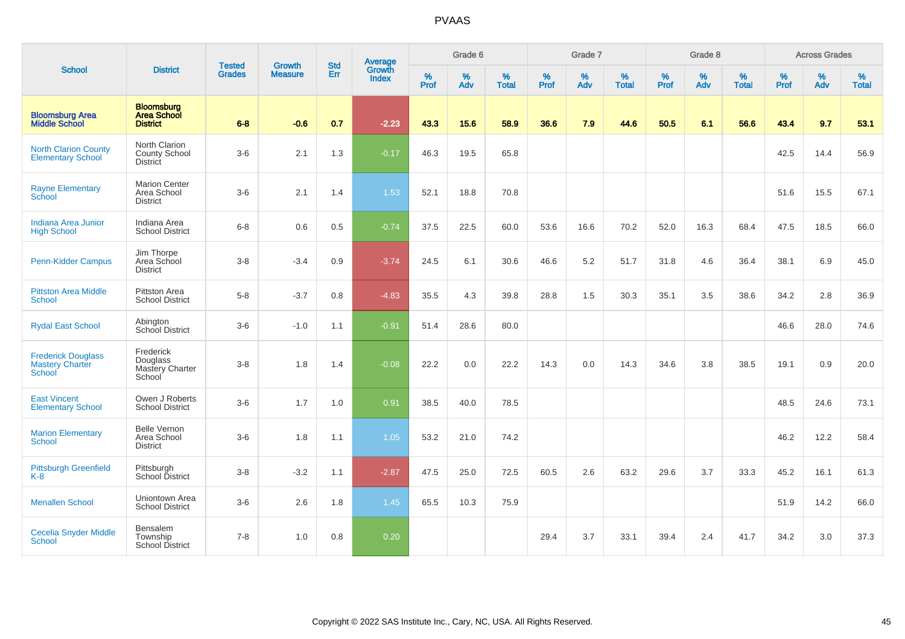|                                                               |                                                            | <b>Tested</b> | <b>Growth</b>  | <b>Std</b> |                                          |                  | Grade 6  |                   |           | Grade 7  |                   |           | Grade 8  |                   |           | <b>Across Grades</b> |                   |
|---------------------------------------------------------------|------------------------------------------------------------|---------------|----------------|------------|------------------------------------------|------------------|----------|-------------------|-----------|----------|-------------------|-----------|----------|-------------------|-----------|----------------------|-------------------|
| <b>School</b>                                                 | <b>District</b>                                            | <b>Grades</b> | <b>Measure</b> | Err        | <b>Average</b><br>Growth<br><b>Index</b> | %<br><b>Prof</b> | %<br>Adv | %<br><b>Total</b> | %<br>Prof | %<br>Adv | %<br><b>Total</b> | %<br>Prof | %<br>Adv | %<br><b>Total</b> | %<br>Prof | %<br>Adv             | %<br><b>Total</b> |
| <b>Bloomsburg Area</b><br><b>Middle School</b>                | <b>Bloomsburg</b><br><b>Area School</b><br><b>District</b> | $6 - 8$       | $-0.6$         | 0.7        | $-2.23$                                  | 43.3             | 15.6     | 58.9              | 36.6      | 7.9      | 44.6              | 50.5      | 6.1      | 56.6              | 43.4      | 9.7                  | 53.1              |
| <b>North Clarion County</b><br><b>Elementary School</b>       | North Clarion<br>County School<br><b>District</b>          | $3-6$         | 2.1            | 1.3        | $-0.17$                                  | 46.3             | 19.5     | 65.8              |           |          |                   |           |          |                   | 42.5      | 14.4                 | 56.9              |
| <b>Rayne Elementary</b><br><b>School</b>                      | <b>Marion Center</b><br>Area School<br><b>District</b>     | $3-6$         | 2.1            | 1.4        | 1.53                                     | 52.1             | 18.8     | 70.8              |           |          |                   |           |          |                   | 51.6      | 15.5                 | 67.1              |
| <b>Indiana Area Junior</b><br><b>High School</b>              | Indiana Area<br><b>School District</b>                     | $6 - 8$       | 0.6            | 0.5        | $-0.74$                                  | 37.5             | 22.5     | 60.0              | 53.6      | 16.6     | 70.2              | 52.0      | 16.3     | 68.4              | 47.5      | 18.5                 | 66.0              |
| Penn-Kidder Campus                                            | Jim Thorpe<br>Area School<br><b>District</b>               | $3 - 8$       | $-3.4$         | 0.9        | $-3.74$                                  | 24.5             | 6.1      | 30.6              | 46.6      | 5.2      | 51.7              | 31.8      | 4.6      | 36.4              | 38.1      | 6.9                  | 45.0              |
| <b>Pittston Area Middle</b><br><b>School</b>                  | Pittston Area<br><b>School District</b>                    | $5-8$         | $-3.7$         | 0.8        | $-4.83$                                  | 35.5             | 4.3      | 39.8              | 28.8      | 1.5      | 30.3              | 35.1      | 3.5      | 38.6              | 34.2      | 2.8                  | 36.9              |
| <b>Rydal East School</b>                                      | Abington<br>School District                                | $3-6$         | $-1.0$         | 1.1        | $-0.91$                                  | 51.4             | 28.6     | 80.0              |           |          |                   |           |          |                   | 46.6      | 28.0                 | 74.6              |
| <b>Frederick Douglass</b><br><b>Mastery Charter</b><br>School | Frederick<br>Douglass<br>Mastery Charter<br>School         | $3 - 8$       | 1.8            | 1.4        | $-0.08$                                  | 22.2             | 0.0      | 22.2              | 14.3      | 0.0      | 14.3              | 34.6      | 3.8      | 38.5              | 19.1      | 0.9                  | 20.0              |
| <b>East Vincent</b><br><b>Elementary School</b>               | Owen J Roberts<br><b>School District</b>                   | $3-6$         | 1.7            | 1.0        | 0.91                                     | 38.5             | 40.0     | 78.5              |           |          |                   |           |          |                   | 48.5      | 24.6                 | 73.1              |
| <b>Marion Elementary</b><br><b>School</b>                     | <b>Belle Vernon</b><br>Area School<br><b>District</b>      | $3-6$         | 1.8            | 1.1        | 1.05                                     | 53.2             | 21.0     | 74.2              |           |          |                   |           |          |                   | 46.2      | 12.2                 | 58.4              |
| <b>Pittsburgh Greenfield</b><br>K-8                           | Pittsburgh<br>School District                              | $3 - 8$       | $-3.2$         | 1.1        | $-2.87$                                  | 47.5             | 25.0     | 72.5              | 60.5      | 2.6      | 63.2              | 29.6      | 3.7      | 33.3              | 45.2      | 16.1                 | 61.3              |
| <b>Menallen School</b>                                        | Uniontown Area<br><b>School District</b>                   | $3-6$         | 2.6            | 1.8        | 1.45                                     | 65.5             | 10.3     | 75.9              |           |          |                   |           |          |                   | 51.9      | 14.2                 | 66.0              |
| <b>Cecelia Snyder Middle</b><br>School                        | Bensalem<br>Township<br><b>School District</b>             | $7 - 8$       | 1.0            | 0.8        | 0.20                                     |                  |          |                   | 29.4      | 3.7      | 33.1              | 39.4      | 2.4      | 41.7              | 34.2      | 3.0                  | 37.3              |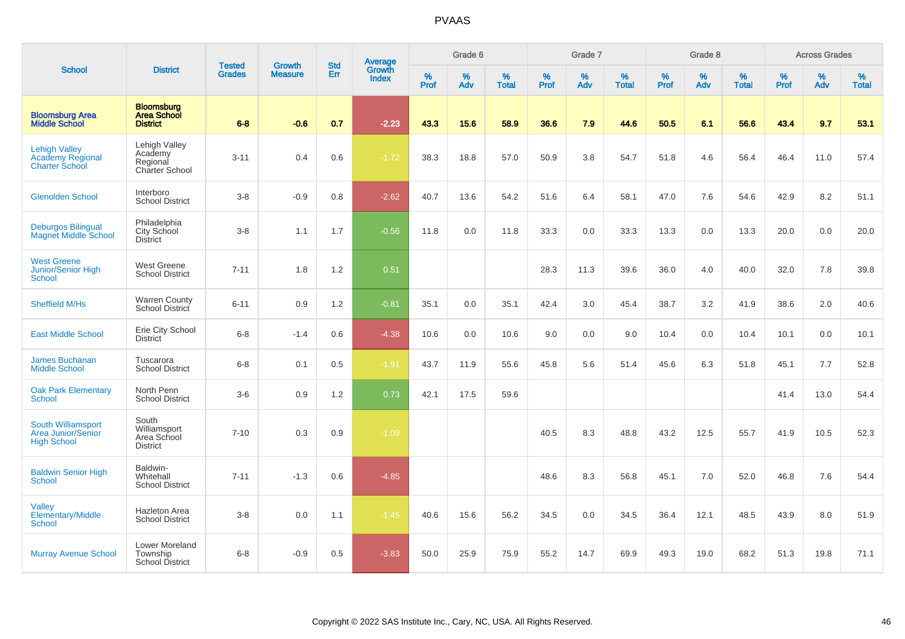|                                                                          |                                                            |                                | <b>Growth</b>  | <b>Std</b> |                                          |           | Grade 6  |                   |           | Grade 7  |                   |           | Grade 8  |                   |           | <b>Across Grades</b> |                   |
|--------------------------------------------------------------------------|------------------------------------------------------------|--------------------------------|----------------|------------|------------------------------------------|-----------|----------|-------------------|-----------|----------|-------------------|-----------|----------|-------------------|-----------|----------------------|-------------------|
| <b>School</b>                                                            | <b>District</b>                                            | <b>Tested</b><br><b>Grades</b> | <b>Measure</b> | Err        | <b>Average</b><br>Growth<br><b>Index</b> | %<br>Prof | %<br>Adv | %<br><b>Total</b> | %<br>Prof | %<br>Adv | %<br><b>Total</b> | %<br>Prof | %<br>Adv | %<br><b>Total</b> | %<br>Prof | %<br>Adv             | %<br><b>Total</b> |
| <b>Bloomsburg Area</b><br><b>Middle School</b>                           | <b>Bloomsburg</b><br><b>Area School</b><br><b>District</b> | $6 - 8$                        | $-0.6$         | 0.7        | $-2.23$                                  | 43.3      | 15.6     | 58.9              | 36.6      | 7.9      | 44.6              | 50.5      | 6.1      | 56.6              | 43.4      | 9.7                  | 53.1              |
| <b>Lehigh Valley</b><br><b>Academy Regional</b><br><b>Charter School</b> | Lehigh Valley<br>Academy<br>Regional<br>Charter School     | $3 - 11$                       | 0.4            | 0.6        | $-1.72$                                  | 38.3      | 18.8     | 57.0              | 50.9      | 3.8      | 54.7              | 51.8      | 4.6      | 56.4              | 46.4      | 11.0                 | 57.4              |
| <b>Glenolden School</b>                                                  | Interboro<br><b>School District</b>                        | $3 - 8$                        | $-0.9$         | 0.8        | $-2.62$                                  | 40.7      | 13.6     | 54.2              | 51.6      | 6.4      | 58.1              | 47.0      | 7.6      | 54.6              | 42.9      | 8.2                  | 51.1              |
| <b>Deburgos Bilingual</b><br><b>Magnet Middle School</b>                 | Philadelphia<br>City School<br><b>District</b>             | $3 - 8$                        | 1.1            | 1.7        | $-0.56$                                  | 11.8      | 0.0      | 11.8              | 33.3      | 0.0      | 33.3              | 13.3      | 0.0      | 13.3              | 20.0      | 0.0                  | 20.0              |
| <b>West Greene</b><br>Junior/Senior High<br>School                       | <b>West Greene</b><br><b>School District</b>               | $7 - 11$                       | 1.8            | 1.2        | 0.51                                     |           |          |                   | 28.3      | 11.3     | 39.6              | 36.0      | 4.0      | 40.0              | 32.0      | 7.8                  | 39.8              |
| <b>Sheffield M/Hs</b>                                                    | <b>Warren County</b><br>School District                    | $6 - 11$                       | 0.9            | 1.2        | $-0.81$                                  | 35.1      | 0.0      | 35.1              | 42.4      | 3.0      | 45.4              | 38.7      | 3.2      | 41.9              | 38.6      | 2.0                  | 40.6              |
| <b>East Middle School</b>                                                | Erie City School<br><b>District</b>                        | $6 - 8$                        | $-1.4$         | 0.6        | $-4.38$                                  | 10.6      | 0.0      | 10.6              | 9.0       | 0.0      | 9.0               | 10.4      | 0.0      | 10.4              | 10.1      | 0.0                  | 10.1              |
| <b>James Buchanan</b><br><b>Middle School</b>                            | Tuscarora<br><b>School District</b>                        | $6 - 8$                        | 0.1            | 0.5        | $-1.91$                                  | 43.7      | 11.9     | 55.6              | 45.8      | 5.6      | 51.4              | 45.6      | 6.3      | 51.8              | 45.1      | 7.7                  | 52.8              |
| <b>Oak Park Elementary</b><br>School                                     | North Penn<br><b>School District</b>                       | $3-6$                          | 0.9            | 1.2        | 0.73                                     | 42.1      | 17.5     | 59.6              |           |          |                   |           |          |                   | 41.4      | 13.0                 | 54.4              |
| South Williamsport<br><b>Area Junior/Senior</b><br><b>High School</b>    | South<br>Williamsport<br>Area School<br><b>District</b>    | $7 - 10$                       | 0.3            | 0.9        | $-1.09$                                  |           |          |                   | 40.5      | 8.3      | 48.8              | 43.2      | 12.5     | 55.7              | 41.9      | 10.5                 | 52.3              |
| <b>Baldwin Senior High</b><br><b>School</b>                              | Baldwin-<br>Whitehall<br><b>School District</b>            | $7 - 11$                       | $-1.3$         | 0.6        | $-4.85$                                  |           |          |                   | 48.6      | 8.3      | 56.8              | 45.1      | 7.0      | 52.0              | 46.8      | 7.6                  | 54.4              |
| <b>Valley</b><br>Elementary/Middle<br>School                             | Hazleton Area<br><b>School District</b>                    | $3 - 8$                        | 0.0            | 1.1        | $-1.45$                                  | 40.6      | 15.6     | 56.2              | 34.5      | 0.0      | 34.5              | 36.4      | 12.1     | 48.5              | 43.9      | 8.0                  | 51.9              |
| <b>Murray Avenue School</b>                                              | Lower Moreland<br>Township<br><b>School District</b>       | $6 - 8$                        | $-0.9$         | 0.5        | $-3.83$                                  | 50.0      | 25.9     | 75.9              | 55.2      | 14.7     | 69.9              | 49.3      | 19.0     | 68.2              | 51.3      | 19.8                 | 71.1              |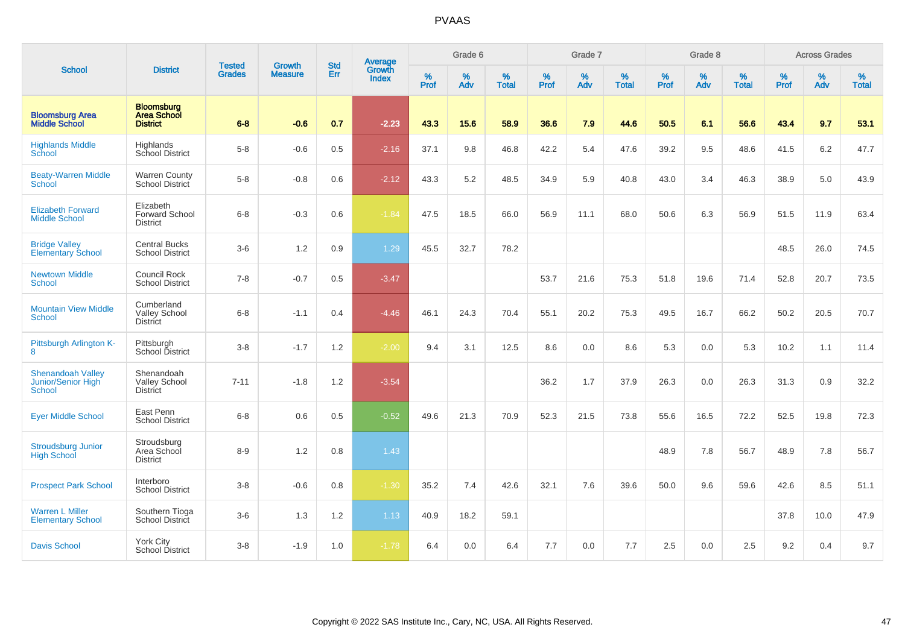|                                                          |                                                            |                                |                                 | <b>Std</b> |                                          |                  | Grade 6  |                   |                  | Grade 7     |                   |                  | Grade 8  |                   |           | <b>Across Grades</b> |                   |
|----------------------------------------------------------|------------------------------------------------------------|--------------------------------|---------------------------------|------------|------------------------------------------|------------------|----------|-------------------|------------------|-------------|-------------------|------------------|----------|-------------------|-----------|----------------------|-------------------|
| <b>School</b>                                            | <b>District</b>                                            | <b>Tested</b><br><b>Grades</b> | <b>Growth</b><br><b>Measure</b> | Err        | <b>Average</b><br>Growth<br><b>Index</b> | %<br><b>Prof</b> | %<br>Adv | %<br><b>Total</b> | %<br><b>Prof</b> | $\%$<br>Adv | %<br><b>Total</b> | %<br><b>Prof</b> | %<br>Adv | %<br><b>Total</b> | %<br>Prof | %<br>Adv             | %<br><b>Total</b> |
| <b>Bloomsburg Area</b><br><b>Middle School</b>           | <b>Bloomsburg</b><br><b>Area School</b><br><b>District</b> | $6 - 8$                        | $-0.6$                          | 0.7        | $-2.23$                                  | 43.3             | 15.6     | 58.9              | 36.6             | 7.9         | 44.6              | 50.5             | 6.1      | 56.6              | 43.4      | 9.7                  | 53.1              |
| <b>Highlands Middle</b><br>School                        | Highlands<br>School District                               | $5-8$                          | $-0.6$                          | 0.5        | $-2.16$                                  | 37.1             | 9.8      | 46.8              | 42.2             | 5.4         | 47.6              | 39.2             | 9.5      | 48.6              | 41.5      | $6.2\,$              | 47.7              |
| <b>Beaty-Warren Middle</b><br>School                     | <b>Warren County</b><br>School District                    | $5-8$                          | $-0.8$                          | 0.6        | $-2.12$                                  | 43.3             | 5.2      | 48.5              | 34.9             | 5.9         | 40.8              | 43.0             | 3.4      | 46.3              | 38.9      | 5.0                  | 43.9              |
| <b>Elizabeth Forward</b><br><b>Middle School</b>         | Elizabeth<br>Forward School<br><b>District</b>             | $6 - 8$                        | $-0.3$                          | 0.6        | $-1.84$                                  | 47.5             | 18.5     | 66.0              | 56.9             | 11.1        | 68.0              | 50.6             | 6.3      | 56.9              | 51.5      | 11.9                 | 63.4              |
| <b>Bridge Valley</b><br><b>Elementary School</b>         | <b>Central Bucks</b><br><b>School District</b>             | $3-6$                          | 1.2                             | 0.9        | 1.29                                     | 45.5             | 32.7     | 78.2              |                  |             |                   |                  |          |                   | 48.5      | 26.0                 | 74.5              |
| <b>Newtown Middle</b><br><b>School</b>                   | Council Rock<br><b>School District</b>                     | $7 - 8$                        | $-0.7$                          | 0.5        | $-3.47$                                  |                  |          |                   | 53.7             | 21.6        | 75.3              | 51.8             | 19.6     | 71.4              | 52.8      | 20.7                 | 73.5              |
| <b>Mountain View Middle</b><br><b>School</b>             | Cumberland<br><b>Valley School</b><br><b>District</b>      | $6 - 8$                        | $-1.1$                          | 0.4        | $-4.46$                                  | 46.1             | 24.3     | 70.4              | 55.1             | 20.2        | 75.3              | 49.5             | 16.7     | 66.2              | 50.2      | 20.5                 | 70.7              |
| Pittsburgh Arlington K-<br>8                             | Pittsburgh<br>School District                              | $3 - 8$                        | $-1.7$                          | 1.2        | $-2.00$                                  | 9.4              | 3.1      | 12.5              | 8.6              | 0.0         | 8.6               | 5.3              | 0.0      | 5.3               | 10.2      | 1.1                  | 11.4              |
| <b>Shenandoah Valley</b><br>Junior/Senior High<br>School | Shenandoah<br><b>Valley School</b><br><b>District</b>      | $7 - 11$                       | $-1.8$                          | 1.2        | $-3.54$                                  |                  |          |                   | 36.2             | 1.7         | 37.9              | 26.3             | 0.0      | 26.3              | 31.3      | 0.9                  | 32.2              |
| <b>Eyer Middle School</b>                                | East Penn<br><b>School District</b>                        | $6 - 8$                        | 0.6                             | 0.5        | $-0.52$                                  | 49.6             | 21.3     | 70.9              | 52.3             | 21.5        | 73.8              | 55.6             | 16.5     | 72.2              | 52.5      | 19.8                 | 72.3              |
| <b>Stroudsburg Junior</b><br><b>High School</b>          | Stroudsburg<br>Area School<br><b>District</b>              | $8 - 9$                        | 1.2                             | 0.8        | 1.43                                     |                  |          |                   |                  |             |                   | 48.9             | 7.8      | 56.7              | 48.9      | 7.8                  | 56.7              |
| <b>Prospect Park School</b>                              | Interboro<br><b>School District</b>                        | $3 - 8$                        | $-0.6$                          | 0.8        | $-1.30$                                  | 35.2             | 7.4      | 42.6              | 32.1             | 7.6         | 39.6              | 50.0             | 9.6      | 59.6              | 42.6      | 8.5                  | 51.1              |
| <b>Warren L Miller</b><br><b>Elementary School</b>       | Southern Tioga<br>School District                          | $3-6$                          | 1.3                             | 1.2        | 1.13                                     | 40.9             | 18.2     | 59.1              |                  |             |                   |                  |          |                   | 37.8      | 10.0                 | 47.9              |
| <b>Davis School</b>                                      | York City<br><b>School District</b>                        | $3 - 8$                        | $-1.9$                          | 1.0        | $-1.78$                                  | 6.4              | 0.0      | 6.4               | 7.7              | 0.0         | 7.7               | 2.5              | 0.0      | 2.5               | 9.2       | 0.4                  | 9.7               |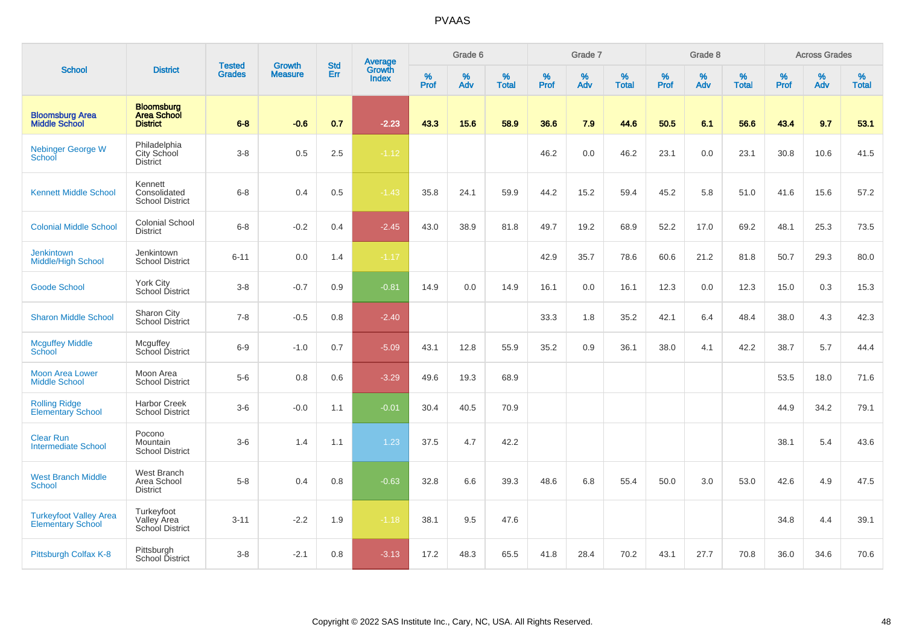|                                                           |                                                            |                                | <b>Growth</b>  |                          |                                          |                  | Grade 6     |                   |                  | Grade 7  |                   |                  | Grade 8  |                   |           | <b>Across Grades</b> |                   |
|-----------------------------------------------------------|------------------------------------------------------------|--------------------------------|----------------|--------------------------|------------------------------------------|------------------|-------------|-------------------|------------------|----------|-------------------|------------------|----------|-------------------|-----------|----------------------|-------------------|
| <b>School</b>                                             | <b>District</b>                                            | <b>Tested</b><br><b>Grades</b> | <b>Measure</b> | <b>Std</b><br><b>Err</b> | <b>Average</b><br>Growth<br><b>Index</b> | %<br><b>Prof</b> | $\%$<br>Adv | %<br><b>Total</b> | %<br><b>Prof</b> | %<br>Adv | %<br><b>Total</b> | %<br><b>Prof</b> | %<br>Adv | %<br><b>Total</b> | %<br>Prof | %<br>Adv             | %<br><b>Total</b> |
| <b>Bloomsburg Area</b><br><b>Middle School</b>            | <b>Bloomsburg</b><br><b>Area School</b><br><b>District</b> | $6 - 8$                        | $-0.6$         | 0.7                      | $-2.23$                                  | 43.3             | 15.6        | 58.9              | 36.6             | 7.9      | 44.6              | 50.5             | 6.1      | 56.6              | 43.4      | 9.7                  | 53.1              |
| <b>Nebinger George W</b><br>School                        | Philadelphia<br>City School<br><b>District</b>             | $3-8$                          | 0.5            | 2.5                      | $-1.12$                                  |                  |             |                   | 46.2             | 0.0      | 46.2              | 23.1             | 0.0      | 23.1              | 30.8      | 10.6                 | 41.5              |
| <b>Kennett Middle School</b>                              | Kennett<br>Consolidated<br><b>School District</b>          | $6 - 8$                        | 0.4            | 0.5                      | $-1.43$                                  | 35.8             | 24.1        | 59.9              | 44.2             | 15.2     | 59.4              | 45.2             | 5.8      | 51.0              | 41.6      | 15.6                 | 57.2              |
| <b>Colonial Middle School</b>                             | Colonial School<br><b>District</b>                         | $6 - 8$                        | $-0.2$         | 0.4                      | $-2.45$                                  | 43.0             | 38.9        | 81.8              | 49.7             | 19.2     | 68.9              | 52.2             | 17.0     | 69.2              | 48.1      | 25.3                 | 73.5              |
| <b>Jenkintown</b><br><b>Middle/High School</b>            | Jenkintown<br><b>School District</b>                       | $6 - 11$                       | 0.0            | 1.4                      | $-1.17$                                  |                  |             |                   | 42.9             | 35.7     | 78.6              | 60.6             | 21.2     | 81.8              | 50.7      | 29.3                 | 80.0              |
| <b>Goode School</b>                                       | York City<br>School District                               | $3-8$                          | $-0.7$         | 0.9                      | $-0.81$                                  | 14.9             | 0.0         | 14.9              | 16.1             | 0.0      | 16.1              | 12.3             | 0.0      | 12.3              | 15.0      | 0.3                  | 15.3              |
| <b>Sharon Middle School</b>                               | Sharon City<br><b>School District</b>                      | $7 - 8$                        | $-0.5$         | 0.8                      | $-2.40$                                  |                  |             |                   | 33.3             | 1.8      | 35.2              | 42.1             | 6.4      | 48.4              | 38.0      | 4.3                  | 42.3              |
| <b>Mcguffey Middle</b><br>School                          | Mcguffey<br>School District                                | $6-9$                          | $-1.0$         | 0.7                      | $-5.09$                                  | 43.1             | 12.8        | 55.9              | 35.2             | 0.9      | 36.1              | 38.0             | 4.1      | 42.2              | 38.7      | 5.7                  | 44.4              |
| <b>Moon Area Lower</b><br><b>Middle School</b>            | Moon Area<br><b>School District</b>                        | $5-6$                          | 0.8            | 0.6                      | $-3.29$                                  | 49.6             | 19.3        | 68.9              |                  |          |                   |                  |          |                   | 53.5      | 18.0                 | 71.6              |
| <b>Rolling Ridge</b><br><b>Elementary School</b>          | <b>Harbor Creek</b><br><b>School District</b>              | $3-6$                          | $-0.0$         | 1.1                      | $-0.01$                                  | 30.4             | 40.5        | 70.9              |                  |          |                   |                  |          |                   | 44.9      | 34.2                 | 79.1              |
| <b>Clear Run</b><br><b>Intermediate School</b>            | Pocono<br>Mountain<br><b>School District</b>               | $3-6$                          | 1.4            | 1.1                      | 1.23                                     | 37.5             | 4.7         | 42.2              |                  |          |                   |                  |          |                   | 38.1      | 5.4                  | 43.6              |
| <b>West Branch Middle</b><br>School                       | <b>West Branch</b><br>Area School<br><b>District</b>       | $5 - 8$                        | 0.4            | 0.8                      | $-0.63$                                  | 32.8             | 6.6         | 39.3              | 48.6             | 6.8      | 55.4              | 50.0             | 3.0      | 53.0              | 42.6      | 4.9                  | 47.5              |
| <b>Turkeyfoot Valley Area</b><br><b>Elementary School</b> | Turkeyfoot<br>Valley Area<br>School District               | $3 - 11$                       | $-2.2$         | 1.9                      | $-1.18$                                  | 38.1             | 9.5         | 47.6              |                  |          |                   |                  |          |                   | 34.8      | 4.4                  | 39.1              |
| Pittsburgh Colfax K-8                                     | Pittsburgh<br>School District                              | $3 - 8$                        | $-2.1$         | 0.8                      | $-3.13$                                  | 17.2             | 48.3        | 65.5              | 41.8             | 28.4     | 70.2              | 43.1             | 27.7     | 70.8              | 36.0      | 34.6                 | 70.6              |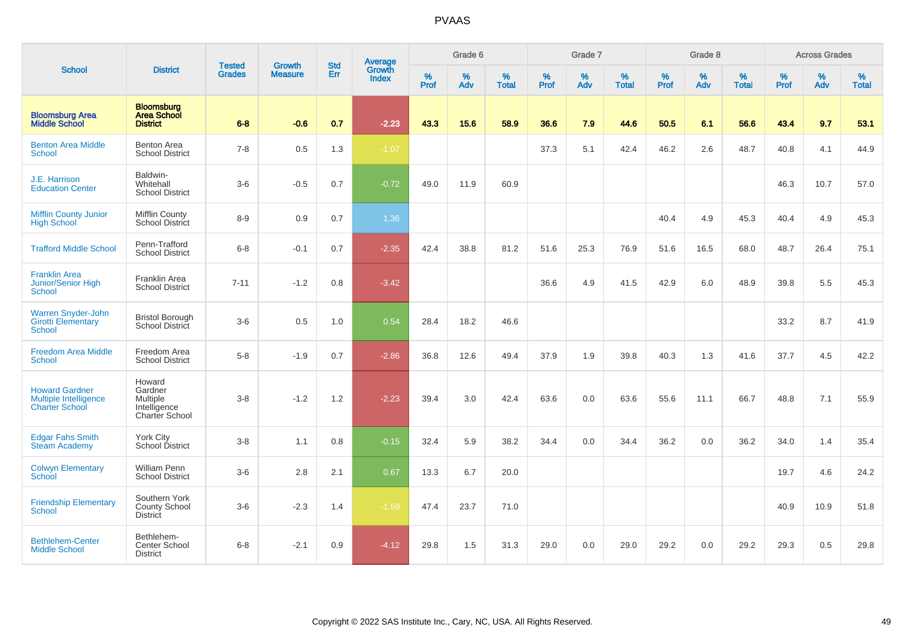|                                                                                |                                                                               |                                |                                 |                   |                                          |                  | Grade 6  |                   |           | Grade 7  |                   |           | Grade 8  |                   |           | <b>Across Grades</b> |                   |
|--------------------------------------------------------------------------------|-------------------------------------------------------------------------------|--------------------------------|---------------------------------|-------------------|------------------------------------------|------------------|----------|-------------------|-----------|----------|-------------------|-----------|----------|-------------------|-----------|----------------------|-------------------|
| <b>School</b>                                                                  | <b>District</b>                                                               | <b>Tested</b><br><b>Grades</b> | <b>Growth</b><br><b>Measure</b> | <b>Std</b><br>Err | <b>Average</b><br>Growth<br><b>Index</b> | %<br><b>Prof</b> | %<br>Adv | %<br><b>Total</b> | %<br>Prof | %<br>Adv | %<br><b>Total</b> | %<br>Prof | %<br>Adv | %<br><b>Total</b> | %<br>Prof | %<br>Adv             | %<br><b>Total</b> |
| <b>Bloomsburg Area</b><br><b>Middle School</b>                                 | <b>Bloomsburg</b><br><b>Area School</b><br><b>District</b>                    | $6 - 8$                        | $-0.6$                          | 0.7               | $-2.23$                                  | 43.3             | 15.6     | 58.9              | 36.6      | 7.9      | 44.6              | 50.5      | 6.1      | 56.6              | 43.4      | 9.7                  | 53.1              |
| <b>Benton Area Middle</b><br>School                                            | Benton Area<br><b>School District</b>                                         | $7 - 8$                        | 0.5                             | 1.3               | $-1.07$                                  |                  |          |                   | 37.3      | 5.1      | 42.4              | 46.2      | 2.6      | 48.7              | 40.8      | 4.1                  | 44.9              |
| J.E. Harrison<br><b>Education Center</b>                                       | Baldwin-<br>Whitehall<br><b>School District</b>                               | $3-6$                          | $-0.5$                          | 0.7               | $-0.72$                                  | 49.0             | 11.9     | 60.9              |           |          |                   |           |          |                   | 46.3      | 10.7                 | 57.0              |
| <b>Mifflin County Junior</b><br><b>High School</b>                             | Mifflin County<br><b>School District</b>                                      | $8 - 9$                        | 0.9                             | 0.7               | 1.36                                     |                  |          |                   |           |          |                   | 40.4      | 4.9      | 45.3              | 40.4      | 4.9                  | 45.3              |
| <b>Trafford Middle School</b>                                                  | Penn-Trafford<br><b>School District</b>                                       | $6 - 8$                        | $-0.1$                          | 0.7               | $-2.35$                                  | 42.4             | 38.8     | 81.2              | 51.6      | 25.3     | 76.9              | 51.6      | 16.5     | 68.0              | 48.7      | 26.4                 | 75.1              |
| <b>Franklin Area</b><br>Junior/Senior High<br><b>School</b>                    | Franklin Area<br><b>School District</b>                                       | $7 - 11$                       | $-1.2$                          | 0.8               | $-3.42$                                  |                  |          |                   | 36.6      | 4.9      | 41.5              | 42.9      | 6.0      | 48.9              | 39.8      | 5.5                  | 45.3              |
| <b>Warren Snyder-John</b><br><b>Girotti Elementary</b><br>School               | <b>Bristol Borough</b><br>School District                                     | $3-6$                          | 0.5                             | 1.0               | 0.54                                     | 28.4             | 18.2     | 46.6              |           |          |                   |           |          |                   | 33.2      | 8.7                  | 41.9              |
| <b>Freedom Area Middle</b><br><b>School</b>                                    | Freedom Area<br><b>School District</b>                                        | $5-8$                          | $-1.9$                          | 0.7               | $-2.86$                                  | 36.8             | 12.6     | 49.4              | 37.9      | 1.9      | 39.8              | 40.3      | 1.3      | 41.6              | 37.7      | 4.5                  | 42.2              |
| <b>Howard Gardner</b><br><b>Multiple Intelligence</b><br><b>Charter School</b> | Howard<br>Gardner<br><b>Multiple</b><br>Intelligence<br><b>Charter School</b> | $3 - 8$                        | $-1.2$                          | 1.2               | $-2.23$                                  | 39.4             | 3.0      | 42.4              | 63.6      | 0.0      | 63.6              | 55.6      | 11.1     | 66.7              | 48.8      | 7.1                  | 55.9              |
| <b>Edgar Fahs Smith</b><br><b>Steam Academy</b>                                | York City<br>School District                                                  | $3 - 8$                        | 1.1                             | 0.8               | $-0.15$                                  | 32.4             | 5.9      | 38.2              | 34.4      | 0.0      | 34.4              | 36.2      | 0.0      | 36.2              | 34.0      | 1.4                  | 35.4              |
| <b>Colwyn Elementary</b><br><b>School</b>                                      | <b>William Penn</b><br><b>School District</b>                                 | $3-6$                          | 2.8                             | 2.1               | 0.67                                     | 13.3             | 6.7      | 20.0              |           |          |                   |           |          |                   | 19.7      | 4.6                  | 24.2              |
| <b>Friendship Elementary</b><br><b>School</b>                                  | Southern York<br><b>County School</b><br><b>District</b>                      | $3 - 6$                        | $-2.3$                          | 1.4               | $-1.59$                                  | 47.4             | 23.7     | 71.0              |           |          |                   |           |          |                   | 40.9      | 10.9                 | 51.8              |
| <b>Bethlehem-Center</b><br><b>Middle School</b>                                | Bethlehem-<br>Center School<br><b>District</b>                                | $6 - 8$                        | $-2.1$                          | 0.9               | $-4.12$                                  | 29.8             | 1.5      | 31.3              | 29.0      | 0.0      | 29.0              | 29.2      | 0.0      | 29.2              | 29.3      | 0.5                  | 29.8              |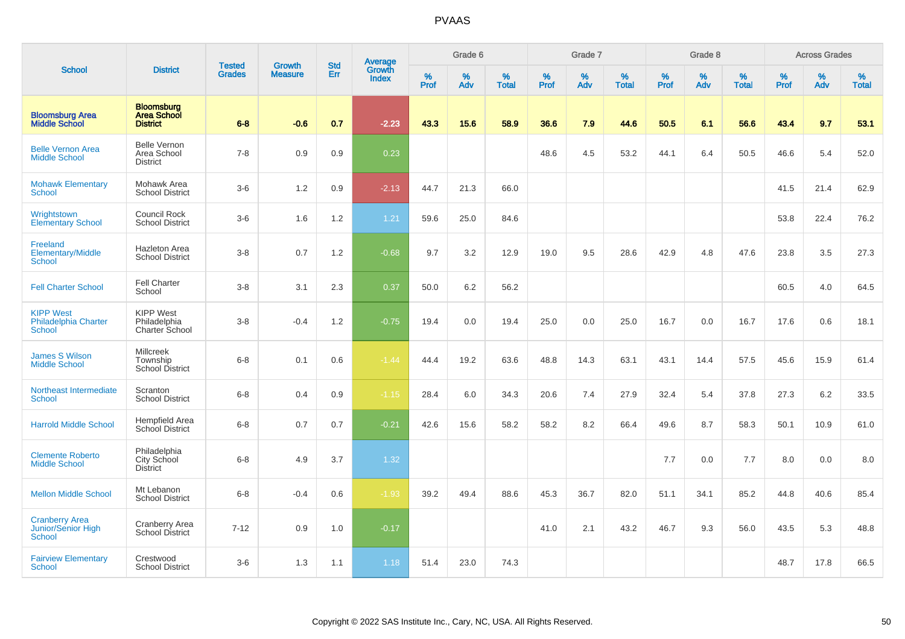|                                                           |                                                            |                                |                                 |                   |                                          |                  | Grade 6  |                   |           | Grade 7  |                   |           | Grade 8  |                   |           | <b>Across Grades</b> |                   |
|-----------------------------------------------------------|------------------------------------------------------------|--------------------------------|---------------------------------|-------------------|------------------------------------------|------------------|----------|-------------------|-----------|----------|-------------------|-----------|----------|-------------------|-----------|----------------------|-------------------|
| <b>School</b>                                             | <b>District</b>                                            | <b>Tested</b><br><b>Grades</b> | <b>Growth</b><br><b>Measure</b> | <b>Std</b><br>Err | <b>Average</b><br>Growth<br><b>Index</b> | %<br><b>Prof</b> | %<br>Adv | %<br><b>Total</b> | %<br>Prof | %<br>Adv | %<br><b>Total</b> | %<br>Prof | %<br>Adv | %<br><b>Total</b> | %<br>Prof | $\%$<br>Adv          | %<br><b>Total</b> |
| <b>Bloomsburg Area</b><br><b>Middle School</b>            | <b>Bloomsburg</b><br><b>Area School</b><br><b>District</b> | $6 - 8$                        | $-0.6$                          | 0.7               | $-2.23$                                  | 43.3             | 15.6     | 58.9              | 36.6      | 7.9      | 44.6              | 50.5      | 6.1      | 56.6              | 43.4      | 9.7                  | 53.1              |
| <b>Belle Vernon Area</b><br><b>Middle School</b>          | <b>Belle Vernon</b><br>Area School<br><b>District</b>      | $7 - 8$                        | 0.9                             | 0.9               | 0.23                                     |                  |          |                   | 48.6      | 4.5      | 53.2              | 44.1      | 6.4      | 50.5              | 46.6      | 5.4                  | 52.0              |
| <b>Mohawk Elementary</b><br><b>School</b>                 | Mohawk Area<br><b>School District</b>                      | $3-6$                          | 1.2                             | 0.9               | $-2.13$                                  | 44.7             | 21.3     | 66.0              |           |          |                   |           |          |                   | 41.5      | 21.4                 | 62.9              |
| Wrightstown<br><b>Elementary School</b>                   | Council Rock<br><b>School District</b>                     | $3-6$                          | 1.6                             | 1.2               | 1.21                                     | 59.6             | 25.0     | 84.6              |           |          |                   |           |          |                   | 53.8      | 22.4                 | 76.2              |
| Freeland<br>Elementary/Middle<br><b>School</b>            | <b>Hazleton Area</b><br><b>School District</b>             | $3 - 8$                        | 0.7                             | 1.2               | $-0.68$                                  | 9.7              | 3.2      | 12.9              | 19.0      | 9.5      | 28.6              | 42.9      | 4.8      | 47.6              | 23.8      | 3.5                  | 27.3              |
| <b>Fell Charter School</b>                                | <b>Fell Charter</b><br>School                              | $3 - 8$                        | 3.1                             | 2.3               | 0.37                                     | 50.0             | 6.2      | 56.2              |           |          |                   |           |          |                   | 60.5      | 4.0                  | 64.5              |
| <b>KIPP West</b><br><b>Philadelphia Charter</b><br>School | <b>KIPP West</b><br>Philadelphia<br>Charter School         | $3 - 8$                        | $-0.4$                          | 1.2               | $-0.75$                                  | 19.4             | 0.0      | 19.4              | 25.0      | 0.0      | 25.0              | 16.7      | 0.0      | 16.7              | 17.6      | 0.6                  | 18.1              |
| James S Wilson<br><b>Middle School</b>                    | <b>Millcreek</b><br>Township<br>School District            | $6 - 8$                        | 0.1                             | 0.6               | $-1.44$                                  | 44.4             | 19.2     | 63.6              | 48.8      | 14.3     | 63.1              | 43.1      | 14.4     | 57.5              | 45.6      | 15.9                 | 61.4              |
| Northeast Intermediate<br>School                          | Scranton<br><b>School District</b>                         | $6 - 8$                        | 0.4                             | 0.9               | $-1.15$                                  | 28.4             | 6.0      | 34.3              | 20.6      | 7.4      | 27.9              | 32.4      | 5.4      | 37.8              | 27.3      | 6.2                  | 33.5              |
| <b>Harrold Middle School</b>                              | Hempfield Area<br>School District                          | $6 - 8$                        | 0.7                             | 0.7               | $-0.21$                                  | 42.6             | 15.6     | 58.2              | 58.2      | 8.2      | 66.4              | 49.6      | 8.7      | 58.3              | 50.1      | 10.9                 | 61.0              |
| <b>Clemente Roberto</b><br><b>Middle School</b>           | Philadelphia<br>City School<br><b>District</b>             | $6 - 8$                        | 4.9                             | 3.7               | 1.32                                     |                  |          |                   |           |          |                   | 7.7       | 0.0      | 7.7               | 8.0       | 0.0                  | 8.0               |
| <b>Mellon Middle School</b>                               | Mt Lebanon<br><b>School District</b>                       | $6 - 8$                        | $-0.4$                          | 0.6               | $-1.93$                                  | 39.2             | 49.4     | 88.6              | 45.3      | 36.7     | 82.0              | 51.1      | 34.1     | 85.2              | 44.8      | 40.6                 | 85.4              |
| <b>Cranberry Area</b><br>Junior/Senior High<br>School     | <b>Cranberry Area</b><br><b>School District</b>            | $7 - 12$                       | 0.9                             | 1.0               | $-0.17$                                  |                  |          |                   | 41.0      | 2.1      | 43.2              | 46.7      | 9.3      | 56.0              | 43.5      | 5.3                  | 48.8              |
| <b>Fairview Elementary</b><br>School                      | Crestwood<br><b>School District</b>                        | $3-6$                          | 1.3                             | 1.1               | 1.18                                     | 51.4             | 23.0     | 74.3              |           |          |                   |           |          |                   | 48.7      | 17.8                 | 66.5              |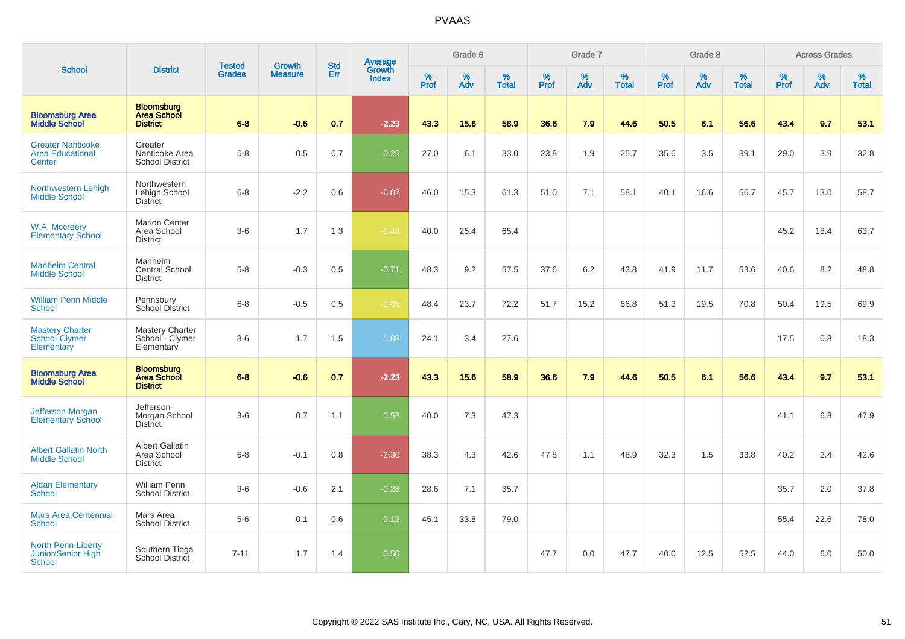|                                                               |                                                            |                                | <b>Growth</b>  | <b>Std</b> |                                          |                  | Grade 6  |                   |           | Grade 7  |                   |           | Grade 8  |                   |           | <b>Across Grades</b> |                   |
|---------------------------------------------------------------|------------------------------------------------------------|--------------------------------|----------------|------------|------------------------------------------|------------------|----------|-------------------|-----------|----------|-------------------|-----------|----------|-------------------|-----------|----------------------|-------------------|
| <b>School</b>                                                 | <b>District</b>                                            | <b>Tested</b><br><b>Grades</b> | <b>Measure</b> | Err        | <b>Average</b><br>Growth<br><b>Index</b> | %<br><b>Prof</b> | %<br>Adv | %<br><b>Total</b> | %<br>Prof | %<br>Adv | %<br><b>Total</b> | %<br>Prof | %<br>Adv | %<br><b>Total</b> | %<br>Prof | %<br>Adv             | %<br><b>Total</b> |
| <b>Bloomsburg Area</b><br><b>Middle School</b>                | <b>Bloomsburg</b><br><b>Area School</b><br><b>District</b> | $6 - 8$                        | $-0.6$         | 0.7        | $-2.23$                                  | 43.3             | 15.6     | 58.9              | 36.6      | 7.9      | 44.6              | 50.5      | 6.1      | 56.6              | 43.4      | 9.7                  | 53.1              |
| <b>Greater Nanticoke</b><br><b>Area Educational</b><br>Center | Greater<br>Nanticoke Area<br><b>School District</b>        | $6 - 8$                        | 0.5            | 0.7        | $-0.25$                                  | 27.0             | 6.1      | 33.0              | 23.8      | 1.9      | 25.7              | 35.6      | 3.5      | 39.1              | 29.0      | 3.9                  | 32.8              |
| Northwestern Lehigh<br><b>Middle School</b>                   | Northwestern<br>Lehigh School<br><b>District</b>           | $6 - 8$                        | $-2.2$         | 0.6        | $-6.02$                                  | 46.0             | 15.3     | 61.3              | 51.0      | 7.1      | 58.1              | 40.1      | 16.6     | 56.7              | 45.7      | 13.0                 | 58.7              |
| W.A. Mccreery<br><b>Elementary School</b>                     | <b>Marion Center</b><br>Area School<br><b>District</b>     | $3-6$                          | 1.7            | 1.3        | $-1.43$                                  | 40.0             | 25.4     | 65.4              |           |          |                   |           |          |                   | 45.2      | 18.4                 | 63.7              |
| <b>Manheim Central</b><br><b>Middle School</b>                | Manheim<br><b>Central School</b><br><b>District</b>        | $5 - 8$                        | $-0.3$         | 0.5        | $-0.71$                                  | 48.3             | 9.2      | 57.5              | 37.6      | 6.2      | 43.8              | 41.9      | 11.7     | 53.6              | 40.6      | 8.2                  | 48.8              |
| <b>William Penn Middle</b><br><b>School</b>                   | Pennsbury<br><b>School District</b>                        | $6 - 8$                        | $-0.5$         | 0.5        | $-1.85$                                  | 48.4             | 23.7     | 72.2              | 51.7      | 15.2     | 66.8              | 51.3      | 19.5     | 70.8              | 50.4      | 19.5                 | 69.9              |
| <b>Mastery Charter</b><br>School-Clymer<br>Elementary         | <b>Mastery Charter</b><br>School - Clymer<br>Elementary    | $3-6$                          | 1.7            | 1.5        | 1.09                                     | 24.1             | 3.4      | 27.6              |           |          |                   |           |          |                   | 17.5      | 0.8                  | 18.3              |
| <b>Bloomsburg Area</b><br><b>Middle School</b>                | <b>Bloomsburg</b><br><b>Area School</b><br><b>District</b> | $6-8$                          | $-0.6$         | 0.7        | $-2.23$                                  | 43.3             | 15.6     | 58.9              | 36.6      | 7.9      | 44.6              | 50.5      | 6.1      | 56.6              | 43.4      | 9.7                  | 53.1              |
| Jefferson-Morgan<br><b>Elementary School</b>                  | Jefferson-<br>Morgan School<br><b>District</b>             | $3-6$                          | 0.7            | 1.1        | 0.58                                     | 40.0             | 7.3      | 47.3              |           |          |                   |           |          |                   | 41.1      | 6.8                  | 47.9              |
| <b>Albert Gallatin North</b><br><b>Middle School</b>          | <b>Albert Gallatin</b><br>Area School<br><b>District</b>   | $6 - 8$                        | $-0.1$         | 0.8        | $-2.30$                                  | 38.3             | 4.3      | 42.6              | 47.8      | 1.1      | 48.9              | 32.3      | 1.5      | 33.8              | 40.2      | 2.4                  | 42.6              |
| <b>Aldan Elementary</b><br><b>School</b>                      | William Penn<br><b>School District</b>                     | $3-6$                          | $-0.6$         | 2.1        | $-0.28$                                  | 28.6             | 7.1      | 35.7              |           |          |                   |           |          |                   | 35.7      | 2.0                  | 37.8              |
| <b>Mars Area Centennial</b><br><b>School</b>                  | Mars Area<br><b>School District</b>                        | $5-6$                          | 0.1            | 0.6        | 0.13                                     | 45.1             | 33.8     | 79.0              |           |          |                   |           |          |                   | 55.4      | 22.6                 | 78.0              |
| <b>North Penn-Liberty</b><br>Junior/Senior High<br>School     | Southern Tioga<br><b>School District</b>                   | $7 - 11$                       | 1.7            | 1.4        | 0.50                                     |                  |          |                   | 47.7      | 0.0      | 47.7              | 40.0      | 12.5     | 52.5              | 44.0      | 6.0                  | 50.0              |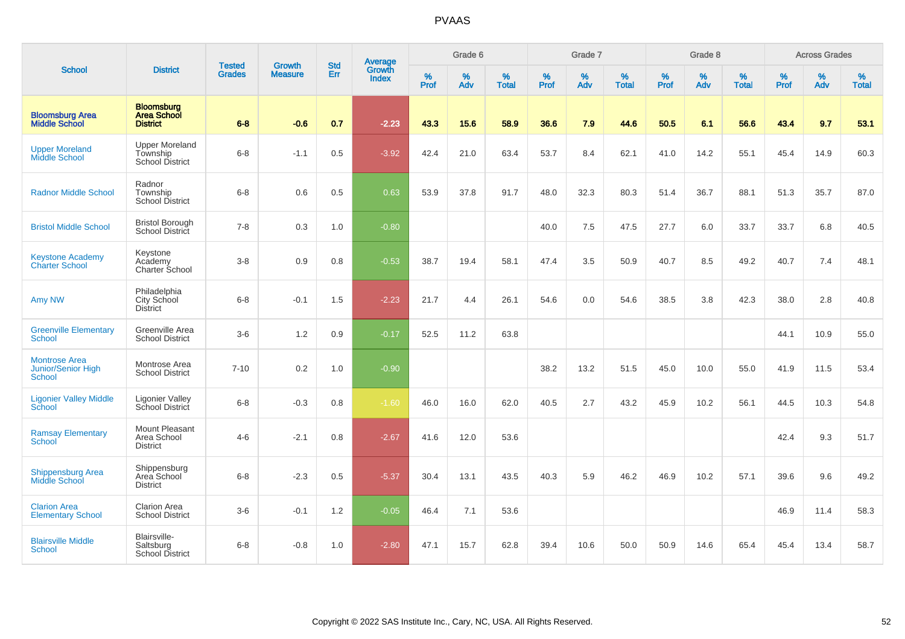|                                                             |                                                             |                                |                                 | <b>Std</b> |                                          |           | Grade 6  |                   |           | Grade 7  |                   |           | Grade 8  |                   |           | <b>Across Grades</b> |                   |
|-------------------------------------------------------------|-------------------------------------------------------------|--------------------------------|---------------------------------|------------|------------------------------------------|-----------|----------|-------------------|-----------|----------|-------------------|-----------|----------|-------------------|-----------|----------------------|-------------------|
| <b>School</b>                                               | <b>District</b>                                             | <b>Tested</b><br><b>Grades</b> | <b>Growth</b><br><b>Measure</b> | Err        | <b>Average</b><br>Growth<br><b>Index</b> | %<br>Prof | %<br>Adv | %<br><b>Total</b> | %<br>Prof | %<br>Adv | %<br><b>Total</b> | %<br>Prof | %<br>Adv | %<br><b>Total</b> | %<br>Prof | %<br>Adv             | %<br><b>Total</b> |
| <b>Bloomsburg Area</b><br><b>Middle School</b>              | <b>Bloomsburg</b><br><b>Area School</b><br><b>District</b>  | $6 - 8$                        | $-0.6$                          | 0.7        | $-2.23$                                  | 43.3      | 15.6     | 58.9              | 36.6      | 7.9      | 44.6              | 50.5      | 6.1      | 56.6              | 43.4      | 9.7                  | 53.1              |
| <b>Upper Moreland</b><br>Middle School                      | <b>Upper Moreland</b><br>Township<br><b>School District</b> | $6 - 8$                        | $-1.1$                          | 0.5        | $-3.92$                                  | 42.4      | 21.0     | 63.4              | 53.7      | 8.4      | 62.1              | 41.0      | 14.2     | 55.1              | 45.4      | 14.9                 | 60.3              |
| <b>Radnor Middle School</b>                                 | Radnor<br>Township<br>School District                       | $6 - 8$                        | 0.6                             | 0.5        | 0.63                                     | 53.9      | 37.8     | 91.7              | 48.0      | 32.3     | 80.3              | 51.4      | 36.7     | 88.1              | 51.3      | 35.7                 | 87.0              |
| <b>Bristol Middle School</b>                                | <b>Bristol Borough</b><br>School District                   | $7 - 8$                        | 0.3                             | 1.0        | $-0.80$                                  |           |          |                   | 40.0      | 7.5      | 47.5              | 27.7      | 6.0      | 33.7              | 33.7      | 6.8                  | 40.5              |
| <b>Keystone Academy</b><br><b>Charter School</b>            | Keystone<br>Academy<br>Charter School                       | $3 - 8$                        | 0.9                             | 0.8        | $-0.53$                                  | 38.7      | 19.4     | 58.1              | 47.4      | 3.5      | 50.9              | 40.7      | 8.5      | 49.2              | 40.7      | 7.4                  | 48.1              |
| Amy NW                                                      | Philadelphia<br>City School<br><b>District</b>              | $6 - 8$                        | $-0.1$                          | 1.5        | $-2.23$                                  | 21.7      | 4.4      | 26.1              | 54.6      | 0.0      | 54.6              | 38.5      | 3.8      | 42.3              | 38.0      | 2.8                  | 40.8              |
| <b>Greenville Elementary</b><br>School                      | Greenville Area<br><b>School District</b>                   | $3-6$                          | 1.2                             | 0.9        | $-0.17$                                  | 52.5      | 11.2     | 63.8              |           |          |                   |           |          |                   | 44.1      | 10.9                 | 55.0              |
| <b>Montrose Area</b><br><b>Junior/Senior High</b><br>School | Montrose Area<br><b>School District</b>                     | $7 - 10$                       | 0.2                             | 1.0        | $-0.90$                                  |           |          |                   | 38.2      | 13.2     | 51.5              | 45.0      | 10.0     | 55.0              | 41.9      | 11.5                 | 53.4              |
| <b>Ligonier Valley Middle</b><br>School                     | <b>Ligonier Valley</b><br>School District                   | $6 - 8$                        | $-0.3$                          | 0.8        | $-1.60$                                  | 46.0      | 16.0     | 62.0              | 40.5      | 2.7      | 43.2              | 45.9      | 10.2     | 56.1              | 44.5      | 10.3                 | 54.8              |
| <b>Ramsay Elementary</b><br><b>School</b>                   | Mount Pleasant<br>Area School<br><b>District</b>            | $4-6$                          | $-2.1$                          | 0.8        | $-2.67$                                  | 41.6      | 12.0     | 53.6              |           |          |                   |           |          |                   | 42.4      | 9.3                  | 51.7              |
| <b>Shippensburg Area</b><br>Middle School                   | Shippensburg<br>Area School<br><b>District</b>              | $6 - 8$                        | $-2.3$                          | 0.5        | $-5.37$                                  | 30.4      | 13.1     | 43.5              | 40.3      | 5.9      | 46.2              | 46.9      | 10.2     | 57.1              | 39.6      | 9.6                  | 49.2              |
| <b>Clarion Area</b><br><b>Elementary School</b>             | <b>Clarion Area</b><br><b>School District</b>               | $3 - 6$                        | $-0.1$                          | 1.2        | $-0.05$                                  | 46.4      | 7.1      | 53.6              |           |          |                   |           |          |                   | 46.9      | 11.4                 | 58.3              |
| <b>Blairsville Middle</b><br><b>School</b>                  | Blairsville-<br>Saltsburg<br><b>School District</b>         | $6 - 8$                        | $-0.8$                          | 1.0        | $-2.80$                                  | 47.1      | 15.7     | 62.8              | 39.4      | 10.6     | 50.0              | 50.9      | 14.6     | 65.4              | 45.4      | 13.4                 | 58.7              |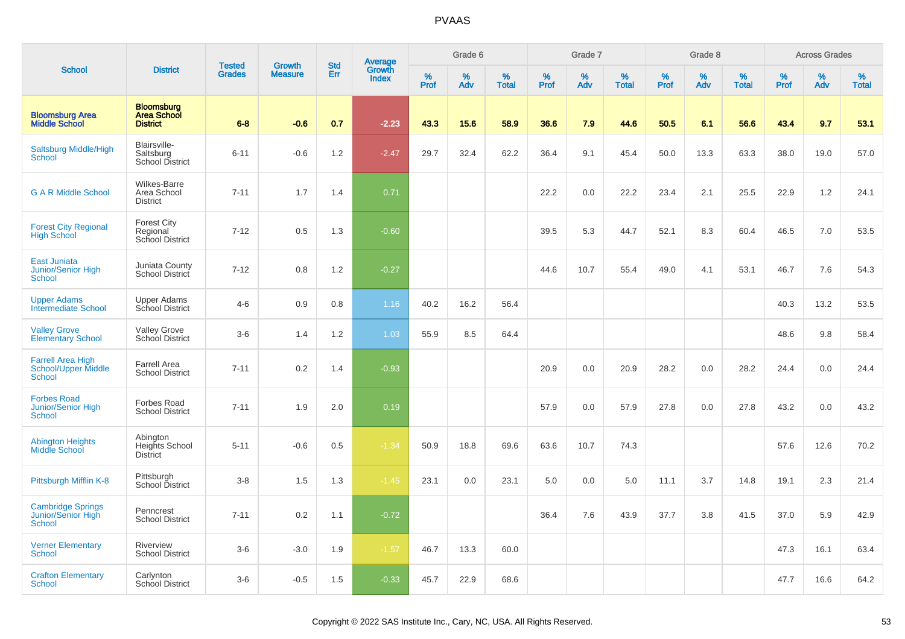|                                                                         |                                                            |                                |                                 | <b>Std</b> |                                          |                     | Grade 6     |                      |              | Grade 7     |                      |              | Grade 8     |                   |              | <b>Across Grades</b> |                   |
|-------------------------------------------------------------------------|------------------------------------------------------------|--------------------------------|---------------------------------|------------|------------------------------------------|---------------------|-------------|----------------------|--------------|-------------|----------------------|--------------|-------------|-------------------|--------------|----------------------|-------------------|
| <b>School</b>                                                           | <b>District</b>                                            | <b>Tested</b><br><b>Grades</b> | <b>Growth</b><br><b>Measure</b> | Err        | <b>Average</b><br>Growth<br><b>Index</b> | $\%$<br><b>Prof</b> | $\%$<br>Adv | $\%$<br><b>Total</b> | $\%$<br>Prof | $\%$<br>Adv | $\%$<br><b>Total</b> | $\%$<br>Prof | $\%$<br>Adv | %<br><b>Total</b> | $\%$<br>Prof | $\%$<br>Adv          | %<br><b>Total</b> |
| <b>Bloomsburg Area</b><br><b>Middle School</b>                          | <b>Bloomsburg</b><br><b>Area School</b><br><b>District</b> | $6 - 8$                        | $-0.6$                          | 0.7        | $-2.23$                                  | 43.3                | 15.6        | 58.9                 | 36.6         | 7.9         | 44.6                 | 50.5         | 6.1         | 56.6              | 43.4         | 9.7                  | 53.1              |
| <b>Saltsburg Middle/High</b><br>School                                  | Blairsville-<br>Saltsburg<br>School District               | $6 - 11$                       | $-0.6$                          | 1.2        | $-2.47$                                  | 29.7                | 32.4        | 62.2                 | 36.4         | 9.1         | 45.4                 | 50.0         | 13.3        | 63.3              | 38.0         | 19.0                 | 57.0              |
| <b>G A R Middle School</b>                                              | <b>Wilkes-Barre</b><br>Area School<br><b>District</b>      | $7 - 11$                       | 1.7                             | 1.4        | 0.71                                     |                     |             |                      | 22.2         | 0.0         | 22.2                 | 23.4         | 2.1         | 25.5              | 22.9         | 1.2                  | 24.1              |
| <b>Forest City Regional</b><br><b>High School</b>                       | <b>Forest City</b><br>Regional<br>School District          | $7 - 12$                       | 0.5                             | 1.3        | $-0.60$                                  |                     |             |                      | 39.5         | 5.3         | 44.7                 | 52.1         | 8.3         | 60.4              | 46.5         | $7.0$                | 53.5              |
| <b>East Juniata</b><br>Junior/Senior High<br>School                     | Juniata County<br>School District                          | $7 - 12$                       | 0.8                             | 1.2        | $-0.27$                                  |                     |             |                      | 44.6         | 10.7        | 55.4                 | 49.0         | 4.1         | 53.1              | 46.7         | 7.6                  | 54.3              |
| <b>Upper Adams</b><br><b>Intermediate School</b>                        | <b>Upper Adams</b><br><b>School District</b>               | $4-6$                          | 0.9                             | 0.8        | 1.16                                     | 40.2                | 16.2        | 56.4                 |              |             |                      |              |             |                   | 40.3         | 13.2                 | 53.5              |
| <b>Valley Grove</b><br><b>Elementary School</b>                         | <b>Valley Grove</b><br>School District                     | $3-6$                          | 1.4                             | 1.2        | 1.03                                     | 55.9                | 8.5         | 64.4                 |              |             |                      |              |             |                   | 48.6         | 9.8                  | 58.4              |
| <b>Farrell Area High</b><br><b>School/Upper Middle</b><br><b>School</b> | <b>Farrell Area</b><br><b>School District</b>              | $7 - 11$                       | 0.2                             | 1.4        | $-0.93$                                  |                     |             |                      | 20.9         | 0.0         | 20.9                 | 28.2         | 0.0         | 28.2              | 24.4         | 0.0                  | 24.4              |
| <b>Forbes Road</b><br><b>Junior/Senior High</b><br>School               | <b>Forbes Road</b><br><b>School District</b>               | $7 - 11$                       | 1.9                             | 2.0        | 0.19                                     |                     |             |                      | 57.9         | 0.0         | 57.9                 | 27.8         | 0.0         | 27.8              | 43.2         | 0.0                  | 43.2              |
| <b>Abington Heights</b><br>Middle School                                | Abington<br>Heights School<br><b>District</b>              | $5 - 11$                       | $-0.6$                          | 0.5        | $-1.34$                                  | 50.9                | 18.8        | 69.6                 | 63.6         | 10.7        | 74.3                 |              |             |                   | 57.6         | 12.6                 | 70.2              |
| Pittsburgh Mifflin K-8                                                  | Pittsburgh<br>School District                              | $3 - 8$                        | 1.5                             | 1.3        | $-1.45$                                  | 23.1                | 0.0         | 23.1                 | 5.0          | 0.0         | 5.0                  | 11.1         | 3.7         | 14.8              | 19.1         | 2.3                  | 21.4              |
| <b>Cambridge Springs</b><br>Junior/Senior High<br><b>School</b>         | Penncrest<br><b>School District</b>                        | $7 - 11$                       | 0.2                             | 1.1        | $-0.72$                                  |                     |             |                      | 36.4         | 7.6         | 43.9                 | 37.7         | 3.8         | 41.5              | 37.0         | 5.9                  | 42.9              |
| <b>Verner Elementary</b><br><b>School</b>                               | Riverview<br><b>School District</b>                        | $3-6$                          | $-3.0$                          | 1.9        | $-1.57$                                  | 46.7                | 13.3        | 60.0                 |              |             |                      |              |             |                   | 47.3         | 16.1                 | 63.4              |
| <b>Crafton Elementary</b><br><b>School</b>                              | Carlynton<br>School District                               | $3-6$                          | $-0.5$                          | 1.5        | $-0.33$                                  | 45.7                | 22.9        | 68.6                 |              |             |                      |              |             |                   | 47.7         | 16.6                 | 64.2              |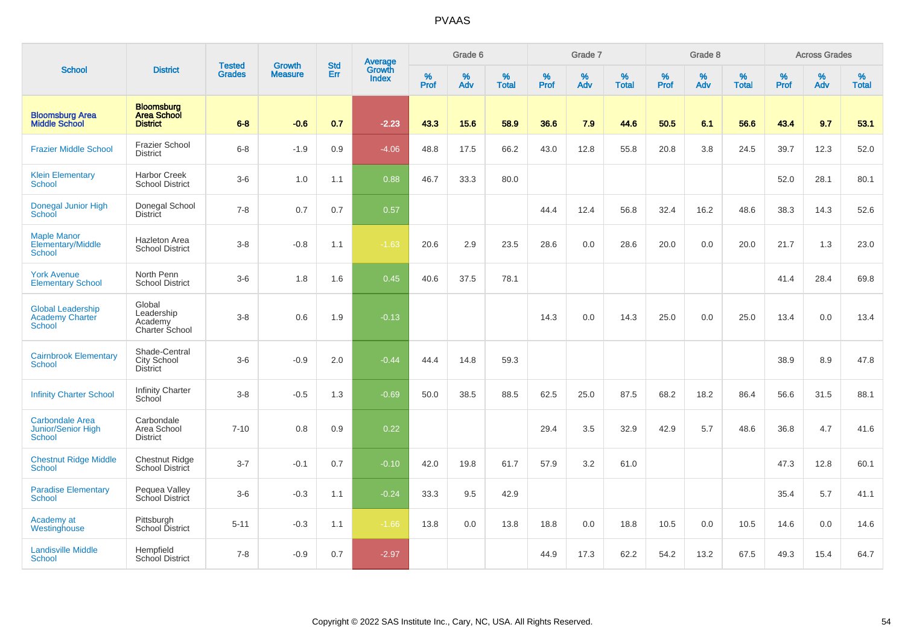|                                                               |                                                            |                                |                                 | <b>Std</b> |                                          |           | Grade 6  |                   |           | Grade 7  |                   |           | Grade 8     |                   |           | <b>Across Grades</b> |                   |
|---------------------------------------------------------------|------------------------------------------------------------|--------------------------------|---------------------------------|------------|------------------------------------------|-----------|----------|-------------------|-----------|----------|-------------------|-----------|-------------|-------------------|-----------|----------------------|-------------------|
| <b>School</b>                                                 | <b>District</b>                                            | <b>Tested</b><br><b>Grades</b> | <b>Growth</b><br><b>Measure</b> | Err        | <b>Average</b><br>Growth<br><b>Index</b> | %<br>Prof | %<br>Adv | %<br><b>Total</b> | %<br>Prof | %<br>Adv | %<br><b>Total</b> | %<br>Prof | $\%$<br>Adv | %<br><b>Total</b> | %<br>Prof | %<br>Adv             | %<br><b>Total</b> |
| <b>Bloomsburg Area</b><br><b>Middle School</b>                | <b>Bloomsburg</b><br><b>Area School</b><br><b>District</b> | $6 - 8$                        | $-0.6$                          | 0.7        | $-2.23$                                  | 43.3      | 15.6     | 58.9              | 36.6      | 7.9      | 44.6              | 50.5      | 6.1         | 56.6              | 43.4      | 9.7                  | 53.1              |
| <b>Frazier Middle School</b>                                  | <b>Frazier School</b><br><b>District</b>                   | $6 - 8$                        | $-1.9$                          | 0.9        | $-4.06$                                  | 48.8      | 17.5     | 66.2              | 43.0      | 12.8     | 55.8              | 20.8      | 3.8         | 24.5              | 39.7      | 12.3                 | 52.0              |
| <b>Klein Elementary</b><br><b>School</b>                      | <b>Harbor Creek</b><br><b>School District</b>              | $3-6$                          | 1.0                             | 1.1        | 0.88                                     | 46.7      | 33.3     | 80.0              |           |          |                   |           |             |                   | 52.0      | 28.1                 | 80.1              |
| Donegal Junior High<br>School                                 | Donegal School<br><b>District</b>                          | $7 - 8$                        | 0.7                             | 0.7        | 0.57                                     |           |          |                   | 44.4      | 12.4     | 56.8              | 32.4      | 16.2        | 48.6              | 38.3      | 14.3                 | 52.6              |
| <b>Maple Manor</b><br>Elementary/Middle<br>School             | <b>Hazleton Area</b><br><b>School District</b>             | $3 - 8$                        | $-0.8$                          | 1.1        | $-1.63$                                  | 20.6      | 2.9      | 23.5              | 28.6      | 0.0      | 28.6              | 20.0      | 0.0         | 20.0              | 21.7      | 1.3                  | 23.0              |
| <b>York Avenue</b><br><b>Elementary School</b>                | North Penn<br><b>School District</b>                       | $3-6$                          | 1.8                             | 1.6        | 0.45                                     | 40.6      | 37.5     | 78.1              |           |          |                   |           |             |                   | 41.4      | 28.4                 | 69.8              |
| <b>Global Leadership</b><br><b>Academy Charter</b><br>School  | Global<br>Leadership<br>Academy<br>Charter School          | $3 - 8$                        | 0.6                             | 1.9        | $-0.13$                                  |           |          |                   | 14.3      | 0.0      | 14.3              | 25.0      | 0.0         | 25.0              | 13.4      | 0.0                  | 13.4              |
| <b>Cairnbrook Elementary</b><br><b>School</b>                 | Shade-Central<br>City School<br><b>District</b>            | $3-6$                          | $-0.9$                          | 2.0        | $-0.44$                                  | 44.4      | 14.8     | 59.3              |           |          |                   |           |             |                   | 38.9      | 8.9                  | 47.8              |
| <b>Infinity Charter School</b>                                | Infinity Charter<br>School                                 | $3 - 8$                        | $-0.5$                          | 1.3        | $-0.69$                                  | 50.0      | 38.5     | 88.5              | 62.5      | 25.0     | 87.5              | 68.2      | 18.2        | 86.4              | 56.6      | 31.5                 | 88.1              |
| <b>Carbondale Area</b><br>Junior/Senior High<br><b>School</b> | Carbondale<br>Area School<br><b>District</b>               | $7 - 10$                       | 0.8                             | 0.9        | 0.22                                     |           |          |                   | 29.4      | 3.5      | 32.9              | 42.9      | 5.7         | 48.6              | 36.8      | 4.7                  | 41.6              |
| <b>Chestnut Ridge Middle</b><br>School                        | <b>Chestnut Ridge</b><br>School District                   | $3 - 7$                        | $-0.1$                          | 0.7        | $-0.10$                                  | 42.0      | 19.8     | 61.7              | 57.9      | 3.2      | 61.0              |           |             |                   | 47.3      | 12.8                 | 60.1              |
| <b>Paradise Elementary</b><br>School                          | Pequea Valley<br>School District                           | $3-6$                          | $-0.3$                          | 1.1        | $-0.24$                                  | 33.3      | 9.5      | 42.9              |           |          |                   |           |             |                   | 35.4      | 5.7                  | 41.1              |
| Academy at<br>Westinghouse                                    | Pittsburgh<br>School District                              | $5 - 11$                       | $-0.3$                          | 1.1        | $-1.66$                                  | 13.8      | 0.0      | 13.8              | 18.8      | 0.0      | 18.8              | 10.5      | 0.0         | 10.5              | 14.6      | 0.0                  | 14.6              |
| <b>Landisville Middle</b><br><b>School</b>                    | Hempfield<br><b>School District</b>                        | $7 - 8$                        | $-0.9$                          | 0.7        | $-2.97$                                  |           |          |                   | 44.9      | 17.3     | 62.2              | 54.2      | 13.2        | 67.5              | 49.3      | 15.4                 | 64.7              |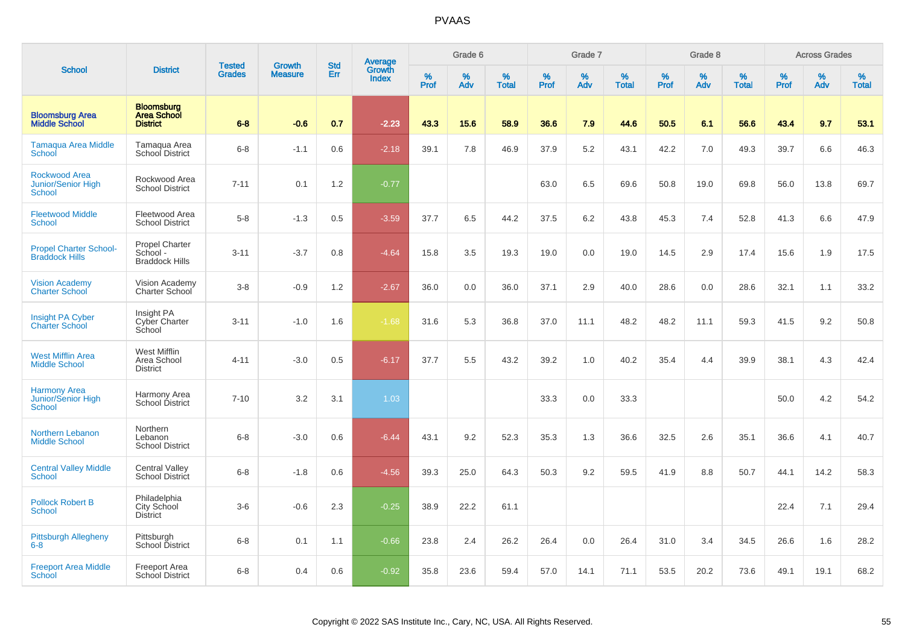|                                                             |                                                            | <b>Tested</b> | <b>Growth</b>  | <b>Std</b> | <b>Average</b><br>Growth |                  | Grade 6  |                   |           | Grade 7  |                   |           | Grade 8  |                   |           | <b>Across Grades</b> |                   |
|-------------------------------------------------------------|------------------------------------------------------------|---------------|----------------|------------|--------------------------|------------------|----------|-------------------|-----------|----------|-------------------|-----------|----------|-------------------|-----------|----------------------|-------------------|
| <b>School</b>                                               | <b>District</b>                                            | <b>Grades</b> | <b>Measure</b> | Err        | <b>Index</b>             | %<br><b>Prof</b> | %<br>Adv | %<br><b>Total</b> | %<br>Prof | %<br>Adv | %<br><b>Total</b> | %<br>Prof | %<br>Adv | %<br><b>Total</b> | %<br>Prof | %<br>Adv             | %<br><b>Total</b> |
| <b>Bloomsburg Area</b><br><b>Middle School</b>              | <b>Bloomsburg</b><br><b>Area School</b><br><b>District</b> | $6 - 8$       | $-0.6$         | 0.7        | $-2.23$                  | 43.3             | 15.6     | 58.9              | 36.6      | 7.9      | 44.6              | 50.5      | 6.1      | 56.6              | 43.4      | 9.7                  | 53.1              |
| <b>Tamaqua Area Middle</b><br>School                        | Tamaqua Area<br><b>School District</b>                     | $6-8$         | $-1.1$         | 0.6        | $-2.18$                  | 39.1             | 7.8      | 46.9              | 37.9      | 5.2      | 43.1              | 42.2      | 7.0      | 49.3              | 39.7      | 6.6                  | 46.3              |
| <b>Rockwood Area</b><br>Junior/Senior High<br><b>School</b> | Rockwood Area<br><b>School District</b>                    | $7 - 11$      | 0.1            | 1.2        | $-0.77$                  |                  |          |                   | 63.0      | 6.5      | 69.6              | 50.8      | 19.0     | 69.8              | 56.0      | 13.8                 | 69.7              |
| <b>Fleetwood Middle</b><br><b>School</b>                    | Fleetwood Area<br><b>School District</b>                   | $5-8$         | $-1.3$         | 0.5        | $-3.59$                  | 37.7             | 6.5      | 44.2              | 37.5      | 6.2      | 43.8              | 45.3      | 7.4      | 52.8              | 41.3      | 6.6                  | 47.9              |
| <b>Propel Charter School-</b><br><b>Braddock Hills</b>      | <b>Propel Charter</b><br>School -<br><b>Braddock Hills</b> | $3 - 11$      | $-3.7$         | 0.8        | $-4.64$                  | 15.8             | 3.5      | 19.3              | 19.0      | 0.0      | 19.0              | 14.5      | 2.9      | 17.4              | 15.6      | 1.9                  | 17.5              |
| <b>Vision Academy</b><br><b>Charter School</b>              | Vision Academy<br>Charter School                           | $3-8$         | $-0.9$         | 1.2        | $-2.67$                  | 36.0             | 0.0      | 36.0              | 37.1      | 2.9      | 40.0              | 28.6      | 0.0      | 28.6              | 32.1      | 1.1                  | 33.2              |
| Insight PA Cyber<br><b>Charter School</b>                   | Insight PA<br>Cyber Charter<br>School                      | $3 - 11$      | $-1.0$         | 1.6        | $-1.68$                  | 31.6             | 5.3      | 36.8              | 37.0      | 11.1     | 48.2              | 48.2      | 11.1     | 59.3              | 41.5      | 9.2                  | 50.8              |
| <b>West Mifflin Area</b><br><b>Middle School</b>            | West Mifflin<br>Area School<br><b>District</b>             | $4 - 11$      | $-3.0$         | 0.5        | $-6.17$                  | 37.7             | 5.5      | 43.2              | 39.2      | 1.0      | 40.2              | 35.4      | 4.4      | 39.9              | 38.1      | 4.3                  | 42.4              |
| <b>Harmony Area</b><br>Junior/Senior High<br>School         | Harmony Area<br>School District                            | $7 - 10$      | 3.2            | 3.1        | 1.03                     |                  |          |                   | 33.3      | 0.0      | 33.3              |           |          |                   | 50.0      | 4.2                  | 54.2              |
| <b>Northern Lebanon</b><br><b>Middle School</b>             | Northern<br>Lebanon<br><b>School District</b>              | $6 - 8$       | $-3.0$         | 0.6        | $-6.44$                  | 43.1             | 9.2      | 52.3              | 35.3      | 1.3      | 36.6              | 32.5      | 2.6      | 35.1              | 36.6      | 4.1                  | 40.7              |
| <b>Central Valley Middle</b><br><b>School</b>               | Central Valley<br><b>School District</b>                   | $6-8$         | $-1.8$         | 0.6        | $-4.56$                  | 39.3             | 25.0     | 64.3              | 50.3      | 9.2      | 59.5              | 41.9      | 8.8      | 50.7              | 44.1      | 14.2                 | 58.3              |
| <b>Pollock Robert B</b><br><b>School</b>                    | Philadelphia<br>City School<br><b>District</b>             | $3-6$         | $-0.6$         | 2.3        | $-0.25$                  | 38.9             | 22.2     | 61.1              |           |          |                   |           |          |                   | 22.4      | 7.1                  | 29.4              |
| <b>Pittsburgh Allegheny</b><br>$6 - 8$                      | Pittsburgh<br>School District                              | $6 - 8$       | 0.1            | 1.1        | $-0.66$                  | 23.8             | 2.4      | 26.2              | 26.4      | 0.0      | 26.4              | 31.0      | 3.4      | 34.5              | 26.6      | 1.6                  | 28.2              |
| <b>Freeport Area Middle</b><br>School                       | Freeport Area<br>School District                           | $6 - 8$       | 0.4            | 0.6        | $-0.92$                  | 35.8             | 23.6     | 59.4              | 57.0      | 14.1     | 71.1              | 53.5      | 20.2     | 73.6              | 49.1      | 19.1                 | 68.2              |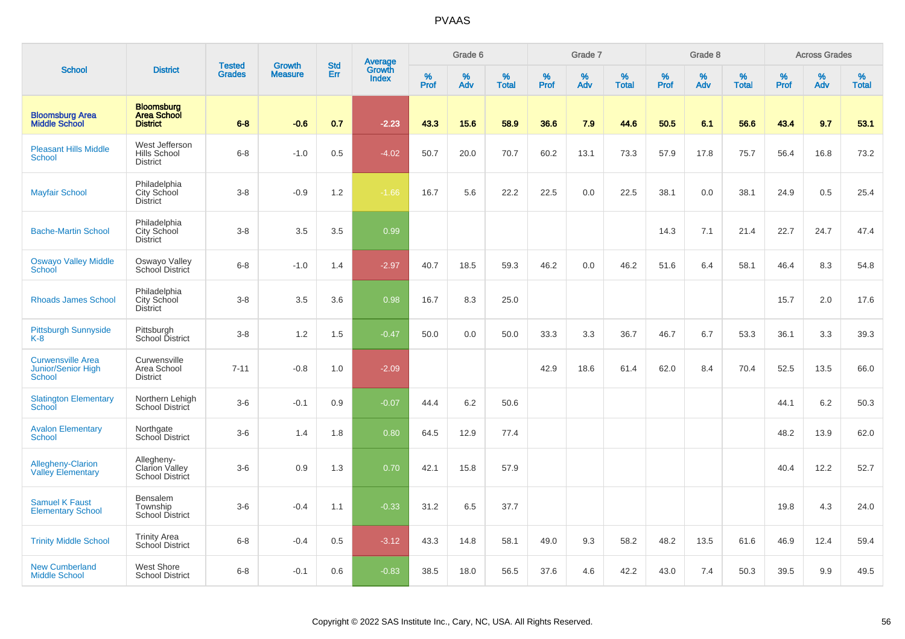|                                                                 |                                                            |                                |                                 | <b>Std</b> |                                          |                     | Grade 6     |                   |           | Grade 7     |                      |              | Grade 8     |                   |              | <b>Across Grades</b> |                   |
|-----------------------------------------------------------------|------------------------------------------------------------|--------------------------------|---------------------------------|------------|------------------------------------------|---------------------|-------------|-------------------|-----------|-------------|----------------------|--------------|-------------|-------------------|--------------|----------------------|-------------------|
| <b>School</b>                                                   | <b>District</b>                                            | <b>Tested</b><br><b>Grades</b> | <b>Growth</b><br><b>Measure</b> | Err        | <b>Average</b><br>Growth<br><b>Index</b> | $\%$<br><b>Prof</b> | $\%$<br>Adv | %<br><b>Total</b> | %<br>Prof | $\%$<br>Adv | $\%$<br><b>Total</b> | $\%$<br>Prof | $\%$<br>Adv | %<br><b>Total</b> | $\%$<br>Prof | $\%$<br>Adv          | %<br><b>Total</b> |
| <b>Bloomsburg Area</b><br><b>Middle School</b>                  | <b>Bloomsburg</b><br><b>Area School</b><br><b>District</b> | $6 - 8$                        | $-0.6$                          | 0.7        | $-2.23$                                  | 43.3                | 15.6        | 58.9              | 36.6      | 7.9         | 44.6                 | 50.5         | 6.1         | 56.6              | 43.4         | 9.7                  | 53.1              |
| <b>Pleasant Hills Middle</b><br><b>School</b>                   | West Jefferson<br>Hills School<br><b>District</b>          | $6-8$                          | $-1.0$                          | 0.5        | $-4.02$                                  | 50.7                | 20.0        | 70.7              | 60.2      | 13.1        | 73.3                 | 57.9         | 17.8        | 75.7              | 56.4         | 16.8                 | 73.2              |
| <b>Mayfair School</b>                                           | Philadelphia<br>City School<br><b>District</b>             | $3 - 8$                        | $-0.9$                          | 1.2        | $-1.66$                                  | 16.7                | 5.6         | 22.2              | 22.5      | 0.0         | 22.5                 | 38.1         | 0.0         | 38.1              | 24.9         | 0.5                  | 25.4              |
| <b>Bache-Martin School</b>                                      | Philadelphia<br>City School<br><b>District</b>             | $3 - 8$                        | 3.5                             | 3.5        | 0.99                                     |                     |             |                   |           |             |                      | 14.3         | 7.1         | 21.4              | 22.7         | 24.7                 | 47.4              |
| <b>Oswayo Valley Middle</b><br>School                           | Oswayo Valley<br>School District                           | $6 - 8$                        | $-1.0$                          | 1.4        | $-2.97$                                  | 40.7                | 18.5        | 59.3              | 46.2      | 0.0         | 46.2                 | 51.6         | 6.4         | 58.1              | 46.4         | 8.3                  | 54.8              |
| <b>Rhoads James School</b>                                      | Philadelphia<br>City School<br><b>District</b>             | $3 - 8$                        | 3.5                             | 3.6        | 0.98                                     | 16.7                | 8.3         | 25.0              |           |             |                      |              |             |                   | 15.7         | 2.0                  | 17.6              |
| <b>Pittsburgh Sunnyside</b><br>K-8                              | Pittsburgh<br>School District                              | $3-8$                          | 1.2                             | 1.5        | $-0.47$                                  | 50.0                | 0.0         | 50.0              | 33.3      | 3.3         | 36.7                 | 46.7         | 6.7         | 53.3              | 36.1         | 3.3                  | 39.3              |
| <b>Curwensville Area</b><br><b>Junior/Senior High</b><br>School | Curwensville<br>Area School<br><b>District</b>             | $7 - 11$                       | $-0.8$                          | 1.0        | $-2.09$                                  |                     |             |                   | 42.9      | 18.6        | 61.4                 | 62.0         | 8.4         | 70.4              | 52.5         | 13.5                 | 66.0              |
| <b>Slatington Elementary</b><br>School                          | Northern Lehigh<br>School District                         | $3-6$                          | $-0.1$                          | 0.9        | $-0.07$                                  | 44.4                | 6.2         | 50.6              |           |             |                      |              |             |                   | 44.1         | 6.2                  | 50.3              |
| <b>Avalon Elementary</b><br>School                              | Northgate<br>School District                               | $3-6$                          | 1.4                             | 1.8        | 0.80                                     | 64.5                | 12.9        | 77.4              |           |             |                      |              |             |                   | 48.2         | 13.9                 | 62.0              |
| <b>Allegheny-Clarion</b><br><b>Valley Elementary</b>            | Allegheny-<br><b>Clarion Valley</b><br>School District     | $3-6$                          | 0.9                             | 1.3        | 0.70                                     | 42.1                | 15.8        | 57.9              |           |             |                      |              |             |                   | 40.4         | 12.2                 | 52.7              |
| <b>Samuel K Faust</b><br><b>Elementary School</b>               | Bensalem<br>Township<br><b>School District</b>             | $3-6$                          | $-0.4$                          | 1.1        | $-0.33$                                  | 31.2                | 6.5         | 37.7              |           |             |                      |              |             |                   | 19.8         | 4.3                  | 24.0              |
| <b>Trinity Middle School</b>                                    | <b>Trinity Area</b><br>School District                     | $6 - 8$                        | $-0.4$                          | 0.5        | $-3.12$                                  | 43.3                | 14.8        | 58.1              | 49.0      | 9.3         | 58.2                 | 48.2         | 13.5        | 61.6              | 46.9         | 12.4                 | 59.4              |
| <b>New Cumberland</b><br><b>Middle School</b>                   | West Shore<br><b>School District</b>                       | $6 - 8$                        | $-0.1$                          | 0.6        | $-0.83$                                  | 38.5                | 18.0        | 56.5              | 37.6      | 4.6         | 42.2                 | 43.0         | 7.4         | 50.3              | 39.5         | 9.9                  | 49.5              |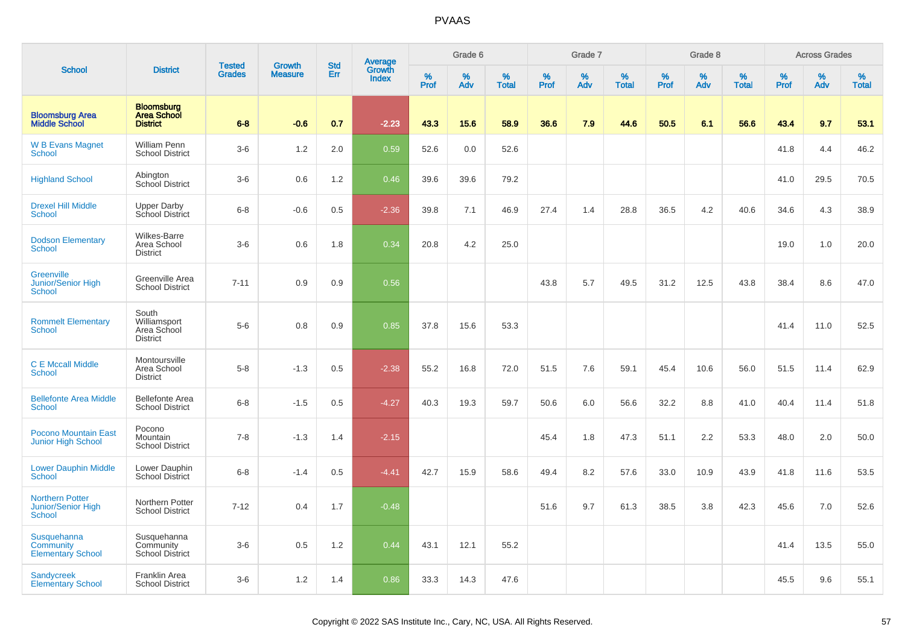|                                                               |                                                            |                                |                                 | <b>Std</b> |                                          |                  | Grade 6  |                   |           | Grade 7  |                   |           | Grade 8  |                   |           | <b>Across Grades</b> |                   |
|---------------------------------------------------------------|------------------------------------------------------------|--------------------------------|---------------------------------|------------|------------------------------------------|------------------|----------|-------------------|-----------|----------|-------------------|-----------|----------|-------------------|-----------|----------------------|-------------------|
| <b>School</b>                                                 | <b>District</b>                                            | <b>Tested</b><br><b>Grades</b> | <b>Growth</b><br><b>Measure</b> | Err        | <b>Average</b><br>Growth<br><b>Index</b> | %<br><b>Prof</b> | %<br>Adv | %<br><b>Total</b> | %<br>Prof | %<br>Adv | %<br><b>Total</b> | %<br>Prof | %<br>Adv | %<br><b>Total</b> | %<br>Prof | %<br>Adv             | %<br><b>Total</b> |
| <b>Bloomsburg Area</b><br><b>Middle School</b>                | <b>Bloomsburg</b><br><b>Area School</b><br><b>District</b> | $6 - 8$                        | $-0.6$                          | 0.7        | $-2.23$                                  | 43.3             | 15.6     | 58.9              | 36.6      | 7.9      | 44.6              | 50.5      | 6.1      | 56.6              | 43.4      | 9.7                  | 53.1              |
| <b>W B Evans Magnet</b><br>School                             | <b>William Penn</b><br><b>School District</b>              | $3-6$                          | 1.2                             | 2.0        | 0.59                                     | 52.6             | 0.0      | 52.6              |           |          |                   |           |          |                   | 41.8      | 4.4                  | 46.2              |
| <b>Highland School</b>                                        | Abington<br>School District                                | $3-6$                          | 0.6                             | 1.2        | 0.46                                     | 39.6             | 39.6     | 79.2              |           |          |                   |           |          |                   | 41.0      | 29.5                 | 70.5              |
| <b>Drexel Hill Middle</b><br><b>School</b>                    | <b>Upper Darby</b><br>School District                      | $6 - 8$                        | $-0.6$                          | 0.5        | $-2.36$                                  | 39.8             | 7.1      | 46.9              | 27.4      | 1.4      | 28.8              | 36.5      | 4.2      | 40.6              | 34.6      | 4.3                  | 38.9              |
| <b>Dodson Elementary</b><br><b>School</b>                     | <b>Wilkes-Barre</b><br>Area School<br><b>District</b>      | $3-6$                          | 0.6                             | 1.8        | 0.34                                     | 20.8             | 4.2      | 25.0              |           |          |                   |           |          |                   | 19.0      | 1.0                  | 20.0              |
| Greenville<br><b>Junior/Senior High</b><br><b>School</b>      | Greenville Area<br><b>School District</b>                  | $7 - 11$                       | 0.9                             | 0.9        | 0.56                                     |                  |          |                   | 43.8      | 5.7      | 49.5              | 31.2      | 12.5     | 43.8              | 38.4      | 8.6                  | 47.0              |
| <b>Rommelt Elementary</b><br><b>School</b>                    | South<br>Williamsport<br>Area School<br><b>District</b>    | $5-6$                          | 0.8                             | 0.9        | 0.85                                     | 37.8             | 15.6     | 53.3              |           |          |                   |           |          |                   | 41.4      | 11.0                 | 52.5              |
| <b>C E Mccall Middle</b><br><b>School</b>                     | Montoursville<br>Area School<br><b>District</b>            | $5-8$                          | $-1.3$                          | 0.5        | $-2.38$                                  | 55.2             | 16.8     | 72.0              | 51.5      | 7.6      | 59.1              | 45.4      | 10.6     | 56.0              | 51.5      | 11.4                 | 62.9              |
| <b>Bellefonte Area Middle</b><br><b>School</b>                | <b>Bellefonte Area</b><br><b>School District</b>           | $6-8$                          | $-1.5$                          | 0.5        | $-4.27$                                  | 40.3             | 19.3     | 59.7              | 50.6      | 6.0      | 56.6              | 32.2      | 8.8      | 41.0              | 40.4      | 11.4                 | 51.8              |
| <b>Pocono Mountain East</b><br><b>Junior High School</b>      | Pocono<br>Mountain<br><b>School District</b>               | $7 - 8$                        | $-1.3$                          | 1.4        | $-2.15$                                  |                  |          |                   | 45.4      | 1.8      | 47.3              | 51.1      | 2.2      | 53.3              | 48.0      | 2.0                  | 50.0              |
| <b>Lower Dauphin Middle</b><br><b>School</b>                  | Lower Dauphin<br><b>School District</b>                    | $6-8$                          | $-1.4$                          | 0.5        | $-4.41$                                  | 42.7             | 15.9     | 58.6              | 49.4      | 8.2      | 57.6              | 33.0      | 10.9     | 43.9              | 41.8      | 11.6                 | 53.5              |
| <b>Northern Potter</b><br>Junior/Senior High<br><b>School</b> | Northern Potter<br><b>School District</b>                  | $7 - 12$                       | 0.4                             | 1.7        | $-0.48$                                  |                  |          |                   | 51.6      | 9.7      | 61.3              | 38.5      | 3.8      | 42.3              | 45.6      | 7.0                  | 52.6              |
| Susquehanna<br>Community<br><b>Elementary School</b>          | Susquehanna<br>Community<br><b>School District</b>         | $3-6$                          | 0.5                             | 1.2        | 0.44                                     | 43.1             | 12.1     | 55.2              |           |          |                   |           |          |                   | 41.4      | 13.5                 | 55.0              |
| <b>Sandycreek</b><br><b>Elementary School</b>                 | Franklin Area<br><b>School District</b>                    | $3-6$                          | 1.2                             | 1.4        | 0.86                                     | 33.3             | 14.3     | 47.6              |           |          |                   |           |          |                   | 45.5      | 9.6                  | 55.1              |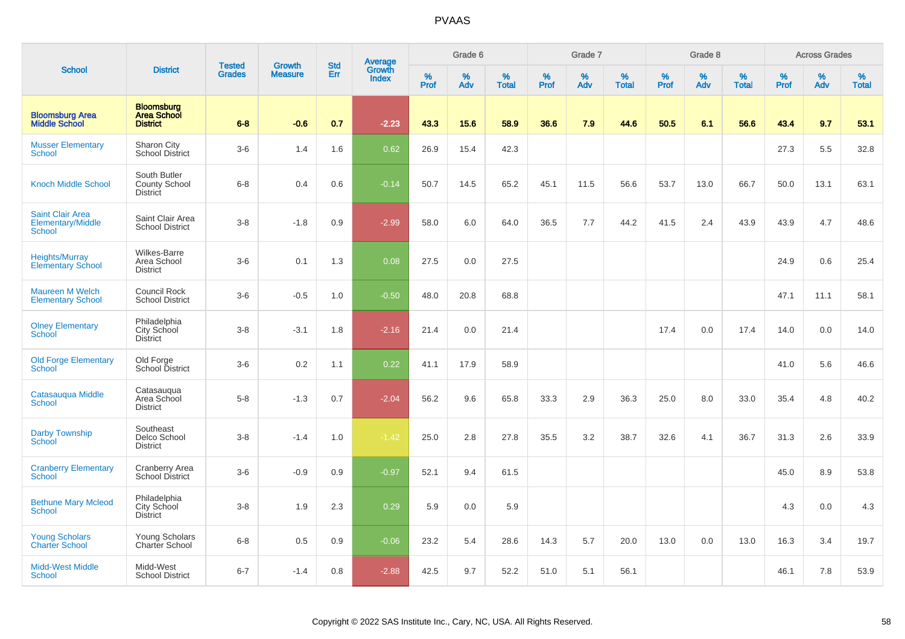|                                                               |                                                            | <b>Tested</b> | <b>Growth</b>  | <b>Std</b> |                                          |                  | Grade 6     |                   |           | Grade 7  |                   |              | Grade 8  |                   |              | <b>Across Grades</b> |                   |
|---------------------------------------------------------------|------------------------------------------------------------|---------------|----------------|------------|------------------------------------------|------------------|-------------|-------------------|-----------|----------|-------------------|--------------|----------|-------------------|--------------|----------------------|-------------------|
| <b>School</b>                                                 | <b>District</b>                                            | <b>Grades</b> | <b>Measure</b> | Err        | <b>Average</b><br>Growth<br><b>Index</b> | %<br><b>Prof</b> | $\%$<br>Adv | %<br><b>Total</b> | %<br>Prof | %<br>Adv | %<br><b>Total</b> | $\%$<br>Prof | %<br>Adv | %<br><b>Total</b> | $\%$<br>Prof | $\%$<br>Adv          | %<br><b>Total</b> |
| <b>Bloomsburg Area</b><br><b>Middle School</b>                | <b>Bloomsburg</b><br><b>Area School</b><br><b>District</b> | $6 - 8$       | $-0.6$         | 0.7        | $-2.23$                                  | 43.3             | 15.6        | 58.9              | 36.6      | 7.9      | 44.6              | 50.5         | 6.1      | 56.6              | 43.4         | 9.7                  | 53.1              |
| <b>Musser Elementary</b><br><b>School</b>                     | Sharon City<br><b>School District</b>                      | $3-6$         | 1.4            | 1.6        | 0.62                                     | 26.9             | 15.4        | 42.3              |           |          |                   |              |          |                   | 27.3         | 5.5                  | 32.8              |
| <b>Knoch Middle School</b>                                    | South Butler<br><b>County School</b><br><b>District</b>    | $6 - 8$       | 0.4            | 0.6        | $-0.14$                                  | 50.7             | 14.5        | 65.2              | 45.1      | 11.5     | 56.6              | 53.7         | 13.0     | 66.7              | 50.0         | 13.1                 | 63.1              |
| <b>Saint Clair Area</b><br>Elementary/Middle<br><b>School</b> | Saint Clair Area<br><b>School District</b>                 | $3 - 8$       | $-1.8$         | 0.9        | $-2.99$                                  | 58.0             | 6.0         | 64.0              | 36.5      | 7.7      | 44.2              | 41.5         | 2.4      | 43.9              | 43.9         | 4.7                  | 48.6              |
| Heights/Murray<br><b>Elementary School</b>                    | Wilkes-Barre<br>Area School<br><b>District</b>             | $3-6$         | 0.1            | 1.3        | 0.08                                     | 27.5             | 0.0         | 27.5              |           |          |                   |              |          |                   | 24.9         | 0.6                  | 25.4              |
| <b>Maureen M Welch</b><br><b>Elementary School</b>            | <b>Council Rock</b><br><b>School District</b>              | $3-6$         | $-0.5$         | 1.0        | $-0.50$                                  | 48.0             | 20.8        | 68.8              |           |          |                   |              |          |                   | 47.1         | 11.1                 | 58.1              |
| <b>Olney Elementary</b><br>School                             | Philadelphia<br>City School<br><b>District</b>             | $3 - 8$       | $-3.1$         | 1.8        | $-2.16$                                  | 21.4             | 0.0         | 21.4              |           |          |                   | 17.4         | 0.0      | 17.4              | 14.0         | 0.0                  | 14.0              |
| <b>Old Forge Elementary</b><br><b>School</b>                  | Old Forge<br>School District                               | $3-6$         | 0.2            | 1.1        | 0.22                                     | 41.1             | 17.9        | 58.9              |           |          |                   |              |          |                   | 41.0         | 5.6                  | 46.6              |
| Catasauqua Middle<br>School                                   | Catasaugua<br>Area School<br><b>District</b>               | $5-8$         | $-1.3$         | 0.7        | $-2.04$                                  | 56.2             | 9.6         | 65.8              | 33.3      | 2.9      | 36.3              | 25.0         | 8.0      | 33.0              | 35.4         | 4.8                  | 40.2              |
| Darby Township<br>School                                      | Southeast<br>Delco School<br><b>District</b>               | $3 - 8$       | $-1.4$         | 1.0        | $-1.42$                                  | 25.0             | 2.8         | 27.8              | 35.5      | 3.2      | 38.7              | 32.6         | 4.1      | 36.7              | 31.3         | 2.6                  | 33.9              |
| <b>Cranberry Elementary</b><br>School                         | <b>Cranberry Area</b><br>School District                   | $3-6$         | $-0.9$         | 0.9        | $-0.97$                                  | 52.1             | 9.4         | 61.5              |           |          |                   |              |          |                   | 45.0         | 8.9                  | 53.8              |
| <b>Bethune Mary Mcleod</b><br>School                          | Philadelphia<br>City School<br><b>District</b>             | $3-8$         | 1.9            | 2.3        | 0.29                                     | 5.9              | 0.0         | 5.9               |           |          |                   |              |          |                   | 4.3          | 0.0                  | 4.3               |
| <b>Young Scholars</b><br><b>Charter School</b>                | <b>Young Scholars</b><br>Charter School                    | $6 - 8$       | 0.5            | 0.9        | $-0.06$                                  | 23.2             | 5.4         | 28.6              | 14.3      | 5.7      | 20.0              | 13.0         | 0.0      | 13.0              | 16.3         | 3.4                  | 19.7              |
| <b>Midd-West Middle</b><br>School                             | Midd-West<br><b>School District</b>                        | $6 - 7$       | $-1.4$         | 0.8        | $-2.88$                                  | 42.5             | 9.7         | 52.2              | 51.0      | 5.1      | 56.1              |              |          |                   | 46.1         | 7.8                  | 53.9              |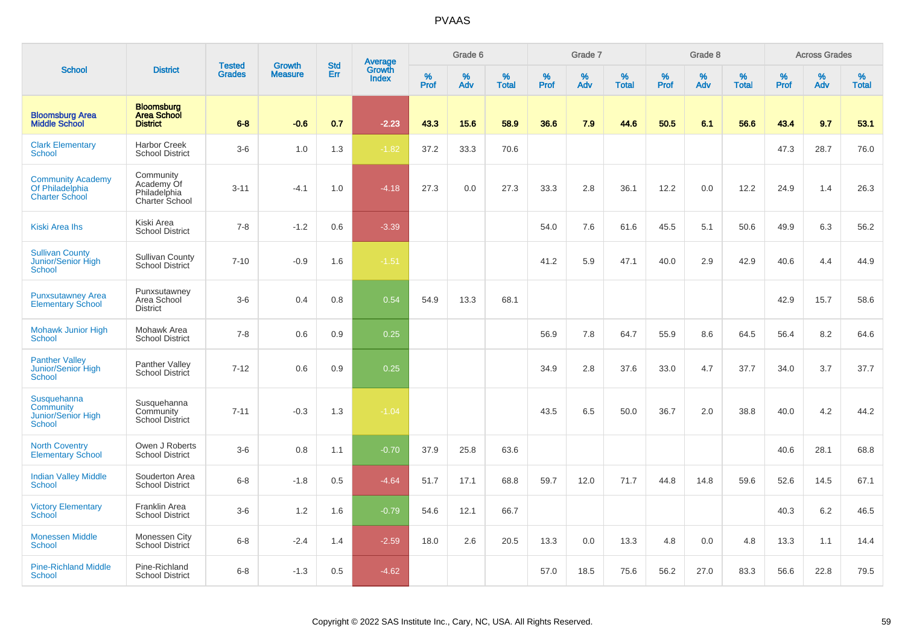|                                                                 |                                                            | <b>Tested</b> | <b>Growth</b>  | <b>Std</b> |                                          |                  | Grade 6     |                   |           | Grade 7  |                   |           | Grade 8  |                   |              | <b>Across Grades</b> |                   |
|-----------------------------------------------------------------|------------------------------------------------------------|---------------|----------------|------------|------------------------------------------|------------------|-------------|-------------------|-----------|----------|-------------------|-----------|----------|-------------------|--------------|----------------------|-------------------|
| <b>School</b>                                                   | <b>District</b>                                            | <b>Grades</b> | <b>Measure</b> | Err        | <b>Average</b><br>Growth<br><b>Index</b> | %<br><b>Prof</b> | $\%$<br>Adv | %<br><b>Total</b> | %<br>Prof | %<br>Adv | %<br><b>Total</b> | %<br>Prof | %<br>Adv | %<br><b>Total</b> | $\%$<br>Prof | $\%$<br>Adv          | %<br><b>Total</b> |
| <b>Bloomsburg Area</b><br><b>Middle School</b>                  | <b>Bloomsburg</b><br><b>Area School</b><br><b>District</b> | $6 - 8$       | $-0.6$         | 0.7        | $-2.23$                                  | 43.3             | 15.6        | 58.9              | 36.6      | 7.9      | 44.6              | 50.5      | 6.1      | 56.6              | 43.4         | 9.7                  | 53.1              |
| <b>Clark Elementary</b><br>School                               | <b>Harbor Creek</b><br><b>School District</b>              | $3-6$         | 1.0            | 1.3        | $-1.82$                                  | 37.2             | 33.3        | 70.6              |           |          |                   |           |          |                   | 47.3         | 28.7                 | 76.0              |
| <b>Community Academy</b><br>Of Philadelphia<br>Charter School   | Community<br>Academy Of<br>Philadelphia<br>Charter School  | $3 - 11$      | $-4.1$         | 1.0        | $-4.18$                                  | 27.3             | 0.0         | 27.3              | 33.3      | 2.8      | 36.1              | 12.2      | 0.0      | 12.2              | 24.9         | 1.4                  | 26.3              |
| <b>Kiski Area Ihs</b>                                           | Kiski Area<br><b>School District</b>                       | $7 - 8$       | $-1.2$         | 0.6        | $-3.39$                                  |                  |             |                   | 54.0      | 7.6      | 61.6              | 45.5      | 5.1      | 50.6              | 49.9         | 6.3                  | 56.2              |
| <b>Sullivan County</b><br>Junior/Senior High<br>School          | <b>Sullivan County</b><br><b>School District</b>           | $7 - 10$      | $-0.9$         | 1.6        | $-1.51$                                  |                  |             |                   | 41.2      | 5.9      | 47.1              | 40.0      | 2.9      | 42.9              | 40.6         | 4.4                  | 44.9              |
| <b>Punxsutawney Area</b><br><b>Elementary School</b>            | Punxsutawney<br>Area School<br><b>District</b>             | $3-6$         | 0.4            | 0.8        | 0.54                                     | 54.9             | 13.3        | 68.1              |           |          |                   |           |          |                   | 42.9         | 15.7                 | 58.6              |
| <b>Mohawk Junior High</b><br><b>School</b>                      | Mohawk Area<br><b>School District</b>                      | $7 - 8$       | 0.6            | 0.9        | 0.25                                     |                  |             |                   | 56.9      | 7.8      | 64.7              | 55.9      | 8.6      | 64.5              | 56.4         | 8.2                  | 64.6              |
| <b>Panther Valley</b><br>Junior/Senior High<br><b>School</b>    | Panther Valley<br><b>School District</b>                   | $7 - 12$      | 0.6            | 0.9        | 0.25                                     |                  |             |                   | 34.9      | 2.8      | 37.6              | 33.0      | 4.7      | 37.7              | 34.0         | 3.7                  | 37.7              |
| Susquehanna<br><b>Community</b><br>Junior/Senior High<br>School | Susquehanna<br>Community<br><b>School District</b>         | $7 - 11$      | $-0.3$         | 1.3        | $-1.04$                                  |                  |             |                   | 43.5      | 6.5      | 50.0              | 36.7      | 2.0      | 38.8              | 40.0         | 4.2                  | 44.2              |
| <b>North Coventry</b><br><b>Elementary School</b>               | Owen J Roberts<br><b>School District</b>                   | $3-6$         | 0.8            | 1.1        | $-0.70$                                  | 37.9             | 25.8        | 63.6              |           |          |                   |           |          |                   | 40.6         | 28.1                 | 68.8              |
| <b>Indian Valley Middle</b><br><b>School</b>                    | Souderton Area<br><b>School District</b>                   | $6 - 8$       | $-1.8$         | 0.5        | $-4.64$                                  | 51.7             | 17.1        | 68.8              | 59.7      | 12.0     | 71.7              | 44.8      | 14.8     | 59.6              | 52.6         | 14.5                 | 67.1              |
| <b>Victory Elementary</b><br>School                             | Franklin Area<br><b>School District</b>                    | $3-6$         | 1.2            | 1.6        | $-0.79$                                  | 54.6             | 12.1        | 66.7              |           |          |                   |           |          |                   | 40.3         | 6.2                  | 46.5              |
| <b>Monessen Middle</b><br><b>School</b>                         | Monessen City<br>School District                           | $6 - 8$       | $-2.4$         | 1.4        | $-2.59$                                  | 18.0             | 2.6         | 20.5              | 13.3      | 0.0      | 13.3              | 4.8       | 0.0      | 4.8               | 13.3         | 1.1                  | 14.4              |
| <b>Pine-Richland Middle</b><br>School                           | Pine-Richland<br><b>School District</b>                    | $6 - 8$       | $-1.3$         | 0.5        | $-4.62$                                  |                  |             |                   | 57.0      | 18.5     | 75.6              | 56.2      | 27.0     | 83.3              | 56.6         | 22.8                 | 79.5              |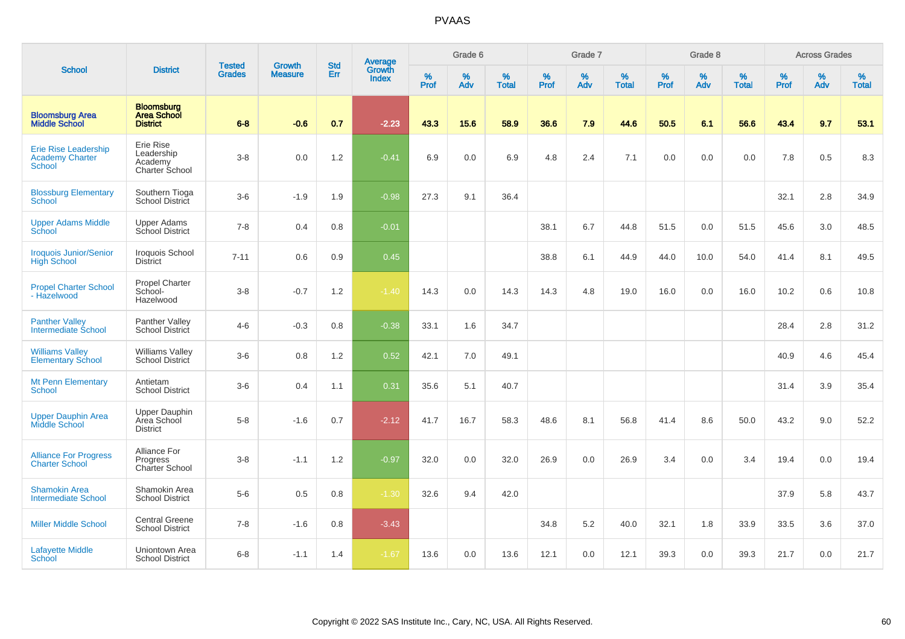|                                                                 |                                                            |                                | <b>Growth</b>  | <b>Std</b> | <b>Average</b><br>Growth |                  | Grade 6     |                   |           | Grade 7  |                   |           | Grade 8  |                   |           | <b>Across Grades</b> |                   |
|-----------------------------------------------------------------|------------------------------------------------------------|--------------------------------|----------------|------------|--------------------------|------------------|-------------|-------------------|-----------|----------|-------------------|-----------|----------|-------------------|-----------|----------------------|-------------------|
| <b>School</b>                                                   | <b>District</b>                                            | <b>Tested</b><br><b>Grades</b> | <b>Measure</b> | Err        | <b>Index</b>             | %<br><b>Prof</b> | $\%$<br>Adv | %<br><b>Total</b> | %<br>Prof | %<br>Adv | %<br><b>Total</b> | %<br>Prof | %<br>Adv | %<br><b>Total</b> | %<br>Prof | %<br>Adv             | %<br><b>Total</b> |
| <b>Bloomsburg Area</b><br><b>Middle School</b>                  | <b>Bloomsburg</b><br><b>Area School</b><br><b>District</b> | $6 - 8$                        | $-0.6$         | 0.7        | $-2.23$                  | 43.3             | 15.6        | 58.9              | 36.6      | 7.9      | 44.6              | 50.5      | 6.1      | 56.6              | 43.4      | 9.7                  | 53.1              |
| Erie Rise Leadership<br><b>Academy Charter</b><br><b>School</b> | Erie Rise<br>Leadership<br>Academy<br>Charter School       | $3-8$                          | 0.0            | 1.2        | $-0.41$                  | 6.9              | 0.0         | 6.9               | 4.8       | 2.4      | 7.1               | 0.0       | 0.0      | 0.0               | 7.8       | 0.5                  | 8.3               |
| <b>Blossburg Elementary</b><br><b>School</b>                    | Southern Tioga<br>School District                          | $3-6$                          | $-1.9$         | 1.9        | $-0.98$                  | 27.3             | 9.1         | 36.4              |           |          |                   |           |          |                   | 32.1      | 2.8                  | 34.9              |
| <b>Upper Adams Middle</b><br>School                             | Upper Adams<br>School District                             | $7 - 8$                        | 0.4            | 0.8        | $-0.01$                  |                  |             |                   | 38.1      | 6.7      | 44.8              | 51.5      | 0.0      | 51.5              | 45.6      | 3.0                  | 48.5              |
| <b>Iroquois Junior/Senior</b><br><b>High School</b>             | Iroquois School<br><b>District</b>                         | $7 - 11$                       | 0.6            | 0.9        | 0.45                     |                  |             |                   | 38.8      | 6.1      | 44.9              | 44.0      | 10.0     | 54.0              | 41.4      | 8.1                  | 49.5              |
| <b>Propel Charter School</b><br>- Hazelwood                     | Propel Charter<br>School-<br>Hazelwood                     | $3-8$                          | $-0.7$         | 1.2        | $-1.40$                  | 14.3             | 0.0         | 14.3              | 14.3      | 4.8      | 19.0              | 16.0      | 0.0      | 16.0              | 10.2      | 0.6                  | 10.8              |
| <b>Panther Valley</b><br>Intermediate School                    | Panther Valley<br>School District                          | $4 - 6$                        | $-0.3$         | 0.8        | $-0.38$                  | 33.1             | 1.6         | 34.7              |           |          |                   |           |          |                   | 28.4      | 2.8                  | 31.2              |
| <b>Williams Valley</b><br><b>Elementary School</b>              | <b>Williams Valley</b><br>School District                  | $3-6$                          | 0.8            | 1.2        | 0.52                     | 42.1             | 7.0         | 49.1              |           |          |                   |           |          |                   | 40.9      | 4.6                  | 45.4              |
| <b>Mt Penn Elementary</b><br><b>School</b>                      | Antietam<br><b>School District</b>                         | $3-6$                          | 0.4            | 1.1        | 0.31                     | 35.6             | 5.1         | 40.7              |           |          |                   |           |          |                   | 31.4      | 3.9                  | 35.4              |
| <b>Upper Dauphin Area</b><br>Middle School                      | <b>Upper Dauphin</b><br>Area School<br><b>District</b>     | $5-8$                          | $-1.6$         | 0.7        | $-2.12$                  | 41.7             | 16.7        | 58.3              | 48.6      | 8.1      | 56.8              | 41.4      | 8.6      | 50.0              | 43.2      | 9.0                  | 52.2              |
| <b>Alliance For Progress</b><br><b>Charter School</b>           | Alliance For<br>Progress<br>Charter School                 | $3-8$                          | $-1.1$         | 1.2        | $-0.97$                  | 32.0             | 0.0         | 32.0              | 26.9      | 0.0      | 26.9              | 3.4       | 0.0      | 3.4               | 19.4      | 0.0                  | 19.4              |
| <b>Shamokin Area</b><br><b>Intermediate School</b>              | Shamokin Area<br><b>School District</b>                    | $5-6$                          | 0.5            | 0.8        | $-1.30$                  | 32.6             | 9.4         | 42.0              |           |          |                   |           |          |                   | 37.9      | 5.8                  | 43.7              |
| <b>Miller Middle School</b>                                     | <b>Central Greene</b><br><b>School District</b>            | $7 - 8$                        | $-1.6$         | 0.8        | $-3.43$                  |                  |             |                   | 34.8      | 5.2      | 40.0              | 32.1      | 1.8      | 33.9              | 33.5      | 3.6                  | 37.0              |
| <b>Lafayette Middle</b><br><b>School</b>                        | Uniontown Area<br><b>School District</b>                   | $6 - 8$                        | $-1.1$         | 1.4        | $-1.67$                  | 13.6             | 0.0         | 13.6              | 12.1      | 0.0      | 12.1              | 39.3      | 0.0      | 39.3              | 21.7      | 0.0                  | 21.7              |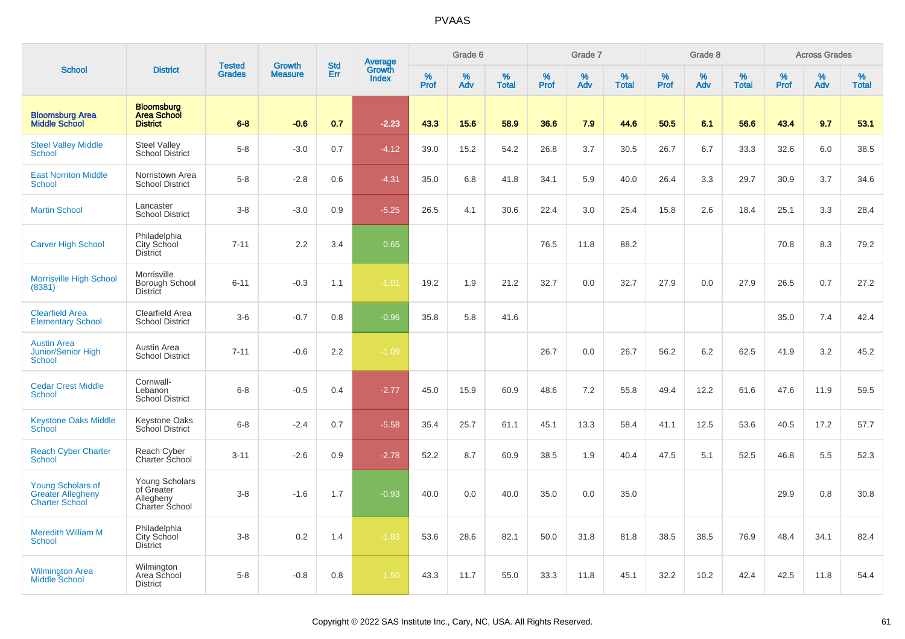|                                                                               |                                                             | <b>Tested</b> | <b>Growth</b>  | <b>Std</b> |                                          |                  | Grade 6  |                   |           | Grade 7  |                   |           | Grade 8  |                   |              | <b>Across Grades</b> |                   |
|-------------------------------------------------------------------------------|-------------------------------------------------------------|---------------|----------------|------------|------------------------------------------|------------------|----------|-------------------|-----------|----------|-------------------|-----------|----------|-------------------|--------------|----------------------|-------------------|
| <b>School</b>                                                                 | <b>District</b>                                             | <b>Grades</b> | <b>Measure</b> | Err        | <b>Average</b><br>Growth<br><b>Index</b> | %<br><b>Prof</b> | %<br>Adv | %<br><b>Total</b> | %<br>Prof | %<br>Adv | %<br><b>Total</b> | %<br>Prof | %<br>Adv | %<br><b>Total</b> | $\%$<br>Prof | $\%$<br>Adv          | %<br><b>Total</b> |
| <b>Bloomsburg Area</b><br><b>Middle School</b>                                | <b>Bloomsburg</b><br><b>Area School</b><br><b>District</b>  | $6 - 8$       | $-0.6$         | 0.7        | $-2.23$                                  | 43.3             | 15.6     | 58.9              | 36.6      | 7.9      | 44.6              | 50.5      | 6.1      | 56.6              | 43.4         | 9.7                  | 53.1              |
| <b>Steel Valley Middle</b><br><b>School</b>                                   | <b>Steel Valley</b><br><b>School District</b>               | $5-8$         | $-3.0$         | 0.7        | $-4.12$                                  | 39.0             | 15.2     | 54.2              | 26.8      | 3.7      | 30.5              | 26.7      | 6.7      | 33.3              | 32.6         | 6.0                  | 38.5              |
| <b>East Norriton Middle</b><br><b>School</b>                                  | Norristown Area<br><b>School District</b>                   | $5-8$         | $-2.8$         | 0.6        | $-4.31$                                  | 35.0             | 6.8      | 41.8              | 34.1      | 5.9      | 40.0              | 26.4      | 3.3      | 29.7              | 30.9         | 3.7                  | 34.6              |
| <b>Martin School</b>                                                          | Lancaster<br><b>School District</b>                         | $3-8$         | $-3.0$         | 0.9        | $-5.25$                                  | 26.5             | 4.1      | 30.6              | 22.4      | 3.0      | 25.4              | 15.8      | 2.6      | 18.4              | 25.1         | 3.3                  | 28.4              |
| <b>Carver High School</b>                                                     | Philadelphia<br><b>City School</b><br><b>District</b>       | $7 - 11$      | 2.2            | 3.4        | 0.65                                     |                  |          |                   | 76.5      | 11.8     | 88.2              |           |          |                   | 70.8         | 8.3                  | 79.2              |
| <b>Morrisville High School</b><br>(8381)                                      | Morrisville<br>Borough School<br><b>District</b>            | $6 - 11$      | $-0.3$         | 1.1        | $-1.01$                                  | 19.2             | 1.9      | 21.2              | 32.7      | 0.0      | 32.7              | 27.9      | 0.0      | 27.9              | 26.5         | 0.7                  | 27.2              |
| <b>Clearfield Area</b><br><b>Elementary School</b>                            | Clearfield Area<br><b>School District</b>                   | $3-6$         | $-0.7$         | 0.8        | $-0.96$                                  | 35.8             | 5.8      | 41.6              |           |          |                   |           |          |                   | 35.0         | 7.4                  | 42.4              |
| <b>Austin Area</b><br>Junior/Senior High<br><b>School</b>                     | Austin Area<br><b>School District</b>                       | $7 - 11$      | $-0.6$         | 2.2        | $-1.09$                                  |                  |          |                   | 26.7      | 0.0      | 26.7              | 56.2      | 6.2      | 62.5              | 41.9         | 3.2                  | 45.2              |
| <b>Cedar Crest Middle</b><br>School                                           | Cornwall-<br>Lebanon<br><b>School District</b>              | $6 - 8$       | $-0.5$         | 0.4        | $-2.77$                                  | 45.0             | 15.9     | 60.9              | 48.6      | 7.2      | 55.8              | 49.4      | 12.2     | 61.6              | 47.6         | 11.9                 | 59.5              |
| <b>Keystone Oaks Middle</b><br>School                                         | Keystone Oaks<br>School District                            | $6-8$         | $-2.4$         | 0.7        | $-5.58$                                  | 35.4             | 25.7     | 61.1              | 45.1      | 13.3     | 58.4              | 41.1      | 12.5     | 53.6              | 40.5         | 17.2                 | 57.7              |
| <b>Reach Cyber Charter</b><br><b>School</b>                                   | Reach Cyber<br>Charter School                               | $3 - 11$      | $-2.6$         | 0.9        | $-2.78$                                  | 52.2             | 8.7      | 60.9              | 38.5      | 1.9      | 40.4              | 47.5      | 5.1      | 52.5              | 46.8         | 5.5                  | 52.3              |
| <b>Young Scholars of</b><br><b>Greater Allegheny</b><br><b>Charter School</b> | Young Scholars<br>of Greater<br>Allegheny<br>Charter School | $3 - 8$       | $-1.6$         | 1.7        | $-0.93$                                  | 40.0             | 0.0      | 40.0              | 35.0      | 0.0      | 35.0              |           |          |                   | 29.9         | 0.8                  | 30.8              |
| <b>Meredith William M</b><br>School                                           | Philadelphia<br><b>City School</b><br><b>District</b>       | $3-8$         | 0.2            | 1.4        | $-1.83$                                  | 53.6             | 28.6     | 82.1              | 50.0      | 31.8     | 81.8              | 38.5      | 38.5     | 76.9              | 48.4         | 34.1                 | 82.4              |
| <b>Wilmington Area</b><br><b>Middle School</b>                                | Wilmington<br>Area School<br><b>District</b>                | $5 - 8$       | $-0.8$         | 0.8        | $-1.50$                                  | 43.3             | 11.7     | 55.0              | 33.3      | 11.8     | 45.1              | 32.2      | 10.2     | 42.4              | 42.5         | 11.8                 | 54.4              |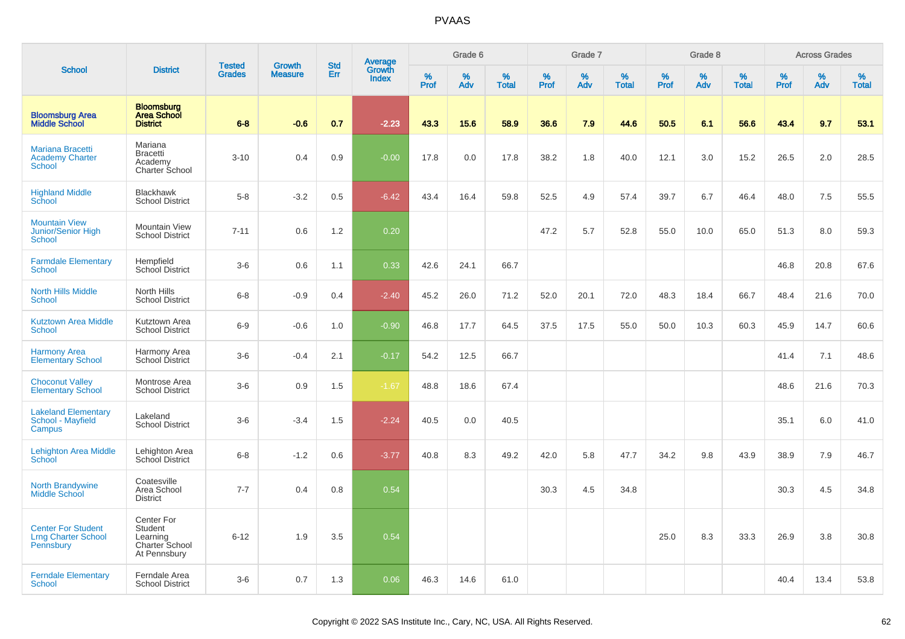|                                                                      |                                                                     | <b>Tested</b> | <b>Growth</b>  | <b>Std</b> |                                          |           | Grade 6  |                   |           | Grade 7  |                   |           | Grade 8  |                   |           | <b>Across Grades</b> |                   |
|----------------------------------------------------------------------|---------------------------------------------------------------------|---------------|----------------|------------|------------------------------------------|-----------|----------|-------------------|-----------|----------|-------------------|-----------|----------|-------------------|-----------|----------------------|-------------------|
| <b>School</b>                                                        | <b>District</b>                                                     | <b>Grades</b> | <b>Measure</b> | Err        | <b>Average</b><br>Growth<br><b>Index</b> | %<br>Prof | %<br>Adv | %<br><b>Total</b> | %<br>Prof | %<br>Adv | %<br><b>Total</b> | %<br>Prof | %<br>Adv | %<br><b>Total</b> | %<br>Prof | %<br>Adv             | %<br><b>Total</b> |
| <b>Bloomsburg Area</b><br><b>Middle School</b>                       | <b>Bloomsburg</b><br><b>Area School</b><br><b>District</b>          | $6 - 8$       | $-0.6$         | 0.7        | $-2.23$                                  | 43.3      | 15.6     | 58.9              | 36.6      | 7.9      | 44.6              | 50.5      | 6.1      | 56.6              | 43.4      | 9.7                  | 53.1              |
| <b>Mariana Bracetti</b><br><b>Academy Charter</b><br><b>School</b>   | Mariana<br><b>Bracetti</b><br>Academy<br><b>Charter School</b>      | $3 - 10$      | 0.4            | 0.9        | $-0.00$                                  | 17.8      | $0.0\,$  | 17.8              | 38.2      | 1.8      | 40.0              | 12.1      | 3.0      | 15.2              | 26.5      | 2.0                  | 28.5              |
| <b>Highland Middle</b><br>School                                     | <b>Blackhawk</b><br><b>School District</b>                          | $5-8$         | $-3.2$         | 0.5        | $-6.42$                                  | 43.4      | 16.4     | 59.8              | 52.5      | 4.9      | 57.4              | 39.7      | 6.7      | 46.4              | 48.0      | 7.5                  | 55.5              |
| <b>Mountain View</b><br><b>Junior/Senior High</b><br><b>School</b>   | <b>Mountain View</b><br><b>School District</b>                      | $7 - 11$      | 0.6            | 1.2        | 0.20                                     |           |          |                   | 47.2      | 5.7      | 52.8              | 55.0      | 10.0     | 65.0              | 51.3      | 8.0                  | 59.3              |
| <b>Farmdale Elementary</b><br><b>School</b>                          | Hempfield<br><b>School District</b>                                 | $3-6$         | 0.6            | 1.1        | 0.33                                     | 42.6      | 24.1     | 66.7              |           |          |                   |           |          |                   | 46.8      | 20.8                 | 67.6              |
| <b>North Hills Middle</b><br><b>School</b>                           | North Hills<br><b>School District</b>                               | $6-8$         | $-0.9$         | 0.4        | $-2.40$                                  | 45.2      | 26.0     | 71.2              | 52.0      | 20.1     | 72.0              | 48.3      | 18.4     | 66.7              | 48.4      | 21.6                 | 70.0              |
| <b>Kutztown Area Middle</b><br><b>School</b>                         | Kutztown Area<br><b>School District</b>                             | $6-9$         | $-0.6$         | 1.0        | $-0.90$                                  | 46.8      | 17.7     | 64.5              | 37.5      | 17.5     | 55.0              | 50.0      | 10.3     | 60.3              | 45.9      | 14.7                 | 60.6              |
| <b>Harmony Area</b><br><b>Elementary School</b>                      | Harmony Area<br>School District                                     | $3-6$         | $-0.4$         | 2.1        | $-0.17$                                  | 54.2      | 12.5     | 66.7              |           |          |                   |           |          |                   | 41.4      | 7.1                  | 48.6              |
| <b>Choconut Valley</b><br><b>Elementary School</b>                   | Montrose Area<br><b>School District</b>                             | $3-6$         | 0.9            | 1.5        | $-1.67$                                  | 48.8      | 18.6     | 67.4              |           |          |                   |           |          |                   | 48.6      | 21.6                 | 70.3              |
| <b>Lakeland Elementary</b><br>School - Mayfield<br>Campus            | Lakeland<br><b>School District</b>                                  | $3-6$         | $-3.4$         | 1.5        | $-2.24$                                  | 40.5      | 0.0      | 40.5              |           |          |                   |           |          |                   | 35.1      | 6.0                  | 41.0              |
| <b>Lehighton Area Middle</b><br>School                               | Lehighton Area<br>School District                                   | $6 - 8$       | $-1.2$         | 0.6        | $-3.77$                                  | 40.8      | 8.3      | 49.2              | 42.0      | 5.8      | 47.7              | 34.2      | 9.8      | 43.9              | 38.9      | 7.9                  | 46.7              |
| <b>North Brandywine</b><br><b>Middle School</b>                      | Coatesville<br>Area School<br><b>District</b>                       | $7 - 7$       | 0.4            | 0.8        | 0.54                                     |           |          |                   | 30.3      | 4.5      | 34.8              |           |          |                   | 30.3      | 4.5                  | 34.8              |
| <b>Center For Student</b><br><b>Lrng Charter School</b><br>Pennsbury | Center For<br>Student<br>Learning<br>Charter School<br>At Pennsbury | $6 - 12$      | 1.9            | 3.5        | 0.54                                     |           |          |                   |           |          |                   | 25.0      | 8.3      | 33.3              | 26.9      | 3.8                  | 30.8              |
| <b>Ferndale Elementary</b><br>School                                 | Ferndale Area<br><b>School District</b>                             | $3-6$         | 0.7            | 1.3        | 0.06                                     | 46.3      | 14.6     | 61.0              |           |          |                   |           |          |                   | 40.4      | 13.4                 | 53.8              |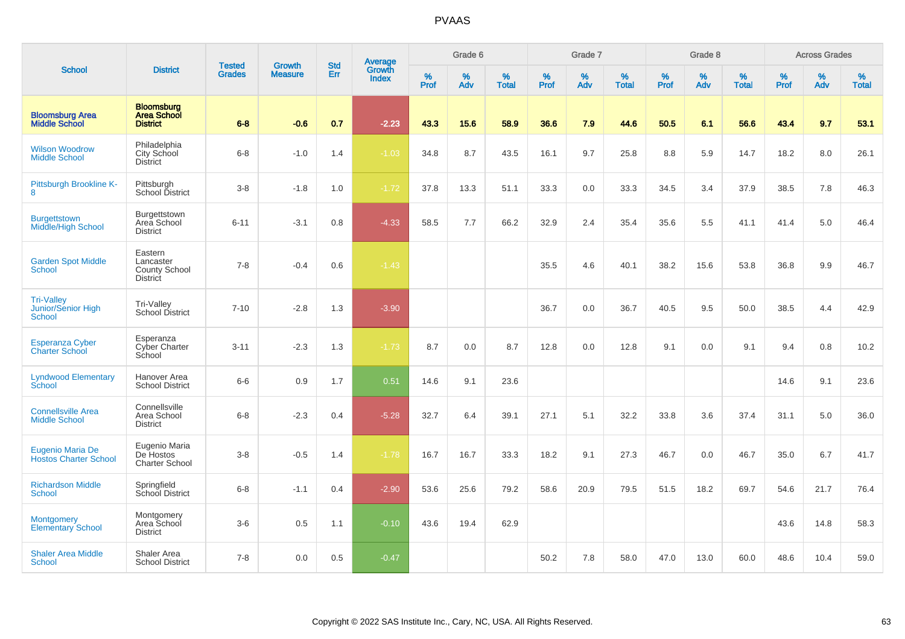| <b>School</b>                                     |                                                                 |                                | <b>Growth</b>  | <b>Std</b> |                                          |                  | Grade 6  |                   |           | Grade 7  |                   |           | Grade 8  |                   |           | <b>Across Grades</b> |                      |
|---------------------------------------------------|-----------------------------------------------------------------|--------------------------------|----------------|------------|------------------------------------------|------------------|----------|-------------------|-----------|----------|-------------------|-----------|----------|-------------------|-----------|----------------------|----------------------|
|                                                   | <b>District</b>                                                 | <b>Tested</b><br><b>Grades</b> | <b>Measure</b> | Err        | <b>Average</b><br>Growth<br><b>Index</b> | %<br><b>Prof</b> | %<br>Adv | %<br><b>Total</b> | %<br>Prof | %<br>Adv | %<br><b>Total</b> | %<br>Prof | %<br>Adv | %<br><b>Total</b> | %<br>Prof | $\%$<br>Adv          | $\%$<br><b>Total</b> |
| <b>Bloomsburg Area</b><br><b>Middle School</b>    | <b>Bloomsburg</b><br><b>Area School</b><br><b>District</b>      | $6 - 8$                        | $-0.6$         | 0.7        | $-2.23$                                  | 43.3             | 15.6     | 58.9              | 36.6      | 7.9      | 44.6              | 50.5      | 6.1      | 56.6              | 43.4      | 9.7                  | 53.1                 |
| <b>Wilson Woodrow</b><br><b>Middle School</b>     | Philadelphia<br>City School<br><b>District</b>                  | $6 - 8$                        | $-1.0$         | 1.4        | $-1.03$                                  | 34.8             | 8.7      | 43.5              | 16.1      | 9.7      | 25.8              | 8.8       | 5.9      | 14.7              | 18.2      | 8.0                  | 26.1                 |
| Pittsburgh Brookline K-<br>8                      | Pittsburgh<br>School District                                   | $3 - 8$                        | $-1.8$         | 1.0        | $-1.72$                                  | 37.8             | 13.3     | 51.1              | 33.3      | 0.0      | 33.3              | 34.5      | 3.4      | 37.9              | 38.5      | 7.8                  | 46.3                 |
| <b>Burgettstown</b><br><b>Middle/High School</b>  | Burgettstown<br>Area School<br><b>District</b>                  | $6 - 11$                       | $-3.1$         | 0.8        | $-4.33$                                  | 58.5             | 7.7      | 66.2              | 32.9      | 2.4      | 35.4              | 35.6      | 5.5      | 41.1              | 41.4      | 5.0                  | 46.4                 |
| <b>Garden Spot Middle</b><br><b>School</b>        | Eastern<br>Lancaster<br><b>County School</b><br><b>District</b> | $7 - 8$                        | $-0.4$         | 0.6        | $-1.43$                                  |                  |          |                   | 35.5      | 4.6      | 40.1              | 38.2      | 15.6     | 53.8              | 36.8      | 9.9                  | 46.7                 |
| <b>Tri-Valley</b><br>Junior/Senior High<br>School | Tri-Valley<br><b>School District</b>                            | $7 - 10$                       | $-2.8$         | 1.3        | $-3.90$                                  |                  |          |                   | 36.7      | 0.0      | 36.7              | 40.5      | 9.5      | 50.0              | 38.5      | 4.4                  | 42.9                 |
| <b>Esperanza Cyber</b><br><b>Charter School</b>   | Esperanza<br>Cyber Charter<br>School                            | $3 - 11$                       | $-2.3$         | 1.3        | $-1.73$                                  | 8.7              | 0.0      | 8.7               | 12.8      | 0.0      | 12.8              | 9.1       | 0.0      | 9.1               | 9.4       | 0.8                  | 10.2                 |
| <b>Lyndwood Elementary</b><br>School              | Hanover Area<br><b>School District</b>                          | $6-6$                          | 0.9            | 1.7        | 0.51                                     | 14.6             | 9.1      | 23.6              |           |          |                   |           |          |                   | 14.6      | 9.1                  | 23.6                 |
| <b>Connellsville Area</b><br><b>Middle School</b> | Connellsville<br>Area School<br><b>District</b>                 | $6 - 8$                        | $-2.3$         | 0.4        | $-5.28$                                  | 32.7             | 6.4      | 39.1              | 27.1      | 5.1      | 32.2              | 33.8      | 3.6      | 37.4              | 31.1      | 5.0                  | 36.0                 |
| Eugenio Maria De<br><b>Hostos Charter School</b>  | Eugenio Maria<br>De Hostos<br><b>Charter School</b>             | $3 - 8$                        | $-0.5$         | 1.4        | $-1.78$                                  | 16.7             | 16.7     | 33.3              | 18.2      | 9.1      | 27.3              | 46.7      | 0.0      | 46.7              | 35.0      | 6.7                  | 41.7                 |
| <b>Richardson Middle</b><br><b>School</b>         | Springfield<br>School District                                  | $6 - 8$                        | $-1.1$         | 0.4        | $-2.90$                                  | 53.6             | 25.6     | 79.2              | 58.6      | 20.9     | 79.5              | 51.5      | 18.2     | 69.7              | 54.6      | 21.7                 | 76.4                 |
| <b>Montgomery</b><br><b>Elementary School</b>     | Montgomery<br>Area School<br><b>District</b>                    | $3-6$                          | 0.5            | 1.1        | $-0.10$                                  | 43.6             | 19.4     | 62.9              |           |          |                   |           |          |                   | 43.6      | 14.8                 | 58.3                 |
| <b>Shaler Area Middle</b><br>School               | Shaler Area<br><b>School District</b>                           | $7 - 8$                        | 0.0            | 0.5        | $-0.47$                                  |                  |          |                   | 50.2      | 7.8      | 58.0              | 47.0      | 13.0     | 60.0              | 48.6      | 10.4                 | 59.0                 |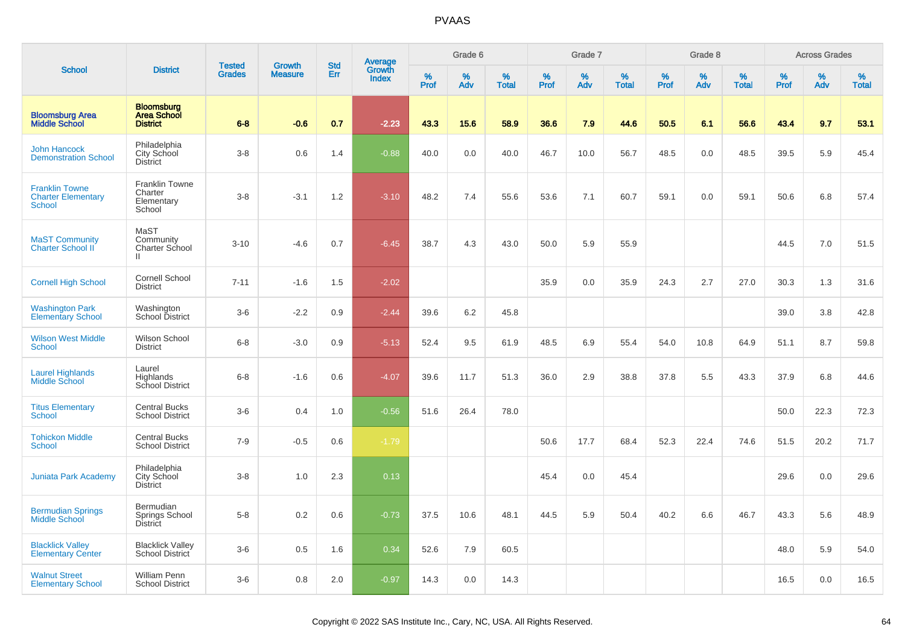|                                                              |                                                            | <b>Tested</b> | <b>Growth</b>  | <b>Std</b> |                                          |                  | Grade 6  |                   |           | Grade 7  |                   |           | Grade 8  |                   |           | <b>Across Grades</b> |                   |
|--------------------------------------------------------------|------------------------------------------------------------|---------------|----------------|------------|------------------------------------------|------------------|----------|-------------------|-----------|----------|-------------------|-----------|----------|-------------------|-----------|----------------------|-------------------|
| <b>School</b>                                                | <b>District</b>                                            | <b>Grades</b> | <b>Measure</b> | Err        | <b>Average</b><br>Growth<br><b>Index</b> | %<br><b>Prof</b> | %<br>Adv | %<br><b>Total</b> | %<br>Prof | %<br>Adv | %<br><b>Total</b> | %<br>Prof | %<br>Adv | %<br><b>Total</b> | %<br>Prof | %<br>Adv             | %<br><b>Total</b> |
| <b>Bloomsburg Area</b><br><b>Middle School</b>               | <b>Bloomsburg</b><br><b>Area School</b><br><b>District</b> | $6 - 8$       | $-0.6$         | 0.7        | $-2.23$                                  | 43.3             | 15.6     | 58.9              | 36.6      | 7.9      | 44.6              | 50.5      | 6.1      | 56.6              | 43.4      | 9.7                  | 53.1              |
| <b>John Hancock</b><br><b>Demonstration School</b>           | Philadelphia<br>City School<br><b>District</b>             | $3-8$         | 0.6            | 1.4        | $-0.88$                                  | 40.0             | 0.0      | 40.0              | 46.7      | 10.0     | 56.7              | 48.5      | 0.0      | 48.5              | 39.5      | 5.9                  | 45.4              |
| <b>Franklin Towne</b><br><b>Charter Elementary</b><br>School | <b>Franklin Towne</b><br>Charter<br>Elementary<br>School   | $3-8$         | $-3.1$         | 1.2        | $-3.10$                                  | 48.2             | 7.4      | 55.6              | 53.6      | 7.1      | 60.7              | 59.1      | 0.0      | 59.1              | 50.6      | 6.8                  | 57.4              |
| <b>MaST Community</b><br>Charter School II                   | MaST<br>Community<br>Charter School<br>Ш.                  | $3 - 10$      | $-4.6$         | 0.7        | $-6.45$                                  | 38.7             | 4.3      | 43.0              | 50.0      | 5.9      | 55.9              |           |          |                   | 44.5      | 7.0                  | 51.5              |
| <b>Cornell High School</b>                                   | <b>Cornell School</b><br><b>District</b>                   | $7 - 11$      | $-1.6$         | 1.5        | $-2.02$                                  |                  |          |                   | 35.9      | 0.0      | 35.9              | 24.3      | 2.7      | 27.0              | 30.3      | 1.3                  | 31.6              |
| <b>Washington Park</b><br><b>Elementary School</b>           | Washington<br>School District                              | $3-6$         | $-2.2$         | 0.9        | $-2.44$                                  | 39.6             | 6.2      | 45.8              |           |          |                   |           |          |                   | 39.0      | 3.8                  | 42.8              |
| <b>Wilson West Middle</b><br><b>School</b>                   | Wilson School<br><b>District</b>                           | $6 - 8$       | $-3.0$         | 0.9        | $-5.13$                                  | 52.4             | 9.5      | 61.9              | 48.5      | 6.9      | 55.4              | 54.0      | 10.8     | 64.9              | 51.1      | 8.7                  | 59.8              |
| <b>Laurel Highlands</b><br>Middle School                     | Laurel<br>Highlands<br>School District                     | $6-8$         | $-1.6$         | 0.6        | $-4.07$                                  | 39.6             | 11.7     | 51.3              | 36.0      | 2.9      | 38.8              | 37.8      | 5.5      | 43.3              | 37.9      | 6.8                  | 44.6              |
| <b>Titus Elementary</b><br><b>School</b>                     | <b>Central Bucks</b><br><b>School District</b>             | $3-6$         | 0.4            | 1.0        | $-0.56$                                  | 51.6             | 26.4     | 78.0              |           |          |                   |           |          |                   | 50.0      | 22.3                 | 72.3              |
| <b>Tohickon Middle</b><br>School                             | <b>Central Bucks</b><br><b>School District</b>             | $7-9$         | $-0.5$         | 0.6        | $-1.79$                                  |                  |          |                   | 50.6      | 17.7     | 68.4              | 52.3      | 22.4     | 74.6              | 51.5      | 20.2                 | 71.7              |
| <b>Juniata Park Academy</b>                                  | Philadelphia<br>City School<br><b>District</b>             | $3-8$         | 1.0            | 2.3        | 0.13                                     |                  |          |                   | 45.4      | 0.0      | 45.4              |           |          |                   | 29.6      | 0.0                  | 29.6              |
| <b>Bermudian Springs</b><br><b>Middle School</b>             | Bermudian<br>Springs School<br>District                    | $5-8$         | 0.2            | 0.6        | $-0.73$                                  | 37.5             | 10.6     | 48.1              | 44.5      | 5.9      | 50.4              | 40.2      | 6.6      | 46.7              | 43.3      | 5.6                  | 48.9              |
| <b>Blacklick Valley</b><br><b>Elementary Center</b>          | <b>Blacklick Valley</b><br>School District                 | $3-6$         | 0.5            | 1.6        | 0.34                                     | 52.6             | 7.9      | 60.5              |           |          |                   |           |          |                   | 48.0      | 5.9                  | 54.0              |
| <b>Walnut Street</b><br><b>Elementary School</b>             | <b>William Penn</b><br><b>School District</b>              | $3-6$         | 0.8            | 2.0        | $-0.97$                                  | 14.3             | 0.0      | 14.3              |           |          |                   |           |          |                   | 16.5      | 0.0                  | 16.5              |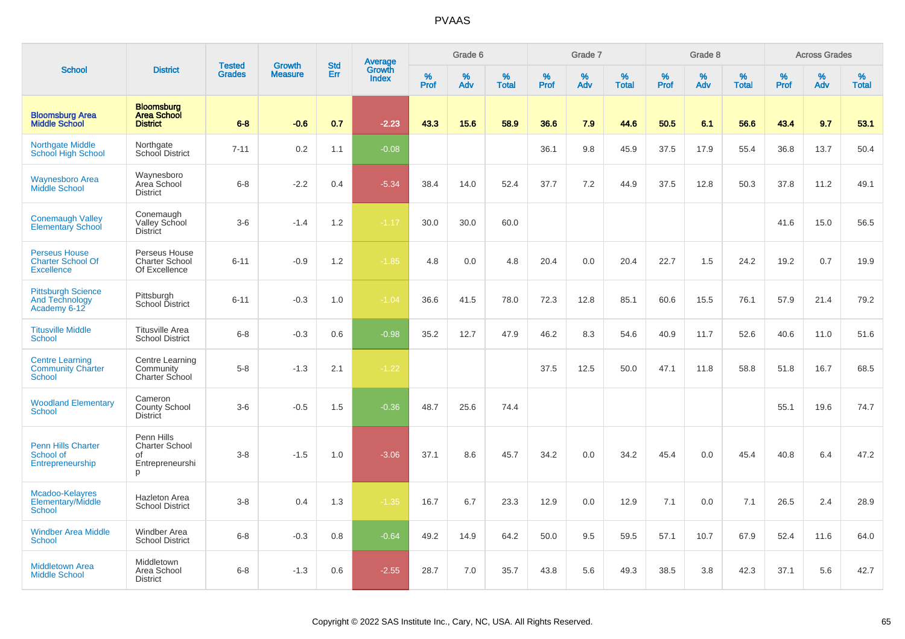|                                                                       |                                                                   |                                |                                 | <b>Std</b> |                                          |                  | Grade 6     |                   |                     | Grade 7     |                   |              | Grade 8  |                   |              | <b>Across Grades</b> |                   |
|-----------------------------------------------------------------------|-------------------------------------------------------------------|--------------------------------|---------------------------------|------------|------------------------------------------|------------------|-------------|-------------------|---------------------|-------------|-------------------|--------------|----------|-------------------|--------------|----------------------|-------------------|
| <b>School</b>                                                         | <b>District</b>                                                   | <b>Tested</b><br><b>Grades</b> | <b>Growth</b><br><b>Measure</b> | Err        | <b>Average</b><br>Growth<br><b>Index</b> | %<br><b>Prof</b> | $\%$<br>Adv | %<br><b>Total</b> | $\%$<br><b>Prof</b> | $\%$<br>Adv | %<br><b>Total</b> | $\%$<br>Prof | %<br>Adv | %<br><b>Total</b> | $\%$<br>Prof | $\%$<br>Adv          | %<br><b>Total</b> |
| <b>Bloomsburg Area</b><br><b>Middle School</b>                        | <b>Bloomsburg</b><br><b>Area School</b><br><b>District</b>        | $6 - 8$                        | $-0.6$                          | 0.7        | $-2.23$                                  | 43.3             | 15.6        | 58.9              | 36.6                | 7.9         | 44.6              | 50.5         | 6.1      | 56.6              | 43.4         | 9.7                  | 53.1              |
| <b>Northgate Middle</b><br>School High School                         | Northgate<br>School District                                      | $7 - 11$                       | 0.2                             | 1.1        | $-0.08$                                  |                  |             |                   | 36.1                | 9.8         | 45.9              | 37.5         | 17.9     | 55.4              | 36.8         | 13.7                 | 50.4              |
| <b>Waynesboro Area</b><br>Middle School                               | Waynesboro<br>Area School<br><b>District</b>                      | $6-8$                          | $-2.2$                          | 0.4        | $-5.34$                                  | 38.4             | 14.0        | 52.4              | 37.7                | 7.2         | 44.9              | 37.5         | 12.8     | 50.3              | 37.8         | 11.2                 | 49.1              |
| <b>Conemaugh Valley</b><br><b>Elementary School</b>                   | Conemaugh<br>Valley School<br><b>District</b>                     | $3-6$                          | $-1.4$                          | 1.2        | $-1.17$                                  | 30.0             | 30.0        | 60.0              |                     |             |                   |              |          |                   | 41.6         | 15.0                 | 56.5              |
| <b>Perseus House</b><br><b>Charter School Of</b><br><b>Excellence</b> | Perseus House<br><b>Charter School</b><br>Of Excellence           | $6 - 11$                       | $-0.9$                          | 1.2        | $-1.85$                                  | 4.8              | 0.0         | 4.8               | 20.4                | 0.0         | 20.4              | 22.7         | 1.5      | 24.2              | 19.2         | 0.7                  | 19.9              |
| <b>Pittsburgh Science</b><br><b>And Technology</b><br>Academy 6-12    | Pittsburgh<br>School District                                     | $6 - 11$                       | $-0.3$                          | 1.0        | $-1.04$                                  | 36.6             | 41.5        | 78.0              | 72.3                | 12.8        | 85.1              | 60.6         | 15.5     | 76.1              | 57.9         | 21.4                 | 79.2              |
| <b>Titusville Middle</b><br><b>School</b>                             | <b>Titusville Area</b><br><b>School District</b>                  | $6 - 8$                        | $-0.3$                          | 0.6        | $-0.98$                                  | 35.2             | 12.7        | 47.9              | 46.2                | 8.3         | 54.6              | 40.9         | 11.7     | 52.6              | 40.6         | 11.0                 | 51.6              |
| <b>Centre Learning</b><br><b>Community Charter</b><br>School          | Centre Learning<br>Community<br>Charter School                    | $5-8$                          | $-1.3$                          | 2.1        | $-1.22$                                  |                  |             |                   | 37.5                | 12.5        | 50.0              | 47.1         | 11.8     | 58.8              | 51.8         | 16.7                 | 68.5              |
| <b>Woodland Elementary</b><br><b>School</b>                           | Cameron<br><b>County School</b><br>District                       | $3-6$                          | $-0.5$                          | 1.5        | $-0.36$                                  | 48.7             | 25.6        | 74.4              |                     |             |                   |              |          |                   | 55.1         | 19.6                 | 74.7              |
| <b>Penn Hills Charter</b><br>School of<br>Entrepreneurship            | Penn Hills<br><b>Charter School</b><br>of<br>Entrepreneurshi<br>p | $3-8$                          | $-1.5$                          | 1.0        | $-3.06$                                  | 37.1             | 8.6         | 45.7              | 34.2                | 0.0         | 34.2              | 45.4         | 0.0      | 45.4              | 40.8         | 6.4                  | 47.2              |
| Mcadoo-Kelayres<br>Elementary/Middle<br><b>School</b>                 | Hazleton Area<br><b>School District</b>                           | $3-8$                          | 0.4                             | 1.3        | $-1.35$                                  | 16.7             | 6.7         | 23.3              | 12.9                | 0.0         | 12.9              | 7.1          | 0.0      | 7.1               | 26.5         | 2.4                  | 28.9              |
| <b>Windber Area Middle</b><br><b>School</b>                           | Windber Area<br><b>School District</b>                            | $6 - 8$                        | $-0.3$                          | 0.8        | $-0.64$                                  | 49.2             | 14.9        | 64.2              | 50.0                | 9.5         | 59.5              | 57.1         | 10.7     | 67.9              | 52.4         | 11.6                 | 64.0              |
| <b>Middletown Area</b><br><b>Middle School</b>                        | Middletown<br>Area School<br>District                             | $6 - 8$                        | $-1.3$                          | 0.6        | $-2.55$                                  | 28.7             | 7.0         | 35.7              | 43.8                | 5.6         | 49.3              | 38.5         | 3.8      | 42.3              | 37.1         | 5.6                  | 42.7              |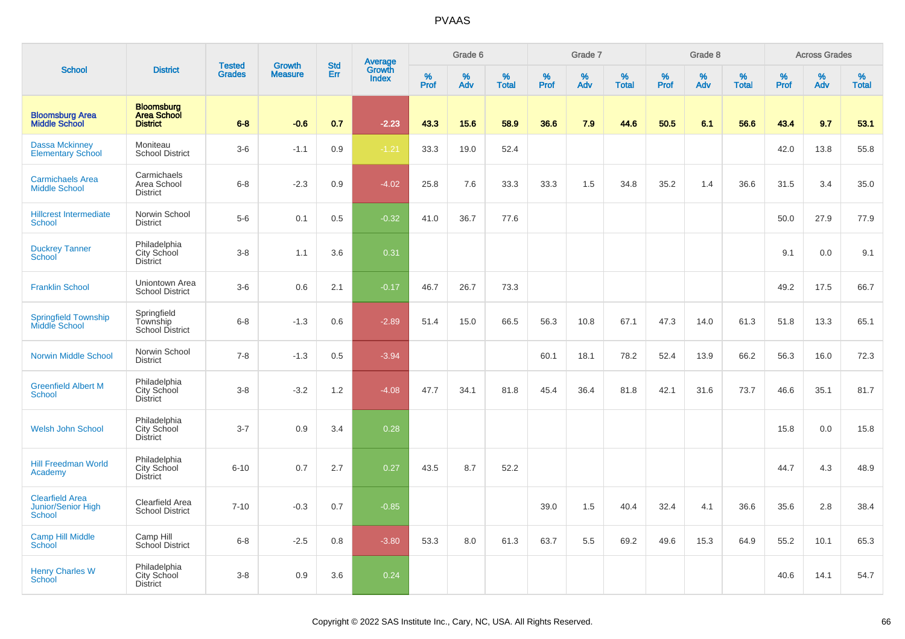|                                                        |                                                            | <b>Tested</b> |                          | <b>Std</b> |                                   |           | Grade 6  |                   |           | Grade 7  |                   |           | Grade 8  |                   |           | <b>Across Grades</b> |                   |
|--------------------------------------------------------|------------------------------------------------------------|---------------|--------------------------|------------|-----------------------------------|-----------|----------|-------------------|-----------|----------|-------------------|-----------|----------|-------------------|-----------|----------------------|-------------------|
| <b>School</b>                                          | <b>District</b>                                            | <b>Grades</b> | Growth<br><b>Measure</b> | Err        | Average<br>Growth<br><b>Index</b> | %<br>Prof | %<br>Adv | %<br><b>Total</b> | %<br>Prof | %<br>Adv | %<br><b>Total</b> | %<br>Prof | %<br>Adv | %<br><b>Total</b> | %<br>Prof | %<br>Adv             | %<br><b>Total</b> |
| <b>Bloomsburg Area</b><br><b>Middle School</b>         | <b>Bloomsburg</b><br><b>Area School</b><br><b>District</b> | $6 - 8$       | $-0.6$                   | 0.7        | $-2.23$                           | 43.3      | 15.6     | 58.9              | 36.6      | 7.9      | 44.6              | 50.5      | 6.1      | 56.6              | 43.4      | 9.7                  | 53.1              |
| <b>Dassa Mckinney</b><br><b>Elementary School</b>      | Moniteau<br><b>School District</b>                         | $3-6$         | $-1.1$                   | 0.9        | $-1.21$                           | 33.3      | 19.0     | 52.4              |           |          |                   |           |          |                   | 42.0      | 13.8                 | 55.8              |
| <b>Carmichaels Area</b><br><b>Middle School</b>        | Carmichaels<br>Area School<br><b>District</b>              | $6 - 8$       | $-2.3$                   | 0.9        | $-4.02$                           | 25.8      | 7.6      | 33.3              | 33.3      | 1.5      | 34.8              | 35.2      | 1.4      | 36.6              | 31.5      | 3.4                  | 35.0              |
| <b>Hillcrest Intermediate</b><br>School                | Norwin School<br><b>District</b>                           | $5-6$         | 0.1                      | 0.5        | $-0.32$                           | 41.0      | 36.7     | 77.6              |           |          |                   |           |          |                   | 50.0      | 27.9                 | 77.9              |
| <b>Duckrey Tanner</b><br>School                        | Philadelphia<br>City School<br><b>District</b>             | $3 - 8$       | 1.1                      | 3.6        | 0.31                              |           |          |                   |           |          |                   |           |          |                   | 9.1       | 0.0                  | 9.1               |
| <b>Franklin School</b>                                 | Uniontown Area<br><b>School District</b>                   | $3-6$         | 0.6                      | 2.1        | $-0.17$                           | 46.7      | 26.7     | 73.3              |           |          |                   |           |          |                   | 49.2      | 17.5                 | 66.7              |
| <b>Springfield Township</b><br>Middle School           | Springfield<br>Township<br><b>School District</b>          | $6 - 8$       | $-1.3$                   | 0.6        | $-2.89$                           | 51.4      | 15.0     | 66.5              | 56.3      | 10.8     | 67.1              | 47.3      | 14.0     | 61.3              | 51.8      | 13.3                 | 65.1              |
| <b>Norwin Middle School</b>                            | Norwin School<br><b>District</b>                           | $7 - 8$       | $-1.3$                   | 0.5        | $-3.94$                           |           |          |                   | 60.1      | 18.1     | 78.2              | 52.4      | 13.9     | 66.2              | 56.3      | 16.0                 | 72.3              |
| <b>Greenfield Albert M</b><br><b>School</b>            | Philadelphia<br>City School<br><b>District</b>             | $3 - 8$       | $-3.2$                   | 1.2        | $-4.08$                           | 47.7      | 34.1     | 81.8              | 45.4      | 36.4     | 81.8              | 42.1      | 31.6     | 73.7              | 46.6      | 35.1                 | 81.7              |
| <b>Welsh John School</b>                               | Philadelphia<br>City School<br><b>District</b>             | $3 - 7$       | 0.9                      | 3.4        | 0.28                              |           |          |                   |           |          |                   |           |          |                   | 15.8      | 0.0                  | 15.8              |
| <b>Hill Freedman World</b><br>Academy                  | Philadelphia<br>City School<br><b>District</b>             | $6 - 10$      | 0.7                      | 2.7        | 0.27                              | 43.5      | 8.7      | 52.2              |           |          |                   |           |          |                   | 44.7      | 4.3                  | 48.9              |
| <b>Clearfield Area</b><br>Junior/Senior High<br>School | Clearfield Area<br><b>School District</b>                  | $7 - 10$      | $-0.3$                   | 0.7        | $-0.85$                           |           |          |                   | 39.0      | 1.5      | 40.4              | 32.4      | 4.1      | 36.6              | 35.6      | 2.8                  | 38.4              |
| <b>Camp Hill Middle</b><br>School                      | Camp Hill<br>School District                               | $6 - 8$       | $-2.5$                   | 0.8        | $-3.80$                           | 53.3      | 8.0      | 61.3              | 63.7      | 5.5      | 69.2              | 49.6      | 15.3     | 64.9              | 55.2      | 10.1                 | 65.3              |
| <b>Henry Charles W</b><br><b>School</b>                | Philadelphia<br>City School<br><b>District</b>             | $3-8$         | 0.9                      | 3.6        | 0.24                              |           |          |                   |           |          |                   |           |          |                   | 40.6      | 14.1                 | 54.7              |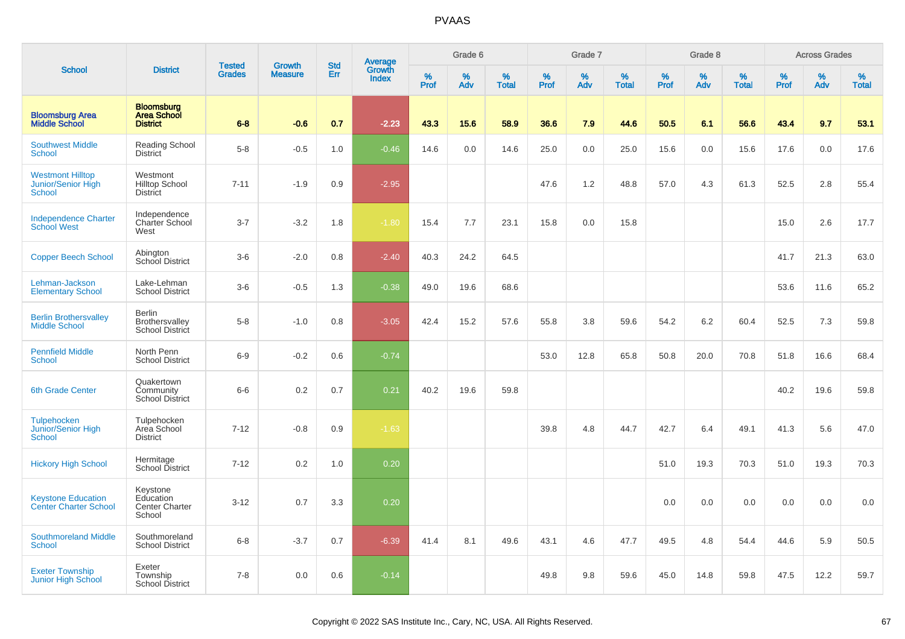|                                                           |                                                            |                                |                                 | <b>Std</b> |                                          |                  | Grade 6  |                   |           | Grade 7  |                   |           | Grade 8  |                   |           | <b>Across Grades</b> |                   |
|-----------------------------------------------------------|------------------------------------------------------------|--------------------------------|---------------------------------|------------|------------------------------------------|------------------|----------|-------------------|-----------|----------|-------------------|-----------|----------|-------------------|-----------|----------------------|-------------------|
| <b>School</b>                                             | <b>District</b>                                            | <b>Tested</b><br><b>Grades</b> | <b>Growth</b><br><b>Measure</b> | Err        | <b>Average</b><br>Growth<br><b>Index</b> | %<br><b>Prof</b> | %<br>Adv | %<br><b>Total</b> | %<br>Prof | %<br>Adv | %<br><b>Total</b> | %<br>Prof | %<br>Adv | %<br><b>Total</b> | %<br>Prof | %<br>Adv             | %<br><b>Total</b> |
| <b>Bloomsburg Area</b><br><b>Middle School</b>            | <b>Bloomsburg</b><br><b>Area School</b><br><b>District</b> | $6 - 8$                        | $-0.6$                          | 0.7        | $-2.23$                                  | 43.3             | 15.6     | 58.9              | 36.6      | 7.9      | 44.6              | 50.5      | 6.1      | 56.6              | 43.4      | 9.7                  | 53.1              |
| <b>Southwest Middle</b><br>School                         | <b>Reading School</b><br><b>District</b>                   | $5-8$                          | $-0.5$                          | 1.0        | $-0.46$                                  | 14.6             | 0.0      | 14.6              | 25.0      | 0.0      | 25.0              | 15.6      | 0.0      | 15.6              | 17.6      | 0.0                  | 17.6              |
| <b>Westmont Hilltop</b><br>Junior/Senior High<br>School   | Westmont<br><b>Hilltop School</b><br><b>District</b>       | $7 - 11$                       | $-1.9$                          | 0.9        | $-2.95$                                  |                  |          |                   | 47.6      | 1.2      | 48.8              | 57.0      | 4.3      | 61.3              | 52.5      | 2.8                  | 55.4              |
| <b>Independence Charter</b><br><b>School West</b>         | Independence<br>Charter School<br>West                     | $3 - 7$                        | $-3.2$                          | 1.8        | $-1.80$                                  | 15.4             | 7.7      | 23.1              | 15.8      | 0.0      | 15.8              |           |          |                   | 15.0      | 2.6                  | 17.7              |
| <b>Copper Beech School</b>                                | Abington<br><b>School District</b>                         | $3-6$                          | $-2.0$                          | 0.8        | $-2.40$                                  | 40.3             | 24.2     | 64.5              |           |          |                   |           |          |                   | 41.7      | 21.3                 | 63.0              |
| Lehman-Jackson<br><b>Elementary School</b>                | Lake-Lehman<br><b>School District</b>                      | $3-6$                          | $-0.5$                          | 1.3        | $-0.38$                                  | 49.0             | 19.6     | 68.6              |           |          |                   |           |          |                   | 53.6      | 11.6                 | 65.2              |
| <b>Berlin Brothersvalley</b><br><b>Middle School</b>      | <b>Berlin</b><br>Brothersvalley<br>School District         | $5-8$                          | $-1.0$                          | 0.8        | $-3.05$                                  | 42.4             | 15.2     | 57.6              | 55.8      | 3.8      | 59.6              | 54.2      | 6.2      | 60.4              | 52.5      | 7.3                  | 59.8              |
| <b>Pennfield Middle</b><br>School                         | North Penn<br><b>School District</b>                       | $6-9$                          | $-0.2$                          | 0.6        | $-0.74$                                  |                  |          |                   | 53.0      | 12.8     | 65.8              | 50.8      | 20.0     | 70.8              | 51.8      | 16.6                 | 68.4              |
| <b>6th Grade Center</b>                                   | Quakertown<br>Community<br><b>School District</b>          | $6-6$                          | 0.2                             | 0.7        | 0.21                                     | 40.2             | 19.6     | 59.8              |           |          |                   |           |          |                   | 40.2      | 19.6                 | 59.8              |
| Tulpehocken<br>Junior/Senior High<br>School               | Tulpehocken<br>Area School<br><b>District</b>              | $7 - 12$                       | $-0.8$                          | 0.9        | $-1.63$                                  |                  |          |                   | 39.8      | 4.8      | 44.7              | 42.7      | 6.4      | 49.1              | 41.3      | 5.6                  | 47.0              |
| <b>Hickory High School</b>                                | Hermitage<br>School District                               | $7 - 12$                       | 0.2                             | 1.0        | 0.20                                     |                  |          |                   |           |          |                   | 51.0      | 19.3     | 70.3              | 51.0      | 19.3                 | 70.3              |
| <b>Keystone Education</b><br><b>Center Charter School</b> | Keystone<br>Education<br>Center Charter<br>School          | $3 - 12$                       | 0.7                             | 3.3        | 0.20                                     |                  |          |                   |           |          |                   | 0.0       | 0.0      | 0.0               | 0.0       | 0.0                  | 0.0               |
| <b>Southmoreland Middle</b><br>School                     | Southmoreland<br><b>School District</b>                    | $6 - 8$                        | $-3.7$                          | 0.7        | $-6.39$                                  | 41.4             | 8.1      | 49.6              | 43.1      | 4.6      | 47.7              | 49.5      | 4.8      | 54.4              | 44.6      | 5.9                  | 50.5              |
| <b>Exeter Township</b><br>Junior High School              | Exeter<br>Township<br><b>School District</b>               | $7 - 8$                        | 0.0                             | 0.6        | $-0.14$                                  |                  |          |                   | 49.8      | 9.8      | 59.6              | 45.0      | 14.8     | 59.8              | 47.5      | 12.2                 | 59.7              |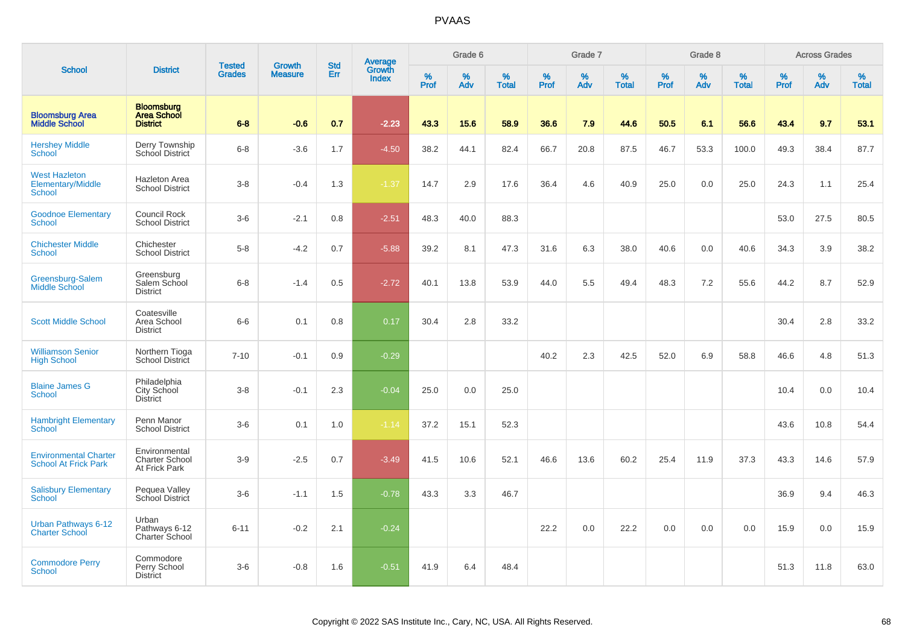|                                                             |                                                            | <b>Tested</b> | <b>Growth</b>  | <b>Std</b> |                                          |                  | Grade 6     |                   |           | Grade 7     |                   |           | Grade 8  |                   |              | <b>Across Grades</b> |                   |
|-------------------------------------------------------------|------------------------------------------------------------|---------------|----------------|------------|------------------------------------------|------------------|-------------|-------------------|-----------|-------------|-------------------|-----------|----------|-------------------|--------------|----------------------|-------------------|
| <b>School</b>                                               | <b>District</b>                                            | <b>Grades</b> | <b>Measure</b> | Err        | <b>Average</b><br>Growth<br><b>Index</b> | %<br><b>Prof</b> | $\%$<br>Adv | %<br><b>Total</b> | %<br>Prof | $\%$<br>Adv | %<br><b>Total</b> | %<br>Prof | %<br>Adv | %<br><b>Total</b> | $\%$<br>Prof | $\%$<br>Adv          | %<br><b>Total</b> |
| <b>Bloomsburg Area</b><br><b>Middle School</b>              | <b>Bloomsburg</b><br><b>Area School</b><br><b>District</b> | $6 - 8$       | $-0.6$         | 0.7        | $-2.23$                                  | 43.3             | 15.6        | 58.9              | 36.6      | 7.9         | 44.6              | 50.5      | 6.1      | 56.6              | 43.4         | 9.7                  | 53.1              |
| <b>Hershey Middle</b><br><b>School</b>                      | Derry Township<br>School District                          | $6-8$         | $-3.6$         | 1.7        | $-4.50$                                  | 38.2             | 44.1        | 82.4              | 66.7      | 20.8        | 87.5              | 46.7      | 53.3     | 100.0             | 49.3         | 38.4                 | 87.7              |
| <b>West Hazleton</b><br>Elementary/Middle<br><b>School</b>  | Hazleton Area<br><b>School District</b>                    | $3-8$         | $-0.4$         | 1.3        | $-1.37$                                  | 14.7             | 2.9         | 17.6              | 36.4      | 4.6         | 40.9              | 25.0      | 0.0      | 25.0              | 24.3         | 1.1                  | 25.4              |
| <b>Goodnoe Elementary</b><br><b>School</b>                  | Council Rock<br><b>School District</b>                     | $3-6$         | $-2.1$         | 0.8        | $-2.51$                                  | 48.3             | 40.0        | 88.3              |           |             |                   |           |          |                   | 53.0         | 27.5                 | 80.5              |
| <b>Chichester Middle</b><br><b>School</b>                   | Chichester<br><b>School District</b>                       | $5-8$         | $-4.2$         | 0.7        | $-5.88$                                  | 39.2             | 8.1         | 47.3              | 31.6      | 6.3         | 38.0              | 40.6      | 0.0      | 40.6              | 34.3         | 3.9                  | 38.2              |
| Greensburg-Salem<br><b>Middle School</b>                    | Greensburg<br>Salem School<br><b>District</b>              | $6 - 8$       | $-1.4$         | 0.5        | $-2.72$                                  | 40.1             | 13.8        | 53.9              | 44.0      | 5.5         | 49.4              | 48.3      | 7.2      | 55.6              | 44.2         | 8.7                  | 52.9              |
| <b>Scott Middle School</b>                                  | Coatesville<br>Area School<br><b>District</b>              | $6-6$         | 0.1            | 0.8        | 0.17                                     | 30.4             | 2.8         | 33.2              |           |             |                   |           |          |                   | 30.4         | 2.8                  | 33.2              |
| <b>Williamson Senior</b><br><b>High School</b>              | Northern Tioga<br><b>School District</b>                   | $7 - 10$      | $-0.1$         | 0.9        | $-0.29$                                  |                  |             |                   | 40.2      | 2.3         | 42.5              | 52.0      | 6.9      | 58.8              | 46.6         | 4.8                  | 51.3              |
| <b>Blaine James G</b><br><b>School</b>                      | Philadelphia<br>City School<br><b>District</b>             | $3-8$         | $-0.1$         | 2.3        | $-0.04$                                  | 25.0             | 0.0         | 25.0              |           |             |                   |           |          |                   | 10.4         | 0.0                  | 10.4              |
| <b>Hambright Elementary</b><br>School                       | Penn Manor<br><b>School District</b>                       | $3-6$         | 0.1            | 1.0        | $-1.14$                                  | 37.2             | 15.1        | 52.3              |           |             |                   |           |          |                   | 43.6         | 10.8                 | 54.4              |
| <b>Environmental Charter</b><br><b>School At Frick Park</b> | Environmental<br><b>Charter School</b><br>At Frick Park    | $3-9$         | $-2.5$         | 0.7        | $-3.49$                                  | 41.5             | 10.6        | 52.1              | 46.6      | 13.6        | 60.2              | 25.4      | 11.9     | 37.3              | 43.3         | 14.6                 | 57.9              |
| <b>Salisbury Elementary</b><br><b>School</b>                | Pequea Valley<br>School District                           | $3-6$         | $-1.1$         | 1.5        | $-0.78$                                  | 43.3             | 3.3         | 46.7              |           |             |                   |           |          |                   | 36.9         | 9.4                  | 46.3              |
| Urban Pathways 6-12<br><b>Charter School</b>                | Urban<br>Pathways 6-12<br>Charter School                   | $6 - 11$      | $-0.2$         | 2.1        | $-0.24$                                  |                  |             |                   | 22.2      | 0.0         | 22.2              | 0.0       | 0.0      | 0.0               | 15.9         | 0.0                  | 15.9              |
| <b>Commodore Perry</b><br>School                            | Commodore<br>Perry School<br><b>District</b>               | $3-6$         | $-0.8$         | 1.6        | $-0.51$                                  | 41.9             | 6.4         | 48.4              |           |             |                   |           |          |                   | 51.3         | 11.8                 | 63.0              |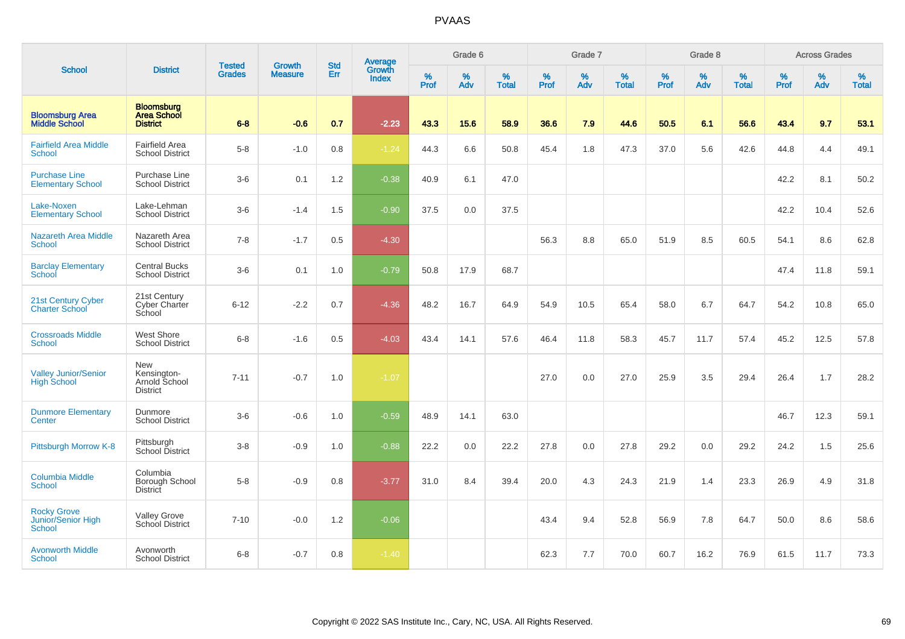|                                                           |                                                               |                                | <b>Growth</b>  | <b>Std</b> | <b>Average</b>         |                  | Grade 6  |                   |           | Grade 7  |                   |           | Grade 8  |                   |           | <b>Across Grades</b> |                   |
|-----------------------------------------------------------|---------------------------------------------------------------|--------------------------------|----------------|------------|------------------------|------------------|----------|-------------------|-----------|----------|-------------------|-----------|----------|-------------------|-----------|----------------------|-------------------|
| <b>School</b>                                             | <b>District</b>                                               | <b>Tested</b><br><b>Grades</b> | <b>Measure</b> | Err        | Growth<br><b>Index</b> | %<br><b>Prof</b> | %<br>Adv | %<br><b>Total</b> | %<br>Prof | %<br>Adv | %<br><b>Total</b> | %<br>Prof | %<br>Adv | %<br><b>Total</b> | %<br>Prof | %<br>Adv             | %<br><b>Total</b> |
| <b>Bloomsburg Area</b><br><b>Middle School</b>            | <b>Bloomsburg</b><br><b>Area School</b><br><b>District</b>    | $6 - 8$                        | $-0.6$         | 0.7        | $-2.23$                | 43.3             | 15.6     | 58.9              | 36.6      | 7.9      | 44.6              | 50.5      | 6.1      | 56.6              | 43.4      | 9.7                  | 53.1              |
| <b>Fairfield Area Middle</b><br>School                    | Fairfield Area<br><b>School District</b>                      | $5-8$                          | $-1.0$         | 0.8        | $-1.24$                | 44.3             | 6.6      | 50.8              | 45.4      | $1.8\,$  | 47.3              | 37.0      | 5.6      | 42.6              | 44.8      | 4.4                  | 49.1              |
| <b>Purchase Line</b><br><b>Elementary School</b>          | Purchase Line<br><b>School District</b>                       | $3-6$                          | 0.1            | 1.2        | $-0.38$                | 40.9             | 6.1      | 47.0              |           |          |                   |           |          |                   | 42.2      | 8.1                  | 50.2              |
| Lake-Noxen<br><b>Elementary School</b>                    | Lake-Lehman<br><b>School District</b>                         | $3-6$                          | $-1.4$         | 1.5        | $-0.90$                | 37.5             | 0.0      | 37.5              |           |          |                   |           |          |                   | 42.2      | 10.4                 | 52.6              |
| <b>Nazareth Area Middle</b><br><b>School</b>              | Nazareth Area<br><b>School District</b>                       | $7 - 8$                        | $-1.7$         | 0.5        | $-4.30$                |                  |          |                   | 56.3      | 8.8      | 65.0              | 51.9      | 8.5      | 60.5              | 54.1      | 8.6                  | 62.8              |
| <b>Barclay Elementary</b><br><b>School</b>                | <b>Central Bucks</b><br><b>School District</b>                | $3-6$                          | 0.1            | 1.0        | $-0.79$                | 50.8             | 17.9     | 68.7              |           |          |                   |           |          |                   | 47.4      | 11.8                 | 59.1              |
| 21st Century Cyber<br><b>Charter School</b>               | 21st Century<br><b>Cyber Charter</b><br>School                | $6 - 12$                       | $-2.2$         | 0.7        | $-4.36$                | 48.2             | 16.7     | 64.9              | 54.9      | 10.5     | 65.4              | 58.0      | 6.7      | 64.7              | 54.2      | 10.8                 | 65.0              |
| <b>Crossroads Middle</b><br><b>School</b>                 | <b>West Shore</b><br><b>School District</b>                   | $6 - 8$                        | $-1.6$         | 0.5        | $-4.03$                | 43.4             | 14.1     | 57.6              | 46.4      | 11.8     | 58.3              | 45.7      | 11.7     | 57.4              | 45.2      | 12.5                 | 57.8              |
| <b>Valley Junior/Senior</b><br><b>High School</b>         | <b>New</b><br>Kensington-<br>Arnold School<br><b>District</b> | $7 - 11$                       | $-0.7$         | 1.0        | $-1.07$                |                  |          |                   | 27.0      | 0.0      | 27.0              | 25.9      | 3.5      | 29.4              | 26.4      | 1.7                  | 28.2              |
| <b>Dunmore Elementary</b><br><b>Center</b>                | Dunmore<br><b>School District</b>                             | $3-6$                          | $-0.6$         | 1.0        | $-0.59$                | 48.9             | 14.1     | 63.0              |           |          |                   |           |          |                   | 46.7      | 12.3                 | 59.1              |
| Pittsburgh Morrow K-8                                     | Pittsburgh<br>School District                                 | $3-8$                          | $-0.9$         | 1.0        | $-0.88$                | 22.2             | 0.0      | 22.2              | 27.8      | 0.0      | 27.8              | 29.2      | 0.0      | 29.2              | 24.2      | 1.5                  | 25.6              |
| <b>Columbia Middle</b><br><b>School</b>                   | Columbia<br>Borough School<br>District                        | $5-8$                          | $-0.9$         | 0.8        | $-3.77$                | 31.0             | 8.4      | 39.4              | 20.0      | 4.3      | 24.3              | 21.9      | 1.4      | 23.3              | 26.9      | 4.9                  | 31.8              |
| <b>Rocky Grove</b><br>Junior/Senior High<br><b>School</b> | <b>Valley Grove</b><br>School District                        | $7 - 10$                       | $-0.0$         | 1.2        | $-0.06$                |                  |          |                   | 43.4      | 9.4      | 52.8              | 56.9      | 7.8      | 64.7              | 50.0      | 8.6                  | 58.6              |
| <b>Avonworth Middle</b><br><b>School</b>                  | Avonworth<br><b>School District</b>                           | $6 - 8$                        | $-0.7$         | 0.8        | $-1.40$                |                  |          |                   | 62.3      | 7.7      | 70.0              | 60.7      | 16.2     | 76.9              | 61.5      | 11.7                 | 73.3              |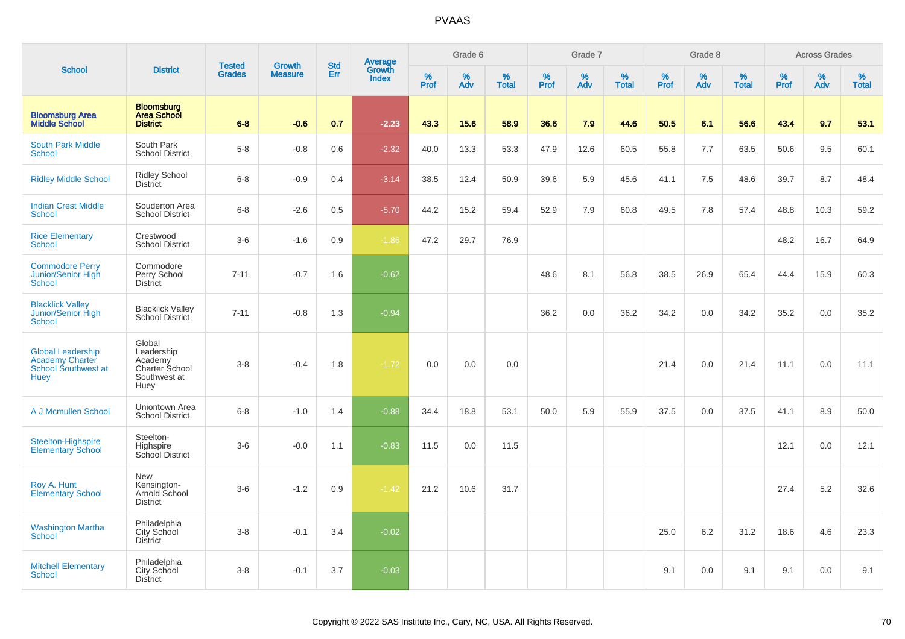|                                                                                          |                                                                           | <b>Tested</b> | <b>Growth</b>  | <b>Std</b> |                                          |           | Grade 6     |                   |           | Grade 7  |                   |              | Grade 8  |                   |              | <b>Across Grades</b> |                   |
|------------------------------------------------------------------------------------------|---------------------------------------------------------------------------|---------------|----------------|------------|------------------------------------------|-----------|-------------|-------------------|-----------|----------|-------------------|--------------|----------|-------------------|--------------|----------------------|-------------------|
| <b>School</b>                                                                            | <b>District</b>                                                           | <b>Grades</b> | <b>Measure</b> | Err        | <b>Average</b><br>Growth<br><b>Index</b> | %<br>Prof | $\%$<br>Adv | %<br><b>Total</b> | %<br>Prof | %<br>Adv | %<br><b>Total</b> | $\%$<br>Prof | %<br>Adv | %<br><b>Total</b> | $\%$<br>Prof | $\%$<br>Adv          | %<br><b>Total</b> |
| <b>Bloomsburg Area</b><br><b>Middle School</b>                                           | <b>Bloomsburg</b><br><b>Area School</b><br><b>District</b>                | $6 - 8$       | $-0.6$         | 0.7        | $-2.23$                                  | 43.3      | 15.6        | 58.9              | 36.6      | 7.9      | 44.6              | 50.5         | 6.1      | 56.6              | 43.4         | 9.7                  | 53.1              |
| <b>South Park Middle</b><br><b>School</b>                                                | South Park<br><b>School District</b>                                      | $5 - 8$       | $-0.8$         | 0.6        | $-2.32$                                  | 40.0      | 13.3        | 53.3              | 47.9      | 12.6     | 60.5              | 55.8         | 7.7      | 63.5              | 50.6         | 9.5                  | 60.1              |
| <b>Ridley Middle School</b>                                                              | <b>Ridley School</b><br><b>District</b>                                   | $6 - 8$       | $-0.9$         | 0.4        | $-3.14$                                  | 38.5      | 12.4        | 50.9              | 39.6      | 5.9      | 45.6              | 41.1         | 7.5      | 48.6              | 39.7         | 8.7                  | 48.4              |
| <b>Indian Crest Middle</b><br><b>School</b>                                              | Souderton Area<br><b>School District</b>                                  | $6 - 8$       | $-2.6$         | 0.5        | $-5.70$                                  | 44.2      | 15.2        | 59.4              | 52.9      | 7.9      | 60.8              | 49.5         | 7.8      | 57.4              | 48.8         | 10.3                 | 59.2              |
| <b>Rice Elementary</b><br><b>School</b>                                                  | Crestwood<br><b>School District</b>                                       | $3-6$         | $-1.6$         | 0.9        | $-1.86$                                  | 47.2      | 29.7        | 76.9              |           |          |                   |              |          |                   | 48.2         | 16.7                 | 64.9              |
| <b>Commodore Perry</b><br>Junior/Senior High<br><b>School</b>                            | Commodore<br>Perry School<br><b>District</b>                              | $7 - 11$      | $-0.7$         | 1.6        | $-0.62$                                  |           |             |                   | 48.6      | 8.1      | 56.8              | 38.5         | 26.9     | 65.4              | 44.4         | 15.9                 | 60.3              |
| <b>Blacklick Valley</b><br>Junior/Senior High<br>School                                  | <b>Blacklick Valley</b><br>School District                                | $7 - 11$      | $-0.8$         | 1.3        | $-0.94$                                  |           |             |                   | 36.2      | 0.0      | 36.2              | 34.2         | 0.0      | 34.2              | 35.2         | 0.0                  | 35.2              |
| <b>Global Leadership</b><br><b>Academy Charter</b><br>School Southwest at<br><b>Huey</b> | Global<br>Leadership<br>Academy<br>Charter School<br>Southwest at<br>Huey | $3 - 8$       | $-0.4$         | 1.8        | $-1.72$                                  | 0.0       | 0.0         | 0.0               |           |          |                   | 21.4         | 0.0      | 21.4              | 11.1         | 0.0                  | 11.1              |
| A J Mcmullen School                                                                      | Uniontown Area<br><b>School District</b>                                  | $6 - 8$       | $-1.0$         | 1.4        | $-0.88$                                  | 34.4      | 18.8        | 53.1              | 50.0      | 5.9      | 55.9              | 37.5         | 0.0      | 37.5              | 41.1         | 8.9                  | 50.0              |
| Steelton-Highspire<br><b>Elementary School</b>                                           | Steelton-<br>Highspire<br>School District                                 | $3-6$         | $-0.0$         | 1.1        | $-0.83$                                  | 11.5      | 0.0         | 11.5              |           |          |                   |              |          |                   | 12.1         | 0.0                  | 12.1              |
| Roy A. Hunt<br><b>Elementary School</b>                                                  | New<br>Kensington-<br>Arnold School<br><b>District</b>                    | $3-6$         | $-1.2$         | 0.9        | $-1.42$                                  | 21.2      | 10.6        | 31.7              |           |          |                   |              |          |                   | 27.4         | 5.2                  | 32.6              |
| <b>Washington Martha</b><br>School                                                       | Philadelphia<br>City School<br><b>District</b>                            | $3 - 8$       | $-0.1$         | 3.4        | $-0.02$                                  |           |             |                   |           |          |                   | 25.0         | 6.2      | 31.2              | 18.6         | 4.6                  | 23.3              |
| <b>Mitchell Elementary</b><br><b>School</b>                                              | Philadelphia<br>City School<br><b>District</b>                            | $3 - 8$       | $-0.1$         | 3.7        | $-0.03$                                  |           |             |                   |           |          |                   | 9.1          | 0.0      | 9.1               | 9.1          | 0.0                  | 9.1               |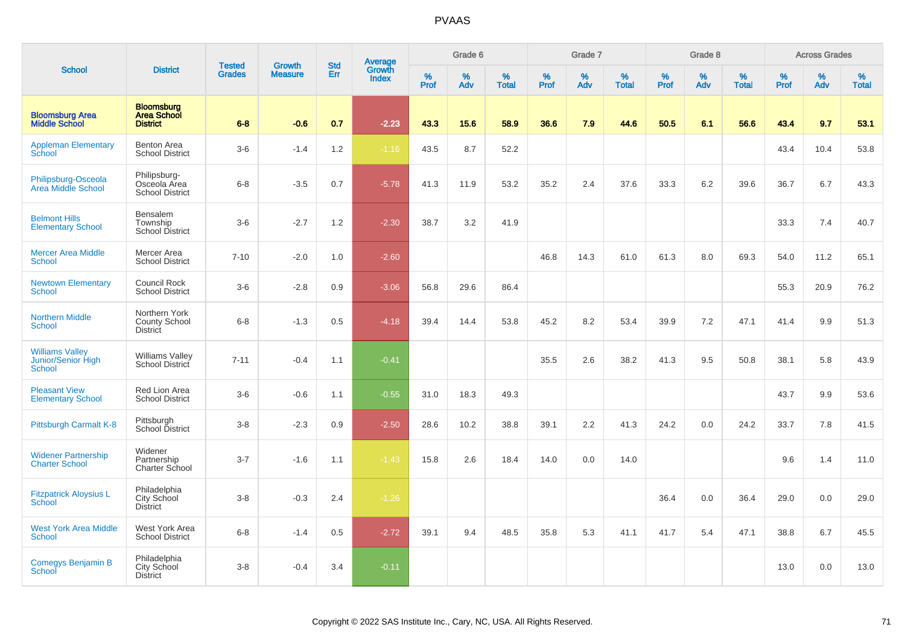|                                                        |                                                            | <b>Tested</b> | <b>Growth</b>  | <b>Std</b> |                                          |                  | Grade 6  |                   |           | Grade 7          |                   |              | Grade 8  |                   |              | <b>Across Grades</b> |                   |
|--------------------------------------------------------|------------------------------------------------------------|---------------|----------------|------------|------------------------------------------|------------------|----------|-------------------|-----------|------------------|-------------------|--------------|----------|-------------------|--------------|----------------------|-------------------|
| <b>School</b>                                          | <b>District</b>                                            | <b>Grades</b> | <b>Measure</b> | Err        | <b>Average</b><br>Growth<br><b>Index</b> | %<br><b>Prof</b> | %<br>Adv | %<br><b>Total</b> | %<br>Prof | %<br>Adv         | %<br><b>Total</b> | $\%$<br>Prof | %<br>Adv | %<br><b>Total</b> | $\%$<br>Prof | $\%$<br>Adv          | %<br><b>Total</b> |
| <b>Bloomsburg Area</b><br><b>Middle School</b>         | <b>Bloomsburg</b><br><b>Area School</b><br><b>District</b> | $6 - 8$       | $-0.6$         | 0.7        | $-2.23$                                  | 43.3             | 15.6     | 58.9              | 36.6      | 7.9              | 44.6              | 50.5         | 6.1      | 56.6              | 43.4         | 9.7                  | 53.1              |
| <b>Appleman Elementary</b><br>School                   | <b>Benton Area</b><br><b>School District</b>               | $3-6$         | $-1.4$         | 1.2        | $-1.16$                                  | 43.5             | 8.7      | 52.2              |           |                  |                   |              |          |                   | 43.4         | 10.4                 | 53.8              |
| Philipsburg-Osceola<br>Area Middle School              | Philipsburg-<br>Osceola Area<br><b>School District</b>     | $6 - 8$       | $-3.5$         | 0.7        | $-5.78$                                  | 41.3             | 11.9     | 53.2              | 35.2      | 2.4              | 37.6              | 33.3         | 6.2      | 39.6              | 36.7         | 6.7                  | 43.3              |
| <b>Belmont Hills</b><br><b>Elementary School</b>       | Bensalem<br>Township<br><b>School District</b>             | $3-6$         | $-2.7$         | 1.2        | $-2.30$                                  | 38.7             | 3.2      | 41.9              |           |                  |                   |              |          |                   | 33.3         | 7.4                  | 40.7              |
| <b>Mercer Area Middle</b><br><b>School</b>             | Mercer Area<br><b>School District</b>                      | $7 - 10$      | $-2.0$         | 1.0        | $-2.60$                                  |                  |          |                   | 46.8      | 14.3             | 61.0              | 61.3         | 8.0      | 69.3              | 54.0         | 11.2                 | 65.1              |
| <b>Newtown Elementary</b><br>School                    | Council Rock<br><b>School District</b>                     | $3-6$         | $-2.8$         | 0.9        | $-3.06$                                  | 56.8             | 29.6     | 86.4              |           |                  |                   |              |          |                   | 55.3         | 20.9                 | 76.2              |
| <b>Northern Middle</b><br>School                       | Northern York<br><b>County School</b><br><b>District</b>   | $6-8$         | $-1.3$         | 0.5        | $-4.18$                                  | 39.4             | 14.4     | 53.8              | 45.2      | 8.2              | 53.4              | 39.9         | 7.2      | 47.1              | 41.4         | 9.9                  | 51.3              |
| <b>Williams Valley</b><br>Junior/Senior High<br>School | <b>Williams Valley</b><br>School District                  | $7 - 11$      | $-0.4$         | 1.1        | $-0.41$                                  |                  |          |                   | 35.5      | 2.6              | 38.2              | 41.3         | 9.5      | 50.8              | 38.1         | 5.8                  | 43.9              |
| <b>Pleasant View</b><br><b>Elementary School</b>       | Red Lion Area<br><b>School District</b>                    | $3-6$         | $-0.6$         | 1.1        | $-0.55$                                  | 31.0             | 18.3     | 49.3              |           |                  |                   |              |          |                   | 43.7         | 9.9                  | 53.6              |
| Pittsburgh Carmalt K-8                                 | Pittsburgh<br>School District                              | $3 - 8$       | $-2.3$         | 0.9        | $-2.50$                                  | 28.6             | 10.2     | 38.8              | 39.1      | $2.2\phantom{0}$ | 41.3              | 24.2         | 0.0      | 24.2              | 33.7         | 7.8                  | 41.5              |
| <b>Widener Partnership</b><br><b>Charter School</b>    | Widener<br>Partnership<br>Charter School                   | $3 - 7$       | $-1.6$         | 1.1        | $-1.43$                                  | 15.8             | 2.6      | 18.4              | 14.0      | 0.0              | 14.0              |              |          |                   | 9.6          | 1.4                  | 11.0              |
| <b>Fitzpatrick Aloysius L</b><br><b>School</b>         | Philadelphia<br>City School<br><b>District</b>             | $3 - 8$       | $-0.3$         | 2.4        | $-1.26$                                  |                  |          |                   |           |                  |                   | 36.4         | 0.0      | 36.4              | 29.0         | 0.0                  | 29.0              |
| <b>West York Area Middle</b><br><b>School</b>          | West York Area<br><b>School District</b>                   | $6 - 8$       | $-1.4$         | 0.5        | $-2.72$                                  | 39.1             | 9.4      | 48.5              | 35.8      | 5.3              | 41.1              | 41.7         | 5.4      | 47.1              | 38.8         | 6.7                  | 45.5              |
| Comegys Benjamin B<br>School                           | Philadelphia<br>City School<br><b>District</b>             | $3 - 8$       | $-0.4$         | 3.4        | $-0.11$                                  |                  |          |                   |           |                  |                   |              |          |                   | 13.0         | 0.0                  | 13.0              |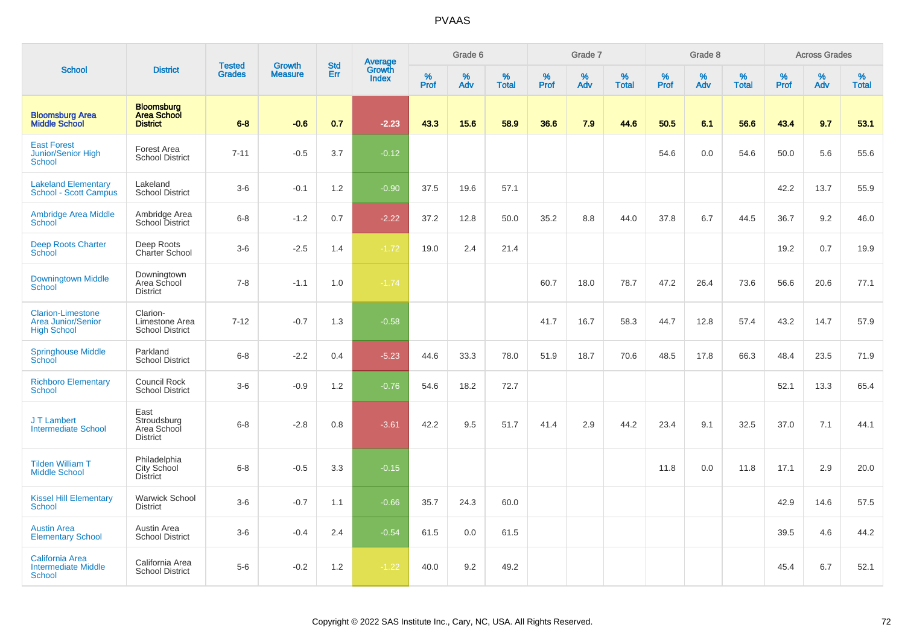|                                                                             |                                                            |                                |                                 |                   |                                          |                  | Grade 6     |                   |                     | Grade 7     |                   |           | Grade 8  |                   |                     | <b>Across Grades</b> |                   |
|-----------------------------------------------------------------------------|------------------------------------------------------------|--------------------------------|---------------------------------|-------------------|------------------------------------------|------------------|-------------|-------------------|---------------------|-------------|-------------------|-----------|----------|-------------------|---------------------|----------------------|-------------------|
| <b>School</b>                                                               | <b>District</b>                                            | <b>Tested</b><br><b>Grades</b> | <b>Growth</b><br><b>Measure</b> | <b>Std</b><br>Err | <b>Average</b><br>Growth<br><b>Index</b> | %<br><b>Prof</b> | $\%$<br>Adv | %<br><b>Total</b> | $\%$<br><b>Prof</b> | $\%$<br>Adv | %<br><b>Total</b> | %<br>Prof | %<br>Adv | %<br><b>Total</b> | $\%$<br><b>Prof</b> | $\%$<br>Adv          | %<br><b>Total</b> |
| <b>Bloomsburg Area</b><br><b>Middle School</b>                              | <b>Bloomsburg</b><br><b>Area School</b><br><b>District</b> | $6 - 8$                        | $-0.6$                          | 0.7               | $-2.23$                                  | 43.3             | 15.6        | 58.9              | 36.6                | 7.9         | 44.6              | 50.5      | 6.1      | 56.6              | 43.4                | 9.7                  | 53.1              |
| <b>East Forest</b><br><b>Junior/Senior High</b><br>School                   | Forest Area<br><b>School District</b>                      | $7 - 11$                       | $-0.5$                          | 3.7               | $-0.12$                                  |                  |             |                   |                     |             |                   | 54.6      | 0.0      | 54.6              | 50.0                | 5.6                  | 55.6              |
| <b>Lakeland Elementary</b><br>School - Scott Campus                         | Lakeland<br><b>School District</b>                         | $3-6$                          | $-0.1$                          | 1.2               | $-0.90$                                  | 37.5             | 19.6        | 57.1              |                     |             |                   |           |          |                   | 42.2                | 13.7                 | 55.9              |
| <b>Ambridge Area Middle</b><br><b>School</b>                                | Ambridge Area<br>School District                           | $6-8$                          | $-1.2$                          | 0.7               | $-2.22$                                  | 37.2             | 12.8        | 50.0              | 35.2                | 8.8         | 44.0              | 37.8      | 6.7      | 44.5              | 36.7                | 9.2                  | 46.0              |
| <b>Deep Roots Charter</b><br>School                                         | Deep Roots<br>Charter School                               | $3-6$                          | $-2.5$                          | 1.4               | $-1.72$                                  | 19.0             | 2.4         | 21.4              |                     |             |                   |           |          |                   | 19.2                | 0.7                  | 19.9              |
| <b>Downingtown Middle</b><br>School                                         | Downingtown<br>Area School<br><b>District</b>              | $7 - 8$                        | $-1.1$                          | 1.0               | $-1.74$                                  |                  |             |                   | 60.7                | 18.0        | 78.7              | 47.2      | 26.4     | 73.6              | 56.6                | 20.6                 | 77.1              |
| <b>Clarion-Limestone</b><br><b>Area Junior/Senior</b><br><b>High School</b> | Clarion-<br>Limestone Area<br><b>School District</b>       | $7 - 12$                       | $-0.7$                          | 1.3               | $-0.58$                                  |                  |             |                   | 41.7                | 16.7        | 58.3              | 44.7      | 12.8     | 57.4              | 43.2                | 14.7                 | 57.9              |
| <b>Springhouse Middle</b><br>School                                         | Parkland<br><b>School District</b>                         | $6 - 8$                        | $-2.2$                          | 0.4               | $-5.23$                                  | 44.6             | 33.3        | 78.0              | 51.9                | 18.7        | 70.6              | 48.5      | 17.8     | 66.3              | 48.4                | 23.5                 | 71.9              |
| <b>Richboro Elementary</b><br><b>School</b>                                 | <b>Council Rock</b><br><b>School District</b>              | $3-6$                          | $-0.9$                          | 1.2               | $-0.76$                                  | 54.6             | 18.2        | 72.7              |                     |             |                   |           |          |                   | 52.1                | 13.3                 | 65.4              |
| J T Lambert<br><b>Intermediate School</b>                                   | East<br>Stroudsburg<br>Area School<br><b>District</b>      | $6 - 8$                        | $-2.8$                          | 0.8               | $-3.61$                                  | 42.2             | 9.5         | 51.7              | 41.4                | 2.9         | 44.2              | 23.4      | 9.1      | 32.5              | 37.0                | 7.1                  | 44.1              |
| <b>Tilden William T</b><br><b>Middle School</b>                             | Philadelphia<br>City School<br><b>District</b>             | $6 - 8$                        | $-0.5$                          | 3.3               | $-0.15$                                  |                  |             |                   |                     |             |                   | 11.8      | 0.0      | 11.8              | 17.1                | 2.9                  | 20.0              |
| <b>Kissel Hill Elementary</b><br><b>School</b>                              | <b>Warwick School</b><br><b>District</b>                   | $3-6$                          | $-0.7$                          | 1.1               | $-0.66$                                  | 35.7             | 24.3        | 60.0              |                     |             |                   |           |          |                   | 42.9                | 14.6                 | 57.5              |
| <b>Austin Area</b><br><b>Elementary School</b>                              | Austin Area<br><b>School District</b>                      | $3-6$                          | $-0.4$                          | 2.4               | $-0.54$                                  | 61.5             | 0.0         | 61.5              |                     |             |                   |           |          |                   | 39.5                | 4.6                  | 44.2              |
| <b>California Area</b><br><b>Intermediate Middle</b><br><b>School</b>       | California Area<br><b>School District</b>                  | $5-6$                          | $-0.2$                          | 1.2               | $-1.22$                                  | 40.0             | 9.2         | 49.2              |                     |             |                   |           |          |                   | 45.4                | 6.7                  | 52.1              |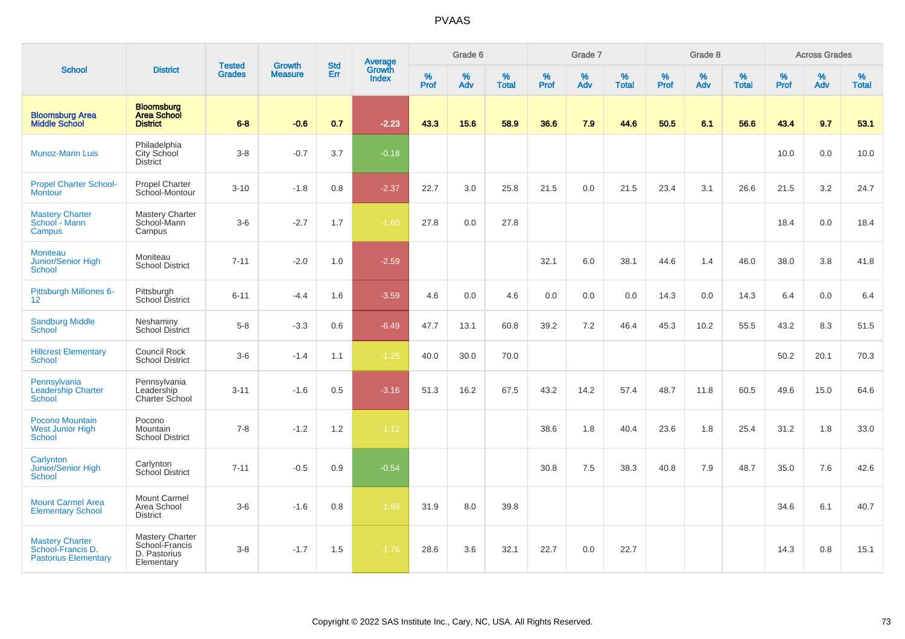|                                                                            |                                                                 |                                |                                 | <b>Std</b> |                                          |           | Grade 6  |                   |           | Grade 7  |                   |           | Grade 8  |                   |           | <b>Across Grades</b> |                   |
|----------------------------------------------------------------------------|-----------------------------------------------------------------|--------------------------------|---------------------------------|------------|------------------------------------------|-----------|----------|-------------------|-----------|----------|-------------------|-----------|----------|-------------------|-----------|----------------------|-------------------|
| <b>School</b>                                                              | <b>District</b>                                                 | <b>Tested</b><br><b>Grades</b> | <b>Growth</b><br><b>Measure</b> | Err        | <b>Average</b><br>Growth<br><b>Index</b> | %<br>Prof | %<br>Adv | %<br><b>Total</b> | %<br>Prof | %<br>Adv | %<br><b>Total</b> | %<br>Prof | %<br>Adv | %<br><b>Total</b> | %<br>Prof | %<br>Adv             | %<br><b>Total</b> |
| <b>Bloomsburg Area</b><br><b>Middle School</b>                             | <b>Bloomsburg</b><br><b>Area School</b><br><b>District</b>      | $6 - 8$                        | $-0.6$                          | 0.7        | $-2.23$                                  | 43.3      | 15.6     | 58.9              | 36.6      | 7.9      | 44.6              | 50.5      | 6.1      | 56.6              | 43.4      | 9.7                  | 53.1              |
| <b>Munoz-Marin Luis</b>                                                    | Philadelphia<br>City School<br><b>District</b>                  | $3 - 8$                        | $-0.7$                          | 3.7        | $-0.18$                                  |           |          |                   |           |          |                   |           |          |                   | 10.0      | 0.0                  | 10.0              |
| <b>Propel Charter School-</b><br><b>Montour</b>                            | <b>Propel Charter</b><br>School-Montour                         | $3 - 10$                       | $-1.8$                          | 0.8        | $-2.37$                                  | 22.7      | 3.0      | 25.8              | 21.5      | 0.0      | 21.5              | 23.4      | 3.1      | 26.6              | 21.5      | 3.2                  | 24.7              |
| <b>Mastery Charter</b><br>School - Mann<br>Campus                          | <b>Mastery Charter</b><br>School-Mann<br>Campus                 | $3-6$                          | $-2.7$                          | 1.7        | $-1.60$                                  | 27.8      | 0.0      | 27.8              |           |          |                   |           |          |                   | 18.4      | 0.0                  | 18.4              |
| <b>Moniteau</b><br>Junior/Senior High<br>School                            | Moniteau<br><b>School District</b>                              | $7 - 11$                       | $-2.0$                          | 1.0        | $-2.59$                                  |           |          |                   | 32.1      | 6.0      | 38.1              | 44.6      | 1.4      | 46.0              | 38.0      | 3.8                  | 41.8              |
| Pittsburgh Milliones 6-<br>12 <sup>2</sup>                                 | Pittsburgh<br>School District                                   | $6 - 11$                       | $-4.4$                          | 1.6        | $-3.59$                                  | 4.6       | 0.0      | 4.6               | 0.0       | 0.0      | 0.0               | 14.3      | 0.0      | 14.3              | 6.4       | 0.0                  | 6.4               |
| <b>Sandburg Middle</b><br><b>School</b>                                    | Neshaminy<br><b>School District</b>                             | $5-8$                          | $-3.3$                          | 0.6        | $-6.49$                                  | 47.7      | 13.1     | 60.8              | 39.2      | 7.2      | 46.4              | 45.3      | 10.2     | 55.5              | 43.2      | 8.3                  | 51.5              |
| <b>Hillcrest Elementary</b><br><b>School</b>                               | Council Rock<br><b>School District</b>                          | $3-6$                          | $-1.4$                          | 1.1        | $-1.25$                                  | 40.0      | 30.0     | 70.0              |           |          |                   |           |          |                   | 50.2      | 20.1                 | 70.3              |
| Pennsylvania<br><b>Leadership Charter</b><br><b>School</b>                 | Pennsylvania<br>Leadership<br>Charter School                    | $3 - 11$                       | $-1.6$                          | 0.5        | $-3.16$                                  | 51.3      | 16.2     | 67.5              | 43.2      | 14.2     | 57.4              | 48.7      | 11.8     | 60.5              | 49.6      | 15.0                 | 64.6              |
| Pocono Mountain<br><b>West Junior High</b><br>School                       | Pocono<br>Mountain<br><b>School District</b>                    | $7 - 8$                        | $-1.2$                          | 1.2        | $-1.12$                                  |           |          |                   | 38.6      | 1.8      | 40.4              | 23.6      | 1.8      | 25.4              | 31.2      | 1.8                  | 33.0              |
| Carlynton<br>Junior/Senior High<br>School                                  | Carlynton<br>School District                                    | $7 - 11$                       | $-0.5$                          | 0.9        | $-0.54$                                  |           |          |                   | 30.8      | 7.5      | 38.3              | 40.8      | 7.9      | 48.7              | 35.0      | 7.6                  | 42.6              |
| <b>Mount Carmel Area</b><br><b>Elementary School</b>                       | Mount Carmel<br>Area School<br><b>District</b>                  | $3-6$                          | $-1.6$                          | 0.8        | $-1.89$                                  | 31.9      | 8.0      | 39.8              |           |          |                   |           |          |                   | 34.6      | 6.1                  | 40.7              |
| <b>Mastery Charter</b><br>School-Francis D.<br><b>Pastorius Elementary</b> | Mastery Charter<br>School-Francis<br>D. Pastorius<br>Elementary | $3 - 8$                        | $-1.7$                          | 1.5        | $-1.76$                                  | 28.6      | 3.6      | 32.1              | 22.7      | 0.0      | 22.7              |           |          |                   | 14.3      | 0.8                  | 15.1              |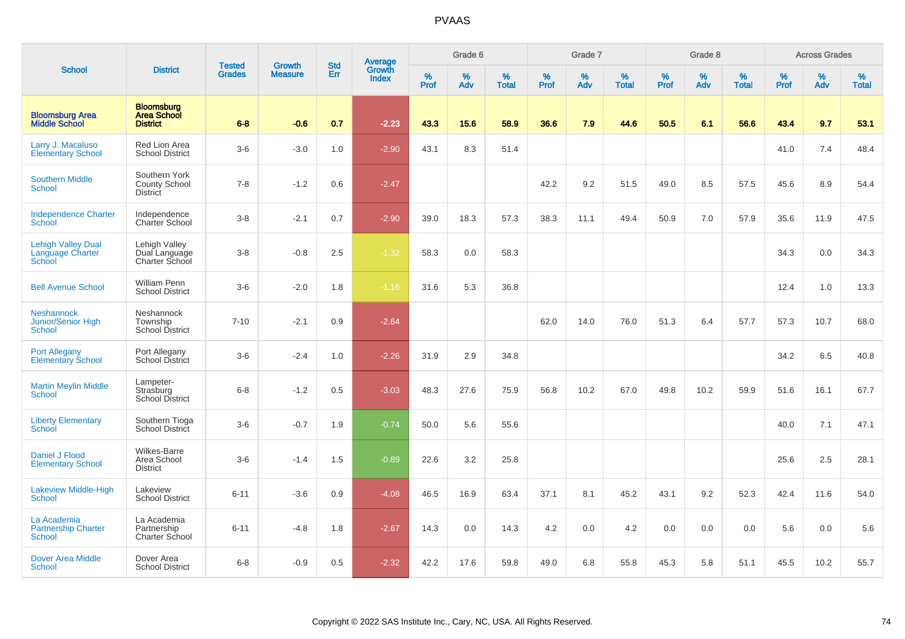|                                                                |                                                            |                                |                          | <b>Std</b> |                                          |                  | Grade 6     |                   |           | Grade 7  |                   |           | Grade 8  |                   |           | <b>Across Grades</b> |                   |
|----------------------------------------------------------------|------------------------------------------------------------|--------------------------------|--------------------------|------------|------------------------------------------|------------------|-------------|-------------------|-----------|----------|-------------------|-----------|----------|-------------------|-----------|----------------------|-------------------|
| <b>School</b>                                                  | <b>District</b>                                            | <b>Tested</b><br><b>Grades</b> | Growth<br><b>Measure</b> | Err        | <b>Average</b><br>Growth<br><b>Index</b> | %<br><b>Prof</b> | $\%$<br>Adv | %<br><b>Total</b> | %<br>Prof | %<br>Adv | %<br><b>Total</b> | %<br>Prof | %<br>Adv | %<br><b>Total</b> | %<br>Prof | %<br>Adv             | %<br><b>Total</b> |
| <b>Bloomsburg Area</b><br><b>Middle School</b>                 | <b>Bloomsburg</b><br><b>Area School</b><br><b>District</b> | $6 - 8$                        | $-0.6$                   | 0.7        | $-2.23$                                  | 43.3             | 15.6        | 58.9              | 36.6      | 7.9      | 44.6              | 50.5      | 6.1      | 56.6              | 43.4      | 9.7                  | 53.1              |
| Larry J. Macaluso<br><b>Elementary School</b>                  | <b>Red Lion Area</b><br><b>School District</b>             | $3-6$                          | $-3.0$                   | 1.0        | $-2.90$                                  | 43.1             | 8.3         | 51.4              |           |          |                   |           |          |                   | 41.0      | 7.4                  | 48.4              |
| <b>Southern Middle</b><br>School                               | Southern York<br><b>County School</b><br><b>District</b>   | $7 - 8$                        | $-1.2$                   | 0.6        | $-2.47$                                  |                  |             |                   | 42.2      | 9.2      | 51.5              | 49.0      | 8.5      | 57.5              | 45.6      | 8.9                  | 54.4              |
| <b>Independence Charter</b><br>School                          | Independence<br>Charter School                             | $3-8$                          | $-2.1$                   | 0.7        | $-2.90$                                  | 39.0             | 18.3        | 57.3              | 38.3      | 11.1     | 49.4              | 50.9      | 7.0      | 57.9              | 35.6      | 11.9                 | 47.5              |
| <b>Lehigh Valley Dual</b><br><b>Language Charter</b><br>School | Lehigh Valley<br>Dual Language<br>Charter School           | $3-8$                          | $-0.8$                   | 2.5        | $-1.32$                                  | 58.3             | 0.0         | 58.3              |           |          |                   |           |          |                   | 34.3      | 0.0                  | 34.3              |
| <b>Bell Avenue School</b>                                      | <b>William Penn</b><br><b>School District</b>              | $3-6$                          | $-2.0$                   | 1.8        | $-1.16$                                  | 31.6             | 5.3         | 36.8              |           |          |                   |           |          |                   | 12.4      | 1.0                  | 13.3              |
| <b>Neshannock</b><br>Junior/Senior High<br><b>School</b>       | Neshannock<br>Township<br><b>School District</b>           | $7 - 10$                       | $-2.1$                   | 0.9        | $-2.64$                                  |                  |             |                   | 62.0      | 14.0     | 76.0              | 51.3      | 6.4      | 57.7              | 57.3      | 10.7                 | 68.0              |
| <b>Port Allegany</b><br><b>Elementary School</b>               | Port Allegany<br>School District                           | $3-6$                          | $-2.4$                   | 1.0        | $-2.26$                                  | 31.9             | 2.9         | 34.8              |           |          |                   |           |          |                   | 34.2      | 6.5                  | 40.8              |
| <b>Martin Meylin Middle</b><br><b>School</b>                   | Lampeter-<br>Strasburg<br>School District                  | $6 - 8$                        | $-1.2$                   | 0.5        | $-3.03$                                  | 48.3             | 27.6        | 75.9              | 56.8      | 10.2     | 67.0              | 49.8      | 10.2     | 59.9              | 51.6      | 16.1                 | 67.7              |
| <b>Liberty Elementary</b><br>School                            | Southern Tioga<br>School District                          | $3-6$                          | $-0.7$                   | 1.9        | $-0.74$                                  | 50.0             | 5.6         | 55.6              |           |          |                   |           |          |                   | 40.0      | 7.1                  | 47.1              |
| Daniel J Flood<br><b>Elementary School</b>                     | Wilkes-Barre<br>Area School<br><b>District</b>             | $3-6$                          | $-1.4$                   | 1.5        | $-0.89$                                  | 22.6             | 3.2         | 25.8              |           |          |                   |           |          |                   | 25.6      | 2.5                  | 28.1              |
| <b>Lakeview Middle-High</b><br><b>School</b>                   | Lakeview<br><b>School District</b>                         | $6 - 11$                       | $-3.6$                   | 0.9        | $-4.08$                                  | 46.5             | 16.9        | 63.4              | 37.1      | 8.1      | 45.2              | 43.1      | 9.2      | 52.3              | 42.4      | 11.6                 | 54.0              |
| La Academia<br><b>Partnership Charter</b><br><b>School</b>     | La Academia<br>Partnership<br>Charter School               | $6 - 11$                       | $-4.8$                   | 1.8        | $-2.67$                                  | 14.3             | 0.0         | 14.3              | 4.2       | 0.0      | 4.2               | 0.0       | 0.0      | 0.0               | 5.6       | 0.0                  | 5.6               |
| Dover Area Middle<br>School                                    | Dover Area<br><b>School District</b>                       | $6 - 8$                        | $-0.9$                   | 0.5        | $-2.32$                                  | 42.2             | 17.6        | 59.8              | 49.0      | 6.8      | 55.8              | 45.3      | 5.8      | 51.1              | 45.5      | 10.2                 | 55.7              |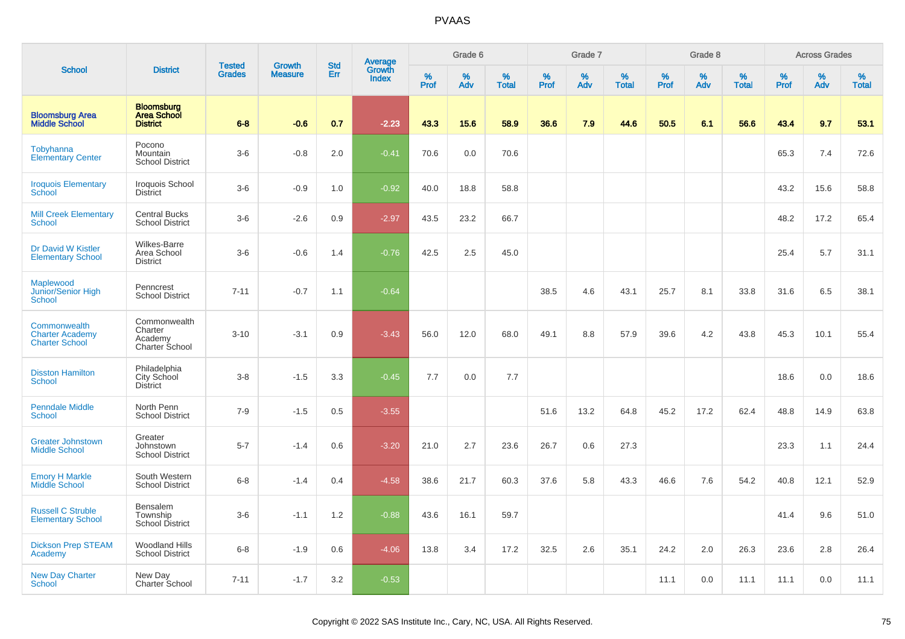|                                                                 |                                                            |                                |                                 | <b>Std</b> |                                          |                  | Grade 6  |                   |           | Grade 7  |                   |           | Grade 8  |                   |           | <b>Across Grades</b> |                   |
|-----------------------------------------------------------------|------------------------------------------------------------|--------------------------------|---------------------------------|------------|------------------------------------------|------------------|----------|-------------------|-----------|----------|-------------------|-----------|----------|-------------------|-----------|----------------------|-------------------|
| <b>School</b>                                                   | <b>District</b>                                            | <b>Tested</b><br><b>Grades</b> | <b>Growth</b><br><b>Measure</b> | Err        | <b>Average</b><br>Growth<br><b>Index</b> | %<br><b>Prof</b> | %<br>Adv | %<br><b>Total</b> | %<br>Prof | %<br>Adv | %<br><b>Total</b> | %<br>Prof | %<br>Adv | %<br><b>Total</b> | %<br>Prof | %<br>Adv             | %<br><b>Total</b> |
| <b>Bloomsburg Area</b><br><b>Middle School</b>                  | <b>Bloomsburg</b><br><b>Area School</b><br><b>District</b> | $6 - 8$                        | $-0.6$                          | 0.7        | $-2.23$                                  | 43.3             | 15.6     | 58.9              | 36.6      | 7.9      | 44.6              | 50.5      | 6.1      | 56.6              | 43.4      | 9.7                  | 53.1              |
| Tobyhanna<br><b>Elementary Center</b>                           | Pocono<br>Mountain<br><b>School District</b>               | $3-6$                          | $-0.8$                          | 2.0        | $-0.41$                                  | 70.6             | 0.0      | 70.6              |           |          |                   |           |          |                   | 65.3      | 7.4                  | 72.6              |
| <b>Iroquois Elementary</b><br>School                            | Iroquois School<br><b>District</b>                         | $3-6$                          | $-0.9$                          | 1.0        | $-0.92$                                  | 40.0             | 18.8     | 58.8              |           |          |                   |           |          |                   | 43.2      | 15.6                 | 58.8              |
| <b>Mill Creek Elementary</b><br>School                          | <b>Central Bucks</b><br><b>School District</b>             | $3-6$                          | $-2.6$                          | 0.9        | $-2.97$                                  | 43.5             | 23.2     | 66.7              |           |          |                   |           |          |                   | 48.2      | 17.2                 | 65.4              |
| Dr David W Kistler<br><b>Elementary School</b>                  | <b>Wilkes-Barre</b><br>Area School<br><b>District</b>      | $3-6$                          | $-0.6$                          | 1.4        | $-0.76$                                  | 42.5             | 2.5      | 45.0              |           |          |                   |           |          |                   | 25.4      | 5.7                  | 31.1              |
| Maplewood<br>Junior/Senior High<br><b>School</b>                | Penncrest<br><b>School District</b>                        | $7 - 11$                       | $-0.7$                          | 1.1        | $-0.64$                                  |                  |          |                   | 38.5      | 4.6      | 43.1              | 25.7      | 8.1      | 33.8              | 31.6      | 6.5                  | 38.1              |
| Commonwealth<br><b>Charter Academy</b><br><b>Charter School</b> | Commonwealth<br>Charter<br>Academy<br>Charter School       | $3 - 10$                       | $-3.1$                          | 0.9        | $-3.43$                                  | 56.0             | 12.0     | 68.0              | 49.1      | 8.8      | 57.9              | 39.6      | 4.2      | 43.8              | 45.3      | 10.1                 | 55.4              |
| <b>Disston Hamilton</b><br><b>School</b>                        | Philadelphia<br>City School<br>District                    | $3-8$                          | $-1.5$                          | 3.3        | $-0.45$                                  | 7.7              | 0.0      | 7.7               |           |          |                   |           |          |                   | 18.6      | 0.0                  | 18.6              |
| <b>Penndale Middle</b><br><b>School</b>                         | North Penn<br><b>School District</b>                       | $7 - 9$                        | $-1.5$                          | 0.5        | $-3.55$                                  |                  |          |                   | 51.6      | 13.2     | 64.8              | 45.2      | 17.2     | 62.4              | 48.8      | 14.9                 | 63.8              |
| <b>Greater Johnstown</b><br><b>Middle School</b>                | Greater<br>Johnstown<br><b>School District</b>             | $5 - 7$                        | $-1.4$                          | 0.6        | $-3.20$                                  | 21.0             | 2.7      | 23.6              | 26.7      | 0.6      | 27.3              |           |          |                   | 23.3      | 1.1                  | 24.4              |
| <b>Emory H Markle</b><br>Middle School                          | South Western<br><b>School District</b>                    | $6 - 8$                        | $-1.4$                          | 0.4        | $-4.58$                                  | 38.6             | 21.7     | 60.3              | 37.6      | 5.8      | 43.3              | 46.6      | 7.6      | 54.2              | 40.8      | 12.1                 | 52.9              |
| <b>Russell C Struble</b><br><b>Elementary School</b>            | <b>Bensalem</b><br>Township<br><b>School District</b>      | $3-6$                          | $-1.1$                          | 1.2        | $-0.88$                                  | 43.6             | 16.1     | 59.7              |           |          |                   |           |          |                   | 41.4      | 9.6                  | 51.0              |
| <b>Dickson Prep STEAM</b><br>Academy                            | <b>Woodland Hills</b><br><b>School District</b>            | $6-8$                          | $-1.9$                          | 0.6        | $-4.06$                                  | 13.8             | 3.4      | 17.2              | 32.5      | 2.6      | 35.1              | 24.2      | 2.0      | 26.3              | 23.6      | 2.8                  | 26.4              |
| <b>New Day Charter</b><br><b>School</b>                         | New Day<br>Charter School                                  | $7 - 11$                       | $-1.7$                          | 3.2        | $-0.53$                                  |                  |          |                   |           |          |                   | 11.1      | 0.0      | 11.1              | 11.1      | 0.0                  | 11.1              |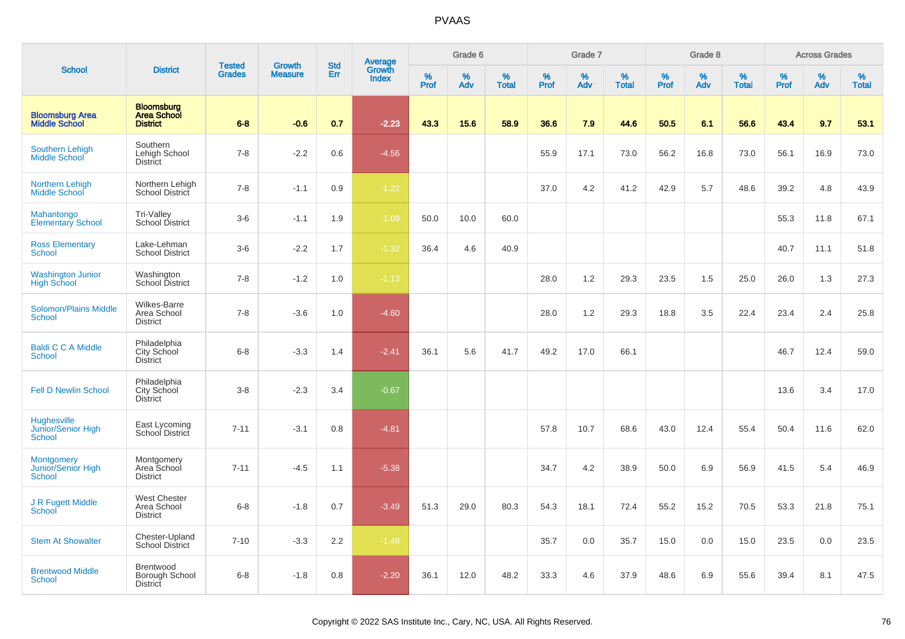|                                                                 |                                                            |                                |                                 |                   |                                          |                  | Grade 6  |                   |           | Grade 7  |                   |           | Grade 8  |                   |           | <b>Across Grades</b> |                   |
|-----------------------------------------------------------------|------------------------------------------------------------|--------------------------------|---------------------------------|-------------------|------------------------------------------|------------------|----------|-------------------|-----------|----------|-------------------|-----------|----------|-------------------|-----------|----------------------|-------------------|
| <b>School</b>                                                   | <b>District</b>                                            | <b>Tested</b><br><b>Grades</b> | <b>Growth</b><br><b>Measure</b> | <b>Std</b><br>Err | <b>Average</b><br>Growth<br><b>Index</b> | %<br><b>Prof</b> | %<br>Adv | %<br><b>Total</b> | %<br>Prof | %<br>Adv | %<br><b>Total</b> | %<br>Prof | %<br>Adv | %<br><b>Total</b> | %<br>Prof | %<br>Adv             | %<br><b>Total</b> |
| <b>Bloomsburg Area</b><br><b>Middle School</b>                  | <b>Bloomsburg</b><br><b>Area School</b><br><b>District</b> | $6 - 8$                        | $-0.6$                          | 0.7               | $-2.23$                                  | 43.3             | 15.6     | 58.9              | 36.6      | 7.9      | 44.6              | 50.5      | 6.1      | 56.6              | 43.4      | 9.7                  | 53.1              |
| Southern Lehigh<br>Middle School                                | Southern<br>Lehigh School<br>District                      | $7 - 8$                        | $-2.2$                          | 0.6               | $-4.56$                                  |                  |          |                   | 55.9      | 17.1     | 73.0              | 56.2      | 16.8     | 73.0              | 56.1      | 16.9                 | 73.0              |
| <b>Northern Lehigh</b><br>Middle School                         | Northern Lehigh<br>School District                         | $7 - 8$                        | $-1.1$                          | 0.9               | $-1.22$                                  |                  |          |                   | 37.0      | 4.2      | 41.2              | 42.9      | 5.7      | 48.6              | 39.2      | 4.8                  | 43.9              |
| Mahantongo<br><b>Elementary School</b>                          | <b>Tri-Valley</b><br><b>School District</b>                | $3-6$                          | $-1.1$                          | 1.9               | $-1.09$                                  | 50.0             | 10.0     | 60.0              |           |          |                   |           |          |                   | 55.3      | 11.8                 | 67.1              |
| <b>Ross Elementary</b><br><b>School</b>                         | Lake-Lehman<br><b>School District</b>                      | $3-6$                          | $-2.2$                          | 1.7               | $-1.32$                                  | 36.4             | 4.6      | 40.9              |           |          |                   |           |          |                   | 40.7      | 11.1                 | 51.8              |
| Washington Junior<br>High School                                | Washington<br>School District                              | $7 - 8$                        | $-1.2$                          | 1.0               | $-1.13$                                  |                  |          |                   | 28.0      | 1.2      | 29.3              | 23.5      | 1.5      | 25.0              | 26.0      | 1.3                  | 27.3              |
| <b>Solomon/Plains Middle</b><br><b>School</b>                   | Wilkes-Barre<br>Area School<br><b>District</b>             | $7 - 8$                        | $-3.6$                          | 1.0               | $-4.60$                                  |                  |          |                   | 28.0      | 1.2      | 29.3              | 18.8      | 3.5      | 22.4              | 23.4      | 2.4                  | 25.8              |
| <b>Baldi C C A Middle</b><br>School                             | Philadelphia<br>City School<br>District                    | $6-8$                          | $-3.3$                          | 1.4               | $-2.41$                                  | 36.1             | 5.6      | 41.7              | 49.2      | 17.0     | 66.1              |           |          |                   | 46.7      | 12.4                 | 59.0              |
| <b>Fell D Newlin School</b>                                     | Philadelphia<br>City School<br><b>District</b>             | $3-8$                          | $-2.3$                          | 3.4               | $-0.67$                                  |                  |          |                   |           |          |                   |           |          |                   | 13.6      | 3.4                  | 17.0              |
| Hughesville<br>Junior/Senior High<br><b>School</b>              | East Lycoming<br><b>School District</b>                    | $7 - 11$                       | $-3.1$                          | 0.8               | $-4.81$                                  |                  |          |                   | 57.8      | 10.7     | 68.6              | 43.0      | 12.4     | 55.4              | 50.4      | 11.6                 | 62.0              |
| <b>Montgomery</b><br><b>Junior/Senior High</b><br><b>School</b> | Montgomery<br>Area School<br><b>District</b>               | $7 - 11$                       | $-4.5$                          | 1.1               | $-5.38$                                  |                  |          |                   | 34.7      | 4.2      | 38.9              | 50.0      | 6.9      | 56.9              | 41.5      | 5.4                  | 46.9              |
| J R Fugett Middle<br>School                                     | <b>West Chester</b><br>Area School<br><b>District</b>      | $6 - 8$                        | $-1.8$                          | 0.7               | $-3.49$                                  | 51.3             | 29.0     | 80.3              | 54.3      | 18.1     | 72.4              | 55.2      | 15.2     | 70.5              | 53.3      | 21.8                 | 75.1              |
| <b>Stem At Showalter</b>                                        | Chester-Upland<br><b>School District</b>                   | $7 - 10$                       | $-3.3$                          | 2.2               | $-1.48$                                  |                  |          |                   | 35.7      | 0.0      | 35.7              | 15.0      | 0.0      | 15.0              | 23.5      | 0.0                  | 23.5              |
| <b>Brentwood Middle</b><br>School                               | Brentwood<br>Borough School<br>District                    | $6 - 8$                        | $-1.8$                          | 0.8               | $-2.20$                                  | 36.1             | 12.0     | 48.2              | 33.3      | 4.6      | 37.9              | 48.6      | 6.9      | 55.6              | 39.4      | 8.1                  | 47.5              |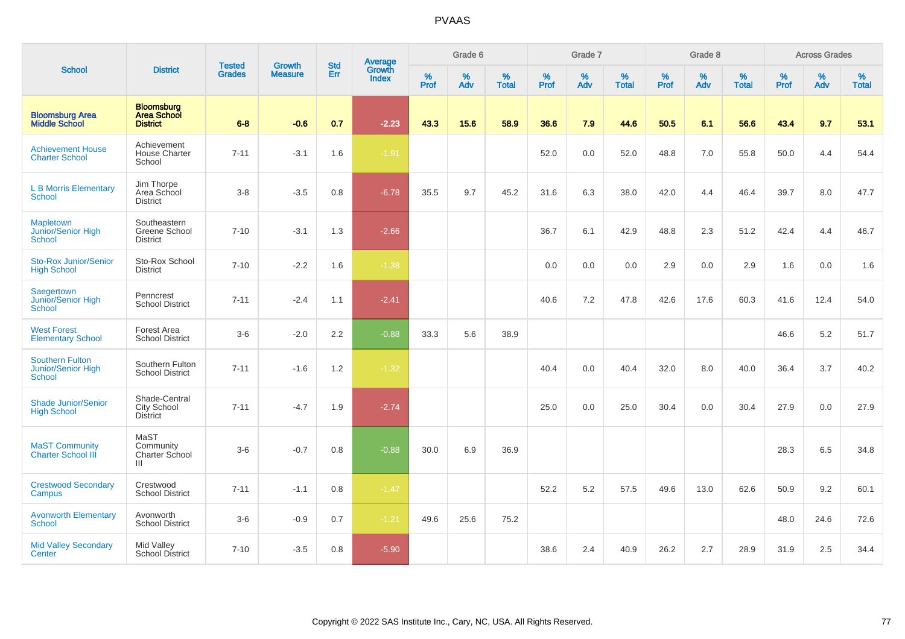|                                                        |                                                     | <b>Tested</b> | <b>Growth</b>  | <b>Std</b> | <b>Average</b><br>Growth |                  | Grade 6  |                   |           | Grade 7  |                   |                  | Grade 8  |                   |           | <b>Across Grades</b> |                   |
|--------------------------------------------------------|-----------------------------------------------------|---------------|----------------|------------|--------------------------|------------------|----------|-------------------|-----------|----------|-------------------|------------------|----------|-------------------|-----------|----------------------|-------------------|
| <b>School</b>                                          | <b>District</b>                                     | <b>Grades</b> | <b>Measure</b> | Err        | <b>Index</b>             | %<br><b>Prof</b> | %<br>Adv | %<br><b>Total</b> | %<br>Prof | %<br>Adv | %<br><b>Total</b> | %<br><b>Prof</b> | %<br>Adv | %<br><b>Total</b> | %<br>Prof | %<br>Adv             | %<br><b>Total</b> |
| <b>Bloomsburg Area</b><br><b>Middle School</b>         | <b>Bloomsburg</b><br>Area School<br><b>District</b> | $6 - 8$       | $-0.6$         | 0.7        | $-2.23$                  | 43.3             | 15.6     | 58.9              | 36.6      | 7.9      | 44.6              | 50.5             | 6.1      | 56.6              | 43.4      | 9.7                  | 53.1              |
| <b>Achievement House</b><br><b>Charter School</b>      | Achievement<br><b>House Charter</b><br>School       | $7 - 11$      | $-3.1$         | 1.6        | $-1.91$                  |                  |          |                   | 52.0      | 0.0      | 52.0              | 48.8             | 7.0      | 55.8              | 50.0      | 4.4                  | 54.4              |
| <b>L B Morris Elementary</b><br><b>School</b>          | Jim Thorpe<br>Area School<br><b>District</b>        | $3 - 8$       | $-3.5$         | 0.8        | $-6.78$                  | 35.5             | 9.7      | 45.2              | 31.6      | 6.3      | 38.0              | 42.0             | 4.4      | 46.4              | 39.7      | 8.0                  | 47.7              |
| <b>Mapletown</b><br>Junior/Senior High<br>School       | Southeastern<br>Greene School<br><b>District</b>    | $7 - 10$      | $-3.1$         | 1.3        | $-2.66$                  |                  |          |                   | 36.7      | 6.1      | 42.9              | 48.8             | 2.3      | 51.2              | 42.4      | 4.4                  | 46.7              |
| <b>Sto-Rox Junior/Senior</b><br><b>High School</b>     | Sto-Rox School<br><b>District</b>                   | $7 - 10$      | $-2.2$         | 1.6        | $-1.38$                  |                  |          |                   | 0.0       | 0.0      | 0.0               | 2.9              | 0.0      | 2.9               | 1.6       | 0.0                  | 1.6               |
| Saegertown<br>Junior/Senior High<br><b>School</b>      | Penncrest<br><b>School District</b>                 | $7 - 11$      | $-2.4$         | 1.1        | $-2.41$                  |                  |          |                   | 40.6      | 7.2      | 47.8              | 42.6             | 17.6     | 60.3              | 41.6      | 12.4                 | 54.0              |
| <b>West Forest</b><br><b>Elementary School</b>         | Forest Area<br><b>School District</b>               | $3-6$         | $-2.0$         | 2.2        | $-0.88$                  | 33.3             | 5.6      | 38.9              |           |          |                   |                  |          |                   | 46.6      | 5.2                  | 51.7              |
| <b>Southern Fulton</b><br>Junior/Senior High<br>School | Southern Fulton<br><b>School District</b>           | $7 - 11$      | $-1.6$         | 1.2        | $-1.32$                  |                  |          |                   | 40.4      | 0.0      | 40.4              | 32.0             | 8.0      | 40.0              | 36.4      | 3.7                  | 40.2              |
| <b>Shade Junior/Senior</b><br><b>High School</b>       | Shade-Central<br>City School<br><b>District</b>     | $7 - 11$      | $-4.7$         | 1.9        | $-2.74$                  |                  |          |                   | 25.0      | 0.0      | 25.0              | 30.4             | 0.0      | 30.4              | 27.9      | 0.0                  | 27.9              |
| <b>MaST Community</b><br><b>Charter School III</b>     | MaST<br>Community<br>Charter School<br>Ш            | $3-6$         | $-0.7$         | 0.8        | $-0.88$                  | 30.0             | 6.9      | 36.9              |           |          |                   |                  |          |                   | 28.3      | 6.5                  | 34.8              |
| <b>Crestwood Secondary</b><br>Campus                   | Crestwood<br><b>School District</b>                 | $7 - 11$      | $-1.1$         | 0.8        | $-1.47$                  |                  |          |                   | 52.2      | 5.2      | 57.5              | 49.6             | 13.0     | 62.6              | 50.9      | 9.2                  | 60.1              |
| <b>Avonworth Elementary</b><br>School                  | Avonworth<br><b>School District</b>                 | $3-6$         | $-0.9$         | 0.7        | $-1.21$                  | 49.6             | 25.6     | 75.2              |           |          |                   |                  |          |                   | 48.0      | 24.6                 | 72.6              |
| <b>Mid Valley Secondary</b><br>Center                  | Mid Valley<br><b>School District</b>                | $7 - 10$      | $-3.5$         | 0.8        | $-5.90$                  |                  |          |                   | 38.6      | 2.4      | 40.9              | 26.2             | 2.7      | 28.9              | 31.9      | 2.5                  | 34.4              |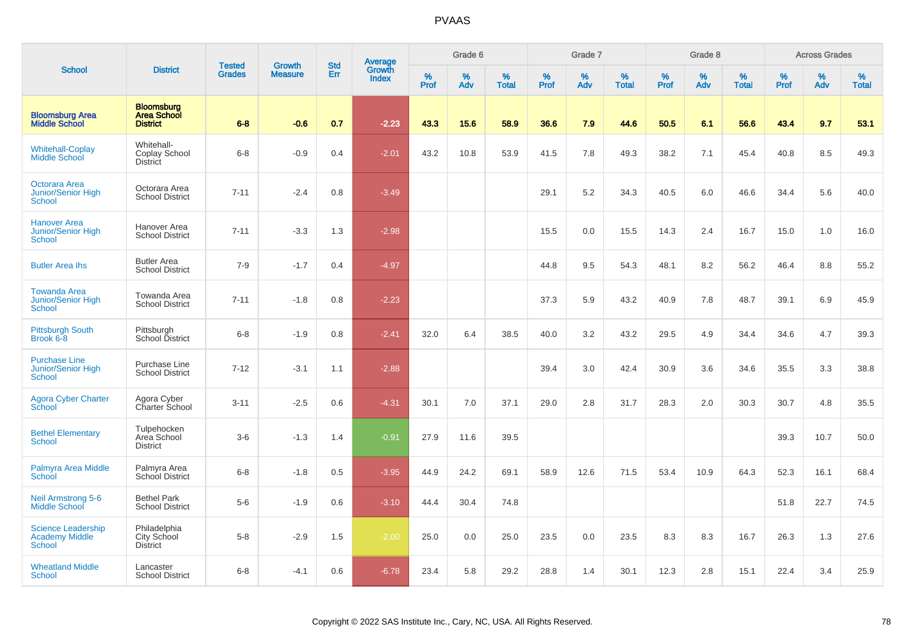|                                                                     |                                                            | <b>Tested</b> | <b>Growth</b>  | <b>Std</b> |                                          |                  | Grade 6     |                   |           | Grade 7     |                   |           | Grade 8  |                   |              | <b>Across Grades</b> |                   |
|---------------------------------------------------------------------|------------------------------------------------------------|---------------|----------------|------------|------------------------------------------|------------------|-------------|-------------------|-----------|-------------|-------------------|-----------|----------|-------------------|--------------|----------------------|-------------------|
| <b>School</b>                                                       | <b>District</b>                                            | <b>Grades</b> | <b>Measure</b> | Err        | <b>Average</b><br>Growth<br><b>Index</b> | %<br><b>Prof</b> | $\%$<br>Adv | %<br><b>Total</b> | %<br>Prof | $\%$<br>Adv | %<br><b>Total</b> | %<br>Prof | %<br>Adv | %<br><b>Total</b> | $\%$<br>Prof | %<br>Adv             | %<br><b>Total</b> |
| <b>Bloomsburg Area</b><br><b>Middle School</b>                      | <b>Bloomsburg</b><br><b>Area School</b><br><b>District</b> | $6 - 8$       | $-0.6$         | 0.7        | $-2.23$                                  | 43.3             | 15.6        | 58.9              | 36.6      | 7.9         | 44.6              | 50.5      | 6.1      | 56.6              | 43.4         | 9.7                  | 53.1              |
| <b>Whitehall-Coplay</b><br>Middle School                            | Whitehall-<br>Coplay School<br><b>District</b>             | $6 - 8$       | $-0.9$         | 0.4        | $-2.01$                                  | 43.2             | 10.8        | 53.9              | 41.5      | 7.8         | 49.3              | 38.2      | 7.1      | 45.4              | 40.8         | 8.5                  | 49.3              |
| Octorara Area<br><b>Junior/Senior High</b><br><b>School</b>         | Octorara Area<br><b>School District</b>                    | $7 - 11$      | $-2.4$         | 0.8        | $-3.49$                                  |                  |             |                   | 29.1      | 5.2         | 34.3              | 40.5      | 6.0      | 46.6              | 34.4         | 5.6                  | 40.0              |
| <b>Hanover Area</b><br><b>Junior/Senior High</b><br><b>School</b>   | Hanover Area<br><b>School District</b>                     | $7 - 11$      | $-3.3$         | 1.3        | $-2.98$                                  |                  |             |                   | 15.5      | 0.0         | 15.5              | 14.3      | 2.4      | 16.7              | 15.0         | 1.0                  | 16.0              |
| <b>Butler Area Ihs</b>                                              | <b>Butler Area</b><br><b>School District</b>               | $7-9$         | $-1.7$         | 0.4        | $-4.97$                                  |                  |             |                   | 44.8      | 9.5         | 54.3              | 48.1      | 8.2      | 56.2              | 46.4         | 8.8                  | 55.2              |
| <b>Towanda Area</b><br><b>Junior/Senior High</b><br>School          | Towanda Area<br><b>School District</b>                     | $7 - 11$      | $-1.8$         | 0.8        | $-2.23$                                  |                  |             |                   | 37.3      | 5.9         | 43.2              | 40.9      | 7.8      | 48.7              | 39.1         | 6.9                  | 45.9              |
| <b>Pittsburgh South</b><br>Brook 6-8                                | Pittsburgh<br>School District                              | $6-8$         | $-1.9$         | 0.8        | $-2.41$                                  | 32.0             | 6.4         | 38.5              | 40.0      | 3.2         | 43.2              | 29.5      | 4.9      | 34.4              | 34.6         | 4.7                  | 39.3              |
| <b>Purchase Line</b><br>Junior/Senior High<br><b>School</b>         | Purchase Line<br><b>School District</b>                    | $7 - 12$      | $-3.1$         | 1.1        | $-2.88$                                  |                  |             |                   | 39.4      | 3.0         | 42.4              | 30.9      | 3.6      | 34.6              | 35.5         | 3.3                  | 38.8              |
| <b>Agora Cyber Charter</b><br>School                                | Agora Cyber<br>Charter School                              | $3 - 11$      | $-2.5$         | 0.6        | $-4.31$                                  | 30.1             | 7.0         | 37.1              | 29.0      | 2.8         | 31.7              | 28.3      | 2.0      | 30.3              | 30.7         | 4.8                  | 35.5              |
| <b>Bethel Elementary</b><br><b>School</b>                           | Tulpehocken<br>Area School<br><b>District</b>              | $3-6$         | $-1.3$         | 1.4        | $-0.91$                                  | 27.9             | 11.6        | 39.5              |           |             |                   |           |          |                   | 39.3         | 10.7                 | 50.0              |
| Palmyra Area Middle<br>School                                       | Palmyra Area<br>School District                            | $6 - 8$       | $-1.8$         | 0.5        | $-3.95$                                  | 44.9             | 24.2        | 69.1              | 58.9      | 12.6        | 71.5              | 53.4      | 10.9     | 64.3              | 52.3         | 16.1                 | 68.4              |
| <b>Neil Armstrong 5-6</b><br><b>Middle School</b>                   | <b>Bethel Park</b><br><b>School District</b>               | $5-6$         | $-1.9$         | 0.6        | $-3.10$                                  | 44.4             | 30.4        | 74.8              |           |             |                   |           |          |                   | 51.8         | 22.7                 | 74.5              |
| <b>Science Leadership</b><br><b>Academy Middle</b><br><b>School</b> | Philadelphia<br>City School<br><b>District</b>             | $5-8$         | $-2.9$         | 1.5        | $-2.00$                                  | 25.0             | 0.0         | 25.0              | 23.5      | 0.0         | 23.5              | 8.3       | 8.3      | 16.7              | 26.3         | 1.3                  | 27.6              |
| <b>Wheatland Middle</b><br><b>School</b>                            | Lancaster<br><b>School District</b>                        | $6 - 8$       | $-4.1$         | 0.6        | $-6.78$                                  | 23.4             | 5.8         | 29.2              | 28.8      | 1.4         | 30.1              | 12.3      | 2.8      | 15.1              | 22.4         | 3.4                  | 25.9              |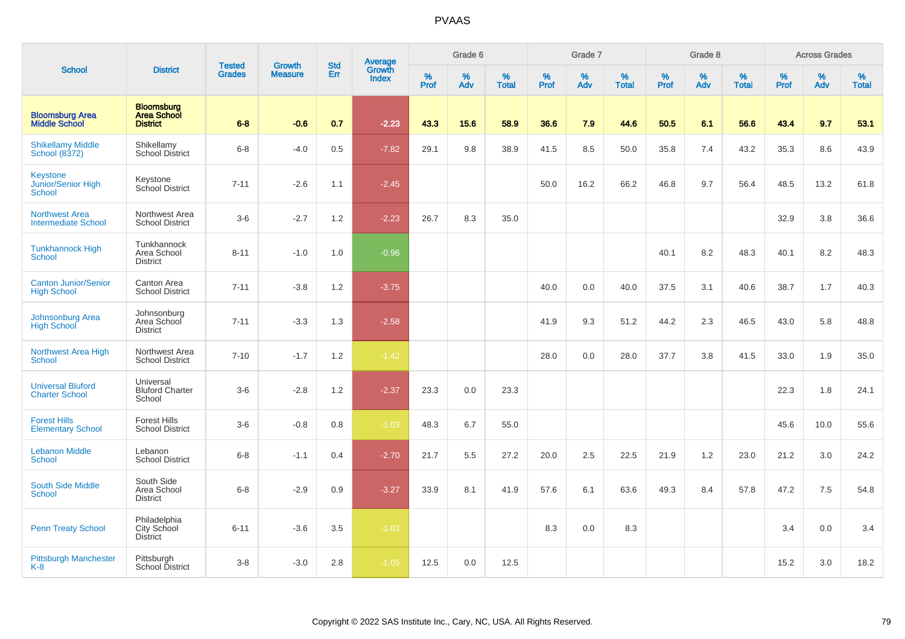|                                                     |                                                            |                                | <b>Growth</b>  | <b>Std</b> |                                          |                  | Grade 6     |                   |              | Grade 7     |                      |              | Grade 8  |                   |              | <b>Across Grades</b> |                   |
|-----------------------------------------------------|------------------------------------------------------------|--------------------------------|----------------|------------|------------------------------------------|------------------|-------------|-------------------|--------------|-------------|----------------------|--------------|----------|-------------------|--------------|----------------------|-------------------|
| <b>School</b>                                       | <b>District</b>                                            | <b>Tested</b><br><b>Grades</b> | <b>Measure</b> | Err        | <b>Average</b><br>Growth<br><b>Index</b> | %<br><b>Prof</b> | $\%$<br>Adv | %<br><b>Total</b> | $\%$<br>Prof | $\%$<br>Adv | $\%$<br><b>Total</b> | $\%$<br>Prof | %<br>Adv | %<br><b>Total</b> | $\%$<br>Prof | $\%$<br>Adv          | %<br><b>Total</b> |
| <b>Bloomsburg Area</b><br><b>Middle School</b>      | <b>Bloomsburg</b><br><b>Area School</b><br><b>District</b> | $6 - 8$                        | $-0.6$         | 0.7        | $-2.23$                                  | 43.3             | 15.6        | 58.9              | 36.6         | 7.9         | 44.6                 | 50.5         | 6.1      | 56.6              | 43.4         | 9.7                  | 53.1              |
| <b>Shikellamy Middle</b><br><b>School (8372)</b>    | Shikellamy<br><b>School District</b>                       | $6-8$                          | $-4.0$         | 0.5        | $-7.82$                                  | 29.1             | 9.8         | 38.9              | 41.5         | 8.5         | 50.0                 | 35.8         | 7.4      | 43.2              | 35.3         | 8.6                  | 43.9              |
| Keystone<br>Junior/Senior High<br>School            | Keystone<br>School District                                | $7 - 11$                       | $-2.6$         | 1.1        | $-2.45$                                  |                  |             |                   | 50.0         | 16.2        | 66.2                 | 46.8         | 9.7      | 56.4              | 48.5         | 13.2                 | 61.8              |
| <b>Northwest Area</b><br><b>Intermediate School</b> | Northwest Area<br><b>School District</b>                   | $3-6$                          | $-2.7$         | 1.2        | $-2.23$                                  | 26.7             | 8.3         | 35.0              |              |             |                      |              |          |                   | 32.9         | 3.8                  | 36.6              |
| <b>Tunkhannock High</b><br><b>School</b>            | Tunkhannock<br>Area School<br><b>District</b>              | $8 - 11$                       | $-1.0$         | 1.0        | $-0.96$                                  |                  |             |                   |              |             |                      | 40.1         | 8.2      | 48.3              | 40.1         | 8.2                  | 48.3              |
| Canton Junior/Senior<br><b>High School</b>          | Canton Area<br><b>School District</b>                      | $7 - 11$                       | $-3.8$         | 1.2        | $-3.75$                                  |                  |             |                   | 40.0         | 0.0         | 40.0                 | 37.5         | 3.1      | 40.6              | 38.7         | 1.7                  | 40.3              |
| Johnsonburg Area<br><b>High School</b>              | Johnsonburg<br>Area School<br><b>District</b>              | $7 - 11$                       | $-3.3$         | 1.3        | $-2.58$                                  |                  |             |                   | 41.9         | 9.3         | 51.2                 | 44.2         | 2.3      | 46.5              | 43.0         | 5.8                  | 48.8              |
| <b>Northwest Area High</b><br><b>School</b>         | Northwest Area<br><b>School District</b>                   | $7 - 10$                       | $-1.7$         | 1.2        | $-1.42$                                  |                  |             |                   | 28.0         | 0.0         | 28.0                 | 37.7         | 3.8      | 41.5              | 33.0         | 1.9                  | 35.0              |
| <b>Universal Bluford</b><br><b>Charter School</b>   | Universal<br><b>Bluford Charter</b><br>School              | $3-6$                          | $-2.8$         | 1.2        | $-2.37$                                  | 23.3             | 0.0         | 23.3              |              |             |                      |              |          |                   | 22.3         | 1.8                  | 24.1              |
| <b>Forest Hills</b><br><b>Elementary School</b>     | <b>Forest Hills</b><br><b>School District</b>              | $3-6$                          | $-0.8$         | 0.8        | $-1.03$                                  | 48.3             | 6.7         | 55.0              |              |             |                      |              |          |                   | 45.6         | 10.0                 | 55.6              |
| <b>Lebanon Middle</b><br><b>School</b>              | Lebanon<br><b>School District</b>                          | $6 - 8$                        | $-1.1$         | 0.4        | $-2.70$                                  | 21.7             | 5.5         | 27.2              | 20.0         | 2.5         | 22.5                 | 21.9         | 1.2      | 23.0              | 21.2         | 3.0                  | 24.2              |
| <b>South Side Middle</b><br><b>School</b>           | South Side<br>Area School<br><b>District</b>               | $6-8$                          | $-2.9$         | 0.9        | $-3.27$                                  | 33.9             | 8.1         | 41.9              | 57.6         | 6.1         | 63.6                 | 49.3         | 8.4      | 57.8              | 47.2         | 7.5                  | 54.8              |
| <b>Penn Treaty School</b>                           | Philadelphia<br>City School<br><b>District</b>             | $6 - 11$                       | $-3.6$         | 3.5        | $-1.03$                                  |                  |             |                   | 8.3          | 0.0         | 8.3                  |              |          |                   | 3.4          | 0.0                  | 3.4               |
| <b>Pittsburgh Manchester</b><br>$K-8$               | Pittsburgh<br>School District                              | $3 - 8$                        | $-3.0$         | 2.8        | $-1.05$                                  | 12.5             | 0.0         | 12.5              |              |             |                      |              |          |                   | 15.2         | 3.0                  | 18.2              |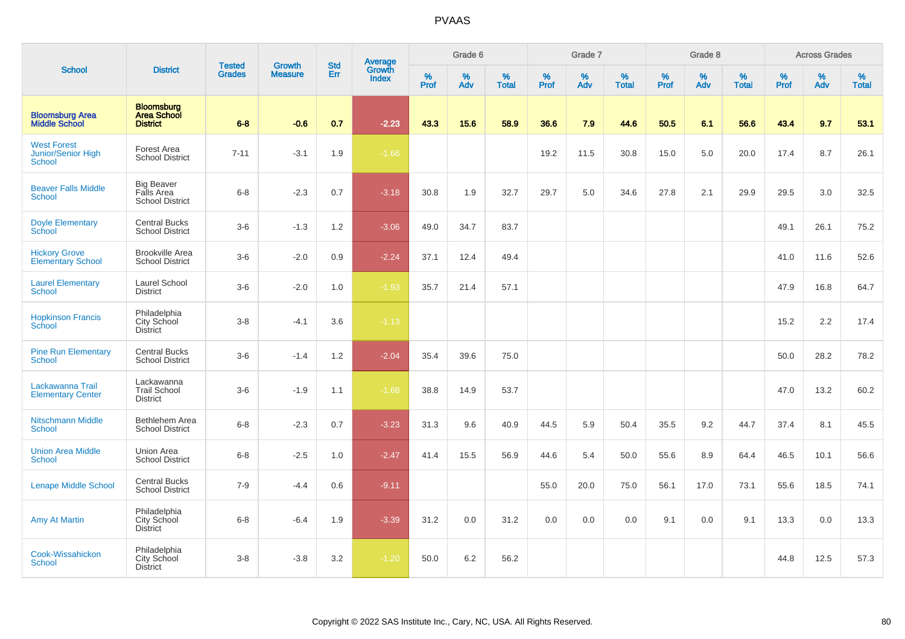|                                                    |                                                            |                                |                                 | <b>Std</b> |                                          |           | Grade 6  |                   |           | Grade 7  |                   |           | Grade 8  |                   |           | <b>Across Grades</b> |                   |
|----------------------------------------------------|------------------------------------------------------------|--------------------------------|---------------------------------|------------|------------------------------------------|-----------|----------|-------------------|-----------|----------|-------------------|-----------|----------|-------------------|-----------|----------------------|-------------------|
| <b>School</b>                                      | <b>District</b>                                            | <b>Tested</b><br><b>Grades</b> | <b>Growth</b><br><b>Measure</b> | Err        | <b>Average</b><br>Growth<br><b>Index</b> | %<br>Prof | %<br>Adv | %<br><b>Total</b> | %<br>Prof | %<br>Adv | %<br><b>Total</b> | %<br>Prof | %<br>Adv | %<br><b>Total</b> | %<br>Prof | $\%$<br>Adv          | %<br><b>Total</b> |
| <b>Bloomsburg Area</b><br><b>Middle School</b>     | <b>Bloomsburg</b><br><b>Area School</b><br><b>District</b> | $6 - 8$                        | $-0.6$                          | 0.7        | $-2.23$                                  | 43.3      | 15.6     | 58.9              | 36.6      | 7.9      | 44.6              | 50.5      | 6.1      | 56.6              | 43.4      | 9.7                  | 53.1              |
| <b>West Forest</b><br>Junior/Senior High<br>School | Forest Area<br><b>School District</b>                      | $7 - 11$                       | $-3.1$                          | 1.9        | $-1.66$                                  |           |          |                   | 19.2      | 11.5     | 30.8              | 15.0      | 5.0      | 20.0              | 17.4      | 8.7                  | 26.1              |
| <b>Beaver Falls Middle</b><br><b>School</b>        | <b>Big Beaver</b><br>Falls Area<br><b>School District</b>  | $6-8$                          | $-2.3$                          | 0.7        | $-3.18$                                  | 30.8      | 1.9      | 32.7              | 29.7      | 5.0      | 34.6              | 27.8      | 2.1      | 29.9              | 29.5      | 3.0                  | 32.5              |
| <b>Doyle Elementary</b><br>School                  | <b>Central Bucks</b><br><b>School District</b>             | $3-6$                          | $-1.3$                          | 1.2        | $-3.06$                                  | 49.0      | 34.7     | 83.7              |           |          |                   |           |          |                   | 49.1      | 26.1                 | 75.2              |
| <b>Hickory Grove</b><br><b>Elementary School</b>   | <b>Brookville Area</b><br><b>School District</b>           | $3-6$                          | $-2.0$                          | 0.9        | $-2.24$                                  | 37.1      | 12.4     | 49.4              |           |          |                   |           |          |                   | 41.0      | 11.6                 | 52.6              |
| <b>Laurel Elementary</b><br><b>School</b>          | Laurel School<br><b>District</b>                           | $3-6$                          | $-2.0$                          | 1.0        | $-1.93$                                  | 35.7      | 21.4     | 57.1              |           |          |                   |           |          |                   | 47.9      | 16.8                 | 64.7              |
| <b>Hopkinson Francis</b><br>School                 | Philadelphia<br>City School<br><b>District</b>             | $3-8$                          | $-4.1$                          | 3.6        | $-1.13$                                  |           |          |                   |           |          |                   |           |          |                   | 15.2      | 2.2                  | 17.4              |
| <b>Pine Run Elementary</b><br>School               | <b>Central Bucks</b><br><b>School District</b>             | $3-6$                          | $-1.4$                          | 1.2        | $-2.04$                                  | 35.4      | 39.6     | 75.0              |           |          |                   |           |          |                   | 50.0      | 28.2                 | 78.2              |
| Lackawanna Trail<br><b>Elementary Center</b>       | Lackawanna<br><b>Trail School</b><br><b>District</b>       | $3-6$                          | $-1.9$                          | 1.1        | $-1.68$                                  | 38.8      | 14.9     | 53.7              |           |          |                   |           |          |                   | 47.0      | 13.2                 | 60.2              |
| <b>Nitschmann Middle</b><br>School                 | Bethlehem Area<br><b>School District</b>                   | $6 - 8$                        | $-2.3$                          | 0.7        | $-3.23$                                  | 31.3      | 9.6      | 40.9              | 44.5      | 5.9      | 50.4              | 35.5      | 9.2      | 44.7              | 37.4      | 8.1                  | 45.5              |
| <b>Union Area Middle</b><br>School                 | Union Area<br><b>School District</b>                       | $6 - 8$                        | $-2.5$                          | 1.0        | $-2.47$                                  | 41.4      | 15.5     | 56.9              | 44.6      | 5.4      | 50.0              | 55.6      | 8.9      | 64.4              | 46.5      | 10.1                 | 56.6              |
| <b>Lenape Middle School</b>                        | <b>Central Bucks</b><br><b>School District</b>             | $7 - 9$                        | $-4.4$                          | 0.6        | $-9.11$                                  |           |          |                   | 55.0      | 20.0     | 75.0              | 56.1      | 17.0     | 73.1              | 55.6      | 18.5                 | 74.1              |
| <b>Amy At Martin</b>                               | Philadelphia<br>City School<br><b>District</b>             | $6-8$                          | $-6.4$                          | 1.9        | $-3.39$                                  | 31.2      | 0.0      | 31.2              | 0.0       | 0.0      | 0.0               | 9.1       | 0.0      | 9.1               | 13.3      | 0.0                  | 13.3              |
| Cook-Wissahickon<br><b>School</b>                  | Philadelphia<br>City School<br>District                    | $3 - 8$                        | $-3.8$                          | 3.2        | $-1.20$                                  | 50.0      | 6.2      | 56.2              |           |          |                   |           |          |                   | 44.8      | 12.5                 | 57.3              |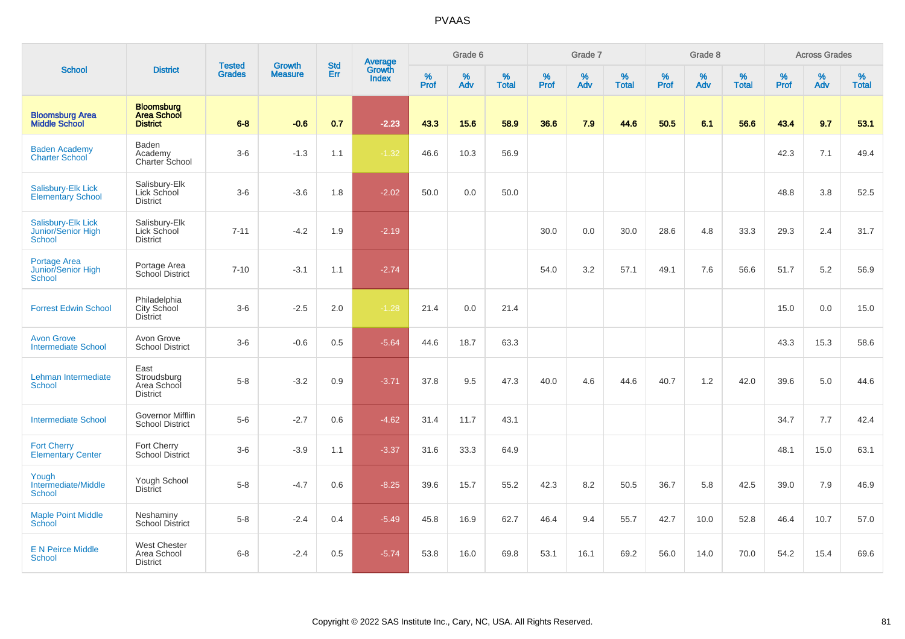|                                                     |                                                            |                                |                                 | <b>Std</b> |                                          |           | Grade 6  |                   |           | Grade 7  |                   |           | Grade 8  |                   |           | <b>Across Grades</b> |                   |
|-----------------------------------------------------|------------------------------------------------------------|--------------------------------|---------------------------------|------------|------------------------------------------|-----------|----------|-------------------|-----------|----------|-------------------|-----------|----------|-------------------|-----------|----------------------|-------------------|
| <b>School</b>                                       | <b>District</b>                                            | <b>Tested</b><br><b>Grades</b> | <b>Growth</b><br><b>Measure</b> | Err        | <b>Average</b><br>Growth<br><b>Index</b> | %<br>Prof | %<br>Adv | %<br><b>Total</b> | %<br>Prof | %<br>Adv | %<br><b>Total</b> | %<br>Prof | %<br>Adv | %<br><b>Total</b> | %<br>Prof | %<br>Adv             | %<br><b>Total</b> |
| <b>Bloomsburg Area</b><br><b>Middle School</b>      | <b>Bloomsburg</b><br><b>Area School</b><br><b>District</b> | $6 - 8$                        | $-0.6$                          | 0.7        | $-2.23$                                  | 43.3      | 15.6     | 58.9              | 36.6      | 7.9      | 44.6              | 50.5      | 6.1      | 56.6              | 43.4      | 9.7                  | 53.1              |
| <b>Baden Academy</b><br><b>Charter School</b>       | Baden<br>Academy<br>Charter School                         | $3-6$                          | $-1.3$                          | 1.1        | $-1.32$                                  | 46.6      | 10.3     | 56.9              |           |          |                   |           |          |                   | 42.3      | 7.1                  | 49.4              |
| Salisbury-Elk Lick<br><b>Elementary School</b>      | Salisbury-Elk<br>Lick School<br><b>District</b>            | $3-6$                          | $-3.6$                          | 1.8        | $-2.02$                                  | 50.0      | 0.0      | 50.0              |           |          |                   |           |          |                   | 48.8      | 3.8                  | 52.5              |
| Salisbury-Elk Lick<br>Junior/Senior High<br>School  | Salisbury-Elk<br>Lick School<br><b>District</b>            | $7 - 11$                       | $-4.2$                          | 1.9        | $-2.19$                                  |           |          |                   | 30.0      | 0.0      | 30.0              | 28.6      | 4.8      | 33.3              | 29.3      | 2.4                  | 31.7              |
| Portage Area<br>Junior/Senior High<br><b>School</b> | Portage Area<br>School District                            | $7 - 10$                       | $-3.1$                          | 1.1        | $-2.74$                                  |           |          |                   | 54.0      | 3.2      | 57.1              | 49.1      | 7.6      | 56.6              | 51.7      | 5.2                  | 56.9              |
| <b>Forrest Edwin School</b>                         | Philadelphia<br>City School<br><b>District</b>             | $3-6$                          | $-2.5$                          | 2.0        | $-1.28$                                  | 21.4      | 0.0      | 21.4              |           |          |                   |           |          |                   | 15.0      | 0.0                  | 15.0              |
| <b>Avon Grove</b><br><b>Intermediate School</b>     | Avon Grove<br><b>School District</b>                       | $3-6$                          | $-0.6$                          | 0.5        | $-5.64$                                  | 44.6      | 18.7     | 63.3              |           |          |                   |           |          |                   | 43.3      | 15.3                 | 58.6              |
| Lehman Intermediate<br>School                       | East<br>Stroudsburg<br>Area School<br><b>District</b>      | $5-8$                          | $-3.2$                          | 0.9        | $-3.71$                                  | 37.8      | 9.5      | 47.3              | 40.0      | 4.6      | 44.6              | 40.7      | 1.2      | 42.0              | 39.6      | 5.0                  | 44.6              |
| <b>Intermediate School</b>                          | Governor Mifflin<br><b>School District</b>                 | $5-6$                          | $-2.7$                          | 0.6        | $-4.62$                                  | 31.4      | 11.7     | 43.1              |           |          |                   |           |          |                   | 34.7      | 7.7                  | 42.4              |
| <b>Fort Cherry</b><br><b>Elementary Center</b>      | Fort Cherry<br><b>School District</b>                      | $3-6$                          | $-3.9$                          | 1.1        | $-3.37$                                  | 31.6      | 33.3     | 64.9              |           |          |                   |           |          |                   | 48.1      | 15.0                 | 63.1              |
| Yough<br>Intermediate/Middle<br><b>School</b>       | Yough School<br><b>District</b>                            | $5-8$                          | $-4.7$                          | 0.6        | $-8.25$                                  | 39.6      | 15.7     | 55.2              | 42.3      | 8.2      | 50.5              | 36.7      | 5.8      | 42.5              | 39.0      | 7.9                  | 46.9              |
| <b>Maple Point Middle</b><br>School                 | Neshaminy<br><b>School District</b>                        | $5 - 8$                        | $-2.4$                          | 0.4        | $-5.49$                                  | 45.8      | 16.9     | 62.7              | 46.4      | 9.4      | 55.7              | 42.7      | 10.0     | 52.8              | 46.4      | 10.7                 | 57.0              |
| <b>E N Peirce Middle</b><br><b>School</b>           | <b>West Chester</b><br>Area School<br><b>District</b>      | $6 - 8$                        | $-2.4$                          | 0.5        | $-5.74$                                  | 53.8      | 16.0     | 69.8              | 53.1      | 16.1     | 69.2              | 56.0      | 14.0     | 70.0              | 54.2      | 15.4                 | 69.6              |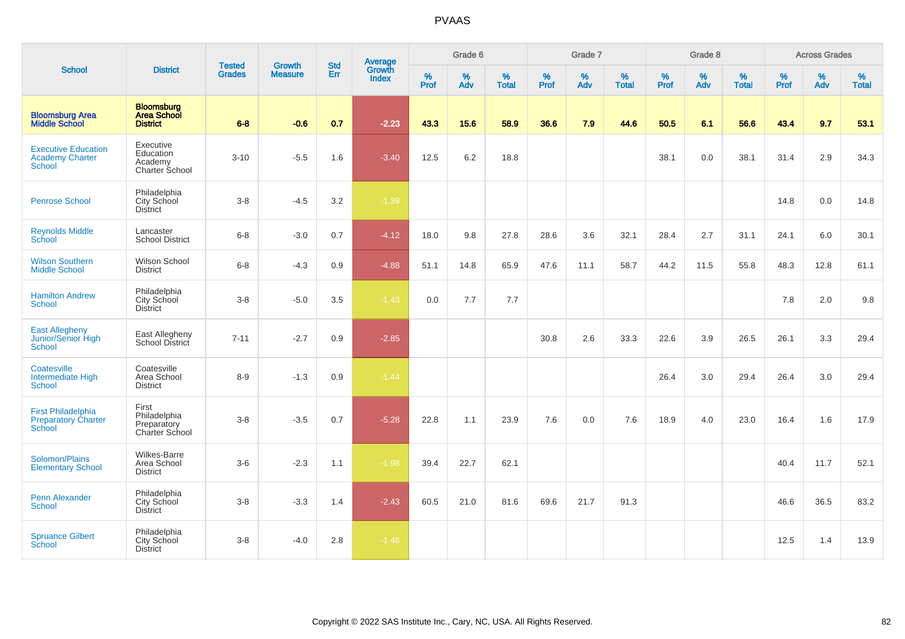|                                                                          |                                                            |                                |                                 | <b>Std</b> |                                          |                  | Grade 6     |                   |                  | Grade 7     |                   |                     | Grade 8     |                   |                     | <b>Across Grades</b> |                   |
|--------------------------------------------------------------------------|------------------------------------------------------------|--------------------------------|---------------------------------|------------|------------------------------------------|------------------|-------------|-------------------|------------------|-------------|-------------------|---------------------|-------------|-------------------|---------------------|----------------------|-------------------|
| <b>School</b>                                                            | <b>District</b>                                            | <b>Tested</b><br><b>Grades</b> | <b>Growth</b><br><b>Measure</b> | Err        | <b>Average</b><br>Growth<br><b>Index</b> | %<br><b>Prof</b> | $\%$<br>Adv | %<br><b>Total</b> | %<br><b>Prof</b> | $\%$<br>Adv | %<br><b>Total</b> | $\%$<br><b>Prof</b> | $\%$<br>Adv | %<br><b>Total</b> | $\%$<br><b>Prof</b> | $\%$<br>Adv          | %<br><b>Total</b> |
| <b>Bloomsburg Area</b><br><b>Middle School</b>                           | <b>Bloomsburg</b><br><b>Area School</b><br><b>District</b> | $6 - 8$                        | $-0.6$                          | 0.7        | $-2.23$                                  | 43.3             | 15.6        | 58.9              | 36.6             | 7.9         | 44.6              | 50.5                | 6.1         | 56.6              | 43.4                | 9.7                  | 53.1              |
| <b>Executive Education</b><br><b>Academy Charter</b><br><b>School</b>    | Executive<br>Education<br>Academy<br>Charter School        | $3 - 10$                       | $-5.5$                          | 1.6        | $-3.40$                                  | 12.5             | 6.2         | 18.8              |                  |             |                   | 38.1                | 0.0         | 38.1              | 31.4                | 2.9                  | 34.3              |
| <b>Penrose School</b>                                                    | Philadelphia<br>City School<br><b>District</b>             | $3 - 8$                        | $-4.5$                          | 3.2        | $-1.39$                                  |                  |             |                   |                  |             |                   |                     |             |                   | 14.8                | 0.0                  | 14.8              |
| <b>Reynolds Middle</b><br>School                                         | Lancaster<br><b>School District</b>                        | $6 - 8$                        | $-3.0$                          | 0.7        | $-4.12$                                  | 18.0             | 9.8         | 27.8              | 28.6             | 3.6         | 32.1              | 28.4                | 2.7         | 31.1              | 24.1                | 6.0                  | 30.1              |
| <b>Wilson Southern</b><br><b>Middle School</b>                           | Wilson School<br><b>District</b>                           | $6 - 8$                        | $-4.3$                          | 0.9        | $-4.88$                                  | 51.1             | 14.8        | 65.9              | 47.6             | 11.1        | 58.7              | 44.2                | 11.5        | 55.8              | 48.3                | 12.8                 | 61.1              |
| <b>Hamilton Andrew</b><br><b>School</b>                                  | Philadelphia<br>City School<br><b>District</b>             | $3 - 8$                        | $-5.0$                          | 3.5        | $-1.43$                                  | 0.0              | 7.7         | 7.7               |                  |             |                   |                     |             |                   | 7.8                 | 2.0                  | 9.8               |
| <b>East Allegheny</b><br>Junior/Senior High<br><b>School</b>             | East Allegheny<br>School District                          | $7 - 11$                       | $-2.7$                          | 0.9        | $-2.85$                                  |                  |             |                   | 30.8             | 2.6         | 33.3              | 22.6                | 3.9         | 26.5              | 26.1                | 3.3                  | 29.4              |
| Coatesville<br>Intermediate High<br>School                               | Coatesville<br>Area School<br><b>District</b>              | $8 - 9$                        | $-1.3$                          | 0.9        | $-1.44$                                  |                  |             |                   |                  |             |                   | 26.4                | 3.0         | 29.4              | 26.4                | 3.0                  | 29.4              |
| <b>First Philadelphia</b><br><b>Preparatory Charter</b><br><b>School</b> | First<br>Philadelphia<br>Preparatory<br>Charter School     | $3 - 8$                        | $-3.5$                          | 0.7        | $-5.28$                                  | 22.8             | 1.1         | 23.9              | 7.6              | 0.0         | 7.6               | 18.9                | 4.0         | 23.0              | 16.4                | 1.6                  | 17.9              |
| Solomon/Plains<br><b>Elementary School</b>                               | <b>Wilkes-Barre</b><br>Area School<br><b>District</b>      | $3-6$                          | $-2.3$                          | 1.1        | $-1.98$                                  | 39.4             | 22.7        | 62.1              |                  |             |                   |                     |             |                   | 40.4                | 11.7                 | 52.1              |
| <b>Penn Alexander</b><br>School                                          | Philadelphia<br>City School<br><b>District</b>             | $3 - 8$                        | $-3.3$                          | 1.4        | $-2.43$                                  | 60.5             | 21.0        | 81.6              | 69.6             | 21.7        | 91.3              |                     |             |                   | 46.6                | 36.5                 | 83.2              |
| <b>Spruance Gilbert</b><br>School                                        | Philadelphia<br>City School<br><b>District</b>             | $3 - 8$                        | $-4.0$                          | 2.8        | $-1.46$                                  |                  |             |                   |                  |             |                   |                     |             |                   | 12.5                | 1.4                  | 13.9              |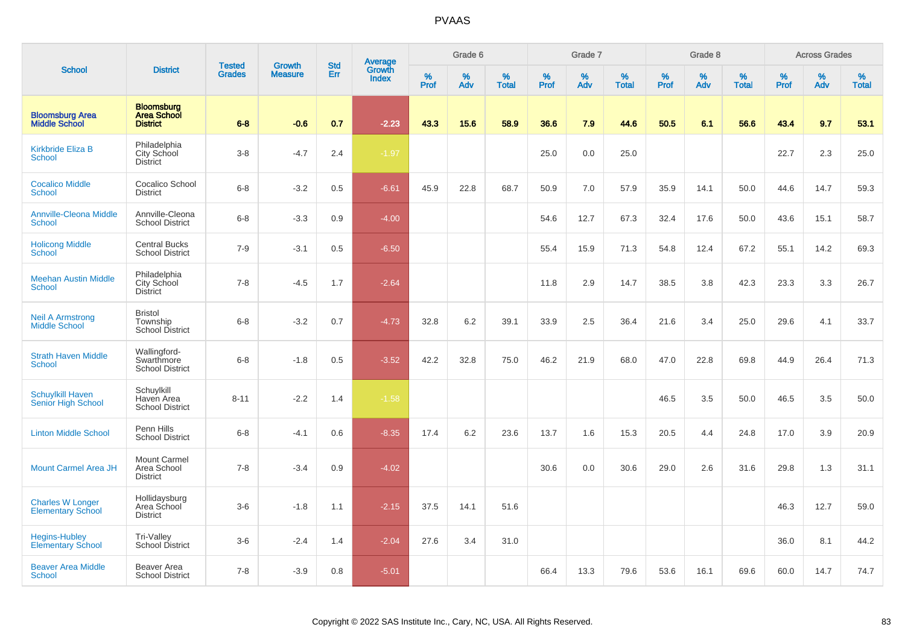|                                                      |                                                            | <b>Tested</b> | <b>Growth</b>  | <b>Std</b> |                                   |           | Grade 6  |                   |           | Grade 7  |                   |              | Grade 8  |                   |              | <b>Across Grades</b> |                   |
|------------------------------------------------------|------------------------------------------------------------|---------------|----------------|------------|-----------------------------------|-----------|----------|-------------------|-----------|----------|-------------------|--------------|----------|-------------------|--------------|----------------------|-------------------|
| <b>School</b>                                        | <b>District</b>                                            | <b>Grades</b> | <b>Measure</b> | Err        | Average<br>Growth<br><b>Index</b> | %<br>Prof | %<br>Adv | %<br><b>Total</b> | %<br>Prof | %<br>Adv | %<br><b>Total</b> | $\%$<br>Prof | %<br>Adv | %<br><b>Total</b> | $\%$<br>Prof | $\%$<br>Adv          | %<br><b>Total</b> |
| <b>Bloomsburg Area</b><br><b>Middle School</b>       | <b>Bloomsburg</b><br><b>Area School</b><br><b>District</b> | $6 - 8$       | $-0.6$         | 0.7        | $-2.23$                           | 43.3      | 15.6     | 58.9              | 36.6      | 7.9      | 44.6              | 50.5         | 6.1      | 56.6              | 43.4         | 9.7                  | 53.1              |
| <b>Kirkbride Eliza B</b><br><b>School</b>            | Philadelphia<br>City School<br><b>District</b>             | $3 - 8$       | $-4.7$         | 2.4        | $-1.97$                           |           |          |                   | 25.0      | 0.0      | 25.0              |              |          |                   | 22.7         | 2.3                  | 25.0              |
| <b>Cocalico Middle</b><br><b>School</b>              | Cocalico School<br><b>District</b>                         | $6 - 8$       | $-3.2$         | 0.5        | $-6.61$                           | 45.9      | 22.8     | 68.7              | 50.9      | 7.0      | 57.9              | 35.9         | 14.1     | 50.0              | 44.6         | 14.7                 | 59.3              |
| <b>Annville-Cleona Middle</b><br><b>School</b>       | Annville-Cleona<br><b>School District</b>                  | $6 - 8$       | $-3.3$         | 0.9        | $-4.00$                           |           |          |                   | 54.6      | 12.7     | 67.3              | 32.4         | 17.6     | 50.0              | 43.6         | 15.1                 | 58.7              |
| <b>Holicong Middle</b><br><b>School</b>              | <b>Central Bucks</b><br><b>School District</b>             | $7 - 9$       | $-3.1$         | 0.5        | $-6.50$                           |           |          |                   | 55.4      | 15.9     | 71.3              | 54.8         | 12.4     | 67.2              | 55.1         | 14.2                 | 69.3              |
| <b>Meehan Austin Middle</b><br><b>School</b>         | Philadelphia<br>City School<br><b>District</b>             | $7 - 8$       | $-4.5$         | 1.7        | $-2.64$                           |           |          |                   | 11.8      | 2.9      | 14.7              | 38.5         | 3.8      | 42.3              | 23.3         | 3.3                  | 26.7              |
| <b>Neil A Armstrong</b><br><b>Middle School</b>      | <b>Bristol</b><br>Township<br><b>School District</b>       | $6 - 8$       | $-3.2$         | 0.7        | $-4.73$                           | 32.8      | 6.2      | 39.1              | 33.9      | 2.5      | 36.4              | 21.6         | 3.4      | 25.0              | 29.6         | 4.1                  | 33.7              |
| <b>Strath Haven Middle</b><br><b>School</b>          | Wallingford-<br>Swarthmore<br><b>School District</b>       | $6 - 8$       | $-1.8$         | 0.5        | $-3.52$                           | 42.2      | 32.8     | 75.0              | 46.2      | 21.9     | 68.0              | 47.0         | 22.8     | 69.8              | 44.9         | 26.4                 | 71.3              |
| <b>Schuylkill Haven</b><br><b>Senior High School</b> | Schuylkill<br>Haven Area<br><b>School District</b>         | $8 - 11$      | $-2.2$         | 1.4        | $-1.58$                           |           |          |                   |           |          |                   | 46.5         | 3.5      | 50.0              | 46.5         | 3.5                  | 50.0              |
| <b>Linton Middle School</b>                          | Penn Hills<br><b>School District</b>                       | $6 - 8$       | $-4.1$         | 0.6        | $-8.35$                           | 17.4      | 6.2      | 23.6              | 13.7      | 1.6      | 15.3              | 20.5         | 4.4      | 24.8              | 17.0         | 3.9                  | 20.9              |
| <b>Mount Carmel Area JH</b>                          | <b>Mount Carmel</b><br>Area School<br><b>District</b>      | $7 - 8$       | $-3.4$         | 0.9        | $-4.02$                           |           |          |                   | 30.6      | 0.0      | 30.6              | 29.0         | 2.6      | 31.6              | 29.8         | 1.3                  | 31.1              |
| <b>Charles W Longer</b><br><b>Elementary School</b>  | Hollidaysburg<br>Area School<br><b>District</b>            | $3-6$         | $-1.8$         | 1.1        | $-2.15$                           | 37.5      | 14.1     | 51.6              |           |          |                   |              |          |                   | 46.3         | 12.7                 | 59.0              |
| <b>Hegins-Hubley</b><br><b>Elementary School</b>     | Tri-Valley<br>School District                              | $3-6$         | $-2.4$         | 1.4        | $-2.04$                           | 27.6      | 3.4      | 31.0              |           |          |                   |              |          |                   | 36.0         | 8.1                  | 44.2              |
| <b>Beaver Area Middle</b><br><b>School</b>           | Beaver Area<br><b>School District</b>                      | $7 - 8$       | $-3.9$         | 0.8        | $-5.01$                           |           |          |                   | 66.4      | 13.3     | 79.6              | 53.6         | 16.1     | 69.6              | 60.0         | 14.7                 | 74.7              |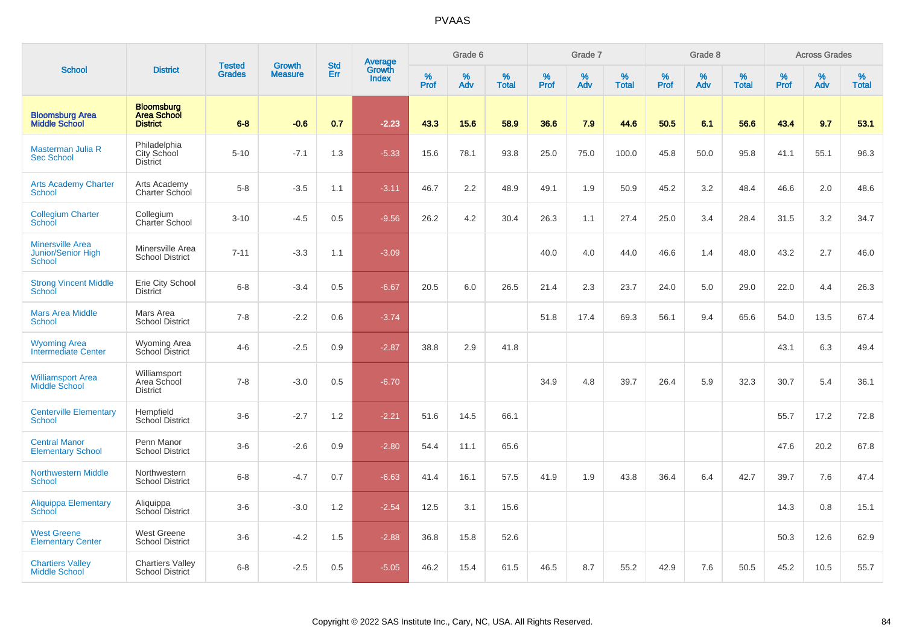|                                                                |                                                            | <b>Tested</b> | <b>Growth</b>  | <b>Std</b> |                                          |                  | Grade 6     |                   |                  | Grade 7     |                   |           | Grade 8  |                   |                  | <b>Across Grades</b> |                   |
|----------------------------------------------------------------|------------------------------------------------------------|---------------|----------------|------------|------------------------------------------|------------------|-------------|-------------------|------------------|-------------|-------------------|-----------|----------|-------------------|------------------|----------------------|-------------------|
| <b>School</b>                                                  | <b>District</b>                                            | <b>Grades</b> | <b>Measure</b> | Err        | <b>Average</b><br>Growth<br><b>Index</b> | %<br><b>Prof</b> | $\%$<br>Adv | %<br><b>Total</b> | %<br><b>Prof</b> | $\%$<br>Adv | %<br><b>Total</b> | %<br>Prof | %<br>Adv | %<br><b>Total</b> | %<br><b>Prof</b> | $\%$<br>Adv          | %<br><b>Total</b> |
| <b>Bloomsburg Area</b><br><b>Middle School</b>                 | <b>Bloomsburg</b><br><b>Area School</b><br><b>District</b> | $6 - 8$       | $-0.6$         | 0.7        | $-2.23$                                  | 43.3             | 15.6        | 58.9              | 36.6             | 7.9         | 44.6              | 50.5      | 6.1      | 56.6              | 43.4             | 9.7                  | 53.1              |
| Masterman Julia R<br><b>Sec School</b>                         | Philadelphia<br>City School<br><b>District</b>             | $5 - 10$      | $-7.1$         | 1.3        | $-5.33$                                  | 15.6             | 78.1        | 93.8              | 25.0             | 75.0        | 100.0             | 45.8      | 50.0     | 95.8              | 41.1             | 55.1                 | 96.3              |
| <b>Arts Academy Charter</b><br><b>School</b>                   | Arts Academy<br>Charter School                             | $5-8$         | $-3.5$         | 1.1        | $-3.11$                                  | 46.7             | 2.2         | 48.9              | 49.1             | 1.9         | 50.9              | 45.2      | 3.2      | 48.4              | 46.6             | 2.0                  | 48.6              |
| <b>Collegium Charter</b><br>School                             | Collegium<br>Charter School                                | $3 - 10$      | $-4.5$         | 0.5        | $-9.56$                                  | 26.2             | 4.2         | 30.4              | 26.3             | 1.1         | 27.4              | 25.0      | 3.4      | 28.4              | 31.5             | 3.2                  | 34.7              |
| <b>Minersville Area</b><br>Junior/Senior High<br><b>School</b> | Minersville Area<br><b>School District</b>                 | $7 - 11$      | $-3.3$         | 1.1        | $-3.09$                                  |                  |             |                   | 40.0             | 4.0         | 44.0              | 46.6      | 1.4      | 48.0              | 43.2             | 2.7                  | 46.0              |
| <b>Strong Vincent Middle</b><br>School                         | Erie City School<br><b>District</b>                        | $6 - 8$       | $-3.4$         | 0.5        | $-6.67$                                  | 20.5             | 6.0         | 26.5              | 21.4             | 2.3         | 23.7              | 24.0      | 5.0      | 29.0              | 22.0             | 4.4                  | 26.3              |
| <b>Mars Area Middle</b><br>School                              | Mars Area<br><b>School District</b>                        | $7 - 8$       | $-2.2$         | 0.6        | $-3.74$                                  |                  |             |                   | 51.8             | 17.4        | 69.3              | 56.1      | 9.4      | 65.6              | 54.0             | 13.5                 | 67.4              |
| <b>Wyoming Area</b><br><b>Intermediate Center</b>              | <b>Wyoming Area</b><br>School District                     | $4 - 6$       | $-2.5$         | 0.9        | $-2.87$                                  | 38.8             | 2.9         | 41.8              |                  |             |                   |           |          |                   | 43.1             | 6.3                  | 49.4              |
| <b>Williamsport Area</b><br><b>Middle School</b>               | Williamsport<br>Area School<br><b>District</b>             | $7 - 8$       | $-3.0$         | 0.5        | $-6.70$                                  |                  |             |                   | 34.9             | 4.8         | 39.7              | 26.4      | 5.9      | 32.3              | 30.7             | 5.4                  | 36.1              |
| <b>Centerville Elementary</b><br><b>School</b>                 | Hempfield<br>School District                               | $3-6$         | $-2.7$         | 1.2        | $-2.21$                                  | 51.6             | 14.5        | 66.1              |                  |             |                   |           |          |                   | 55.7             | 17.2                 | 72.8              |
| <b>Central Manor</b><br><b>Elementary School</b>               | Penn Manor<br><b>School District</b>                       | $3-6$         | $-2.6$         | 0.9        | $-2.80$                                  | 54.4             | 11.1        | 65.6              |                  |             |                   |           |          |                   | 47.6             | 20.2                 | 67.8              |
| <b>Northwestern Middle</b><br>School                           | Northwestern<br><b>School District</b>                     | $6 - 8$       | $-4.7$         | 0.7        | $-6.63$                                  | 41.4             | 16.1        | 57.5              | 41.9             | 1.9         | 43.8              | 36.4      | 6.4      | 42.7              | 39.7             | 7.6                  | 47.4              |
| Aliquippa Elementary<br>School                                 | Aliquippa<br>School District                               | $3-6$         | $-3.0$         | 1.2        | $-2.54$                                  | 12.5             | 3.1         | 15.6              |                  |             |                   |           |          |                   | 14.3             | 0.8                  | 15.1              |
| <b>West Greene</b><br><b>Elementary Center</b>                 | <b>West Greene</b><br><b>School District</b>               | $3-6$         | $-4.2$         | 1.5        | $-2.88$                                  | 36.8             | 15.8        | 52.6              |                  |             |                   |           |          |                   | 50.3             | 12.6                 | 62.9              |
| <b>Chartiers Valley</b><br><b>Middle School</b>                | <b>Chartiers Valley</b><br><b>School District</b>          | $6 - 8$       | $-2.5$         | 0.5        | $-5.05$                                  | 46.2             | 15.4        | 61.5              | 46.5             | 8.7         | 55.2              | 42.9      | 7.6      | 50.5              | 45.2             | 10.5                 | 55.7              |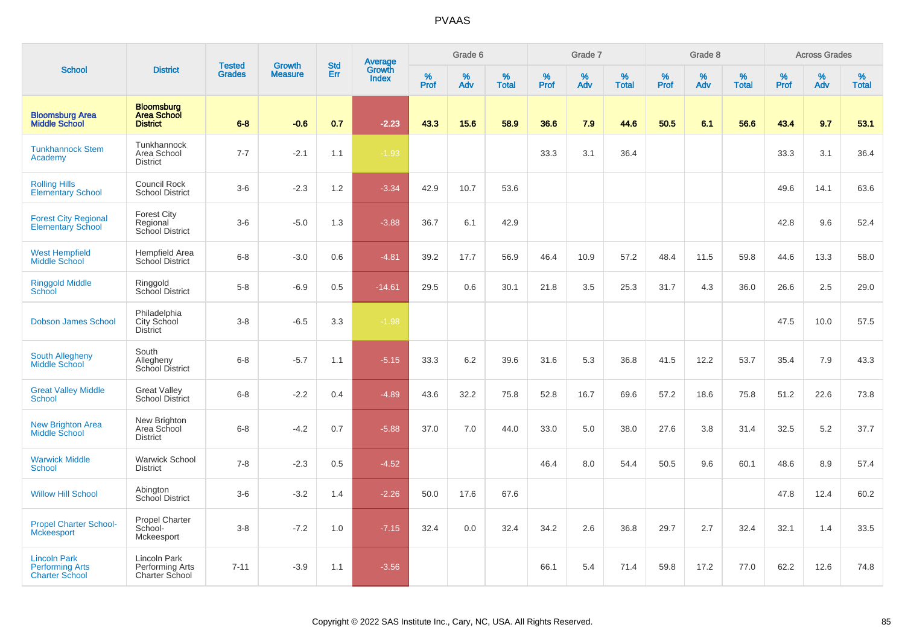|                                                                        |                                                            | <b>Tested</b> | <b>Growth</b>  | <b>Std</b> |                                          |                  | Grade 6     |                   |           | Grade 7  |                   |           | Grade 8  |                   |              | <b>Across Grades</b> |                   |
|------------------------------------------------------------------------|------------------------------------------------------------|---------------|----------------|------------|------------------------------------------|------------------|-------------|-------------------|-----------|----------|-------------------|-----------|----------|-------------------|--------------|----------------------|-------------------|
| <b>School</b>                                                          | <b>District</b>                                            | <b>Grades</b> | <b>Measure</b> | Err        | <b>Average</b><br>Growth<br><b>Index</b> | %<br><b>Prof</b> | $\%$<br>Adv | %<br><b>Total</b> | %<br>Prof | %<br>Adv | %<br><b>Total</b> | %<br>Prof | %<br>Adv | %<br><b>Total</b> | $\%$<br>Prof | $\%$<br>Adv          | %<br><b>Total</b> |
| <b>Bloomsburg Area</b><br><b>Middle School</b>                         | <b>Bloomsburg</b><br><b>Area School</b><br><b>District</b> | $6 - 8$       | $-0.6$         | 0.7        | $-2.23$                                  | 43.3             | 15.6        | 58.9              | 36.6      | 7.9      | 44.6              | 50.5      | 6.1      | 56.6              | 43.4         | 9.7                  | 53.1              |
| <b>Tunkhannock Stem</b><br>Academy                                     | Tunkhannock<br>Area School<br><b>District</b>              | $7 - 7$       | $-2.1$         | 1.1        | $-1.93$                                  |                  |             |                   | 33.3      | 3.1      | 36.4              |           |          |                   | 33.3         | 3.1                  | 36.4              |
| <b>Rolling Hills</b><br><b>Elementary School</b>                       | Council Rock<br><b>School District</b>                     | $3-6$         | $-2.3$         | 1.2        | $-3.34$                                  | 42.9             | 10.7        | 53.6              |           |          |                   |           |          |                   | 49.6         | 14.1                 | 63.6              |
| <b>Forest City Regional</b><br><b>Elementary School</b>                | <b>Forest City</b><br>Regional<br>School District          | $3-6$         | $-5.0$         | 1.3        | $-3.88$                                  | 36.7             | 6.1         | 42.9              |           |          |                   |           |          |                   | 42.8         | 9.6                  | 52.4              |
| <b>West Hempfield</b><br>Middle School                                 | <b>Hempfield Area</b><br>School District                   | $6 - 8$       | $-3.0$         | 0.6        | $-4.81$                                  | 39.2             | 17.7        | 56.9              | 46.4      | 10.9     | 57.2              | 48.4      | 11.5     | 59.8              | 44.6         | 13.3                 | 58.0              |
| <b>Ringgold Middle</b><br><b>School</b>                                | Ringgold<br>School District                                | $5-8$         | $-6.9$         | 0.5        | $-14.61$                                 | 29.5             | 0.6         | 30.1              | 21.8      | 3.5      | 25.3              | 31.7      | 4.3      | 36.0              | 26.6         | 2.5                  | 29.0              |
| <b>Dobson James School</b>                                             | Philadelphia<br>City School<br><b>District</b>             | $3-8$         | $-6.5$         | 3.3        | $-1.98$                                  |                  |             |                   |           |          |                   |           |          |                   | 47.5         | 10.0                 | 57.5              |
| South Allegheny<br>Middle School                                       | South<br>Allegheny<br>School District                      | $6 - 8$       | $-5.7$         | 1.1        | $-5.15$                                  | 33.3             | 6.2         | 39.6              | 31.6      | 5.3      | 36.8              | 41.5      | 12.2     | 53.7              | 35.4         | 7.9                  | 43.3              |
| <b>Great Valley Middle</b><br><b>School</b>                            | <b>Great Valley</b><br><b>School District</b>              | $6-8$         | $-2.2$         | 0.4        | $-4.89$                                  | 43.6             | 32.2        | 75.8              | 52.8      | 16.7     | 69.6              | 57.2      | 18.6     | 75.8              | 51.2         | 22.6                 | 73.8              |
| <b>New Brighton Area</b><br>Middle School                              | New Brighton<br>Area School<br><b>District</b>             | $6 - 8$       | $-4.2$         | 0.7        | $-5.88$                                  | 37.0             | 7.0         | 44.0              | 33.0      | 5.0      | 38.0              | 27.6      | 3.8      | 31.4              | 32.5         | 5.2                  | 37.7              |
| <b>Warwick Middle</b><br><b>School</b>                                 | <b>Warwick School</b><br><b>District</b>                   | $7 - 8$       | $-2.3$         | 0.5        | $-4.52$                                  |                  |             |                   | 46.4      | 8.0      | 54.4              | 50.5      | 9.6      | 60.1              | 48.6         | 8.9                  | 57.4              |
| <b>Willow Hill School</b>                                              | Abington<br>School District                                | $3-6$         | $-3.2$         | 1.4        | $-2.26$                                  | 50.0             | 17.6        | 67.6              |           |          |                   |           |          |                   | 47.8         | 12.4                 | 60.2              |
| <b>Propel Charter School-</b><br><b>Mckeesport</b>                     | <b>Propel Charter</b><br>School-<br>Mckeesport             | $3-8$         | $-7.2$         | 1.0        | $-7.15$                                  | 32.4             | 0.0         | 32.4              | 34.2      | 2.6      | 36.8              | 29.7      | 2.7      | 32.4              | 32.1         | 1.4                  | 33.5              |
| <b>Lincoln Park</b><br><b>Performing Arts</b><br><b>Charter School</b> | Lincoln Park<br>Performing Arts<br><b>Charter School</b>   | $7 - 11$      | $-3.9$         | 1.1        | $-3.56$                                  |                  |             |                   | 66.1      | 5.4      | 71.4              | 59.8      | 17.2     | 77.0              | 62.2         | 12.6                 | 74.8              |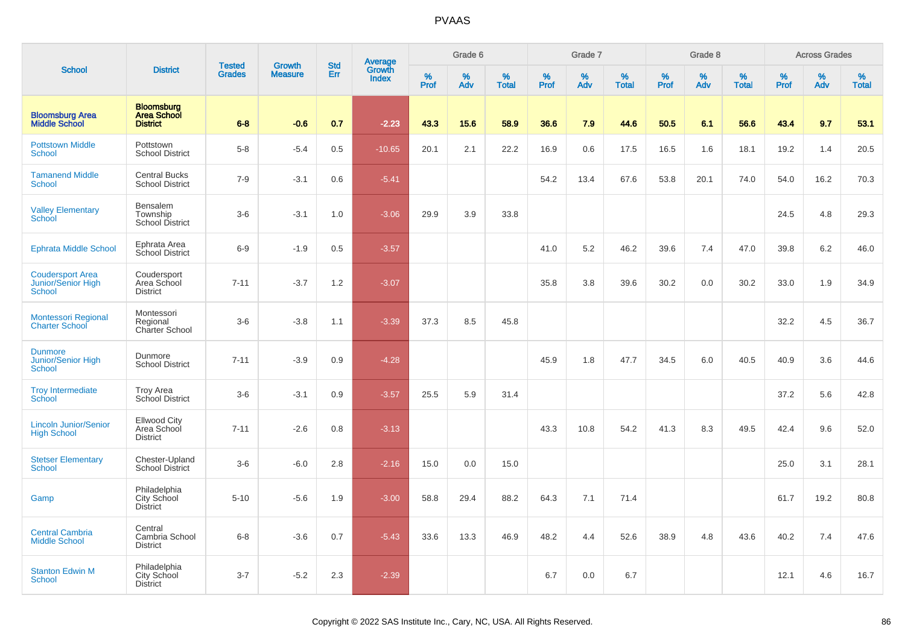|                                                                |                                                            |                                |                                 |                   |                                   |           | Grade 6  |                   |           | Grade 7  |                   |           | Grade 8  |                   |           | <b>Across Grades</b> |                   |
|----------------------------------------------------------------|------------------------------------------------------------|--------------------------------|---------------------------------|-------------------|-----------------------------------|-----------|----------|-------------------|-----------|----------|-------------------|-----------|----------|-------------------|-----------|----------------------|-------------------|
| <b>School</b>                                                  | <b>District</b>                                            | <b>Tested</b><br><b>Grades</b> | <b>Growth</b><br><b>Measure</b> | <b>Std</b><br>Err | Average<br>Growth<br><b>Index</b> | %<br>Prof | %<br>Adv | %<br><b>Total</b> | %<br>Prof | %<br>Adv | %<br><b>Total</b> | %<br>Prof | %<br>Adv | %<br><b>Total</b> | %<br>Prof | %<br>Adv             | %<br><b>Total</b> |
| <b>Bloomsburg Area</b><br><b>Middle School</b>                 | <b>Bloomsburg</b><br><b>Area School</b><br><b>District</b> | $6 - 8$                        | $-0.6$                          | 0.7               | $-2.23$                           | 43.3      | 15.6     | 58.9              | 36.6      | 7.9      | 44.6              | 50.5      | 6.1      | 56.6              | 43.4      | 9.7                  | 53.1              |
| <b>Pottstown Middle</b><br><b>School</b>                       | Pottstown<br><b>School District</b>                        | $5 - 8$                        | $-5.4$                          | 0.5               | $-10.65$                          | 20.1      | 2.1      | 22.2              | 16.9      | 0.6      | 17.5              | 16.5      | 1.6      | 18.1              | 19.2      | 1.4                  | 20.5              |
| <b>Tamanend Middle</b><br><b>School</b>                        | <b>Central Bucks</b><br><b>School District</b>             | $7-9$                          | $-3.1$                          | 0.6               | $-5.41$                           |           |          |                   | 54.2      | 13.4     | 67.6              | 53.8      | 20.1     | 74.0              | 54.0      | 16.2                 | 70.3              |
| <b>Valley Elementary</b><br>School                             | Bensalem<br>Township<br>School District                    | $3-6$                          | $-3.1$                          | 1.0               | $-3.06$                           | 29.9      | 3.9      | 33.8              |           |          |                   |           |          |                   | 24.5      | 4.8                  | 29.3              |
| <b>Ephrata Middle School</b>                                   | Ephrata Area<br>School District                            | $6-9$                          | $-1.9$                          | 0.5               | $-3.57$                           |           |          |                   | 41.0      | 5.2      | 46.2              | 39.6      | 7.4      | 47.0              | 39.8      | 6.2                  | 46.0              |
| <b>Coudersport Area</b><br>Junior/Senior High<br><b>School</b> | Coudersport<br>Area School<br><b>District</b>              | $7 - 11$                       | $-3.7$                          | 1.2               | $-3.07$                           |           |          |                   | 35.8      | 3.8      | 39.6              | 30.2      | 0.0      | 30.2              | 33.0      | 1.9                  | 34.9              |
| Montessori Regional<br><b>Charter School</b>                   | Montessori<br>Regional<br>Charter School                   | $3-6$                          | $-3.8$                          | 1.1               | $-3.39$                           | 37.3      | 8.5      | 45.8              |           |          |                   |           |          |                   | 32.2      | 4.5                  | 36.7              |
| <b>Dunmore</b><br><b>Junior/Senior High</b><br>School          | Dunmore<br><b>School District</b>                          | $7 - 11$                       | $-3.9$                          | 0.9               | $-4.28$                           |           |          |                   | 45.9      | 1.8      | 47.7              | 34.5      | 6.0      | 40.5              | 40.9      | 3.6                  | 44.6              |
| <b>Troy Intermediate</b><br>School                             | <b>Troy Area</b><br>School District                        | $3-6$                          | $-3.1$                          | 0.9               | $-3.57$                           | 25.5      | 5.9      | 31.4              |           |          |                   |           |          |                   | 37.2      | 5.6                  | 42.8              |
| <b>Lincoln Junior/Senior</b><br><b>High School</b>             | <b>Ellwood City</b><br>Area School<br><b>District</b>      | $7 - 11$                       | $-2.6$                          | 0.8               | $-3.13$                           |           |          |                   | 43.3      | 10.8     | 54.2              | 41.3      | 8.3      | 49.5              | 42.4      | 9.6                  | 52.0              |
| <b>Stetser Elementary</b><br>School                            | Chester-Upland<br><b>School District</b>                   | $3-6$                          | $-6.0$                          | 2.8               | $-2.16$                           | 15.0      | 0.0      | 15.0              |           |          |                   |           |          |                   | 25.0      | 3.1                  | 28.1              |
| Gamp                                                           | Philadelphia<br>City School<br><b>District</b>             | $5 - 10$                       | $-5.6$                          | 1.9               | $-3.00$                           | 58.8      | 29.4     | 88.2              | 64.3      | 7.1      | 71.4              |           |          |                   | 61.7      | 19.2                 | 80.8              |
| <b>Central Cambria</b><br><b>Middle School</b>                 | Central<br>Cambria School<br><b>District</b>               | $6 - 8$                        | $-3.6$                          | 0.7               | $-5.43$                           | 33.6      | 13.3     | 46.9              | 48.2      | 4.4      | 52.6              | 38.9      | 4.8      | 43.6              | 40.2      | 7.4                  | 47.6              |
| <b>Stanton Edwin M</b><br>School                               | Philadelphia<br>City School<br><b>District</b>             | $3 - 7$                        | $-5.2$                          | 2.3               | $-2.39$                           |           |          |                   | 6.7       | 0.0      | 6.7               |           |          |                   | 12.1      | 4.6                  | 16.7              |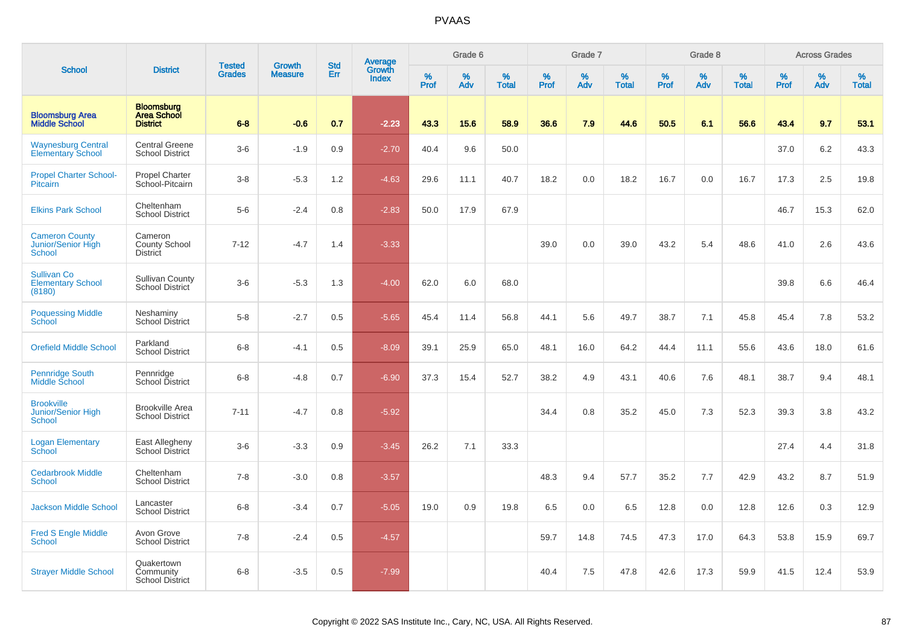|                                                                 |                                                            | <b>Tested</b> | Growth         | <b>Std</b> | <b>Average</b><br>Growth |           | Grade 6  |                   |           | Grade 7  |                   |           | Grade 8  |                   |           | <b>Across Grades</b> |                   |
|-----------------------------------------------------------------|------------------------------------------------------------|---------------|----------------|------------|--------------------------|-----------|----------|-------------------|-----------|----------|-------------------|-----------|----------|-------------------|-----------|----------------------|-------------------|
| <b>School</b>                                                   | <b>District</b>                                            | <b>Grades</b> | <b>Measure</b> | Err        | <b>Index</b>             | %<br>Prof | %<br>Adv | %<br><b>Total</b> | %<br>Prof | %<br>Adv | %<br><b>Total</b> | %<br>Prof | %<br>Adv | %<br><b>Total</b> | %<br>Prof | %<br>Adv             | %<br><b>Total</b> |
| <b>Bloomsburg Area</b><br><b>Middle School</b>                  | <b>Bloomsburg</b><br><b>Area School</b><br><b>District</b> | $6 - 8$       | $-0.6$         | 0.7        | $-2.23$                  | 43.3      | 15.6     | 58.9              | 36.6      | 7.9      | 44.6              | 50.5      | 6.1      | 56.6              | 43.4      | 9.7                  | 53.1              |
| <b>Waynesburg Central</b><br><b>Elementary School</b>           | <b>Central Greene</b><br><b>School District</b>            | $3-6$         | $-1.9$         | 0.9        | $-2.70$                  | 40.4      | 9.6      | 50.0              |           |          |                   |           |          |                   | 37.0      | 6.2                  | 43.3              |
| <b>Propel Charter School-</b><br>Pitcairn                       | Propel Charter<br>School-Pitcairn                          | $3-8$         | $-5.3$         | 1.2        | $-4.63$                  | 29.6      | 11.1     | 40.7              | 18.2      | 0.0      | 18.2              | 16.7      | 0.0      | 16.7              | 17.3      | 2.5                  | 19.8              |
| <b>Elkins Park School</b>                                       | Cheltenham<br><b>School District</b>                       | $5-6$         | $-2.4$         | 0.8        | $-2.83$                  | 50.0      | 17.9     | 67.9              |           |          |                   |           |          |                   | 46.7      | 15.3                 | 62.0              |
| <b>Cameron County</b><br>Junior/Senior High<br><b>School</b>    | Cameron<br><b>County School</b><br><b>District</b>         | $7 - 12$      | $-4.7$         | 1.4        | $-3.33$                  |           |          |                   | 39.0      | 0.0      | 39.0              | 43.2      | 5.4      | 48.6              | 41.0      | 2.6                  | 43.6              |
| <b>Sullivan Co</b><br><b>Elementary School</b><br>(8180)        | <b>Sullivan County</b><br><b>School District</b>           | $3-6$         | $-5.3$         | 1.3        | $-4.00$                  | 62.0      | 6.0      | 68.0              |           |          |                   |           |          |                   | 39.8      | 6.6                  | 46.4              |
| <b>Poquessing Middle</b><br><b>School</b>                       | Neshaminy<br><b>School District</b>                        | $5-8$         | $-2.7$         | 0.5        | $-5.65$                  | 45.4      | 11.4     | 56.8              | 44.1      | 5.6      | 49.7              | 38.7      | 7.1      | 45.8              | 45.4      | 7.8                  | 53.2              |
| <b>Orefield Middle School</b>                                   | Parkland<br><b>School District</b>                         | $6-8$         | $-4.1$         | 0.5        | $-8.09$                  | 39.1      | 25.9     | 65.0              | 48.1      | 16.0     | 64.2              | 44.4      | 11.1     | 55.6              | 43.6      | 18.0                 | 61.6              |
| <b>Pennridge South</b><br>Middle School                         | Pennridge<br><b>School District</b>                        | $6 - 8$       | $-4.8$         | 0.7        | $-6.90$                  | 37.3      | 15.4     | 52.7              | 38.2      | 4.9      | 43.1              | 40.6      | 7.6      | 48.1              | 38.7      | 9.4                  | 48.1              |
| <b>Brookville</b><br><b>Junior/Senior High</b><br><b>School</b> | <b>Brookville Area</b><br><b>School District</b>           | $7 - 11$      | $-4.7$         | 0.8        | $-5.92$                  |           |          |                   | 34.4      | 0.8      | 35.2              | 45.0      | 7.3      | 52.3              | 39.3      | 3.8                  | 43.2              |
| <b>Logan Elementary</b><br>School                               | East Allegheny<br>School District                          | $3-6$         | $-3.3$         | 0.9        | $-3.45$                  | 26.2      | 7.1      | 33.3              |           |          |                   |           |          |                   | 27.4      | 4.4                  | 31.8              |
| <b>Cedarbrook Middle</b><br><b>School</b>                       | Cheltenham<br><b>School District</b>                       | $7 - 8$       | $-3.0$         | 0.8        | $-3.57$                  |           |          |                   | 48.3      | 9.4      | 57.7              | 35.2      | 7.7      | 42.9              | 43.2      | 8.7                  | 51.9              |
| <b>Jackson Middle School</b>                                    | Lancaster<br><b>School District</b>                        | $6 - 8$       | $-3.4$         | 0.7        | $-5.05$                  | 19.0      | 0.9      | 19.8              | 6.5       | 0.0      | 6.5               | 12.8      | 0.0      | 12.8              | 12.6      | 0.3                  | 12.9              |
| <b>Fred S Engle Middle</b><br><b>School</b>                     | Avon Grove<br><b>School District</b>                       | $7 - 8$       | $-2.4$         | 0.5        | $-4.57$                  |           |          |                   | 59.7      | 14.8     | 74.5              | 47.3      | 17.0     | 64.3              | 53.8      | 15.9                 | 69.7              |
| <b>Strayer Middle School</b>                                    | Quakertown<br>Community<br><b>School District</b>          | $6-8$         | $-3.5$         | 0.5        | $-7.99$                  |           |          |                   | 40.4      | 7.5      | 47.8              | 42.6      | 17.3     | 59.9              | 41.5      | 12.4                 | 53.9              |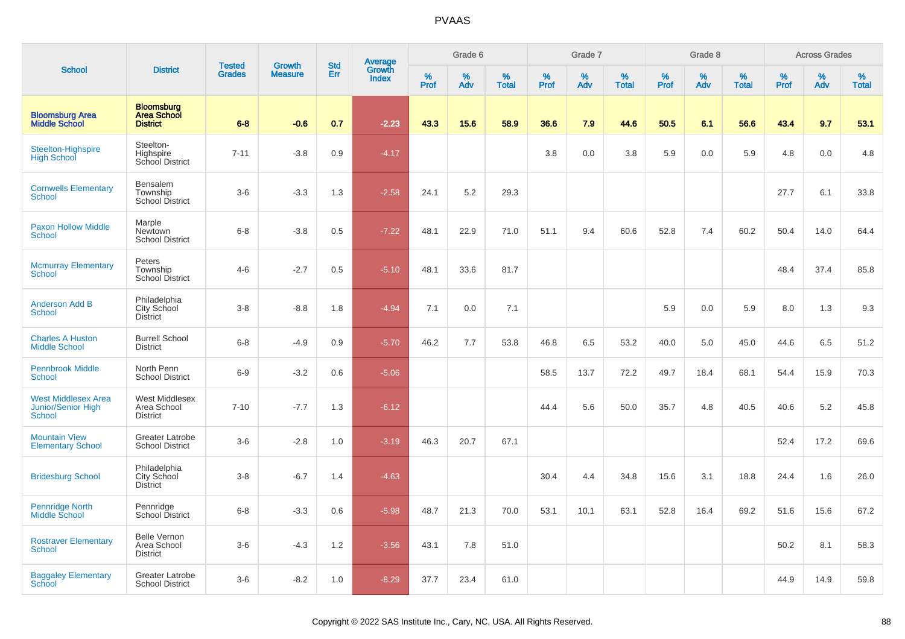|                                                            |                                                            |                                |                                 | <b>Std</b> |                                          |           | Grade 6  |                   |           | Grade 7  |                   |           | Grade 8  |                   |           | <b>Across Grades</b> |                   |
|------------------------------------------------------------|------------------------------------------------------------|--------------------------------|---------------------------------|------------|------------------------------------------|-----------|----------|-------------------|-----------|----------|-------------------|-----------|----------|-------------------|-----------|----------------------|-------------------|
| <b>School</b>                                              | <b>District</b>                                            | <b>Tested</b><br><b>Grades</b> | <b>Growth</b><br><b>Measure</b> | Err        | <b>Average</b><br>Growth<br><b>Index</b> | %<br>Prof | %<br>Adv | %<br><b>Total</b> | %<br>Prof | %<br>Adv | %<br><b>Total</b> | %<br>Prof | %<br>Adv | %<br><b>Total</b> | %<br>Prof | %<br>Adv             | %<br><b>Total</b> |
| <b>Bloomsburg Area</b><br><b>Middle School</b>             | <b>Bloomsburg</b><br><b>Area School</b><br><b>District</b> | $6 - 8$                        | $-0.6$                          | 0.7        | $-2.23$                                  | 43.3      | 15.6     | 58.9              | 36.6      | 7.9      | 44.6              | 50.5      | 6.1      | 56.6              | 43.4      | 9.7                  | 53.1              |
| Steelton-Highspire<br><b>High School</b>                   | Steelton-<br>Highspire<br>School District                  | $7 - 11$                       | $-3.8$                          | 0.9        | $-4.17$                                  |           |          |                   | 3.8       | 0.0      | 3.8               | 5.9       | 0.0      | 5.9               | 4.8       | 0.0                  | 4.8               |
| <b>Cornwells Elementary</b><br><b>School</b>               | Bensalem<br>Township<br>School District                    | $3-6$                          | $-3.3$                          | 1.3        | $-2.58$                                  | 24.1      | 5.2      | 29.3              |           |          |                   |           |          |                   | 27.7      | 6.1                  | 33.8              |
| <b>Paxon Hollow Middle</b><br><b>School</b>                | Marple<br>Newtown<br><b>School District</b>                | $6 - 8$                        | $-3.8$                          | 0.5        | $-7.22$                                  | 48.1      | 22.9     | 71.0              | 51.1      | 9.4      | 60.6              | 52.8      | 7.4      | 60.2              | 50.4      | 14.0                 | 64.4              |
| <b>Mcmurray Elementary</b><br>School                       | Peters<br>Township<br><b>School District</b>               | $4 - 6$                        | $-2.7$                          | 0.5        | $-5.10$                                  | 48.1      | 33.6     | 81.7              |           |          |                   |           |          |                   | 48.4      | 37.4                 | 85.8              |
| <b>Anderson Add B</b><br>School                            | Philadelphia<br>City School<br><b>District</b>             | $3 - 8$                        | $-8.8$                          | 1.8        | $-4.94$                                  | 7.1       | 0.0      | 7.1               |           |          |                   | 5.9       | 0.0      | 5.9               | 8.0       | 1.3                  | 9.3               |
| <b>Charles A Huston</b><br><b>Middle School</b>            | <b>Burrell School</b><br><b>District</b>                   | $6 - 8$                        | $-4.9$                          | 0.9        | $-5.70$                                  | 46.2      | 7.7      | 53.8              | 46.8      | 6.5      | 53.2              | 40.0      | 5.0      | 45.0              | 44.6      | 6.5                  | 51.2              |
| <b>Pennbrook Middle</b><br>School                          | North Penn<br><b>School District</b>                       | $6-9$                          | $-3.2$                          | 0.6        | $-5.06$                                  |           |          |                   | 58.5      | 13.7     | 72.2              | 49.7      | 18.4     | 68.1              | 54.4      | 15.9                 | 70.3              |
| <b>West Middlesex Area</b><br>Junior/Senior High<br>School | West Middlesex<br>Area School<br><b>District</b>           | $7 - 10$                       | $-7.7$                          | 1.3        | $-6.12$                                  |           |          |                   | 44.4      | 5.6      | 50.0              | 35.7      | 4.8      | 40.5              | 40.6      | 5.2                  | 45.8              |
| <b>Mountain View</b><br><b>Elementary School</b>           | Greater Latrobe<br><b>School District</b>                  | $3-6$                          | $-2.8$                          | 1.0        | $-3.19$                                  | 46.3      | 20.7     | 67.1              |           |          |                   |           |          |                   | 52.4      | 17.2                 | 69.6              |
| <b>Bridesburg School</b>                                   | Philadelphia<br>City School<br><b>District</b>             | $3-8$                          | $-6.7$                          | 1.4        | $-4.63$                                  |           |          |                   | 30.4      | 4.4      | 34.8              | 15.6      | 3.1      | 18.8              | 24.4      | 1.6                  | 26.0              |
| <b>Pennridge North</b><br>Middle School                    | Pennridge<br>School District                               | $6-8$                          | $-3.3$                          | 0.6        | $-5.98$                                  | 48.7      | 21.3     | 70.0              | 53.1      | 10.1     | 63.1              | 52.8      | 16.4     | 69.2              | 51.6      | 15.6                 | 67.2              |
| <b>Rostraver Elementary</b><br>School                      | <b>Belle Vernon</b><br>Area School<br><b>District</b>      | $3-6$                          | $-4.3$                          | 1.2        | $-3.56$                                  | 43.1      | 7.8      | 51.0              |           |          |                   |           |          |                   | 50.2      | 8.1                  | 58.3              |
| <b>Baggaley Elementary</b><br>School                       | Greater Latrobe<br><b>School District</b>                  | $3-6$                          | $-8.2$                          | 1.0        | $-8.29$                                  | 37.7      | 23.4     | 61.0              |           |          |                   |           |          |                   | 44.9      | 14.9                 | 59.8              |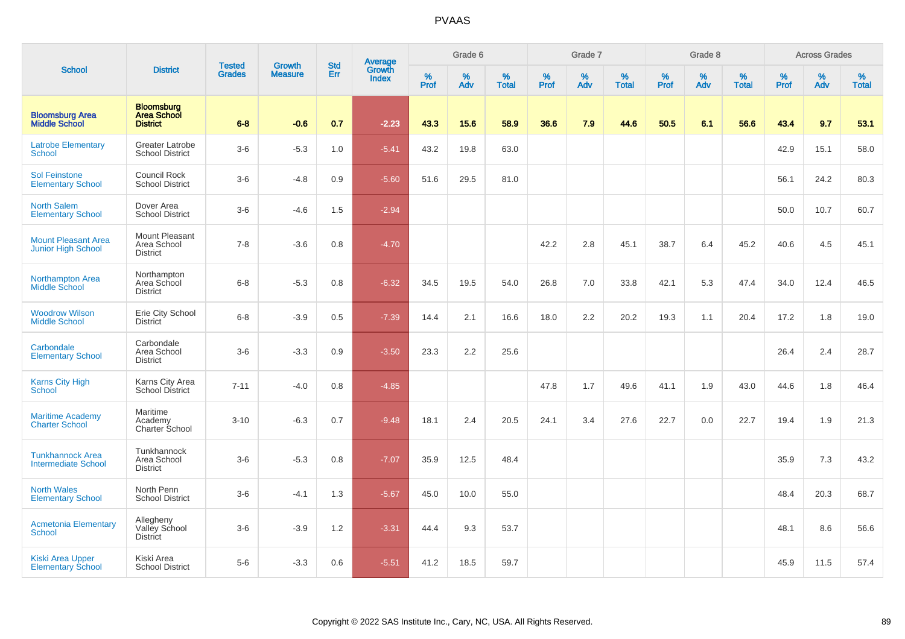|                                                         |                                                            |                                |                                 | <b>Std</b> |                                          |                  | Grade 6  |                   |           | Grade 7  |                   |           | Grade 8  |                   |           | <b>Across Grades</b> |                   |
|---------------------------------------------------------|------------------------------------------------------------|--------------------------------|---------------------------------|------------|------------------------------------------|------------------|----------|-------------------|-----------|----------|-------------------|-----------|----------|-------------------|-----------|----------------------|-------------------|
| <b>School</b>                                           | <b>District</b>                                            | <b>Tested</b><br><b>Grades</b> | <b>Growth</b><br><b>Measure</b> | Err        | <b>Average</b><br>Growth<br><b>Index</b> | %<br><b>Prof</b> | %<br>Adv | %<br><b>Total</b> | %<br>Prof | %<br>Adv | %<br><b>Total</b> | %<br>Prof | %<br>Adv | %<br><b>Total</b> | %<br>Prof | %<br>Adv             | %<br><b>Total</b> |
| <b>Bloomsburg Area</b><br><b>Middle School</b>          | <b>Bloomsburg</b><br><b>Area School</b><br><b>District</b> | $6 - 8$                        | $-0.6$                          | 0.7        | $-2.23$                                  | 43.3             | 15.6     | 58.9              | 36.6      | 7.9      | 44.6              | 50.5      | 6.1      | 56.6              | 43.4      | 9.7                  | 53.1              |
| <b>Latrobe Elementary</b><br><b>School</b>              | Greater Latrobe<br><b>School District</b>                  | $3-6$                          | $-5.3$                          | 1.0        | $-5.41$                                  | 43.2             | 19.8     | 63.0              |           |          |                   |           |          |                   | 42.9      | 15.1                 | 58.0              |
| <b>Sol Feinstone</b><br><b>Elementary School</b>        | Council Rock<br><b>School District</b>                     | $3-6$                          | $-4.8$                          | 0.9        | $-5.60$                                  | 51.6             | 29.5     | 81.0              |           |          |                   |           |          |                   | 56.1      | 24.2                 | 80.3              |
| <b>North Salem</b><br><b>Elementary School</b>          | Dover Area<br><b>School District</b>                       | $3-6$                          | $-4.6$                          | 1.5        | $-2.94$                                  |                  |          |                   |           |          |                   |           |          |                   | 50.0      | 10.7                 | 60.7              |
| <b>Mount Pleasant Area</b><br><b>Junior High School</b> | Mount Pleasant<br>Area School<br><b>District</b>           | $7 - 8$                        | $-3.6$                          | 0.8        | $-4.70$                                  |                  |          |                   | 42.2      | 2.8      | 45.1              | 38.7      | 6.4      | 45.2              | 40.6      | 4.5                  | 45.1              |
| Northampton Area<br><b>Middle School</b>                | Northampton<br>Area School<br><b>District</b>              | $6-8$                          | $-5.3$                          | 0.8        | $-6.32$                                  | 34.5             | 19.5     | 54.0              | 26.8      | 7.0      | 33.8              | 42.1      | 5.3      | 47.4              | 34.0      | 12.4                 | 46.5              |
| <b>Woodrow Wilson</b><br><b>Middle School</b>           | Erie City School<br><b>District</b>                        | $6-8$                          | $-3.9$                          | 0.5        | $-7.39$                                  | 14.4             | 2.1      | 16.6              | 18.0      | 2.2      | 20.2              | 19.3      | 1.1      | 20.4              | 17.2      | 1.8                  | 19.0              |
| Carbondale<br><b>Elementary School</b>                  | Carbondale<br>Area School<br><b>District</b>               | $3-6$                          | $-3.3$                          | 0.9        | $-3.50$                                  | 23.3             | 2.2      | 25.6              |           |          |                   |           |          |                   | 26.4      | 2.4                  | 28.7              |
| <b>Karns City High</b><br>School                        | Karns City Area<br><b>School District</b>                  | $7 - 11$                       | $-4.0$                          | 0.8        | $-4.85$                                  |                  |          |                   | 47.8      | 1.7      | 49.6              | 41.1      | 1.9      | 43.0              | 44.6      | 1.8                  | 46.4              |
| <b>Maritime Academy</b><br><b>Charter School</b>        | Maritime<br>Academy<br>Charter School                      | $3 - 10$                       | $-6.3$                          | 0.7        | $-9.48$                                  | 18.1             | 2.4      | 20.5              | 24.1      | 3.4      | 27.6              | 22.7      | 0.0      | 22.7              | 19.4      | 1.9                  | 21.3              |
| <b>Tunkhannock Area</b><br><b>Intermediate School</b>   | Tunkhannock<br>Area School<br><b>District</b>              | $3-6$                          | $-5.3$                          | 0.8        | $-7.07$                                  | 35.9             | 12.5     | 48.4              |           |          |                   |           |          |                   | 35.9      | 7.3                  | 43.2              |
| <b>North Wales</b><br><b>Elementary School</b>          | North Penn<br><b>School District</b>                       | $3-6$                          | $-4.1$                          | 1.3        | $-5.67$                                  | 45.0             | 10.0     | 55.0              |           |          |                   |           |          |                   | 48.4      | 20.3                 | 68.7              |
| <b>Acmetonia Elementary</b><br><b>School</b>            | Allegheny<br>Valley School<br><b>District</b>              | $3-6$                          | $-3.9$                          | 1.2        | $-3.31$                                  | 44.4             | 9.3      | 53.7              |           |          |                   |           |          |                   | 48.1      | 8.6                  | 56.6              |
| <b>Kiski Area Upper</b><br><b>Elementary School</b>     | Kiski Area<br><b>School District</b>                       | $5-6$                          | $-3.3$                          | 0.6        | $-5.51$                                  | 41.2             | 18.5     | 59.7              |           |          |                   |           |          |                   | 45.9      | 11.5                 | 57.4              |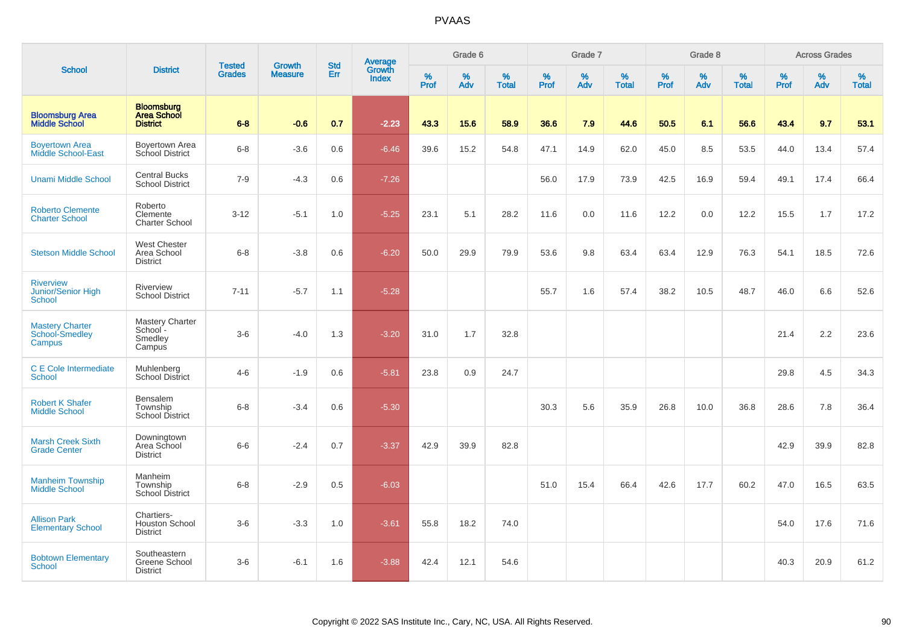|                                                    |                                                            |                                | <b>Growth</b>  | <b>Std</b> |                                   |                  | Grade 6  |                   |              | Grade 7     |                   |                  | Grade 8         |                   |              | <b>Across Grades</b> |                   |
|----------------------------------------------------|------------------------------------------------------------|--------------------------------|----------------|------------|-----------------------------------|------------------|----------|-------------------|--------------|-------------|-------------------|------------------|-----------------|-------------------|--------------|----------------------|-------------------|
| <b>School</b>                                      | <b>District</b>                                            | <b>Tested</b><br><b>Grades</b> | <b>Measure</b> | Err        | Average<br>Growth<br><b>Index</b> | %<br><b>Prof</b> | %<br>Adv | %<br><b>Total</b> | $\%$<br>Prof | $\%$<br>Adv | %<br><b>Total</b> | %<br><b>Prof</b> | %<br><b>Adv</b> | %<br><b>Total</b> | $\%$<br>Prof | $\%$<br>Adv          | %<br><b>Total</b> |
| <b>Bloomsburg Area</b><br><b>Middle School</b>     | <b>Bloomsburg</b><br><b>Area School</b><br><b>District</b> | $6 - 8$                        | $-0.6$         | 0.7        | $-2.23$                           | 43.3             | 15.6     | 58.9              | 36.6         | 7.9         | 44.6              | 50.5             | 6.1             | 56.6              | 43.4         | 9.7                  | 53.1              |
| <b>Boyertown Area</b><br>Middle School-East        | Boyertown Area<br>School District                          | $6 - 8$                        | $-3.6$         | 0.6        | $-6.46$                           | 39.6             | 15.2     | 54.8              | 47.1         | 14.9        | 62.0              | 45.0             | 8.5             | 53.5              | 44.0         | 13.4                 | 57.4              |
| <b>Unami Middle School</b>                         | <b>Central Bucks</b><br><b>School District</b>             | $7-9$                          | $-4.3$         | 0.6        | $-7.26$                           |                  |          |                   | 56.0         | 17.9        | 73.9              | 42.5             | 16.9            | 59.4              | 49.1         | 17.4                 | 66.4              |
| <b>Roberto Clemente</b><br><b>Charter School</b>   | Roberto<br>Clemente<br><b>Charter School</b>               | $3 - 12$                       | $-5.1$         | 1.0        | $-5.25$                           | 23.1             | 5.1      | 28.2              | 11.6         | 0.0         | 11.6              | 12.2             | 0.0             | 12.2              | 15.5         | 1.7                  | 17.2              |
| <b>Stetson Middle School</b>                       | <b>West Chester</b><br>Area School<br><b>District</b>      | $6 - 8$                        | $-3.8$         | 0.6        | $-6.20$                           | 50.0             | 29.9     | 79.9              | 53.6         | 9.8         | 63.4              | 63.4             | 12.9            | 76.3              | 54.1         | 18.5                 | 72.6              |
| <b>Riverview</b><br>Junior/Senior High<br>School   | Riverview<br><b>School District</b>                        | $7 - 11$                       | $-5.7$         | 1.1        | $-5.28$                           |                  |          |                   | 55.7         | 1.6         | 57.4              | 38.2             | 10.5            | 48.7              | 46.0         | 6.6                  | 52.6              |
| <b>Mastery Charter</b><br>School-Smedley<br>Campus | Mastery Charter<br>School-<br>Smedley<br>Campus            | $3-6$                          | $-4.0$         | 1.3        | $-3.20$                           | 31.0             | 1.7      | 32.8              |              |             |                   |                  |                 |                   | 21.4         | 2.2                  | 23.6              |
| C E Cole Intermediate<br>School                    | Muhlenberg<br><b>School District</b>                       | $4 - 6$                        | $-1.9$         | 0.6        | $-5.81$                           | 23.8             | 0.9      | 24.7              |              |             |                   |                  |                 |                   | 29.8         | 4.5                  | 34.3              |
| <b>Robert K Shafer</b><br><b>Middle School</b>     | Bensalem<br>Township<br><b>School District</b>             | $6 - 8$                        | $-3.4$         | 0.6        | $-5.30$                           |                  |          |                   | 30.3         | 5.6         | 35.9              | 26.8             | 10.0            | 36.8              | 28.6         | 7.8                  | 36.4              |
| <b>Marsh Creek Sixth</b><br><b>Grade Center</b>    | Downingtown<br>Area School<br><b>District</b>              | $6-6$                          | $-2.4$         | 0.7        | $-3.37$                           | 42.9             | 39.9     | 82.8              |              |             |                   |                  |                 |                   | 42.9         | 39.9                 | 82.8              |
| <b>Manheim Township</b><br><b>Middle School</b>    | Manheim<br>Township<br><b>School District</b>              | $6 - 8$                        | $-2.9$         | 0.5        | $-6.03$                           |                  |          |                   | 51.0         | 15.4        | 66.4              | 42.6             | 17.7            | 60.2              | 47.0         | 16.5                 | 63.5              |
| <b>Allison Park</b><br><b>Elementary School</b>    | Chartiers-<br><b>Houston School</b><br><b>District</b>     | $3-6$                          | $-3.3$         | 1.0        | $-3.61$                           | 55.8             | 18.2     | 74.0              |              |             |                   |                  |                 |                   | 54.0         | 17.6                 | 71.6              |
| <b>Bobtown Elementary</b><br><b>School</b>         | Southeastern<br>Greene School<br><b>District</b>           | $3-6$                          | $-6.1$         | 1.6        | $-3.88$                           | 42.4             | 12.1     | 54.6              |              |             |                   |                  |                 |                   | 40.3         | 20.9                 | 61.2              |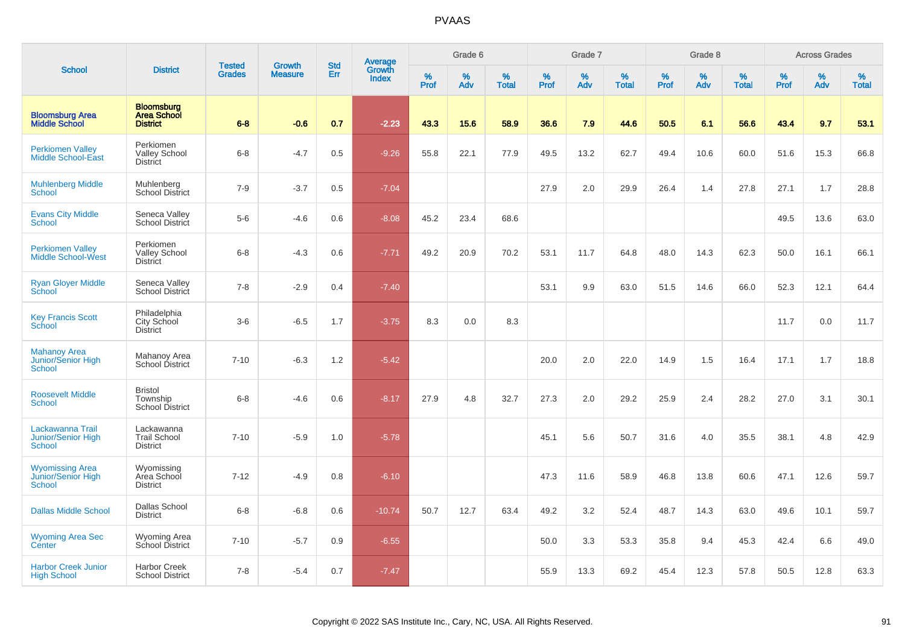|                                                                |                                                            | <b>Tested</b> | <b>Growth</b>  | <b>Std</b> |                                          |                  | Grade 6     |                   |           | Grade 7     |                   |           | Grade 8  |                   |              | <b>Across Grades</b> |                   |
|----------------------------------------------------------------|------------------------------------------------------------|---------------|----------------|------------|------------------------------------------|------------------|-------------|-------------------|-----------|-------------|-------------------|-----------|----------|-------------------|--------------|----------------------|-------------------|
| <b>School</b>                                                  | <b>District</b>                                            | <b>Grades</b> | <b>Measure</b> | Err        | <b>Average</b><br>Growth<br><b>Index</b> | %<br><b>Prof</b> | $\%$<br>Adv | %<br><b>Total</b> | %<br>Prof | $\%$<br>Adv | %<br><b>Total</b> | %<br>Prof | %<br>Adv | %<br><b>Total</b> | $\%$<br>Prof | $\%$<br>Adv          | %<br><b>Total</b> |
| <b>Bloomsburg Area</b><br><b>Middle School</b>                 | <b>Bloomsburg</b><br><b>Area School</b><br><b>District</b> | $6 - 8$       | $-0.6$         | 0.7        | $-2.23$                                  | 43.3             | 15.6        | 58.9              | 36.6      | 7.9         | 44.6              | 50.5      | 6.1      | 56.6              | 43.4         | 9.7                  | 53.1              |
| <b>Perkiomen Valley</b><br>Middle School-East                  | Perkiomen<br><b>Valley School</b><br><b>District</b>       | $6 - 8$       | $-4.7$         | 0.5        | $-9.26$                                  | 55.8             | 22.1        | 77.9              | 49.5      | 13.2        | 62.7              | 49.4      | 10.6     | 60.0              | 51.6         | 15.3                 | 66.8              |
| <b>Muhlenberg Middle</b><br>School                             | Muhlenberg<br>School District                              | $7-9$         | $-3.7$         | 0.5        | $-7.04$                                  |                  |             |                   | 27.9      | 2.0         | 29.9              | 26.4      | 1.4      | 27.8              | 27.1         | 1.7                  | 28.8              |
| <b>Evans City Middle</b><br><b>School</b>                      | Seneca Valley<br><b>School District</b>                    | $5-6$         | $-4.6$         | 0.6        | $-8.08$                                  | 45.2             | 23.4        | 68.6              |           |             |                   |           |          |                   | 49.5         | 13.6                 | 63.0              |
| <b>Perkiomen Valley</b><br><b>Middle School-West</b>           | Perkiomen<br>Valley School<br><b>District</b>              | $6-8$         | $-4.3$         | 0.6        | $-7.71$                                  | 49.2             | 20.9        | 70.2              | 53.1      | 11.7        | 64.8              | 48.0      | 14.3     | 62.3              | 50.0         | 16.1                 | 66.1              |
| <b>Ryan Gloyer Middle</b><br>School                            | Seneca Valley<br>School District                           | $7 - 8$       | $-2.9$         | 0.4        | $-7.40$                                  |                  |             |                   | 53.1      | 9.9         | 63.0              | 51.5      | 14.6     | 66.0              | 52.3         | 12.1                 | 64.4              |
| <b>Key Francis Scott</b><br>School                             | Philadelphia<br><b>City School</b><br><b>District</b>      | $3-6$         | $-6.5$         | 1.7        | $-3.75$                                  | 8.3              | 0.0         | 8.3               |           |             |                   |           |          |                   | 11.7         | 0.0                  | 11.7              |
| <b>Mahanoy Area</b><br><b>Junior/Senior High</b><br>School     | Mahanoy Area<br>School District                            | $7 - 10$      | $-6.3$         | 1.2        | $-5.42$                                  |                  |             |                   | 20.0      | 2.0         | 22.0              | 14.9      | 1.5      | 16.4              | 17.1         | 1.7                  | 18.8              |
| <b>Roosevelt Middle</b><br><b>School</b>                       | <b>Bristol</b><br>Township<br><b>School District</b>       | $6-8$         | $-4.6$         | 0.6        | $-8.17$                                  | 27.9             | 4.8         | 32.7              | 27.3      | 2.0         | 29.2              | 25.9      | 2.4      | 28.2              | 27.0         | 3.1                  | 30.1              |
| Lackawanna Trail<br><b>Junior/Senior High</b><br><b>School</b> | Lackawanna<br><b>Trail School</b><br><b>District</b>       | $7 - 10$      | $-5.9$         | 1.0        | $-5.78$                                  |                  |             |                   | 45.1      | 5.6         | 50.7              | 31.6      | 4.0      | 35.5              | 38.1         | 4.8                  | 42.9              |
| <b>Wyomissing Area</b><br>Junior/Senior High<br><b>School</b>  | Wyomissing<br>Area School<br><b>District</b>               | $7 - 12$      | $-4.9$         | 0.8        | $-6.10$                                  |                  |             |                   | 47.3      | 11.6        | 58.9              | 46.8      | 13.8     | 60.6              | 47.1         | 12.6                 | 59.7              |
| <b>Dallas Middle School</b>                                    | <b>Dallas School</b><br><b>District</b>                    | $6 - 8$       | $-6.8$         | 0.6        | $-10.74$                                 | 50.7             | 12.7        | 63.4              | 49.2      | 3.2         | 52.4              | 48.7      | 14.3     | 63.0              | 49.6         | 10.1                 | 59.7              |
| <b>Wyoming Area Sec</b><br>Center                              | Wyoming Area<br>School District                            | $7 - 10$      | $-5.7$         | 0.9        | $-6.55$                                  |                  |             |                   | 50.0      | 3.3         | 53.3              | 35.8      | 9.4      | 45.3              | 42.4         | 6.6                  | 49.0              |
| <b>Harbor Creek Junior</b><br><b>High School</b>               | <b>Harbor Creek</b><br><b>School District</b>              | $7 - 8$       | $-5.4$         | 0.7        | $-7.47$                                  |                  |             |                   | 55.9      | 13.3        | 69.2              | 45.4      | 12.3     | 57.8              | 50.5         | 12.8                 | 63.3              |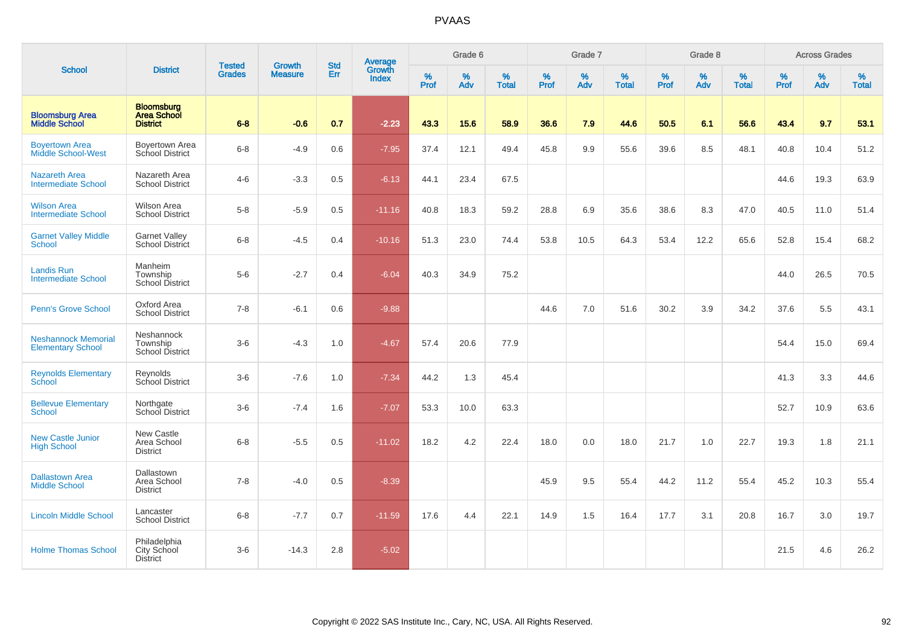|                                                        |                                                            | <b>Tested</b> | <b>Growth</b>  | <b>Std</b> |                                          |                  | Grade 6  |                   |           | Grade 7  |                   |           | Grade 8  |                   |           | <b>Across Grades</b> |                   |
|--------------------------------------------------------|------------------------------------------------------------|---------------|----------------|------------|------------------------------------------|------------------|----------|-------------------|-----------|----------|-------------------|-----------|----------|-------------------|-----------|----------------------|-------------------|
| <b>School</b>                                          | <b>District</b>                                            | <b>Grades</b> | <b>Measure</b> | Err        | <b>Average</b><br>Growth<br><b>Index</b> | %<br><b>Prof</b> | %<br>Adv | %<br><b>Total</b> | %<br>Prof | %<br>Adv | %<br><b>Total</b> | %<br>Prof | %<br>Adv | %<br><b>Total</b> | %<br>Prof | $\%$<br>Adv          | %<br><b>Total</b> |
| <b>Bloomsburg Area</b><br><b>Middle School</b>         | <b>Bloomsburg</b><br><b>Area School</b><br><b>District</b> | $6 - 8$       | $-0.6$         | 0.7        | $-2.23$                                  | 43.3             | 15.6     | 58.9              | 36.6      | 7.9      | 44.6              | 50.5      | 6.1      | 56.6              | 43.4      | 9.7                  | 53.1              |
| <b>Boyertown Area</b><br><b>Middle School-West</b>     | Boyertown Area<br>School District                          | $6 - 8$       | $-4.9$         | 0.6        | $-7.95$                                  | 37.4             | 12.1     | 49.4              | 45.8      | 9.9      | 55.6              | 39.6      | 8.5      | 48.1              | 40.8      | 10.4                 | 51.2              |
| <b>Nazareth Area</b><br><b>Intermediate School</b>     | Nazareth Area<br><b>School District</b>                    | $4 - 6$       | $-3.3$         | 0.5        | $-6.13$                                  | 44.1             | 23.4     | 67.5              |           |          |                   |           |          |                   | 44.6      | 19.3                 | 63.9              |
| <b>Wilson Area</b><br><b>Intermediate School</b>       | <b>Wilson Area</b><br><b>School District</b>               | $5 - 8$       | $-5.9$         | 0.5        | $-11.16$                                 | 40.8             | 18.3     | 59.2              | 28.8      | 6.9      | 35.6              | 38.6      | 8.3      | 47.0              | 40.5      | 11.0                 | 51.4              |
| <b>Garnet Valley Middle</b><br><b>School</b>           | <b>Garnet Valley</b><br>School District                    | $6 - 8$       | $-4.5$         | 0.4        | $-10.16$                                 | 51.3             | 23.0     | 74.4              | 53.8      | 10.5     | 64.3              | 53.4      | 12.2     | 65.6              | 52.8      | 15.4                 | 68.2              |
| <b>Landis Run</b><br><b>Intermediate School</b>        | Manheim<br>Township<br><b>School District</b>              | $5-6$         | $-2.7$         | 0.4        | $-6.04$                                  | 40.3             | 34.9     | 75.2              |           |          |                   |           |          |                   | 44.0      | 26.5                 | 70.5              |
| <b>Penn's Grove School</b>                             | Oxford Area<br><b>School District</b>                      | $7 - 8$       | $-6.1$         | 0.6        | $-9.88$                                  |                  |          |                   | 44.6      | 7.0      | 51.6              | 30.2      | 3.9      | 34.2              | 37.6      | 5.5                  | 43.1              |
| <b>Neshannock Memorial</b><br><b>Elementary School</b> | Neshannock<br>Township<br><b>School District</b>           | $3-6$         | $-4.3$         | 1.0        | $-4.67$                                  | 57.4             | 20.6     | 77.9              |           |          |                   |           |          |                   | 54.4      | 15.0                 | 69.4              |
| <b>Reynolds Elementary</b><br>School                   | Reynolds<br>School District                                | $3-6$         | $-7.6$         | 1.0        | $-7.34$                                  | 44.2             | 1.3      | 45.4              |           |          |                   |           |          |                   | 41.3      | 3.3                  | 44.6              |
| <b>Bellevue Elementary</b><br><b>School</b>            | Northgate<br>School District                               | $3-6$         | $-7.4$         | 1.6        | $-7.07$                                  | 53.3             | 10.0     | 63.3              |           |          |                   |           |          |                   | 52.7      | 10.9                 | 63.6              |
| <b>New Castle Junior</b><br><b>High School</b>         | New Castle<br>Area School<br><b>District</b>               | $6 - 8$       | $-5.5$         | 0.5        | $-11.02$                                 | 18.2             | 4.2      | 22.4              | 18.0      | 0.0      | 18.0              | 21.7      | 1.0      | 22.7              | 19.3      | 1.8                  | 21.1              |
| <b>Dallastown Area</b><br><b>Middle School</b>         | Dallastown<br>Area School<br><b>District</b>               | $7 - 8$       | $-4.0$         | 0.5        | $-8.39$                                  |                  |          |                   | 45.9      | 9.5      | 55.4              | 44.2      | 11.2     | 55.4              | 45.2      | 10.3                 | 55.4              |
| <b>Lincoln Middle School</b>                           | Lancaster<br><b>School District</b>                        | $6 - 8$       | $-7.7$         | 0.7        | $-11.59$                                 | 17.6             | 4.4      | 22.1              | 14.9      | 1.5      | 16.4              | 17.7      | 3.1      | 20.8              | 16.7      | 3.0                  | 19.7              |
| <b>Holme Thomas School</b>                             | Philadelphia<br>City School<br><b>District</b>             | $3 - 6$       | $-14.3$        | 2.8        | $-5.02$                                  |                  |          |                   |           |          |                   |           |          |                   | 21.5      | 4.6                  | 26.2              |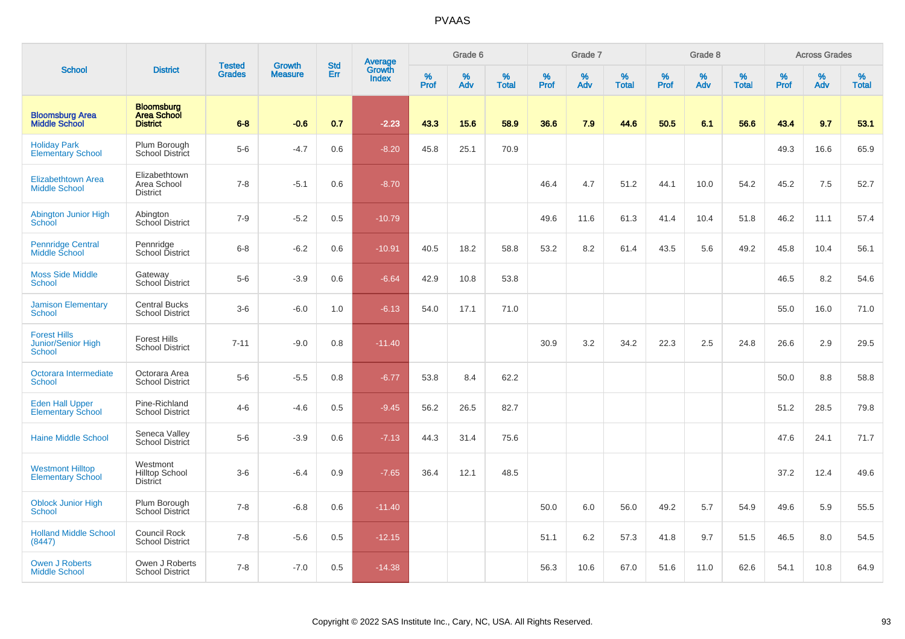|                                                                   |                                                            | <b>Tested</b> | <b>Growth</b>  | <b>Std</b> |                                          |                  | Grade 6     |                   |                     | Grade 7     |                   |           | Grade 8  |                   |                     | <b>Across Grades</b> |                   |
|-------------------------------------------------------------------|------------------------------------------------------------|---------------|----------------|------------|------------------------------------------|------------------|-------------|-------------------|---------------------|-------------|-------------------|-----------|----------|-------------------|---------------------|----------------------|-------------------|
| <b>School</b>                                                     | <b>District</b>                                            | <b>Grades</b> | <b>Measure</b> | Err        | <b>Average</b><br>Growth<br><b>Index</b> | %<br><b>Prof</b> | $\%$<br>Adv | %<br><b>Total</b> | $\%$<br><b>Prof</b> | $\%$<br>Adv | %<br><b>Total</b> | %<br>Prof | %<br>Adv | %<br><b>Total</b> | $\%$<br><b>Prof</b> | $\%$<br>Adv          | %<br><b>Total</b> |
| <b>Bloomsburg Area</b><br><b>Middle School</b>                    | <b>Bloomsburg</b><br><b>Area School</b><br><b>District</b> | $6 - 8$       | $-0.6$         | 0.7        | $-2.23$                                  | 43.3             | 15.6        | 58.9              | 36.6                | 7.9         | 44.6              | 50.5      | 6.1      | 56.6              | 43.4                | 9.7                  | 53.1              |
| <b>Holiday Park</b><br><b>Elementary School</b>                   | Plum Borough<br>School District                            | $5-6$         | $-4.7$         | 0.6        | $-8.20$                                  | 45.8             | 25.1        | 70.9              |                     |             |                   |           |          |                   | 49.3                | 16.6                 | 65.9              |
| <b>Elizabethtown Area</b><br><b>Middle School</b>                 | Elizabethtown<br>Area School<br><b>District</b>            | $7 - 8$       | $-5.1$         | 0.6        | $-8.70$                                  |                  |             |                   | 46.4                | 4.7         | 51.2              | 44.1      | 10.0     | 54.2              | 45.2                | 7.5                  | 52.7              |
| Abington Junior High<br>School                                    | Abington<br>School District                                | $7 - 9$       | $-5.2$         | $0.5\,$    | $-10.79$                                 |                  |             |                   | 49.6                | 11.6        | 61.3              | 41.4      | 10.4     | 51.8              | 46.2                | 11.1                 | 57.4              |
| <b>Pennridge Central</b><br>Middle School                         | Pennridge<br>School District                               | $6-8$         | $-6.2$         | 0.6        | $-10.91$                                 | 40.5             | 18.2        | 58.8              | 53.2                | 8.2         | 61.4              | 43.5      | 5.6      | 49.2              | 45.8                | 10.4                 | 56.1              |
| <b>Moss Side Middle</b><br><b>School</b>                          | Gateway<br>School District                                 | $5-6$         | $-3.9$         | 0.6        | $-6.64$                                  | 42.9             | 10.8        | 53.8              |                     |             |                   |           |          |                   | 46.5                | 8.2                  | 54.6              |
| <b>Jamison Elementary</b><br><b>School</b>                        | <b>Central Bucks</b><br><b>School District</b>             | $3-6$         | $-6.0$         | 1.0        | $-6.13$                                  | 54.0             | 17.1        | 71.0              |                     |             |                   |           |          |                   | 55.0                | 16.0                 | 71.0              |
| <b>Forest Hills</b><br><b>Junior/Senior High</b><br><b>School</b> | <b>Forest Hills</b><br><b>School District</b>              | $7 - 11$      | $-9.0$         | 0.8        | $-11.40$                                 |                  |             |                   | 30.9                | 3.2         | 34.2              | 22.3      | 2.5      | 24.8              | 26.6                | 2.9                  | 29.5              |
| Octorara Intermediate<br><b>School</b>                            | Octorara Area<br><b>School District</b>                    | $5-6$         | $-5.5$         | 0.8        | $-6.77$                                  | 53.8             | 8.4         | 62.2              |                     |             |                   |           |          |                   | 50.0                | 8.8                  | 58.8              |
| <b>Eden Hall Upper</b><br><b>Elementary School</b>                | Pine-Richland<br><b>School District</b>                    | $4 - 6$       | $-4.6$         | 0.5        | $-9.45$                                  | 56.2             | 26.5        | 82.7              |                     |             |                   |           |          |                   | 51.2                | 28.5                 | 79.8              |
| <b>Haine Middle School</b>                                        | Seneca Valley<br>School District                           | $5-6$         | $-3.9$         | 0.6        | $-7.13$                                  | 44.3             | 31.4        | 75.6              |                     |             |                   |           |          |                   | 47.6                | 24.1                 | 71.7              |
| <b>Westmont Hilltop</b><br><b>Elementary School</b>               | Westmont<br><b>Hilltop School</b><br><b>District</b>       | $3-6$         | $-6.4$         | 0.9        | $-7.65$                                  | 36.4             | 12.1        | 48.5              |                     |             |                   |           |          |                   | 37.2                | 12.4                 | 49.6              |
| <b>Oblock Junior High</b><br><b>School</b>                        | Plum Borough<br>School District                            | $7 - 8$       | $-6.8$         | 0.6        | $-11.40$                                 |                  |             |                   | 50.0                | 6.0         | 56.0              | 49.2      | 5.7      | 54.9              | 49.6                | 5.9                  | 55.5              |
| <b>Holland Middle School</b><br>(8447)                            | <b>Council Rock</b><br><b>School District</b>              | $7 - 8$       | $-5.6$         | 0.5        | $-12.15$                                 |                  |             |                   | 51.1                | 6.2         | 57.3              | 41.8      | 9.7      | 51.5              | 46.5                | 8.0                  | 54.5              |
| <b>Owen J Roberts</b><br><b>Middle School</b>                     | Owen J Roberts<br><b>School District</b>                   | $7 - 8$       | $-7.0$         | 0.5        | $-14.38$                                 |                  |             |                   | 56.3                | 10.6        | 67.0              | 51.6      | 11.0     | 62.6              | 54.1                | 10.8                 | 64.9              |